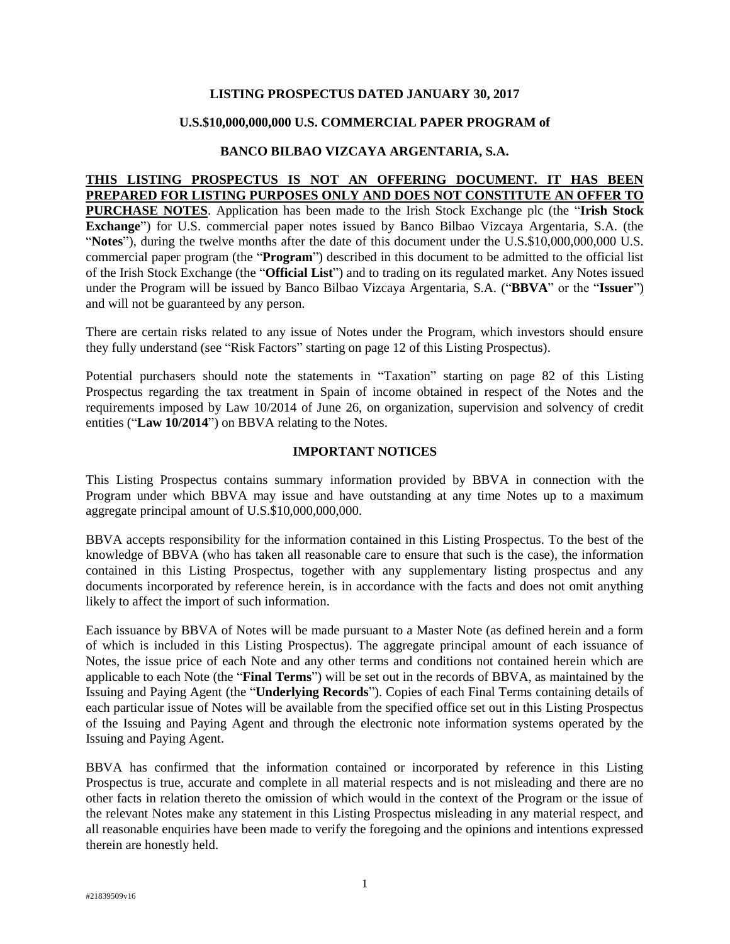#### **LISTING PROSPECTUS DATED JANUARY 30, 2017**

#### **U.S.\$10,000,000,000 U.S. COMMERCIAL PAPER PROGRAM of**

## **BANCO BILBAO VIZCAYA ARGENTARIA, S.A.**

# **THIS LISTING PROSPECTUS IS NOT AN OFFERING DOCUMENT. IT HAS BEEN PREPARED FOR LISTING PURPOSES ONLY AND DOES NOT CONSTITUTE AN OFFER TO**

**PURCHASE NOTES**. Application has been made to the Irish Stock Exchange plc (the "**Irish Stock Exchange**") for U.S. commercial paper notes issued by Banco Bilbao Vizcaya Argentaria, S.A. (the "**Notes**"), during the twelve months after the date of this document under the U.S.\$10,000,000,000 U.S. commercial paper program (the "**Program**") described in this document to be admitted to the official list of the Irish Stock Exchange (the "**Official List**") and to trading on its regulated market. Any Notes issued under the Program will be issued by Banco Bilbao Vizcaya Argentaria, S.A. ("**BBVA**" or the "**Issuer**") and will not be guaranteed by any person.

There are certain risks related to any issue of Notes under the Program, which investors should ensure they fully understand (see "Risk Factors" starting on page 12 of this Listing Prospectus).

Potential purchasers should note the statements in "Taxation" starting on page 82 of this Listing Prospectus regarding the tax treatment in Spain of income obtained in respect of the Notes and the requirements imposed by Law 10/2014 of June 26, on organization, supervision and solvency of credit entities ("**Law 10/2014**") on BBVA relating to the Notes.

#### **IMPORTANT NOTICES**

This Listing Prospectus contains summary information provided by BBVA in connection with the Program under which BBVA may issue and have outstanding at any time Notes up to a maximum aggregate principal amount of U.S.\$10,000,000,000.

BBVA accepts responsibility for the information contained in this Listing Prospectus. To the best of the knowledge of BBVA (who has taken all reasonable care to ensure that such is the case), the information contained in this Listing Prospectus, together with any supplementary listing prospectus and any documents incorporated by reference herein, is in accordance with the facts and does not omit anything likely to affect the import of such information.

Each issuance by BBVA of Notes will be made pursuant to a Master Note (as defined herein and a form of which is included in this Listing Prospectus). The aggregate principal amount of each issuance of Notes, the issue price of each Note and any other terms and conditions not contained herein which are applicable to each Note (the "**Final Terms**") will be set out in the records of BBVA, as maintained by the Issuing and Paying Agent (the "**Underlying Records**"). Copies of each Final Terms containing details of each particular issue of Notes will be available from the specified office set out in this Listing Prospectus of the Issuing and Paying Agent and through the electronic note information systems operated by the Issuing and Paying Agent.

BBVA has confirmed that the information contained or incorporated by reference in this Listing Prospectus is true, accurate and complete in all material respects and is not misleading and there are no other facts in relation thereto the omission of which would in the context of the Program or the issue of the relevant Notes make any statement in this Listing Prospectus misleading in any material respect, and all reasonable enquiries have been made to verify the foregoing and the opinions and intentions expressed therein are honestly held.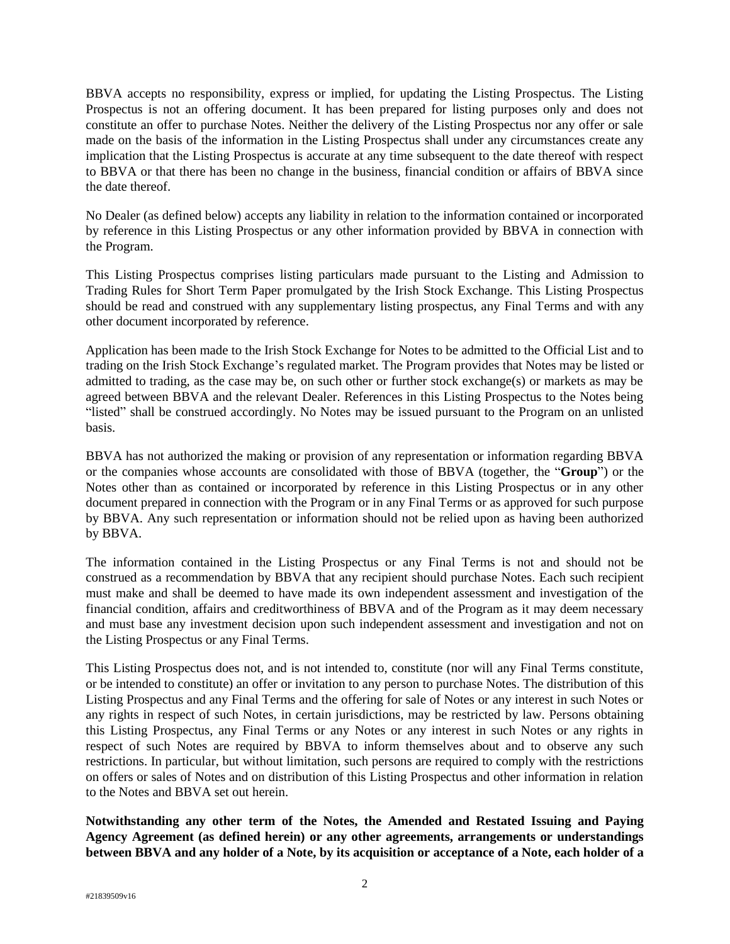BBVA accepts no responsibility, express or implied, for updating the Listing Prospectus. The Listing Prospectus is not an offering document. It has been prepared for listing purposes only and does not constitute an offer to purchase Notes. Neither the delivery of the Listing Prospectus nor any offer or sale made on the basis of the information in the Listing Prospectus shall under any circumstances create any implication that the Listing Prospectus is accurate at any time subsequent to the date thereof with respect to BBVA or that there has been no change in the business, financial condition or affairs of BBVA since the date thereof.

No Dealer (as defined below) accepts any liability in relation to the information contained or incorporated by reference in this Listing Prospectus or any other information provided by BBVA in connection with the Program.

This Listing Prospectus comprises listing particulars made pursuant to the Listing and Admission to Trading Rules for Short Term Paper promulgated by the Irish Stock Exchange. This Listing Prospectus should be read and construed with any supplementary listing prospectus, any Final Terms and with any other document incorporated by reference.

Application has been made to the Irish Stock Exchange for Notes to be admitted to the Official List and to trading on the Irish Stock Exchange's regulated market. The Program provides that Notes may be listed or admitted to trading, as the case may be, on such other or further stock exchange(s) or markets as may be agreed between BBVA and the relevant Dealer. References in this Listing Prospectus to the Notes being "listed" shall be construed accordingly. No Notes may be issued pursuant to the Program on an unlisted basis.

BBVA has not authorized the making or provision of any representation or information regarding BBVA or the companies whose accounts are consolidated with those of BBVA (together, the "**Group**") or the Notes other than as contained or incorporated by reference in this Listing Prospectus or in any other document prepared in connection with the Program or in any Final Terms or as approved for such purpose by BBVA. Any such representation or information should not be relied upon as having been authorized by BBVA.

The information contained in the Listing Prospectus or any Final Terms is not and should not be construed as a recommendation by BBVA that any recipient should purchase Notes. Each such recipient must make and shall be deemed to have made its own independent assessment and investigation of the financial condition, affairs and creditworthiness of BBVA and of the Program as it may deem necessary and must base any investment decision upon such independent assessment and investigation and not on the Listing Prospectus or any Final Terms.

This Listing Prospectus does not, and is not intended to, constitute (nor will any Final Terms constitute, or be intended to constitute) an offer or invitation to any person to purchase Notes. The distribution of this Listing Prospectus and any Final Terms and the offering for sale of Notes or any interest in such Notes or any rights in respect of such Notes, in certain jurisdictions, may be restricted by law. Persons obtaining this Listing Prospectus, any Final Terms or any Notes or any interest in such Notes or any rights in respect of such Notes are required by BBVA to inform themselves about and to observe any such restrictions. In particular, but without limitation, such persons are required to comply with the restrictions on offers or sales of Notes and on distribution of this Listing Prospectus and other information in relation to the Notes and BBVA set out herein.

**Notwithstanding any other term of the Notes, the Amended and Restated Issuing and Paying Agency Agreement (as defined herein) or any other agreements, arrangements or understandings between BBVA and any holder of a Note, by its acquisition or acceptance of a Note, each holder of a**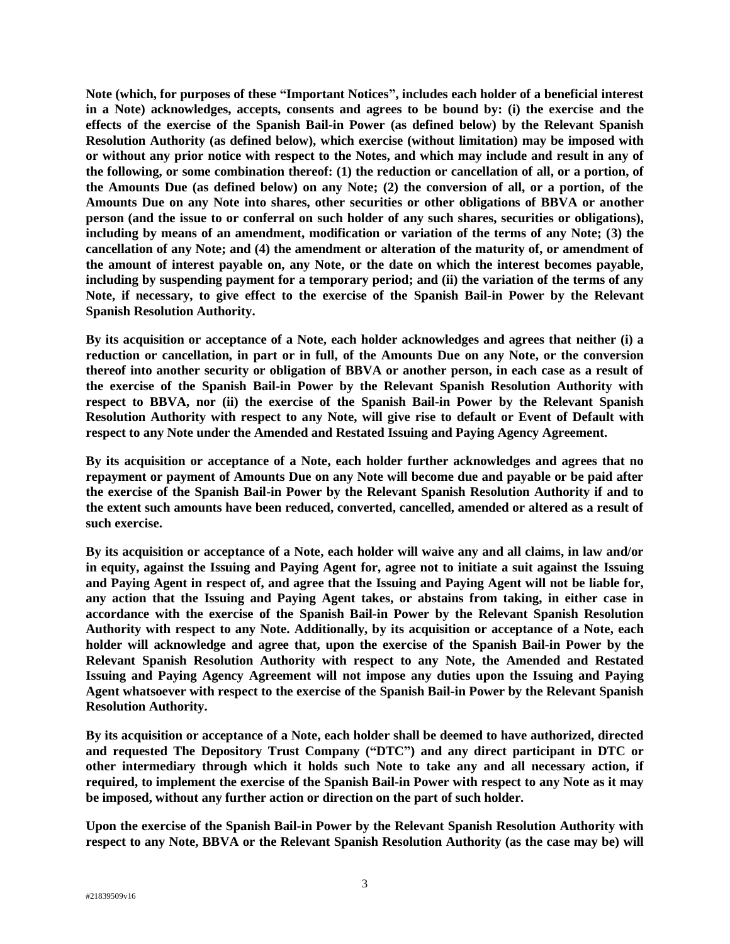**Note (which, for purposes of these "Important Notices", includes each holder of a beneficial interest in a Note) acknowledges, accepts, consents and agrees to be bound by: (i) the exercise and the effects of the exercise of the Spanish Bail-in Power (as defined below) by the Relevant Spanish Resolution Authority (as defined below), which exercise (without limitation) may be imposed with or without any prior notice with respect to the Notes, and which may include and result in any of the following, or some combination thereof: (1) the reduction or cancellation of all, or a portion, of the Amounts Due (as defined below) on any Note; (2) the conversion of all, or a portion, of the Amounts Due on any Note into shares, other securities or other obligations of BBVA or another person (and the issue to or conferral on such holder of any such shares, securities or obligations), including by means of an amendment, modification or variation of the terms of any Note; (3) the cancellation of any Note; and (4) the amendment or alteration of the maturity of, or amendment of the amount of interest payable on, any Note, or the date on which the interest becomes payable, including by suspending payment for a temporary period; and (ii) the variation of the terms of any Note, if necessary, to give effect to the exercise of the Spanish Bail-in Power by the Relevant Spanish Resolution Authority.**

**By its acquisition or acceptance of a Note, each holder acknowledges and agrees that neither (i) a reduction or cancellation, in part or in full, of the Amounts Due on any Note, or the conversion thereof into another security or obligation of BBVA or another person, in each case as a result of the exercise of the Spanish Bail-in Power by the Relevant Spanish Resolution Authority with respect to BBVA, nor (ii) the exercise of the Spanish Bail-in Power by the Relevant Spanish Resolution Authority with respect to any Note, will give rise to default or Event of Default with respect to any Note under the Amended and Restated Issuing and Paying Agency Agreement.**

**By its acquisition or acceptance of a Note, each holder further acknowledges and agrees that no repayment or payment of Amounts Due on any Note will become due and payable or be paid after the exercise of the Spanish Bail-in Power by the Relevant Spanish Resolution Authority if and to the extent such amounts have been reduced, converted, cancelled, amended or altered as a result of such exercise.** 

**By its acquisition or acceptance of a Note, each holder will waive any and all claims, in law and/or in equity, against the Issuing and Paying Agent for, agree not to initiate a suit against the Issuing and Paying Agent in respect of, and agree that the Issuing and Paying Agent will not be liable for, any action that the Issuing and Paying Agent takes, or abstains from taking, in either case in accordance with the exercise of the Spanish Bail-in Power by the Relevant Spanish Resolution Authority with respect to any Note. Additionally, by its acquisition or acceptance of a Note, each holder will acknowledge and agree that, upon the exercise of the Spanish Bail-in Power by the Relevant Spanish Resolution Authority with respect to any Note, the Amended and Restated Issuing and Paying Agency Agreement will not impose any duties upon the Issuing and Paying Agent whatsoever with respect to the exercise of the Spanish Bail-in Power by the Relevant Spanish Resolution Authority.** 

**By its acquisition or acceptance of a Note, each holder shall be deemed to have authorized, directed and requested The Depository Trust Company ("DTC") and any direct participant in DTC or other intermediary through which it holds such Note to take any and all necessary action, if required, to implement the exercise of the Spanish Bail-in Power with respect to any Note as it may be imposed, without any further action or direction on the part of such holder.** 

**Upon the exercise of the Spanish Bail-in Power by the Relevant Spanish Resolution Authority with respect to any Note, BBVA or the Relevant Spanish Resolution Authority (as the case may be) will**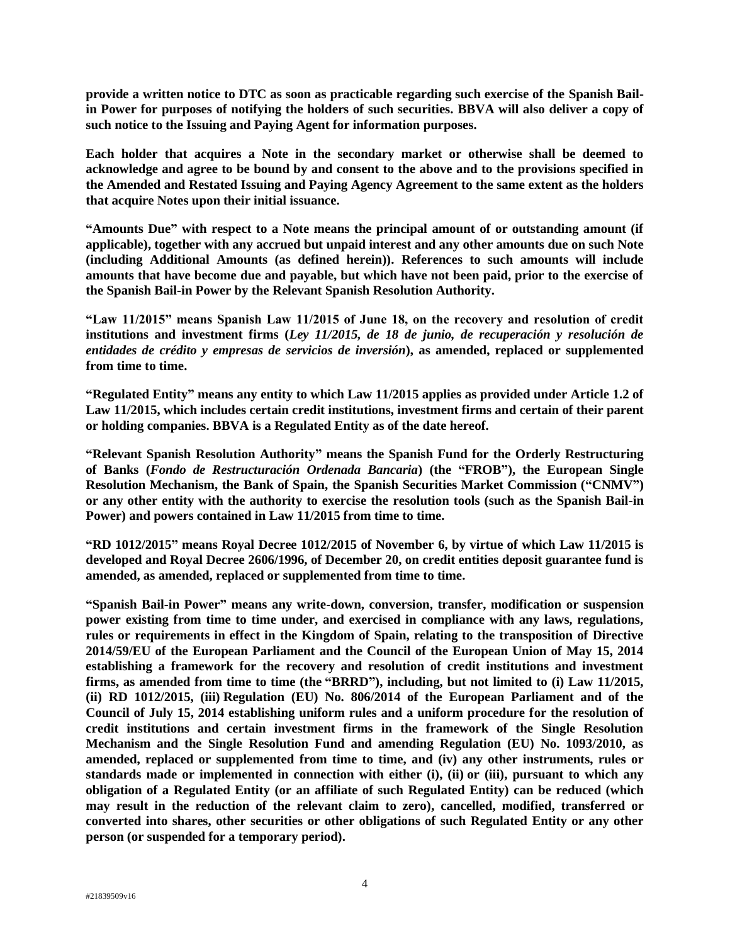**provide a written notice to DTC as soon as practicable regarding such exercise of the Spanish Bailin Power for purposes of notifying the holders of such securities. BBVA will also deliver a copy of such notice to the Issuing and Paying Agent for information purposes.**

**Each holder that acquires a Note in the secondary market or otherwise shall be deemed to acknowledge and agree to be bound by and consent to the above and to the provisions specified in the Amended and Restated Issuing and Paying Agency Agreement to the same extent as the holders that acquire Notes upon their initial issuance.** 

**"Amounts Due" with respect to a Note means the principal amount of or outstanding amount (if applicable), together with any accrued but unpaid interest and any other amounts due on such Note (including Additional Amounts (as defined herein)). References to such amounts will include amounts that have become due and payable, but which have not been paid, prior to the exercise of the Spanish Bail-in Power by the Relevant Spanish Resolution Authority.**

**"Law 11/2015" means Spanish Law 11/2015 of June 18, on the recovery and resolution of credit institutions and investment firms (***Ley 11/2015, de 18 de junio, de recuperación y resolución de entidades de crédito y empresas de servicios de inversión***), as amended, replaced or supplemented from time to time.**

**"Regulated Entity" means any entity to which Law 11/2015 applies as provided under Article 1.2 of Law 11/2015, which includes certain credit institutions, investment firms and certain of their parent or holding companies. BBVA is a Regulated Entity as of the date hereof.**

**"Relevant Spanish Resolution Authority" means the Spanish Fund for the Orderly Restructuring of Banks (***Fondo de Restructuración Ordenada Bancaria***) (the "FROB"), the European Single Resolution Mechanism, the Bank of Spain, the Spanish Securities Market Commission ("CNMV") or any other entity with the authority to exercise the resolution tools (such as the Spanish Bail-in Power) and powers contained in Law 11/2015 from time to time.** 

**"RD 1012/2015" means Royal Decree 1012/2015 of November 6, by virtue of which Law 11/2015 is developed and Royal Decree 2606/1996, of December 20, on credit entities deposit guarantee fund is amended, as amended, replaced or supplemented from time to time.** 

**"Spanish Bail-in Power" means any write-down, conversion, transfer, modification or suspension power existing from time to time under, and exercised in compliance with any laws, regulations, rules or requirements in effect in the Kingdom of Spain, relating to the transposition of Directive 2014/59/EU of the European Parliament and the Council of the European Union of May 15, 2014 establishing a framework for the recovery and resolution of credit institutions and investment firms, as amended from time to time (the "BRRD"), including, but not limited to (i) Law 11/2015, (ii) RD 1012/2015, (iii) Regulation (EU) No. 806/2014 of the European Parliament and of the Council of July 15, 2014 establishing uniform rules and a uniform procedure for the resolution of credit institutions and certain investment firms in the framework of the Single Resolution Mechanism and the Single Resolution Fund and amending Regulation (EU) No. 1093/2010, as amended, replaced or supplemented from time to time, and (iv) any other instruments, rules or standards made or implemented in connection with either (i), (ii) or (iii), pursuant to which any obligation of a Regulated Entity (or an affiliate of such Regulated Entity) can be reduced (which may result in the reduction of the relevant claim to zero), cancelled, modified, transferred or converted into shares, other securities or other obligations of such Regulated Entity or any other person (or suspended for a temporary period).**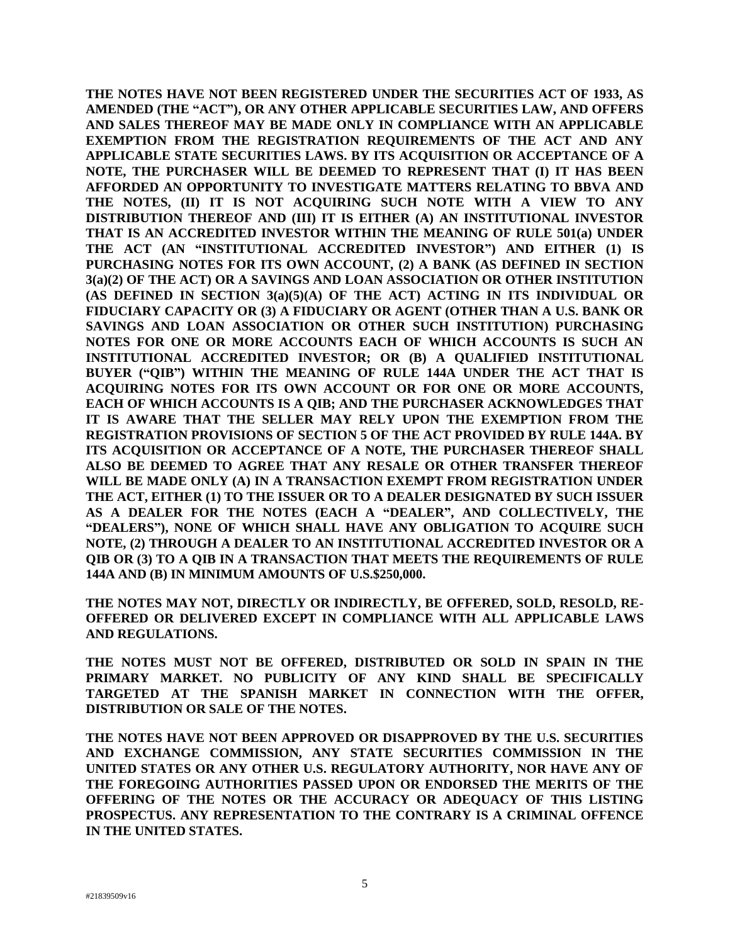**THE NOTES HAVE NOT BEEN REGISTERED UNDER THE SECURITIES ACT OF 1933, AS AMENDED (THE "ACT"), OR ANY OTHER APPLICABLE SECURITIES LAW, AND OFFERS AND SALES THEREOF MAY BE MADE ONLY IN COMPLIANCE WITH AN APPLICABLE EXEMPTION FROM THE REGISTRATION REQUIREMENTS OF THE ACT AND ANY APPLICABLE STATE SECURITIES LAWS. BY ITS ACQUISITION OR ACCEPTANCE OF A NOTE, THE PURCHASER WILL BE DEEMED TO REPRESENT THAT (I) IT HAS BEEN AFFORDED AN OPPORTUNITY TO INVESTIGATE MATTERS RELATING TO BBVA AND THE NOTES, (II) IT IS NOT ACQUIRING SUCH NOTE WITH A VIEW TO ANY DISTRIBUTION THEREOF AND (III) IT IS EITHER (A) AN INSTITUTIONAL INVESTOR THAT IS AN ACCREDITED INVESTOR WITHIN THE MEANING OF RULE 501(a) UNDER THE ACT (AN "INSTITUTIONAL ACCREDITED INVESTOR") AND EITHER (1) IS PURCHASING NOTES FOR ITS OWN ACCOUNT, (2) A BANK (AS DEFINED IN SECTION 3(a)(2) OF THE ACT) OR A SAVINGS AND LOAN ASSOCIATION OR OTHER INSTITUTION (AS DEFINED IN SECTION 3(a)(5)(A) OF THE ACT) ACTING IN ITS INDIVIDUAL OR FIDUCIARY CAPACITY OR (3) A FIDUCIARY OR AGENT (OTHER THAN A U.S. BANK OR SAVINGS AND LOAN ASSOCIATION OR OTHER SUCH INSTITUTION) PURCHASING NOTES FOR ONE OR MORE ACCOUNTS EACH OF WHICH ACCOUNTS IS SUCH AN INSTITUTIONAL ACCREDITED INVESTOR; OR (B) A QUALIFIED INSTITUTIONAL BUYER ("QIB") WITHIN THE MEANING OF RULE 144A UNDER THE ACT THAT IS ACQUIRING NOTES FOR ITS OWN ACCOUNT OR FOR ONE OR MORE ACCOUNTS, EACH OF WHICH ACCOUNTS IS A QIB; AND THE PURCHASER ACKNOWLEDGES THAT IT IS AWARE THAT THE SELLER MAY RELY UPON THE EXEMPTION FROM THE REGISTRATION PROVISIONS OF SECTION 5 OF THE ACT PROVIDED BY RULE 144A. BY ITS ACQUISITION OR ACCEPTANCE OF A NOTE, THE PURCHASER THEREOF SHALL ALSO BE DEEMED TO AGREE THAT ANY RESALE OR OTHER TRANSFER THEREOF WILL BE MADE ONLY (A) IN A TRANSACTION EXEMPT FROM REGISTRATION UNDER THE ACT, EITHER (1) TO THE ISSUER OR TO A DEALER DESIGNATED BY SUCH ISSUER AS A DEALER FOR THE NOTES (EACH A "DEALER", AND COLLECTIVELY, THE "DEALERS"), NONE OF WHICH SHALL HAVE ANY OBLIGATION TO ACQUIRE SUCH NOTE, (2) THROUGH A DEALER TO AN INSTITUTIONAL ACCREDITED INVESTOR OR A QIB OR (3) TO A QIB IN A TRANSACTION THAT MEETS THE REQUIREMENTS OF RULE 144A AND (B) IN MINIMUM AMOUNTS OF U.S.\$250,000.**

**THE NOTES MAY NOT, DIRECTLY OR INDIRECTLY, BE OFFERED, SOLD, RESOLD, RE-OFFERED OR DELIVERED EXCEPT IN COMPLIANCE WITH ALL APPLICABLE LAWS AND REGULATIONS.** 

**THE NOTES MUST NOT BE OFFERED, DISTRIBUTED OR SOLD IN SPAIN IN THE PRIMARY MARKET. NO PUBLICITY OF ANY KIND SHALL BE SPECIFICALLY TARGETED AT THE SPANISH MARKET IN CONNECTION WITH THE OFFER, DISTRIBUTION OR SALE OF THE NOTES.**

**THE NOTES HAVE NOT BEEN APPROVED OR DISAPPROVED BY THE U.S. SECURITIES AND EXCHANGE COMMISSION, ANY STATE SECURITIES COMMISSION IN THE UNITED STATES OR ANY OTHER U.S. REGULATORY AUTHORITY, NOR HAVE ANY OF THE FOREGOING AUTHORITIES PASSED UPON OR ENDORSED THE MERITS OF THE OFFERING OF THE NOTES OR THE ACCURACY OR ADEQUACY OF THIS LISTING PROSPECTUS. ANY REPRESENTATION TO THE CONTRARY IS A CRIMINAL OFFENCE IN THE UNITED STATES.**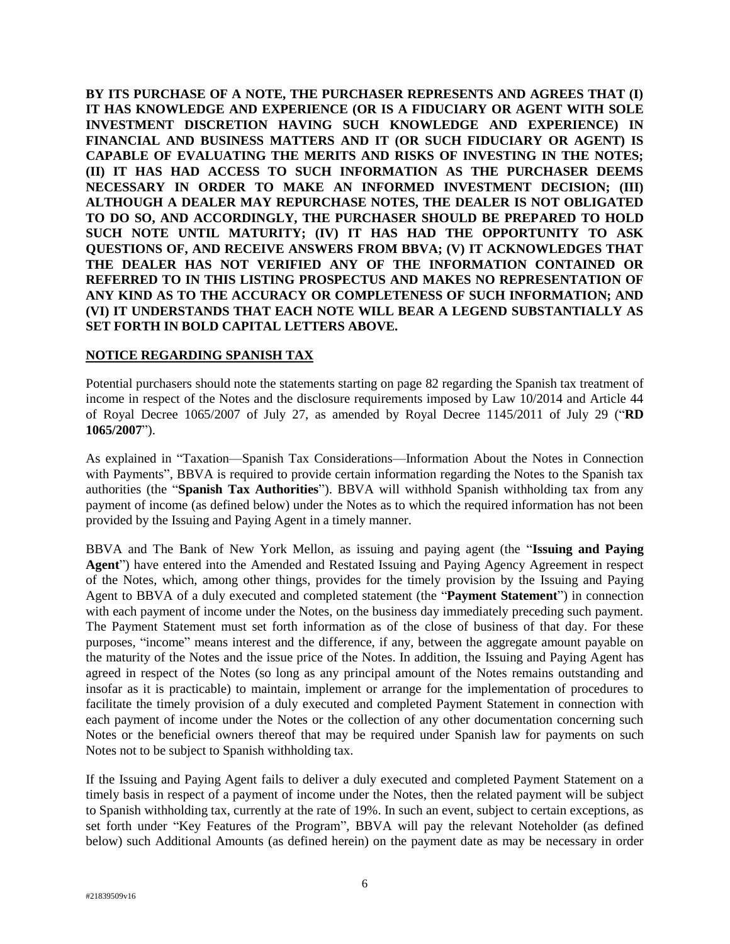**BY ITS PURCHASE OF A NOTE, THE PURCHASER REPRESENTS AND AGREES THAT (I) IT HAS KNOWLEDGE AND EXPERIENCE (OR IS A FIDUCIARY OR AGENT WITH SOLE INVESTMENT DISCRETION HAVING SUCH KNOWLEDGE AND EXPERIENCE) IN FINANCIAL AND BUSINESS MATTERS AND IT (OR SUCH FIDUCIARY OR AGENT) IS CAPABLE OF EVALUATING THE MERITS AND RISKS OF INVESTING IN THE NOTES; (II) IT HAS HAD ACCESS TO SUCH INFORMATION AS THE PURCHASER DEEMS NECESSARY IN ORDER TO MAKE AN INFORMED INVESTMENT DECISION; (III) ALTHOUGH A DEALER MAY REPURCHASE NOTES, THE DEALER IS NOT OBLIGATED TO DO SO, AND ACCORDINGLY, THE PURCHASER SHOULD BE PREPARED TO HOLD SUCH NOTE UNTIL MATURITY; (IV) IT HAS HAD THE OPPORTUNITY TO ASK QUESTIONS OF, AND RECEIVE ANSWERS FROM BBVA; (V) IT ACKNOWLEDGES THAT THE DEALER HAS NOT VERIFIED ANY OF THE INFORMATION CONTAINED OR REFERRED TO IN THIS LISTING PROSPECTUS AND MAKES NO REPRESENTATION OF ANY KIND AS TO THE ACCURACY OR COMPLETENESS OF SUCH INFORMATION; AND (VI) IT UNDERSTANDS THAT EACH NOTE WILL BEAR A LEGEND SUBSTANTIALLY AS SET FORTH IN BOLD CAPITAL LETTERS ABOVE.**

#### **NOTICE REGARDING SPANISH TAX**

Potential purchasers should note the statements starting on page 82 regarding the Spanish tax treatment of income in respect of the Notes and the disclosure requirements imposed by Law 10/2014 and Article 44 of Royal Decree 1065/2007 of July 27, as amended by Royal Decree 1145/2011 of July 29 ("**RD 1065/2007**").

As explained in "Taxation—Spanish Tax Considerations—Information About the Notes in Connection with Payments", BBVA is required to provide certain information regarding the Notes to the Spanish tax authorities (the "**Spanish Tax Authorities**"). BBVA will withhold Spanish withholding tax from any payment of income (as defined below) under the Notes as to which the required information has not been provided by the Issuing and Paying Agent in a timely manner.

BBVA and The Bank of New York Mellon, as issuing and paying agent (the "**Issuing and Paying Agent**") have entered into the Amended and Restated Issuing and Paying Agency Agreement in respect of the Notes, which, among other things, provides for the timely provision by the Issuing and Paying Agent to BBVA of a duly executed and completed statement (the "**Payment Statement**") in connection with each payment of income under the Notes, on the business day immediately preceding such payment. The Payment Statement must set forth information as of the close of business of that day. For these purposes, "income" means interest and the difference, if any, between the aggregate amount payable on the maturity of the Notes and the issue price of the Notes. In addition, the Issuing and Paying Agent has agreed in respect of the Notes (so long as any principal amount of the Notes remains outstanding and insofar as it is practicable) to maintain, implement or arrange for the implementation of procedures to facilitate the timely provision of a duly executed and completed Payment Statement in connection with each payment of income under the Notes or the collection of any other documentation concerning such Notes or the beneficial owners thereof that may be required under Spanish law for payments on such Notes not to be subject to Spanish withholding tax.

If the Issuing and Paying Agent fails to deliver a duly executed and completed Payment Statement on a timely basis in respect of a payment of income under the Notes, then the related payment will be subject to Spanish withholding tax, currently at the rate of 19%. In such an event, subject to certain exceptions, as set forth under "Key Features of the Program", BBVA will pay the relevant Noteholder (as defined below) such Additional Amounts (as defined herein) on the payment date as may be necessary in order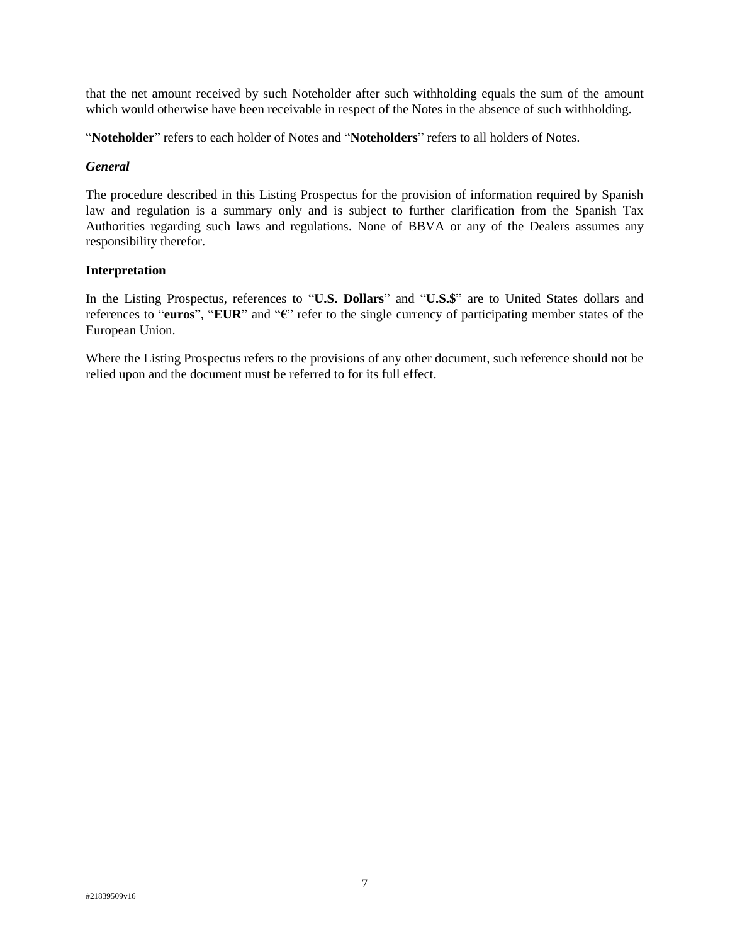that the net amount received by such Noteholder after such withholding equals the sum of the amount which would otherwise have been receivable in respect of the Notes in the absence of such withholding.

"**Noteholder**" refers to each holder of Notes and "**Noteholders**" refers to all holders of Notes.

#### *General*

The procedure described in this Listing Prospectus for the provision of information required by Spanish law and regulation is a summary only and is subject to further clarification from the Spanish Tax Authorities regarding such laws and regulations. None of BBVA or any of the Dealers assumes any responsibility therefor.

#### **Interpretation**

In the Listing Prospectus, references to "**U.S. Dollars**" and "**U.S.\$**" are to United States dollars and references to "**euros**", "**EUR**" and "**€**" refer to the single currency of participating member states of the European Union.

Where the Listing Prospectus refers to the provisions of any other document, such reference should not be relied upon and the document must be referred to for its full effect.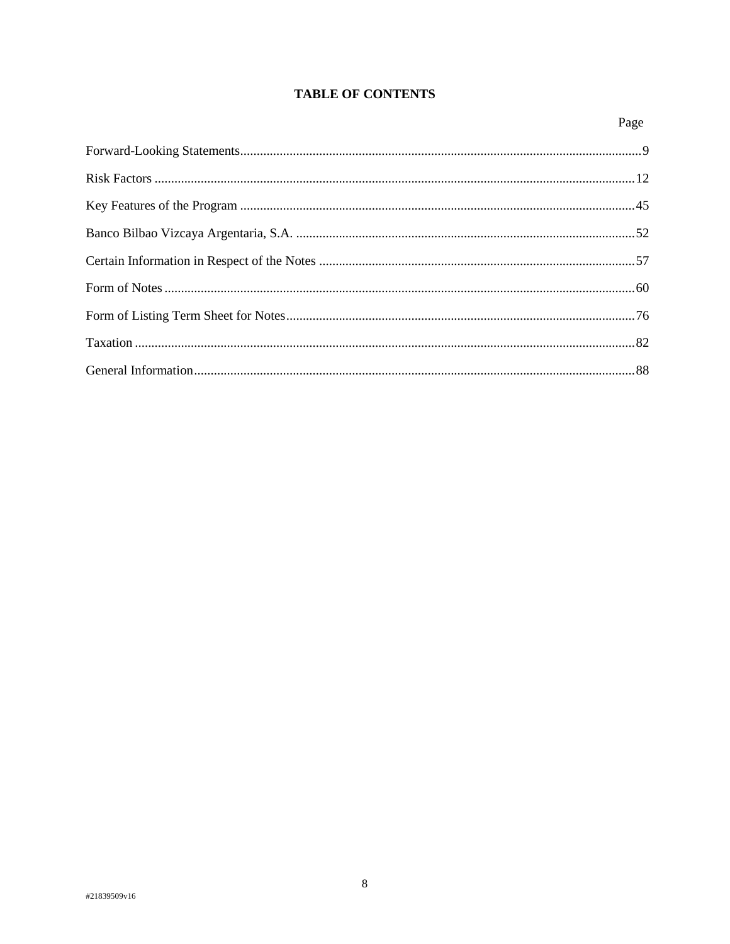# **TABLE OF CONTENTS**

| ۰,<br>× |
|---------|
|---------|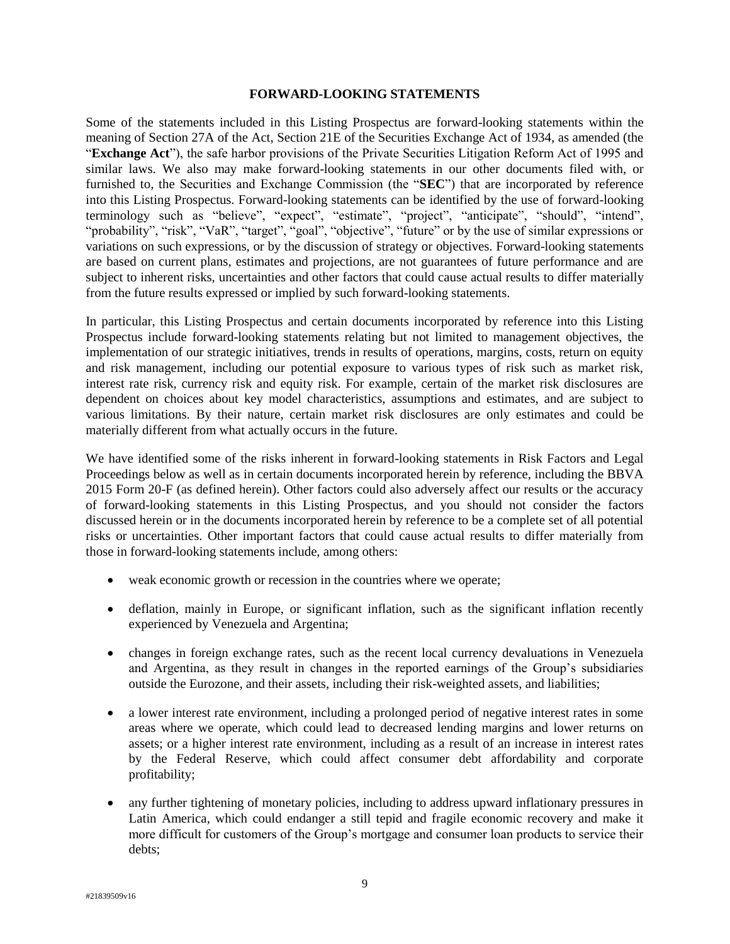#### **FORWARD-LOOKING STATEMENTS**

<span id="page-8-0"></span>Some of the statements included in this Listing Prospectus are forward-looking statements within the meaning of Section 27A of the Act, Section 21E of the Securities Exchange Act of 1934, as amended (the "**Exchange Act**"), the safe harbor provisions of the Private Securities Litigation Reform Act of 1995 and similar laws. We also may make forward-looking statements in our other documents filed with, or furnished to, the Securities and Exchange Commission (the "**SEC**") that are incorporated by reference into this Listing Prospectus. Forward-looking statements can be identified by the use of forward-looking terminology such as "believe", "expect", "estimate", "project", "anticipate", "should", "intend", "probability", "risk", "VaR", "target", "goal", "objective", "future" or by the use of similar expressions or variations on such expressions, or by the discussion of strategy or objectives. Forward-looking statements are based on current plans, estimates and projections, are not guarantees of future performance and are subject to inherent risks, uncertainties and other factors that could cause actual results to differ materially from the future results expressed or implied by such forward-looking statements.

In particular, this Listing Prospectus and certain documents incorporated by reference into this Listing Prospectus include forward-looking statements relating but not limited to management objectives, the implementation of our strategic initiatives, trends in results of operations, margins, costs, return on equity and risk management, including our potential exposure to various types of risk such as market risk, interest rate risk, currency risk and equity risk. For example, certain of the market risk disclosures are dependent on choices about key model characteristics, assumptions and estimates, and are subject to various limitations. By their nature, certain market risk disclosures are only estimates and could be materially different from what actually occurs in the future.

We have identified some of the risks inherent in forward-looking statements in Risk Factors and Legal Proceedings below as well as in certain documents incorporated herein by reference, including the BBVA 2015 Form 20-F (as defined herein). Other factors could also adversely affect our results or the accuracy of forward-looking statements in this Listing Prospectus, and you should not consider the factors discussed herein or in the documents incorporated herein by reference to be a complete set of all potential risks or uncertainties. Other important factors that could cause actual results to differ materially from those in forward-looking statements include, among others:

- weak economic growth or recession in the countries where we operate;
- deflation, mainly in Europe, or significant inflation, such as the significant inflation recently experienced by Venezuela and Argentina;
- changes in foreign exchange rates, such as the recent local currency devaluations in Venezuela and Argentina, as they result in changes in the reported earnings of the Group's subsidiaries outside the Eurozone, and their assets, including their risk-weighted assets, and liabilities;
- a lower interest rate environment, including a prolonged period of negative interest rates in some areas where we operate, which could lead to decreased lending margins and lower returns on assets; or a higher interest rate environment, including as a result of an increase in interest rates by the Federal Reserve, which could affect consumer debt affordability and corporate profitability;
- any further tightening of monetary policies, including to address upward inflationary pressures in Latin America, which could endanger a still tepid and fragile economic recovery and make it more difficult for customers of the Group's mortgage and consumer loan products to service their debts;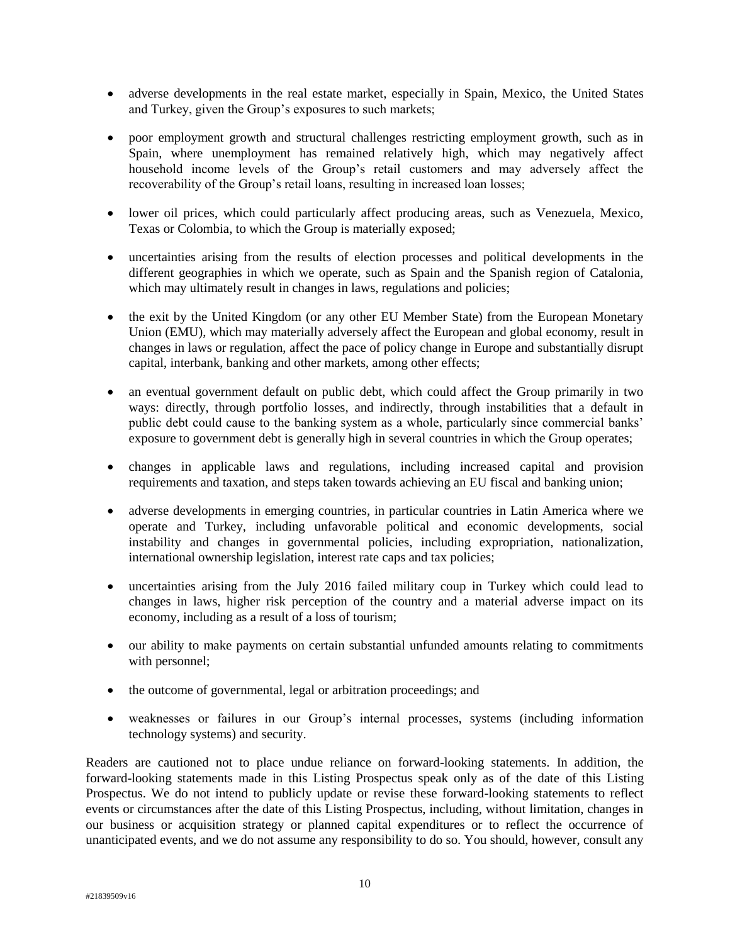- adverse developments in the real estate market, especially in Spain, Mexico, the United States and Turkey, given the Group's exposures to such markets;
- poor employment growth and structural challenges restricting employment growth, such as in Spain, where unemployment has remained relatively high, which may negatively affect household income levels of the Group's retail customers and may adversely affect the recoverability of the Group's retail loans, resulting in increased loan losses;
- lower oil prices, which could particularly affect producing areas, such as Venezuela, Mexico, Texas or Colombia, to which the Group is materially exposed;
- uncertainties arising from the results of election processes and political developments in the different geographies in which we operate, such as Spain and the Spanish region of Catalonia, which may ultimately result in changes in laws, regulations and policies;
- the exit by the United Kingdom (or any other EU Member State) from the European Monetary Union (EMU), which may materially adversely affect the European and global economy, result in changes in laws or regulation, affect the pace of policy change in Europe and substantially disrupt capital, interbank, banking and other markets, among other effects;
- an eventual government default on public debt, which could affect the Group primarily in two ways: directly, through portfolio losses, and indirectly, through instabilities that a default in public debt could cause to the banking system as a whole, particularly since commercial banks' exposure to government debt is generally high in several countries in which the Group operates;
- changes in applicable laws and regulations, including increased capital and provision requirements and taxation, and steps taken towards achieving an EU fiscal and banking union;
- adverse developments in emerging countries, in particular countries in Latin America where we operate and Turkey, including unfavorable political and economic developments, social instability and changes in governmental policies, including expropriation, nationalization, international ownership legislation, interest rate caps and tax policies;
- uncertainties arising from the July 2016 failed military coup in Turkey which could lead to changes in laws, higher risk perception of the country and a material adverse impact on its economy, including as a result of a loss of tourism;
- our ability to make payments on certain substantial unfunded amounts relating to commitments with personnel;
- the outcome of governmental, legal or arbitration proceedings; and
- weaknesses or failures in our Group's internal processes, systems (including information technology systems) and security.

Readers are cautioned not to place undue reliance on forward-looking statements. In addition, the forward-looking statements made in this Listing Prospectus speak only as of the date of this Listing Prospectus. We do not intend to publicly update or revise these forward-looking statements to reflect events or circumstances after the date of this Listing Prospectus, including, without limitation, changes in our business or acquisition strategy or planned capital expenditures or to reflect the occurrence of unanticipated events, and we do not assume any responsibility to do so. You should, however, consult any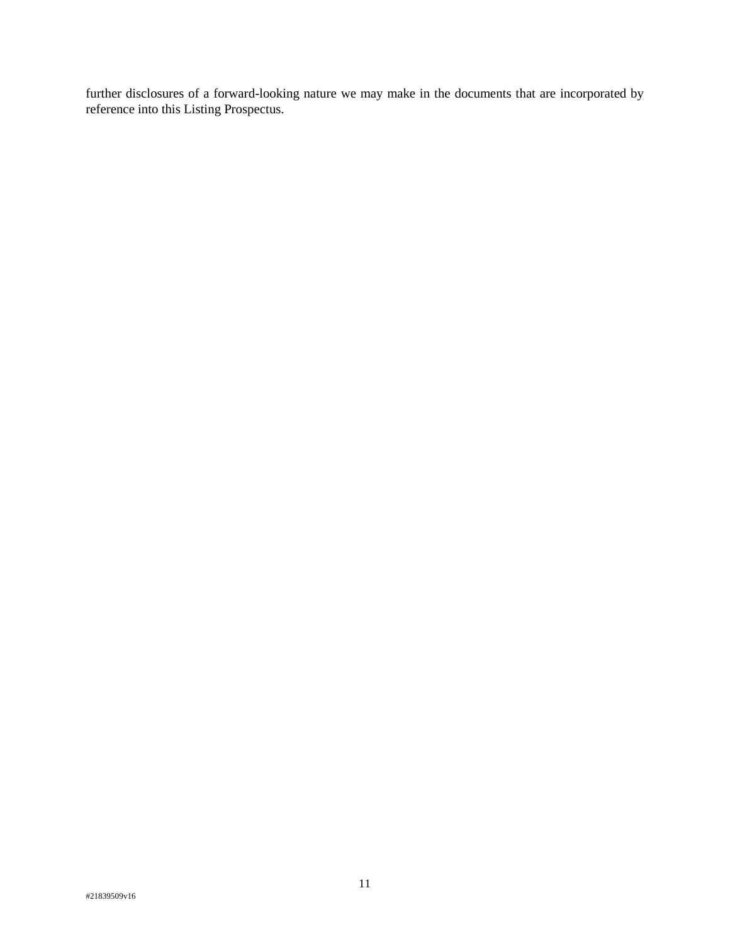further disclosures of a forward-looking nature we may make in the documents that are incorporated by reference into this Listing Prospectus.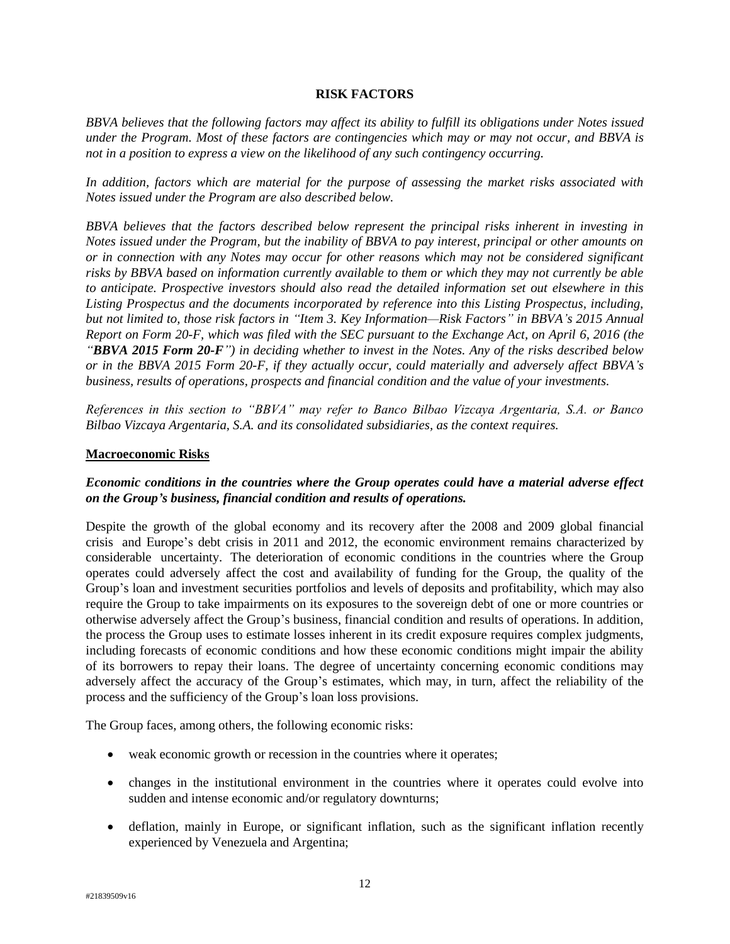#### **RISK FACTORS**

<span id="page-11-0"></span>*BBVA believes that the following factors may affect its ability to fulfill its obligations under Notes issued under the Program. Most of these factors are contingencies which may or may not occur, and BBVA is not in a position to express a view on the likelihood of any such contingency occurring.*

*In addition, factors which are material for the purpose of assessing the market risks associated with Notes issued under the Program are also described below.*

*BBVA believes that the factors described below represent the principal risks inherent in investing in Notes issued under the Program, but the inability of BBVA to pay interest, principal or other amounts on or in connection with any Notes may occur for other reasons which may not be considered significant risks by BBVA based on information currently available to them or which they may not currently be able to anticipate. Prospective investors should also read the detailed information set out elsewhere in this Listing Prospectus and the documents incorporated by reference into this Listing Prospectus, including, but not limited to, those risk factors in "Item 3. Key Information—Risk Factors" in BBVA's 2015 Annual Report on Form 20-F, which was filed with the SEC pursuant to the Exchange Act, on April 6, 2016 (the "BBVA 2015 Form 20-F") in deciding whether to invest in the Notes. Any of the risks described below or in the BBVA 2015 Form 20-F, if they actually occur, could materially and adversely affect BBVA's business, results of operations, prospects and financial condition and the value of your investments.*

*References in this section to "BBVA" may refer to Banco Bilbao Vizcaya Argentaria, S.A. or Banco Bilbao Vizcaya Argentaria, S.A. and its consolidated subsidiaries, as the context requires.*

#### **Macroeconomic Risks**

## *Economic conditions in the countries where the Group operates could have a material adverse effect on the Group's business, financial condition and results of operations.*

Despite the growth of the global economy and its recovery after the 2008 and 2009 global financial crisis and Europe's debt crisis in 2011 and 2012, the economic environment remains characterized by considerable uncertainty. The deterioration of economic conditions in the countries where the Group operates could adversely affect the cost and availability of funding for the Group, the quality of the Group's loan and investment securities portfolios and levels of deposits and profitability, which may also require the Group to take impairments on its exposures to the sovereign debt of one or more countries or otherwise adversely affect the Group's business, financial condition and results of operations. In addition, the process the Group uses to estimate losses inherent in its credit exposure requires complex judgments, including forecasts of economic conditions and how these economic conditions might impair the ability of its borrowers to repay their loans. The degree of uncertainty concerning economic conditions may adversely affect the accuracy of the Group's estimates, which may, in turn, affect the reliability of the process and the sufficiency of the Group's loan loss provisions.

The Group faces, among others, the following economic risks:

- weak economic growth or recession in the countries where it operates;
- changes in the institutional environment in the countries where it operates could evolve into sudden and intense economic and/or regulatory downturns;
- deflation, mainly in Europe, or significant inflation, such as the significant inflation recently experienced by Venezuela and Argentina;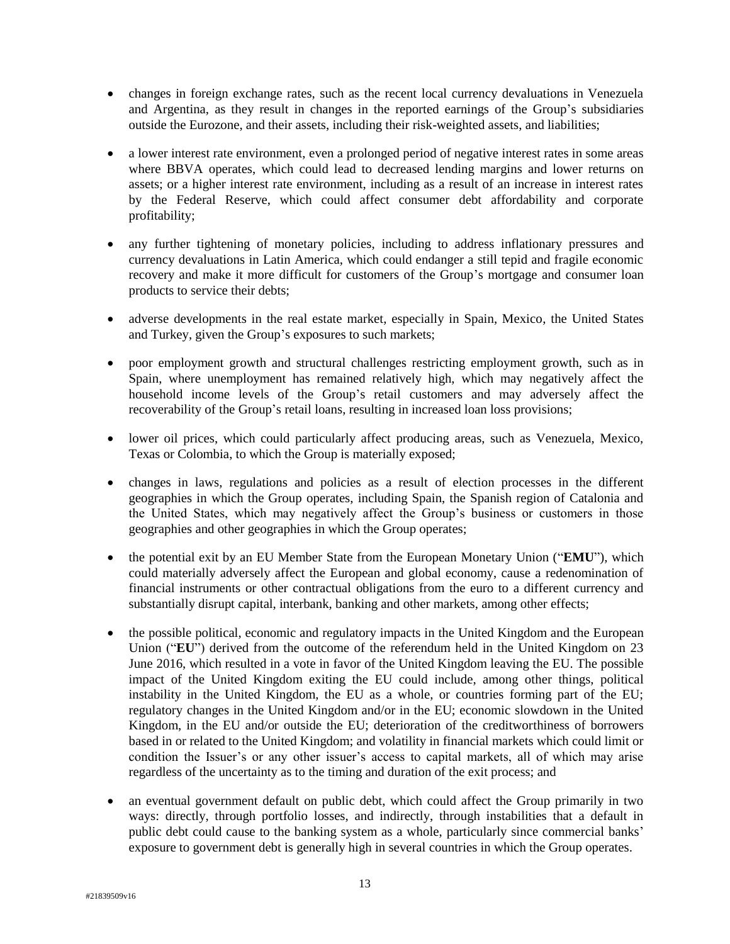- changes in foreign exchange rates, such as the recent local currency devaluations in Venezuela and Argentina, as they result in changes in the reported earnings of the Group's subsidiaries outside the Eurozone, and their assets, including their risk-weighted assets, and liabilities;
- a lower interest rate environment, even a prolonged period of negative interest rates in some areas where BBVA operates, which could lead to decreased lending margins and lower returns on assets; or a higher interest rate environment, including as a result of an increase in interest rates by the Federal Reserve, which could affect consumer debt affordability and corporate profitability;
- any further tightening of monetary policies, including to address inflationary pressures and currency devaluations in Latin America, which could endanger a still tepid and fragile economic recovery and make it more difficult for customers of the Group's mortgage and consumer loan products to service their debts;
- adverse developments in the real estate market, especially in Spain, Mexico, the United States and Turkey, given the Group's exposures to such markets;
- poor employment growth and structural challenges restricting employment growth, such as in Spain, where unemployment has remained relatively high, which may negatively affect the household income levels of the Group's retail customers and may adversely affect the recoverability of the Group's retail loans, resulting in increased loan loss provisions;
- lower oil prices, which could particularly affect producing areas, such as Venezuela, Mexico, Texas or Colombia, to which the Group is materially exposed;
- changes in laws, regulations and policies as a result of election processes in the different geographies in which the Group operates, including Spain, the Spanish region of Catalonia and the United States, which may negatively affect the Group's business or customers in those geographies and other geographies in which the Group operates;
- the potential exit by an EU Member State from the European Monetary Union ("**EMU**"), which could materially adversely affect the European and global economy, cause a redenomination of financial instruments or other contractual obligations from the euro to a different currency and substantially disrupt capital, interbank, banking and other markets, among other effects;
- the possible political, economic and regulatory impacts in the United Kingdom and the European Union ("**EU**") derived from the outcome of the referendum held in the United Kingdom on 23 June 2016, which resulted in a vote in favor of the United Kingdom leaving the EU. The possible impact of the United Kingdom exiting the EU could include, among other things, political instability in the United Kingdom, the EU as a whole, or countries forming part of the EU; regulatory changes in the United Kingdom and/or in the EU; economic slowdown in the United Kingdom, in the EU and/or outside the EU; deterioration of the creditworthiness of borrowers based in or related to the United Kingdom; and volatility in financial markets which could limit or condition the Issuer's or any other issuer's access to capital markets, all of which may arise regardless of the uncertainty as to the timing and duration of the exit process; and
- an eventual government default on public debt, which could affect the Group primarily in two ways: directly, through portfolio losses, and indirectly, through instabilities that a default in public debt could cause to the banking system as a whole, particularly since commercial banks' exposure to government debt is generally high in several countries in which the Group operates.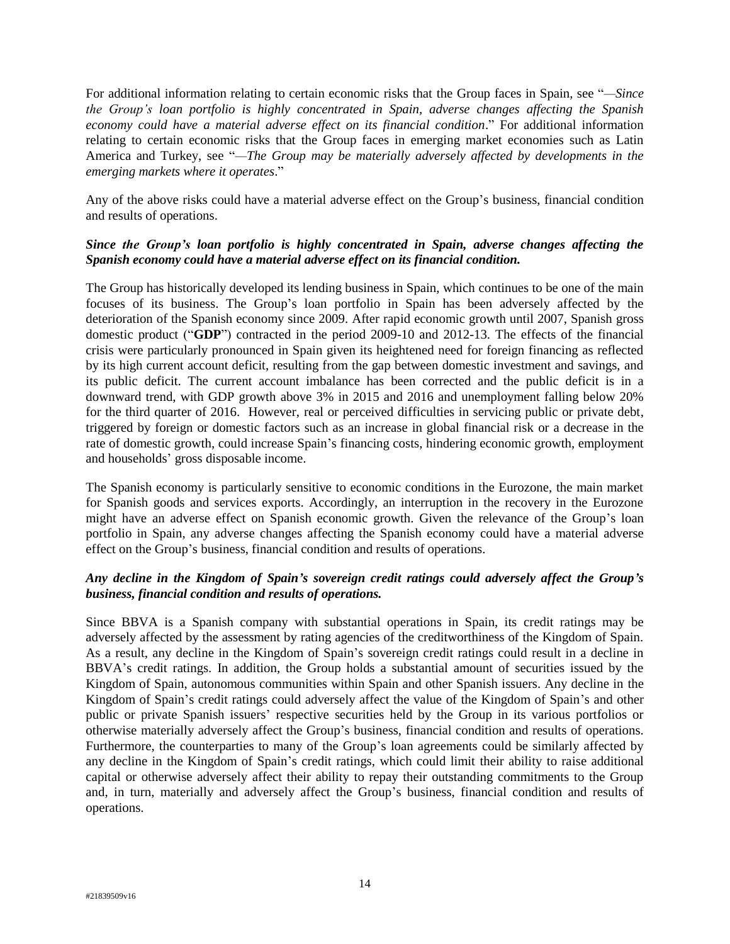For additional information relating to certain economic risks that the Group faces in Spain, see "*—Since the Group's loan portfolio is highly concentrated in Spain, adverse changes affecting the Spanish economy could have a material adverse effect on its financial condition*." For additional information relating to certain economic risks that the Group faces in emerging market economies such as Latin America and Turkey, see "*—The Group may be materially adversely affected by developments in the emerging markets where it operates*."

Any of the above risks could have a material adverse effect on the Group's business, financial condition and results of operations.

### *Since the Group's loan portfolio is highly concentrated in Spain, adverse changes affecting the Spanish economy could have a material adverse effect on its financial condition.*

The Group has historically developed its lending business in Spain, which continues to be one of the main focuses of its business. The Group's loan portfolio in Spain has been adversely affected by the deterioration of the Spanish economy since 2009. After rapid economic growth until 2007, Spanish gross domestic product ("**GDP**") contracted in the period 2009-10 and 2012-13. The effects of the financial crisis were particularly pronounced in Spain given its heightened need for foreign financing as reflected by its high current account deficit, resulting from the gap between domestic investment and savings, and its public deficit. The current account imbalance has been corrected and the public deficit is in a downward trend, with GDP growth above 3% in 2015 and 2016 and unemployment falling below 20% for the third quarter of 2016. However, real or perceived difficulties in servicing public or private debt, triggered by foreign or domestic factors such as an increase in global financial risk or a decrease in the rate of domestic growth, could increase Spain's financing costs, hindering economic growth, employment and households' gross disposable income.

The Spanish economy is particularly sensitive to economic conditions in the Eurozone, the main market for Spanish goods and services exports. Accordingly, an interruption in the recovery in the Eurozone might have an adverse effect on Spanish economic growth. Given the relevance of the Group's loan portfolio in Spain, any adverse changes affecting the Spanish economy could have a material adverse effect on the Group's business, financial condition and results of operations.

## *Any decline in the Kingdom of Spain's sovereign credit ratings could adversely affect the Group's business, financial condition and results of operations.*

Since BBVA is a Spanish company with substantial operations in Spain, its credit ratings may be adversely affected by the assessment by rating agencies of the creditworthiness of the Kingdom of Spain. As a result, any decline in the Kingdom of Spain's sovereign credit ratings could result in a decline in BBVA's credit ratings. In addition, the Group holds a substantial amount of securities issued by the Kingdom of Spain, autonomous communities within Spain and other Spanish issuers. Any decline in the Kingdom of Spain's credit ratings could adversely affect the value of the Kingdom of Spain's and other public or private Spanish issuers' respective securities held by the Group in its various portfolios or otherwise materially adversely affect the Group's business, financial condition and results of operations. Furthermore, the counterparties to many of the Group's loan agreements could be similarly affected by any decline in the Kingdom of Spain's credit ratings, which could limit their ability to raise additional capital or otherwise adversely affect their ability to repay their outstanding commitments to the Group and, in turn, materially and adversely affect the Group's business, financial condition and results of operations.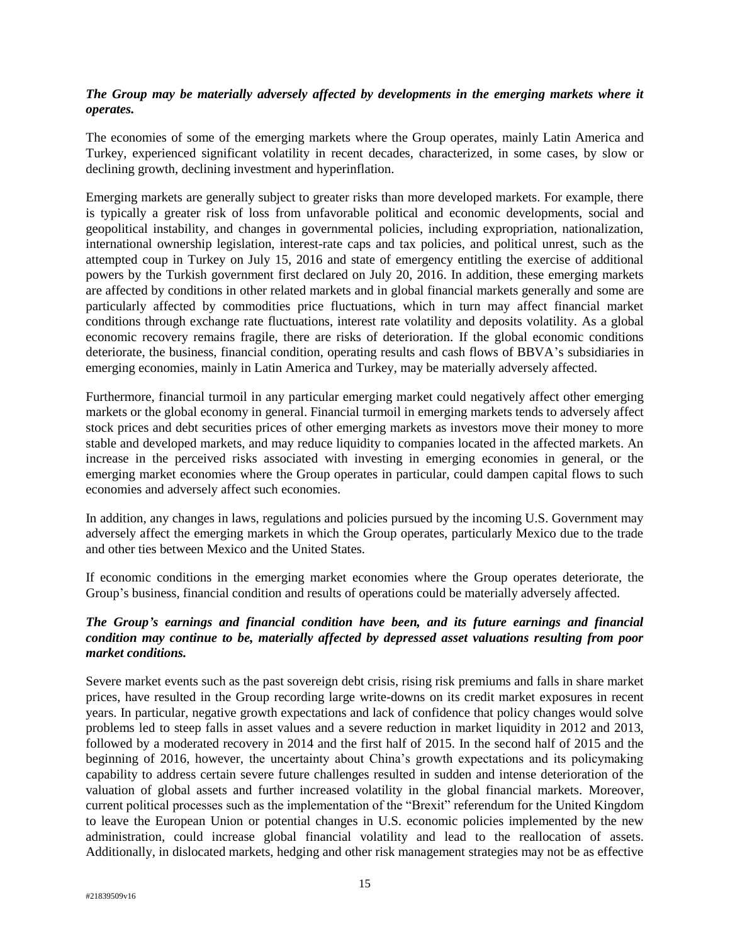## *The Group may be materially adversely affected by developments in the emerging markets where it operates.*

The economies of some of the emerging markets where the Group operates, mainly Latin America and Turkey, experienced significant volatility in recent decades, characterized, in some cases, by slow or declining growth, declining investment and hyperinflation.

Emerging markets are generally subject to greater risks than more developed markets. For example, there is typically a greater risk of loss from unfavorable political and economic developments, social and geopolitical instability, and changes in governmental policies, including expropriation, nationalization, international ownership legislation, interest-rate caps and tax policies, and political unrest, such as the attempted coup in Turkey on July 15, 2016 and state of emergency entitling the exercise of additional powers by the Turkish government first declared on July 20, 2016. In addition, these emerging markets are affected by conditions in other related markets and in global financial markets generally and some are particularly affected by commodities price fluctuations, which in turn may affect financial market conditions through exchange rate fluctuations, interest rate volatility and deposits volatility. As a global economic recovery remains fragile, there are risks of deterioration. If the global economic conditions deteriorate, the business, financial condition, operating results and cash flows of BBVA's subsidiaries in emerging economies, mainly in Latin America and Turkey, may be materially adversely affected.

Furthermore, financial turmoil in any particular emerging market could negatively affect other emerging markets or the global economy in general. Financial turmoil in emerging markets tends to adversely affect stock prices and debt securities prices of other emerging markets as investors move their money to more stable and developed markets, and may reduce liquidity to companies located in the affected markets. An increase in the perceived risks associated with investing in emerging economies in general, or the emerging market economies where the Group operates in particular, could dampen capital flows to such economies and adversely affect such economies.

In addition, any changes in laws, regulations and policies pursued by the incoming U.S. Government may adversely affect the emerging markets in which the Group operates, particularly Mexico due to the trade and other ties between Mexico and the United States.

If economic conditions in the emerging market economies where the Group operates deteriorate, the Group's business, financial condition and results of operations could be materially adversely affected.

### *The Group's earnings and financial condition have been, and its future earnings and financial condition may continue to be, materially affected by depressed asset valuations resulting from poor market conditions.*

Severe market events such as the past sovereign debt crisis, rising risk premiums and falls in share market prices, have resulted in the Group recording large write-downs on its credit market exposures in recent years. In particular, negative growth expectations and lack of confidence that policy changes would solve problems led to steep falls in asset values and a severe reduction in market liquidity in 2012 and 2013, followed by a moderated recovery in 2014 and the first half of 2015. In the second half of 2015 and the beginning of 2016, however, the uncertainty about China's growth expectations and its policymaking capability to address certain severe future challenges resulted in sudden and intense deterioration of the valuation of global assets and further increased volatility in the global financial markets. Moreover, current political processes such as the implementation of the "Brexit" referendum for the United Kingdom to leave the European Union or potential changes in U.S. economic policies implemented by the new administration, could increase global financial volatility and lead to the reallocation of assets. Additionally, in dislocated markets, hedging and other risk management strategies may not be as effective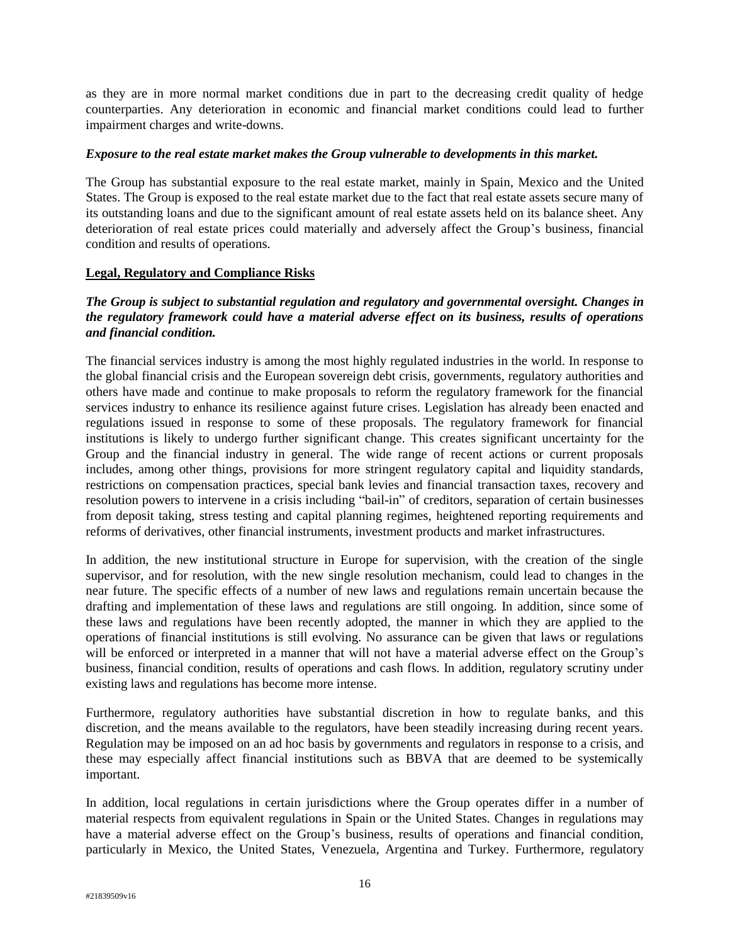as they are in more normal market conditions due in part to the decreasing credit quality of hedge counterparties. Any deterioration in economic and financial market conditions could lead to further impairment charges and write-downs.

#### *Exposure to the real estate market makes the Group vulnerable to developments in this market.*

The Group has substantial exposure to the real estate market, mainly in Spain, Mexico and the United States. The Group is exposed to the real estate market due to the fact that real estate assets secure many of its outstanding loans and due to the significant amount of real estate assets held on its balance sheet. Any deterioration of real estate prices could materially and adversely affect the Group's business, financial condition and results of operations.

### **Legal, Regulatory and Compliance Risks**

## *The Group is subject to substantial regulation and regulatory and governmental oversight. Changes in the regulatory framework could have a material adverse effect on its business, results of operations and financial condition.*

The financial services industry is among the most highly regulated industries in the world. In response to the global financial crisis and the European sovereign debt crisis, governments, regulatory authorities and others have made and continue to make proposals to reform the regulatory framework for the financial services industry to enhance its resilience against future crises. Legislation has already been enacted and regulations issued in response to some of these proposals. The regulatory framework for financial institutions is likely to undergo further significant change. This creates significant uncertainty for the Group and the financial industry in general. The wide range of recent actions or current proposals includes, among other things, provisions for more stringent regulatory capital and liquidity standards, restrictions on compensation practices, special bank levies and financial transaction taxes, recovery and resolution powers to intervene in a crisis including "bail-in" of creditors, separation of certain businesses from deposit taking, stress testing and capital planning regimes, heightened reporting requirements and reforms of derivatives, other financial instruments, investment products and market infrastructures.

In addition, the new institutional structure in Europe for supervision, with the creation of the single supervisor, and for resolution, with the new single resolution mechanism, could lead to changes in the near future. The specific effects of a number of new laws and regulations remain uncertain because the drafting and implementation of these laws and regulations are still ongoing. In addition, since some of these laws and regulations have been recently adopted, the manner in which they are applied to the operations of financial institutions is still evolving. No assurance can be given that laws or regulations will be enforced or interpreted in a manner that will not have a material adverse effect on the Group's business, financial condition, results of operations and cash flows. In addition, regulatory scrutiny under existing laws and regulations has become more intense.

Furthermore, regulatory authorities have substantial discretion in how to regulate banks, and this discretion, and the means available to the regulators, have been steadily increasing during recent years. Regulation may be imposed on an ad hoc basis by governments and regulators in response to a crisis, and these may especially affect financial institutions such as BBVA that are deemed to be systemically important.

In addition, local regulations in certain jurisdictions where the Group operates differ in a number of material respects from equivalent regulations in Spain or the United States. Changes in regulations may have a material adverse effect on the Group's business, results of operations and financial condition, particularly in Mexico, the United States, Venezuela, Argentina and Turkey. Furthermore, regulatory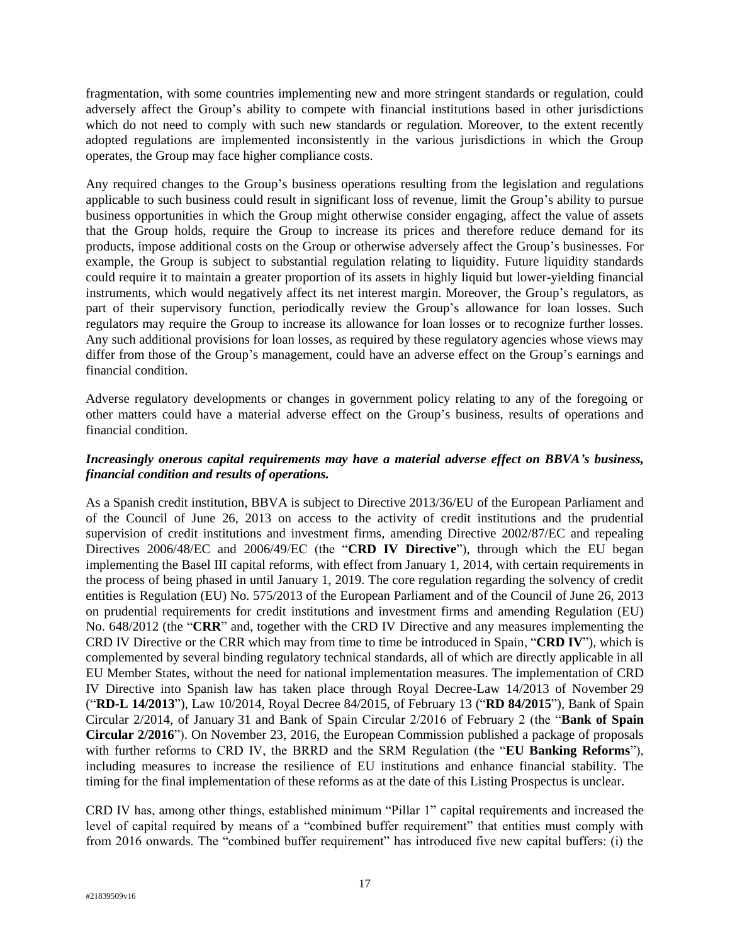fragmentation, with some countries implementing new and more stringent standards or regulation, could adversely affect the Group's ability to compete with financial institutions based in other jurisdictions which do not need to comply with such new standards or regulation. Moreover, to the extent recently adopted regulations are implemented inconsistently in the various jurisdictions in which the Group operates, the Group may face higher compliance costs.

Any required changes to the Group's business operations resulting from the legislation and regulations applicable to such business could result in significant loss of revenue, limit the Group's ability to pursue business opportunities in which the Group might otherwise consider engaging, affect the value of assets that the Group holds, require the Group to increase its prices and therefore reduce demand for its products, impose additional costs on the Group or otherwise adversely affect the Group's businesses. For example, the Group is subject to substantial regulation relating to liquidity. Future liquidity standards could require it to maintain a greater proportion of its assets in highly liquid but lower-yielding financial instruments, which would negatively affect its net interest margin. Moreover, the Group's regulators, as part of their supervisory function, periodically review the Group's allowance for loan losses. Such regulators may require the Group to increase its allowance for loan losses or to recognize further losses. Any such additional provisions for loan losses, as required by these regulatory agencies whose views may differ from those of the Group's management, could have an adverse effect on the Group's earnings and financial condition.

Adverse regulatory developments or changes in government policy relating to any of the foregoing or other matters could have a material adverse effect on the Group's business, results of operations and financial condition.

## *Increasingly onerous capital requirements may have a material adverse effect on BBVA's business, financial condition and results of operations.*

As a Spanish credit institution, BBVA is subject to Directive 2013/36/EU of the European Parliament and of the Council of June 26, 2013 on access to the activity of credit institutions and the prudential supervision of credit institutions and investment firms, amending Directive 2002/87/EC and repealing Directives 2006/48/EC and 2006/49/EC (the "**CRD IV Directive**"), through which the EU began implementing the Basel III capital reforms, with effect from January 1, 2014, with certain requirements in the process of being phased in until January 1, 2019. The core regulation regarding the solvency of credit entities is Regulation (EU) No. 575/2013 of the European Parliament and of the Council of June 26, 2013 on prudential requirements for credit institutions and investment firms and amending Regulation (EU) No. 648/2012 (the "**CRR**" and, together with the CRD IV Directive and any measures implementing the CRD IV Directive or the CRR which may from time to time be introduced in Spain, "**CRD IV**"), which is complemented by several binding regulatory technical standards, all of which are directly applicable in all EU Member States, without the need for national implementation measures. The implementation of CRD IV Directive into Spanish law has taken place through Royal Decree-Law 14/2013 of November 29 ("**RD-L 14/2013**"), Law 10/2014, Royal Decree 84/2015, of February 13 ("**RD 84/2015**"), Bank of Spain Circular 2/2014, of January 31 and Bank of Spain Circular 2/2016 of February 2 (the "**Bank of Spain Circular 2/2016**"). On November 23, 2016, the European Commission published a package of proposals with further reforms to CRD IV, the BRRD and the SRM Regulation (the "**EU Banking Reforms**"), including measures to increase the resilience of EU institutions and enhance financial stability. The timing for the final implementation of these reforms as at the date of this Listing Prospectus is unclear.

CRD IV has, among other things, established minimum "Pillar 1" capital requirements and increased the level of capital required by means of a "combined buffer requirement" that entities must comply with from 2016 onwards. The "combined buffer requirement" has introduced five new capital buffers: (i) the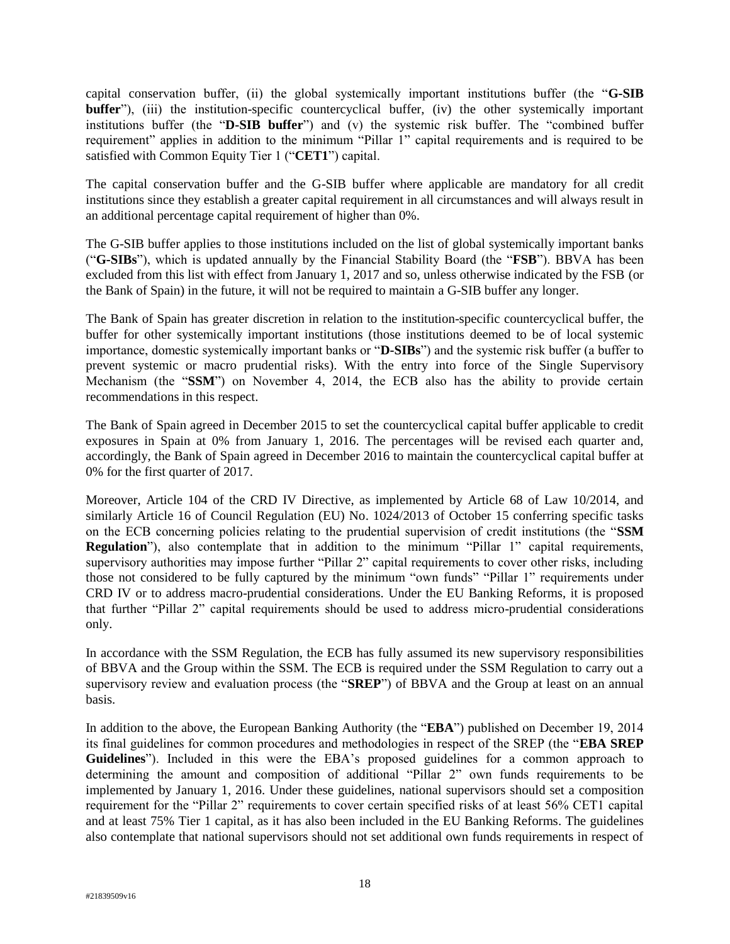capital conservation buffer, (ii) the global systemically important institutions buffer (the "**G-SIB buffer**"), (iii) the institution-specific countercyclical buffer, (iv) the other systemically important institutions buffer (the "**D-SIB buffer**") and (v) the systemic risk buffer. The "combined buffer requirement" applies in addition to the minimum "Pillar 1" capital requirements and is required to be satisfied with Common Equity Tier 1 ("**CET1**") capital.

The capital conservation buffer and the G-SIB buffer where applicable are mandatory for all credit institutions since they establish a greater capital requirement in all circumstances and will always result in an additional percentage capital requirement of higher than 0%.

The G-SIB buffer applies to those institutions included on the list of global systemically important banks ("**G-SIBs**"), which is updated annually by the Financial Stability Board (the "**FSB**"). BBVA has been excluded from this list with effect from January 1, 2017 and so, unless otherwise indicated by the FSB (or the Bank of Spain) in the future, it will not be required to maintain a G-SIB buffer any longer.

The Bank of Spain has greater discretion in relation to the institution-specific countercyclical buffer, the buffer for other systemically important institutions (those institutions deemed to be of local systemic importance, domestic systemically important banks or "**D-SIBs**") and the systemic risk buffer (a buffer to prevent systemic or macro prudential risks). With the entry into force of the Single Supervisory Mechanism (the "**SSM**") on November 4, 2014, the ECB also has the ability to provide certain recommendations in this respect.

The Bank of Spain agreed in December 2015 to set the countercyclical capital buffer applicable to credit exposures in Spain at 0% from January 1, 2016. The percentages will be revised each quarter and, accordingly, the Bank of Spain agreed in December 2016 to maintain the countercyclical capital buffer at 0% for the first quarter of 2017.

Moreover, Article 104 of the CRD IV Directive, as implemented by Article 68 of Law 10/2014, and similarly Article 16 of Council Regulation (EU) No. 1024/2013 of October 15 conferring specific tasks on the ECB concerning policies relating to the prudential supervision of credit institutions (the "**SSM Regulation**"), also contemplate that in addition to the minimum "Pillar 1" capital requirements, supervisory authorities may impose further "Pillar 2" capital requirements to cover other risks, including those not considered to be fully captured by the minimum "own funds" "Pillar 1" requirements under CRD IV or to address macro-prudential considerations. Under the EU Banking Reforms, it is proposed that further "Pillar 2" capital requirements should be used to address micro-prudential considerations only.

In accordance with the SSM Regulation, the ECB has fully assumed its new supervisory responsibilities of BBVA and the Group within the SSM. The ECB is required under the SSM Regulation to carry out a supervisory review and evaluation process (the "**SREP**") of BBVA and the Group at least on an annual basis.

In addition to the above, the European Banking Authority (the "**EBA**") published on December 19, 2014 its final guidelines for common procedures and methodologies in respect of the SREP (the "**EBA SREP Guidelines**"). Included in this were the EBA's proposed guidelines for a common approach to determining the amount and composition of additional "Pillar 2" own funds requirements to be implemented by January 1, 2016. Under these guidelines, national supervisors should set a composition requirement for the "Pillar 2" requirements to cover certain specified risks of at least 56% CET1 capital and at least 75% Tier 1 capital, as it has also been included in the EU Banking Reforms. The guidelines also contemplate that national supervisors should not set additional own funds requirements in respect of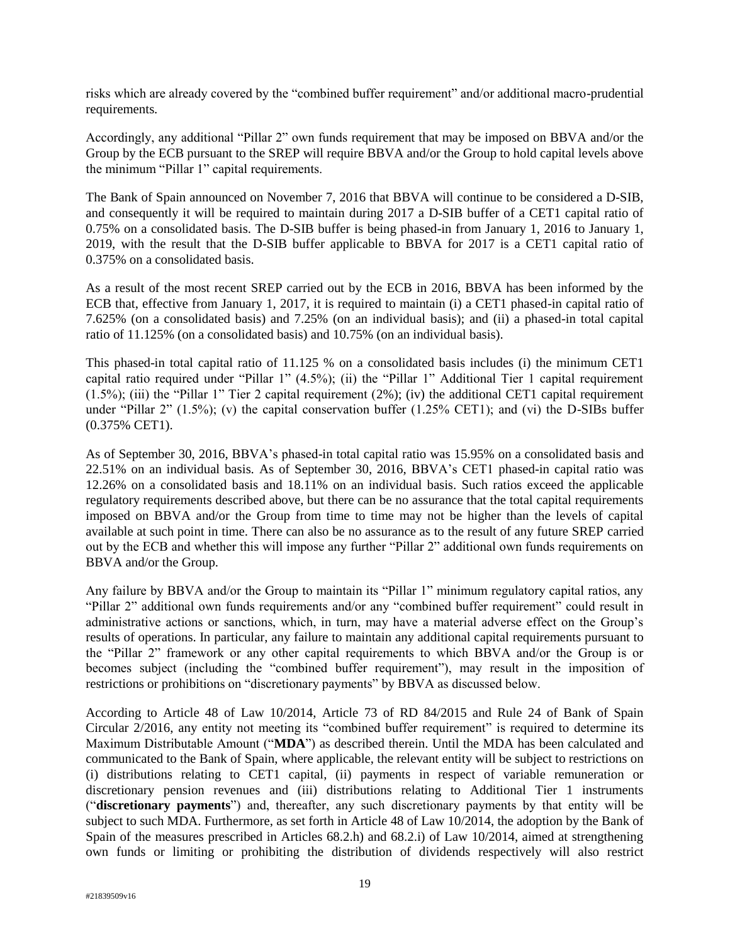risks which are already covered by the "combined buffer requirement" and/or additional macro-prudential requirements.

Accordingly, any additional "Pillar 2" own funds requirement that may be imposed on BBVA and/or the Group by the ECB pursuant to the SREP will require BBVA and/or the Group to hold capital levels above the minimum "Pillar 1" capital requirements.

The Bank of Spain announced on November 7, 2016 that BBVA will continue to be considered a D-SIB, and consequently it will be required to maintain during 2017 a D-SIB buffer of a CET1 capital ratio of 0.75% on a consolidated basis. The D-SIB buffer is being phased-in from January 1, 2016 to January 1, 2019, with the result that the D-SIB buffer applicable to BBVA for 2017 is a CET1 capital ratio of 0.375% on a consolidated basis.

As a result of the most recent SREP carried out by the ECB in 2016, BBVA has been informed by the ECB that, effective from January 1, 2017, it is required to maintain (i) a CET1 phased-in capital ratio of 7.625% (on a consolidated basis) and 7.25% (on an individual basis); and (ii) a phased-in total capital ratio of 11.125% (on a consolidated basis) and 10.75% (on an individual basis).

This phased-in total capital ratio of 11.125 % on a consolidated basis includes (i) the minimum CET1 capital ratio required under "Pillar 1" (4.5%); (ii) the "Pillar 1" Additional Tier 1 capital requirement  $(1.5\%)$ ; (iii) the "Pillar 1" Tier 2 capital requirement  $(2\%)$ ; (iv) the additional CET1 capital requirement under "Pillar 2" (1.5%); (v) the capital conservation buffer (1.25% CET1); and (vi) the D-SIBs buffer (0.375% CET1).

As of September 30, 2016, BBVA's phased-in total capital ratio was 15.95% on a consolidated basis and 22.51% on an individual basis. As of September 30, 2016, BBVA's CET1 phased-in capital ratio was 12.26% on a consolidated basis and 18.11% on an individual basis. Such ratios exceed the applicable regulatory requirements described above, but there can be no assurance that the total capital requirements imposed on BBVA and/or the Group from time to time may not be higher than the levels of capital available at such point in time. There can also be no assurance as to the result of any future SREP carried out by the ECB and whether this will impose any further "Pillar 2" additional own funds requirements on BBVA and/or the Group.

Any failure by BBVA and/or the Group to maintain its "Pillar 1" minimum regulatory capital ratios, any "Pillar 2" additional own funds requirements and/or any "combined buffer requirement" could result in administrative actions or sanctions, which, in turn, may have a material adverse effect on the Group's results of operations. In particular, any failure to maintain any additional capital requirements pursuant to the "Pillar 2" framework or any other capital requirements to which BBVA and/or the Group is or becomes subject (including the "combined buffer requirement"), may result in the imposition of restrictions or prohibitions on "discretionary payments" by BBVA as discussed below.

According to Article 48 of Law 10/2014, Article 73 of RD 84/2015 and Rule 24 of Bank of Spain Circular 2/2016, any entity not meeting its "combined buffer requirement" is required to determine its Maximum Distributable Amount ("**MDA**") as described therein. Until the MDA has been calculated and communicated to the Bank of Spain, where applicable, the relevant entity will be subject to restrictions on (i) distributions relating to CET1 capital, (ii) payments in respect of variable remuneration or discretionary pension revenues and (iii) distributions relating to Additional Tier 1 instruments ("**discretionary payments**") and, thereafter, any such discretionary payments by that entity will be subject to such MDA. Furthermore, as set forth in Article 48 of Law 10/2014, the adoption by the Bank of Spain of the measures prescribed in Articles 68.2.h) and 68.2.i) of Law 10/2014, aimed at strengthening own funds or limiting or prohibiting the distribution of dividends respectively will also restrict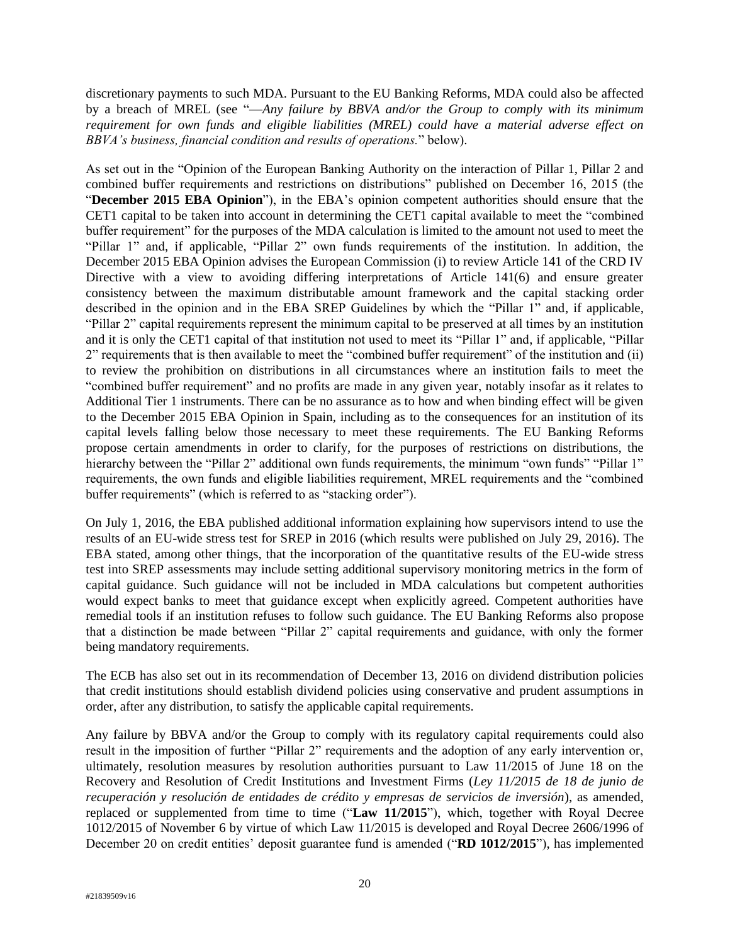discretionary payments to such MDA. Pursuant to the EU Banking Reforms, MDA could also be affected by a breach of MREL (see "—*Any failure by BBVA and/or the Group to comply with its minimum requirement for own funds and eligible liabilities (MREL) could have a material adverse effect on BBVA's business, financial condition and results of operations.*" below).

As set out in the "Opinion of the European Banking Authority on the interaction of Pillar 1, Pillar 2 and combined buffer requirements and restrictions on distributions" published on December 16, 2015 (the "**December 2015 EBA Opinion**"), in the EBA's opinion competent authorities should ensure that the CET1 capital to be taken into account in determining the CET1 capital available to meet the "combined buffer requirement" for the purposes of the MDA calculation is limited to the amount not used to meet the "Pillar 1" and, if applicable, "Pillar 2" own funds requirements of the institution. In addition, the December 2015 EBA Opinion advises the European Commission (i) to review Article 141 of the CRD IV Directive with a view to avoiding differing interpretations of Article 141(6) and ensure greater consistency between the maximum distributable amount framework and the capital stacking order described in the opinion and in the EBA SREP Guidelines by which the "Pillar 1" and, if applicable, "Pillar 2" capital requirements represent the minimum capital to be preserved at all times by an institution and it is only the CET1 capital of that institution not used to meet its "Pillar 1" and, if applicable, "Pillar 2" requirements that is then available to meet the "combined buffer requirement" of the institution and (ii) to review the prohibition on distributions in all circumstances where an institution fails to meet the "combined buffer requirement" and no profits are made in any given year, notably insofar as it relates to Additional Tier 1 instruments. There can be no assurance as to how and when binding effect will be given to the December 2015 EBA Opinion in Spain, including as to the consequences for an institution of its capital levels falling below those necessary to meet these requirements. The EU Banking Reforms propose certain amendments in order to clarify, for the purposes of restrictions on distributions, the hierarchy between the "Pillar 2" additional own funds requirements, the minimum "own funds" "Pillar 1" requirements, the own funds and eligible liabilities requirement, MREL requirements and the "combined buffer requirements" (which is referred to as "stacking order").

On July 1, 2016, the EBA published additional information explaining how supervisors intend to use the results of an EU-wide stress test for SREP in 2016 (which results were published on July 29, 2016). The EBA stated, among other things, that the incorporation of the quantitative results of the EU-wide stress test into SREP assessments may include setting additional supervisory monitoring metrics in the form of capital guidance. Such guidance will not be included in MDA calculations but competent authorities would expect banks to meet that guidance except when explicitly agreed. Competent authorities have remedial tools if an institution refuses to follow such guidance. The EU Banking Reforms also propose that a distinction be made between "Pillar 2" capital requirements and guidance, with only the former being mandatory requirements.

The ECB has also set out in its recommendation of December 13, 2016 on dividend distribution policies that credit institutions should establish dividend policies using conservative and prudent assumptions in order, after any distribution, to satisfy the applicable capital requirements.

Any failure by BBVA and/or the Group to comply with its regulatory capital requirements could also result in the imposition of further "Pillar 2" requirements and the adoption of any early intervention or, ultimately, resolution measures by resolution authorities pursuant to Law 11/2015 of June 18 on the Recovery and Resolution of Credit Institutions and Investment Firms (*Ley 11/2015 de 18 de junio de recuperación y resolución de entidades de crédito y empresas de servicios de inversión*), as amended, replaced or supplemented from time to time ("**Law 11/2015**"), which, together with Royal Decree 1012/2015 of November 6 by virtue of which Law 11/2015 is developed and Royal Decree 2606/1996 of December 20 on credit entities' deposit guarantee fund is amended ("**RD 1012/2015**"), has implemented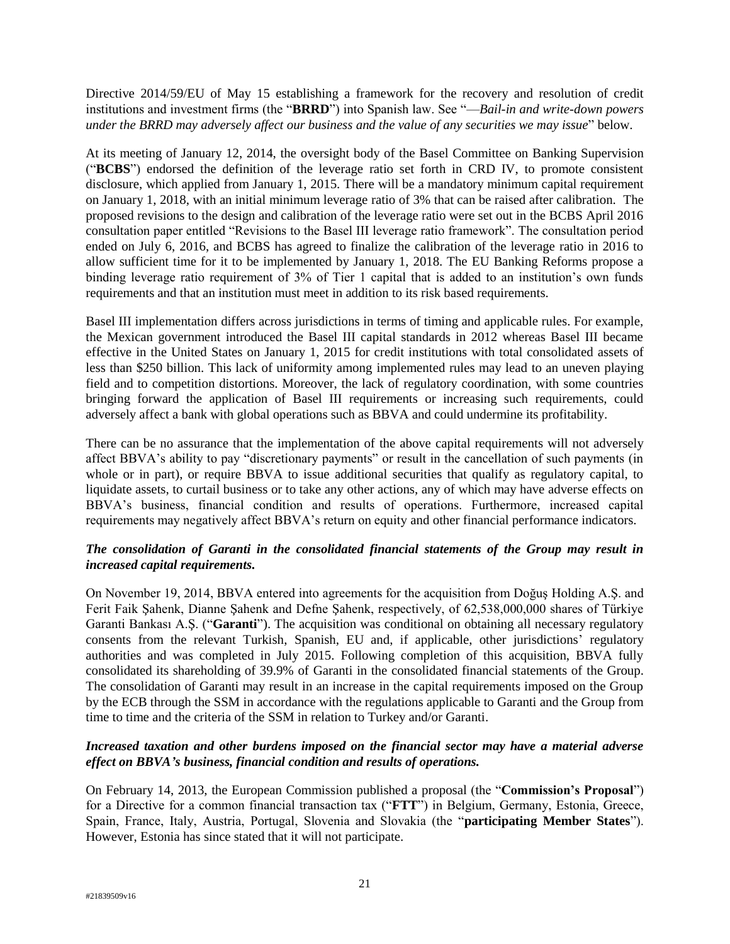Directive 2014/59/EU of May 15 establishing a framework for the recovery and resolution of credit institutions and investment firms (the "**BRRD**") into Spanish law. See "—*Bail-in and write-down powers under the BRRD may adversely affect our business and the value of any securities we may issue*" below.

At its meeting of January 12, 2014, the oversight body of the Basel Committee on Banking Supervision ("**BCBS**") endorsed the definition of the leverage ratio set forth in CRD IV, to promote consistent disclosure, which applied from January 1, 2015. There will be a mandatory minimum capital requirement on January 1, 2018, with an initial minimum leverage ratio of 3% that can be raised after calibration. The proposed revisions to the design and calibration of the leverage ratio were set out in the BCBS April 2016 consultation paper entitled "Revisions to the Basel III leverage ratio framework". The consultation period ended on July 6, 2016, and BCBS has agreed to finalize the calibration of the leverage ratio in 2016 to allow sufficient time for it to be implemented by January 1, 2018. The EU Banking Reforms propose a binding leverage ratio requirement of 3% of Tier 1 capital that is added to an institution's own funds requirements and that an institution must meet in addition to its risk based requirements.

Basel III implementation differs across jurisdictions in terms of timing and applicable rules. For example, the Mexican government introduced the Basel III capital standards in 2012 whereas Basel III became effective in the United States on January 1, 2015 for credit institutions with total consolidated assets of less than \$250 billion. This lack of uniformity among implemented rules may lead to an uneven playing field and to competition distortions. Moreover, the lack of regulatory coordination, with some countries bringing forward the application of Basel III requirements or increasing such requirements, could adversely affect a bank with global operations such as BBVA and could undermine its profitability.

There can be no assurance that the implementation of the above capital requirements will not adversely affect BBVA's ability to pay "discretionary payments" or result in the cancellation of such payments (in whole or in part), or require BBVA to issue additional securities that qualify as regulatory capital, to liquidate assets, to curtail business or to take any other actions, any of which may have adverse effects on BBVA's business, financial condition and results of operations. Furthermore, increased capital requirements may negatively affect BBVA's return on equity and other financial performance indicators.

# *The consolidation of Garanti in the consolidated financial statements of the Group may result in increased capital requirements.*

On November 19, 2014, BBVA entered into agreements for the acquisition from Doğuş Holding A.Ş. and Ferit Faik Şahenk, Dianne Şahenk and Defne Şahenk, respectively, of 62,538,000,000 shares of Türkiye Garanti Bankası A.Ş. ("**Garanti**"). The acquisition was conditional on obtaining all necessary regulatory consents from the relevant Turkish, Spanish, EU and, if applicable, other jurisdictions' regulatory authorities and was completed in July 2015. Following completion of this acquisition, BBVA fully consolidated its shareholding of 39.9% of Garanti in the consolidated financial statements of the Group. The consolidation of Garanti may result in an increase in the capital requirements imposed on the Group by the ECB through the SSM in accordance with the regulations applicable to Garanti and the Group from time to time and the criteria of the SSM in relation to Turkey and/or Garanti.

# *Increased taxation and other burdens imposed on the financial sector may have a material adverse effect on BBVA's business, financial condition and results of operations.*

On February 14, 2013, the European Commission published a proposal (the "**Commission's Proposal**") for a Directive for a common financial transaction tax ("**FTT**") in Belgium, Germany, Estonia, Greece, Spain, France, Italy, Austria, Portugal, Slovenia and Slovakia (the "**participating Member States**"). However, Estonia has since stated that it will not participate.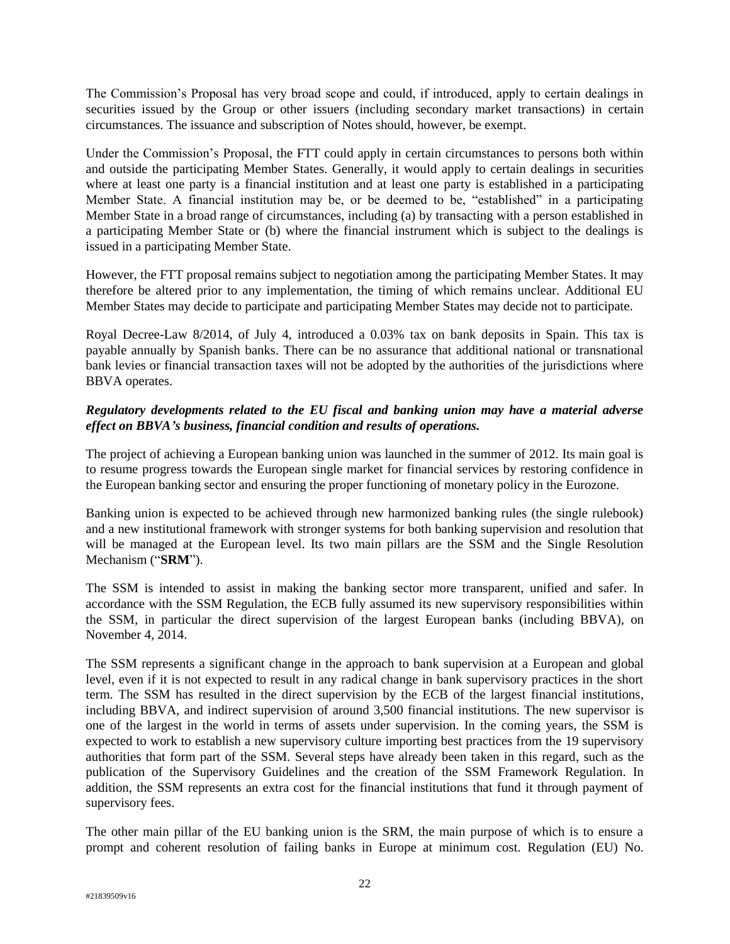The Commission's Proposal has very broad scope and could, if introduced, apply to certain dealings in securities issued by the Group or other issuers (including secondary market transactions) in certain circumstances. The issuance and subscription of Notes should, however, be exempt.

Under the Commission's Proposal, the FTT could apply in certain circumstances to persons both within and outside the participating Member States. Generally, it would apply to certain dealings in securities where at least one party is a financial institution and at least one party is established in a participating Member State. A financial institution may be, or be deemed to be, "established" in a participating Member State in a broad range of circumstances, including (a) by transacting with a person established in a participating Member State or (b) where the financial instrument which is subject to the dealings is issued in a participating Member State.

However, the FTT proposal remains subject to negotiation among the participating Member States. It may therefore be altered prior to any implementation, the timing of which remains unclear. Additional EU Member States may decide to participate and participating Member States may decide not to participate.

Royal Decree-Law 8/2014, of July 4, introduced a 0.03% tax on bank deposits in Spain. This tax is payable annually by Spanish banks. There can be no assurance that additional national or transnational bank levies or financial transaction taxes will not be adopted by the authorities of the jurisdictions where BBVA operates.

# *Regulatory developments related to the EU fiscal and banking union may have a material adverse effect on BBVA's business, financial condition and results of operations.*

The project of achieving a European banking union was launched in the summer of 2012. Its main goal is to resume progress towards the European single market for financial services by restoring confidence in the European banking sector and ensuring the proper functioning of monetary policy in the Eurozone.

Banking union is expected to be achieved through new harmonized banking rules (the single rulebook) and a new institutional framework with stronger systems for both banking supervision and resolution that will be managed at the European level. Its two main pillars are the SSM and the Single Resolution Mechanism ("**SRM**").

The SSM is intended to assist in making the banking sector more transparent, unified and safer. In accordance with the SSM Regulation, the ECB fully assumed its new supervisory responsibilities within the SSM, in particular the direct supervision of the largest European banks (including BBVA), on November 4, 2014.

The SSM represents a significant change in the approach to bank supervision at a European and global level, even if it is not expected to result in any radical change in bank supervisory practices in the short term. The SSM has resulted in the direct supervision by the ECB of the largest financial institutions, including BBVA, and indirect supervision of around 3,500 financial institutions. The new supervisor is one of the largest in the world in terms of assets under supervision. In the coming years, the SSM is expected to work to establish a new supervisory culture importing best practices from the 19 supervisory authorities that form part of the SSM. Several steps have already been taken in this regard, such as the publication of the Supervisory Guidelines and the creation of the SSM Framework Regulation. In addition, the SSM represents an extra cost for the financial institutions that fund it through payment of supervisory fees.

The other main pillar of the EU banking union is the SRM, the main purpose of which is to ensure a prompt and coherent resolution of failing banks in Europe at minimum cost. Regulation (EU) No.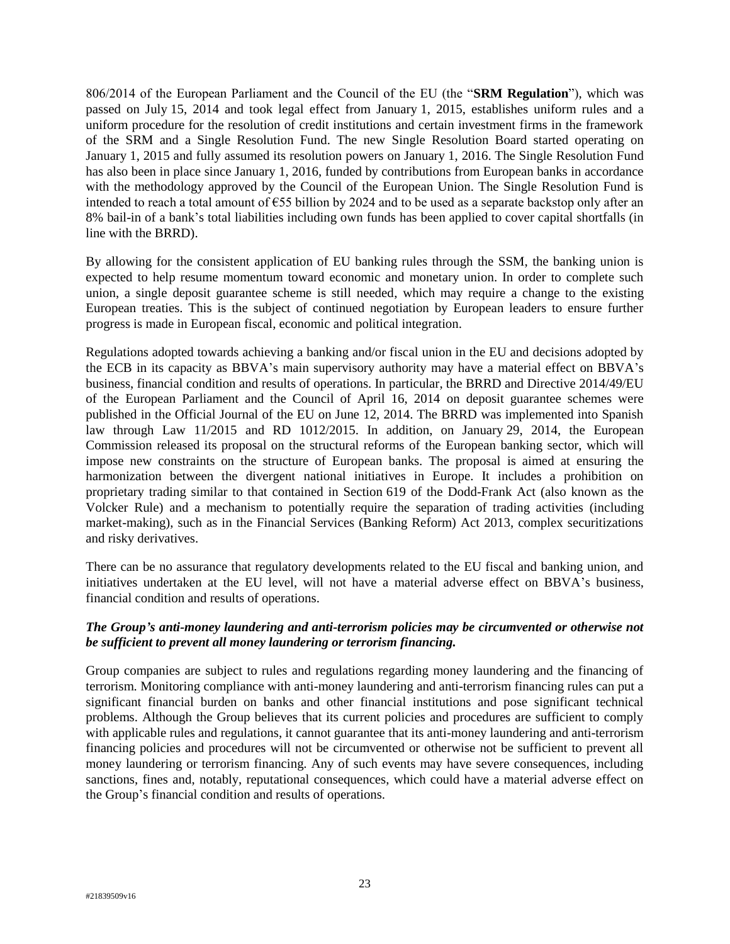806/2014 of the European Parliament and the Council of the EU (the "**SRM Regulation**"), which was passed on July 15, 2014 and took legal effect from January 1, 2015, establishes uniform rules and a uniform procedure for the resolution of credit institutions and certain investment firms in the framework of the SRM and a Single Resolution Fund. The new Single Resolution Board started operating on January 1, 2015 and fully assumed its resolution powers on January 1, 2016. The Single Resolution Fund has also been in place since January 1, 2016, funded by contributions from European banks in accordance with the methodology approved by the Council of the European Union. The Single Resolution Fund is intended to reach a total amount of €55 billion by 2024 and to be used as a separate backstop only after an 8% bail-in of a bank's total liabilities including own funds has been applied to cover capital shortfalls (in line with the BRRD).

By allowing for the consistent application of EU banking rules through the SSM, the banking union is expected to help resume momentum toward economic and monetary union. In order to complete such union, a single deposit guarantee scheme is still needed, which may require a change to the existing European treaties. This is the subject of continued negotiation by European leaders to ensure further progress is made in European fiscal, economic and political integration.

Regulations adopted towards achieving a banking and/or fiscal union in the EU and decisions adopted by the ECB in its capacity as BBVA's main supervisory authority may have a material effect on BBVA's business, financial condition and results of operations. In particular, the BRRD and Directive 2014/49/EU of the European Parliament and the Council of April 16, 2014 on deposit guarantee schemes were published in the Official Journal of the EU on June 12, 2014. The BRRD was implemented into Spanish law through Law 11/2015 and RD 1012/2015. In addition, on January 29, 2014, the European Commission released its proposal on the structural reforms of the European banking sector, which will impose new constraints on the structure of European banks. The proposal is aimed at ensuring the harmonization between the divergent national initiatives in Europe. It includes a prohibition on proprietary trading similar to that contained in Section 619 of the Dodd-Frank Act (also known as the Volcker Rule) and a mechanism to potentially require the separation of trading activities (including market-making), such as in the Financial Services (Banking Reform) Act 2013, complex securitizations and risky derivatives.

There can be no assurance that regulatory developments related to the EU fiscal and banking union, and initiatives undertaken at the EU level, will not have a material adverse effect on BBVA's business, financial condition and results of operations.

### *The Group's anti-money laundering and anti-terrorism policies may be circumvented or otherwise not be sufficient to prevent all money laundering or terrorism financing.*

Group companies are subject to rules and regulations regarding money laundering and the financing of terrorism. Monitoring compliance with anti-money laundering and anti-terrorism financing rules can put a significant financial burden on banks and other financial institutions and pose significant technical problems. Although the Group believes that its current policies and procedures are sufficient to comply with applicable rules and regulations, it cannot guarantee that its anti-money laundering and anti-terrorism financing policies and procedures will not be circumvented or otherwise not be sufficient to prevent all money laundering or terrorism financing. Any of such events may have severe consequences, including sanctions, fines and, notably, reputational consequences, which could have a material adverse effect on the Group's financial condition and results of operations.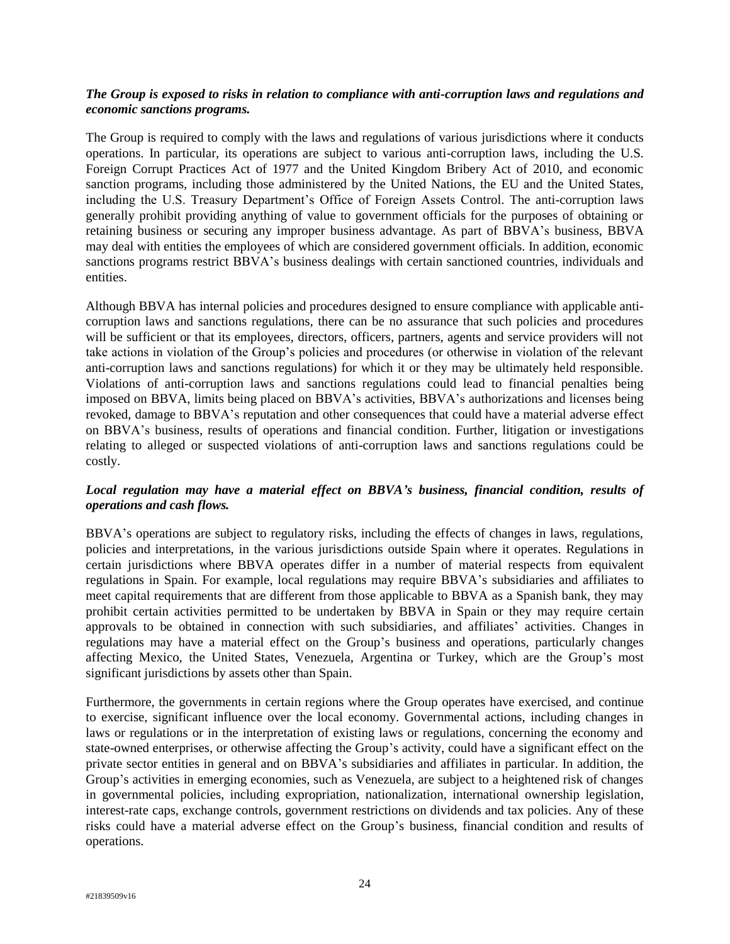## *The Group is exposed to risks in relation to compliance with anti-corruption laws and regulations and economic sanctions programs.*

The Group is required to comply with the laws and regulations of various jurisdictions where it conducts operations. In particular, its operations are subject to various anti-corruption laws, including the U.S. Foreign Corrupt Practices Act of 1977 and the United Kingdom Bribery Act of 2010, and economic sanction programs, including those administered by the United Nations, the EU and the United States, including the U.S. Treasury Department's Office of Foreign Assets Control. The anti-corruption laws generally prohibit providing anything of value to government officials for the purposes of obtaining or retaining business or securing any improper business advantage. As part of BBVA's business, BBVA may deal with entities the employees of which are considered government officials. In addition, economic sanctions programs restrict BBVA's business dealings with certain sanctioned countries, individuals and entities.

Although BBVA has internal policies and procedures designed to ensure compliance with applicable anticorruption laws and sanctions regulations, there can be no assurance that such policies and procedures will be sufficient or that its employees, directors, officers, partners, agents and service providers will not take actions in violation of the Group's policies and procedures (or otherwise in violation of the relevant anti-corruption laws and sanctions regulations) for which it or they may be ultimately held responsible. Violations of anti-corruption laws and sanctions regulations could lead to financial penalties being imposed on BBVA, limits being placed on BBVA's activities, BBVA's authorizations and licenses being revoked, damage to BBVA's reputation and other consequences that could have a material adverse effect on BBVA's business, results of operations and financial condition. Further, litigation or investigations relating to alleged or suspected violations of anti-corruption laws and sanctions regulations could be costly.

## *Local regulation may have a material effect on BBVA's business, financial condition, results of operations and cash flows.*

BBVA's operations are subject to regulatory risks, including the effects of changes in laws, regulations, policies and interpretations, in the various jurisdictions outside Spain where it operates. Regulations in certain jurisdictions where BBVA operates differ in a number of material respects from equivalent regulations in Spain. For example, local regulations may require BBVA's subsidiaries and affiliates to meet capital requirements that are different from those applicable to BBVA as a Spanish bank, they may prohibit certain activities permitted to be undertaken by BBVA in Spain or they may require certain approvals to be obtained in connection with such subsidiaries, and affiliates' activities. Changes in regulations may have a material effect on the Group's business and operations, particularly changes affecting Mexico, the United States, Venezuela, Argentina or Turkey, which are the Group's most significant jurisdictions by assets other than Spain.

Furthermore, the governments in certain regions where the Group operates have exercised, and continue to exercise, significant influence over the local economy. Governmental actions, including changes in laws or regulations or in the interpretation of existing laws or regulations, concerning the economy and state-owned enterprises, or otherwise affecting the Group's activity, could have a significant effect on the private sector entities in general and on BBVA's subsidiaries and affiliates in particular. In addition, the Group's activities in emerging economies, such as Venezuela, are subject to a heightened risk of changes in governmental policies, including expropriation, nationalization, international ownership legislation, interest-rate caps, exchange controls, government restrictions on dividends and tax policies. Any of these risks could have a material adverse effect on the Group's business, financial condition and results of operations.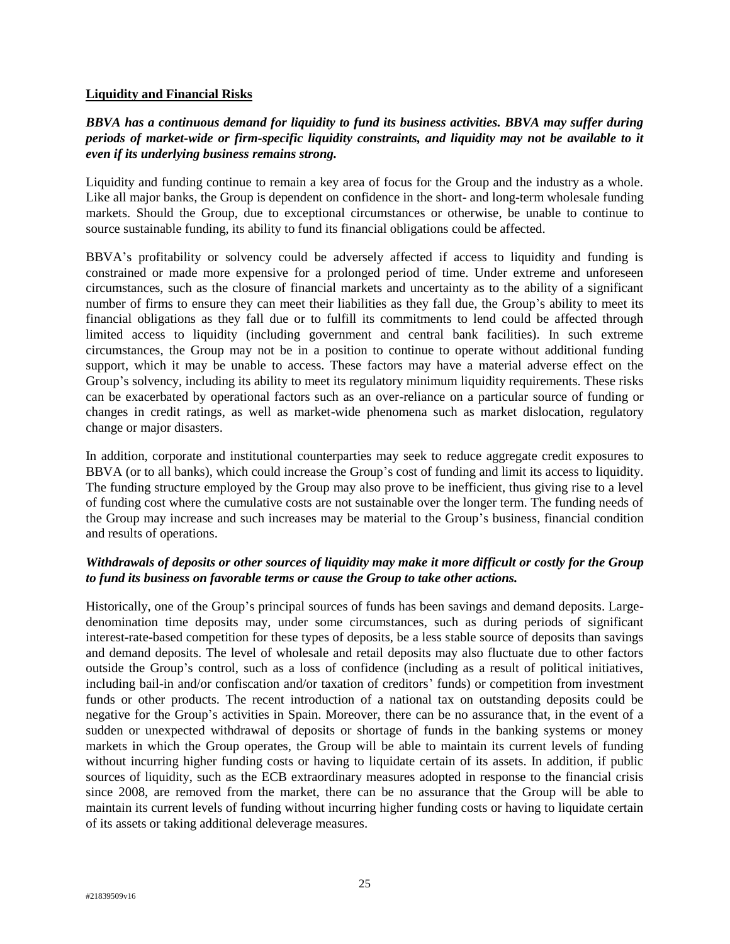#### **Liquidity and Financial Risks**

# *BBVA has a continuous demand for liquidity to fund its business activities. BBVA may suffer during periods of market-wide or firm-specific liquidity constraints, and liquidity may not be available to it even if its underlying business remains strong.*

Liquidity and funding continue to remain a key area of focus for the Group and the industry as a whole. Like all major banks, the Group is dependent on confidence in the short- and long-term wholesale funding markets. Should the Group, due to exceptional circumstances or otherwise, be unable to continue to source sustainable funding, its ability to fund its financial obligations could be affected.

BBVA's profitability or solvency could be adversely affected if access to liquidity and funding is constrained or made more expensive for a prolonged period of time. Under extreme and unforeseen circumstances, such as the closure of financial markets and uncertainty as to the ability of a significant number of firms to ensure they can meet their liabilities as they fall due, the Group's ability to meet its financial obligations as they fall due or to fulfill its commitments to lend could be affected through limited access to liquidity (including government and central bank facilities). In such extreme circumstances, the Group may not be in a position to continue to operate without additional funding support, which it may be unable to access. These factors may have a material adverse effect on the Group's solvency, including its ability to meet its regulatory minimum liquidity requirements. These risks can be exacerbated by operational factors such as an over-reliance on a particular source of funding or changes in credit ratings, as well as market-wide phenomena such as market dislocation, regulatory change or major disasters.

In addition, corporate and institutional counterparties may seek to reduce aggregate credit exposures to BBVA (or to all banks), which could increase the Group's cost of funding and limit its access to liquidity. The funding structure employed by the Group may also prove to be inefficient, thus giving rise to a level of funding cost where the cumulative costs are not sustainable over the longer term. The funding needs of the Group may increase and such increases may be material to the Group's business, financial condition and results of operations.

## *Withdrawals of deposits or other sources of liquidity may make it more difficult or costly for the Group to fund its business on favorable terms or cause the Group to take other actions.*

Historically, one of the Group's principal sources of funds has been savings and demand deposits. Largedenomination time deposits may, under some circumstances, such as during periods of significant interest-rate-based competition for these types of deposits, be a less stable source of deposits than savings and demand deposits. The level of wholesale and retail deposits may also fluctuate due to other factors outside the Group's control, such as a loss of confidence (including as a result of political initiatives, including bail-in and/or confiscation and/or taxation of creditors' funds) or competition from investment funds or other products. The recent introduction of a national tax on outstanding deposits could be negative for the Group's activities in Spain. Moreover, there can be no assurance that, in the event of a sudden or unexpected withdrawal of deposits or shortage of funds in the banking systems or money markets in which the Group operates, the Group will be able to maintain its current levels of funding without incurring higher funding costs or having to liquidate certain of its assets. In addition, if public sources of liquidity, such as the ECB extraordinary measures adopted in response to the financial crisis since 2008, are removed from the market, there can be no assurance that the Group will be able to maintain its current levels of funding without incurring higher funding costs or having to liquidate certain of its assets or taking additional deleverage measures.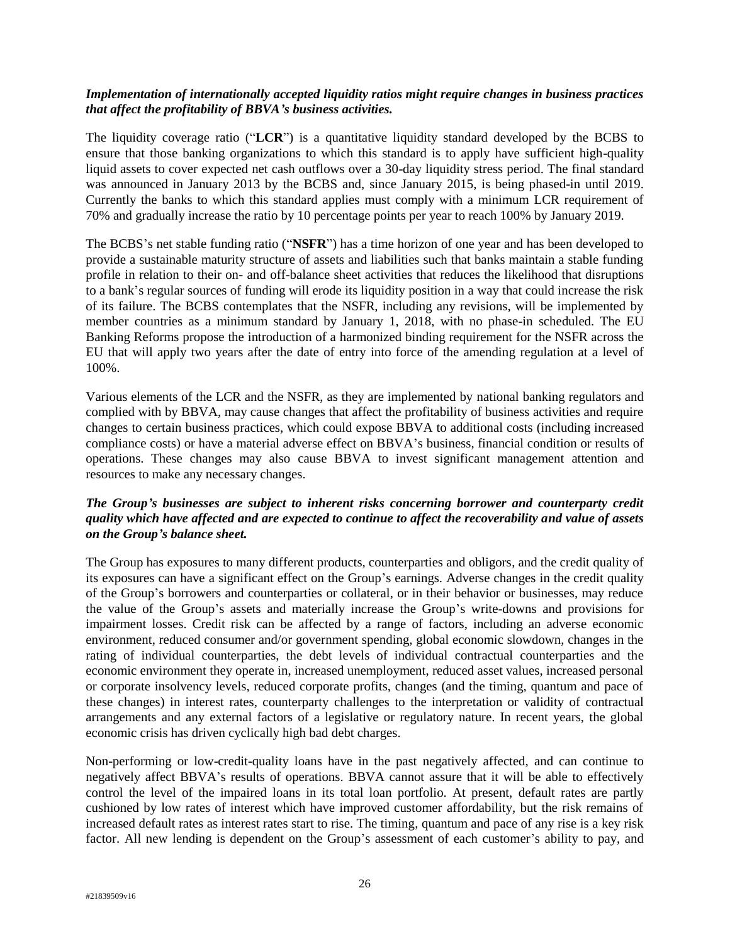### *Implementation of internationally accepted liquidity ratios might require changes in business practices that affect the profitability of BBVA's business activities.*

The liquidity coverage ratio ("**LCR**") is a quantitative liquidity standard developed by the BCBS to ensure that those banking organizations to which this standard is to apply have sufficient high-quality liquid assets to cover expected net cash outflows over a 30-day liquidity stress period. The final standard was announced in January 2013 by the BCBS and, since January 2015, is being phased-in until 2019. Currently the banks to which this standard applies must comply with a minimum LCR requirement of 70% and gradually increase the ratio by 10 percentage points per year to reach 100% by January 2019.

The BCBS's net stable funding ratio ("**NSFR**") has a time horizon of one year and has been developed to provide a sustainable maturity structure of assets and liabilities such that banks maintain a stable funding profile in relation to their on- and off-balance sheet activities that reduces the likelihood that disruptions to a bank's regular sources of funding will erode its liquidity position in a way that could increase the risk of its failure. The BCBS contemplates that the NSFR, including any revisions, will be implemented by member countries as a minimum standard by January 1, 2018, with no phase-in scheduled. The EU Banking Reforms propose the introduction of a harmonized binding requirement for the NSFR across the EU that will apply two years after the date of entry into force of the amending regulation at a level of 100%.

Various elements of the LCR and the NSFR, as they are implemented by national banking regulators and complied with by BBVA, may cause changes that affect the profitability of business activities and require changes to certain business practices, which could expose BBVA to additional costs (including increased compliance costs) or have a material adverse effect on BBVA's business, financial condition or results of operations. These changes may also cause BBVA to invest significant management attention and resources to make any necessary changes.

### *The Group's businesses are subject to inherent risks concerning borrower and counterparty credit quality which have affected and are expected to continue to affect the recoverability and value of assets on the Group's balance sheet.*

The Group has exposures to many different products, counterparties and obligors, and the credit quality of its exposures can have a significant effect on the Group's earnings. Adverse changes in the credit quality of the Group's borrowers and counterparties or collateral, or in their behavior or businesses, may reduce the value of the Group's assets and materially increase the Group's write-downs and provisions for impairment losses. Credit risk can be affected by a range of factors, including an adverse economic environment, reduced consumer and/or government spending, global economic slowdown, changes in the rating of individual counterparties, the debt levels of individual contractual counterparties and the economic environment they operate in, increased unemployment, reduced asset values, increased personal or corporate insolvency levels, reduced corporate profits, changes (and the timing, quantum and pace of these changes) in interest rates, counterparty challenges to the interpretation or validity of contractual arrangements and any external factors of a legislative or regulatory nature. In recent years, the global economic crisis has driven cyclically high bad debt charges.

Non-performing or low-credit-quality loans have in the past negatively affected, and can continue to negatively affect BBVA's results of operations. BBVA cannot assure that it will be able to effectively control the level of the impaired loans in its total loan portfolio. At present, default rates are partly cushioned by low rates of interest which have improved customer affordability, but the risk remains of increased default rates as interest rates start to rise. The timing, quantum and pace of any rise is a key risk factor. All new lending is dependent on the Group's assessment of each customer's ability to pay, and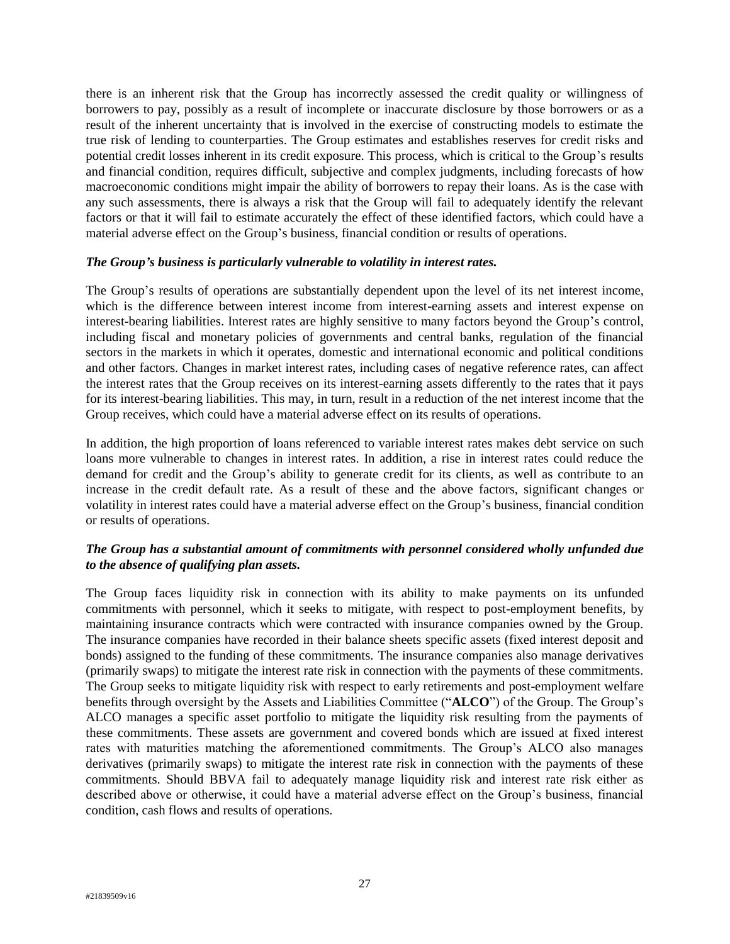there is an inherent risk that the Group has incorrectly assessed the credit quality or willingness of borrowers to pay, possibly as a result of incomplete or inaccurate disclosure by those borrowers or as a result of the inherent uncertainty that is involved in the exercise of constructing models to estimate the true risk of lending to counterparties. The Group estimates and establishes reserves for credit risks and potential credit losses inherent in its credit exposure. This process, which is critical to the Group's results and financial condition, requires difficult, subjective and complex judgments, including forecasts of how macroeconomic conditions might impair the ability of borrowers to repay their loans. As is the case with any such assessments, there is always a risk that the Group will fail to adequately identify the relevant factors or that it will fail to estimate accurately the effect of these identified factors, which could have a material adverse effect on the Group's business, financial condition or results of operations.

#### *The Group's business is particularly vulnerable to volatility in interest rates.*

The Group's results of operations are substantially dependent upon the level of its net interest income, which is the difference between interest income from interest-earning assets and interest expense on interest-bearing liabilities. Interest rates are highly sensitive to many factors beyond the Group's control, including fiscal and monetary policies of governments and central banks, regulation of the financial sectors in the markets in which it operates, domestic and international economic and political conditions and other factors. Changes in market interest rates, including cases of negative reference rates, can affect the interest rates that the Group receives on its interest-earning assets differently to the rates that it pays for its interest-bearing liabilities. This may, in turn, result in a reduction of the net interest income that the Group receives, which could have a material adverse effect on its results of operations.

In addition, the high proportion of loans referenced to variable interest rates makes debt service on such loans more vulnerable to changes in interest rates. In addition, a rise in interest rates could reduce the demand for credit and the Group's ability to generate credit for its clients, as well as contribute to an increase in the credit default rate. As a result of these and the above factors, significant changes or volatility in interest rates could have a material adverse effect on the Group's business, financial condition or results of operations.

## *The Group has a substantial amount of commitments with personnel considered wholly unfunded due to the absence of qualifying plan assets.*

The Group faces liquidity risk in connection with its ability to make payments on its unfunded commitments with personnel, which it seeks to mitigate, with respect to post-employment benefits, by maintaining insurance contracts which were contracted with insurance companies owned by the Group. The insurance companies have recorded in their balance sheets specific assets (fixed interest deposit and bonds) assigned to the funding of these commitments. The insurance companies also manage derivatives (primarily swaps) to mitigate the interest rate risk in connection with the payments of these commitments. The Group seeks to mitigate liquidity risk with respect to early retirements and post-employment welfare benefits through oversight by the Assets and Liabilities Committee ("**ALCO**") of the Group. The Group's ALCO manages a specific asset portfolio to mitigate the liquidity risk resulting from the payments of these commitments. These assets are government and covered bonds which are issued at fixed interest rates with maturities matching the aforementioned commitments. The Group's ALCO also manages derivatives (primarily swaps) to mitigate the interest rate risk in connection with the payments of these commitments. Should BBVA fail to adequately manage liquidity risk and interest rate risk either as described above or otherwise, it could have a material adverse effect on the Group's business, financial condition, cash flows and results of operations.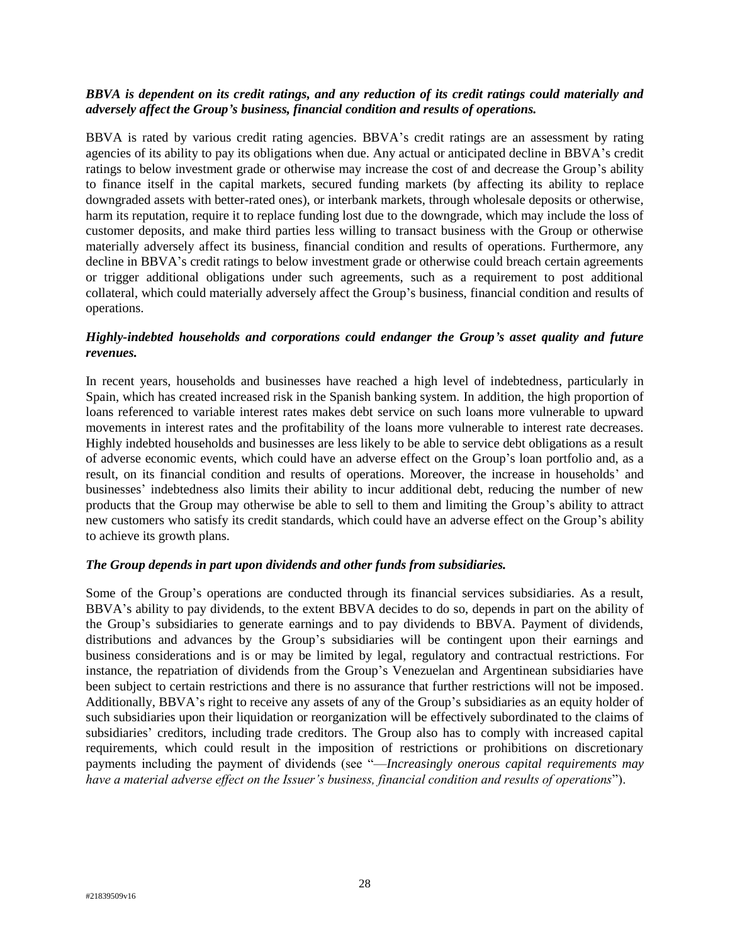### *BBVA is dependent on its credit ratings, and any reduction of its credit ratings could materially and adversely affect the Group's business, financial condition and results of operations.*

BBVA is rated by various credit rating agencies. BBVA's credit ratings are an assessment by rating agencies of its ability to pay its obligations when due. Any actual or anticipated decline in BBVA's credit ratings to below investment grade or otherwise may increase the cost of and decrease the Group's ability to finance itself in the capital markets, secured funding markets (by affecting its ability to replace downgraded assets with better-rated ones), or interbank markets, through wholesale deposits or otherwise, harm its reputation, require it to replace funding lost due to the downgrade, which may include the loss of customer deposits, and make third parties less willing to transact business with the Group or otherwise materially adversely affect its business, financial condition and results of operations. Furthermore, any decline in BBVA's credit ratings to below investment grade or otherwise could breach certain agreements or trigger additional obligations under such agreements, such as a requirement to post additional collateral, which could materially adversely affect the Group's business, financial condition and results of operations.

### *Highly-indebted households and corporations could endanger the Group's asset quality and future revenues.*

In recent years, households and businesses have reached a high level of indebtedness, particularly in Spain, which has created increased risk in the Spanish banking system. In addition, the high proportion of loans referenced to variable interest rates makes debt service on such loans more vulnerable to upward movements in interest rates and the profitability of the loans more vulnerable to interest rate decreases. Highly indebted households and businesses are less likely to be able to service debt obligations as a result of adverse economic events, which could have an adverse effect on the Group's loan portfolio and, as a result, on its financial condition and results of operations. Moreover, the increase in households' and businesses' indebtedness also limits their ability to incur additional debt, reducing the number of new products that the Group may otherwise be able to sell to them and limiting the Group's ability to attract new customers who satisfy its credit standards, which could have an adverse effect on the Group's ability to achieve its growth plans.

### *The Group depends in part upon dividends and other funds from subsidiaries.*

Some of the Group's operations are conducted through its financial services subsidiaries. As a result, BBVA's ability to pay dividends, to the extent BBVA decides to do so, depends in part on the ability of the Group's subsidiaries to generate earnings and to pay dividends to BBVA. Payment of dividends, distributions and advances by the Group's subsidiaries will be contingent upon their earnings and business considerations and is or may be limited by legal, regulatory and contractual restrictions. For instance, the repatriation of dividends from the Group's Venezuelan and Argentinean subsidiaries have been subject to certain restrictions and there is no assurance that further restrictions will not be imposed. Additionally, BBVA's right to receive any assets of any of the Group's subsidiaries as an equity holder of such subsidiaries upon their liquidation or reorganization will be effectively subordinated to the claims of subsidiaries' creditors, including trade creditors. The Group also has to comply with increased capital requirements, which could result in the imposition of restrictions or prohibitions on discretionary payments including the payment of dividends (see "—*Increasingly onerous capital requirements may have a material adverse effect on the Issuer's business, financial condition and results of operations*").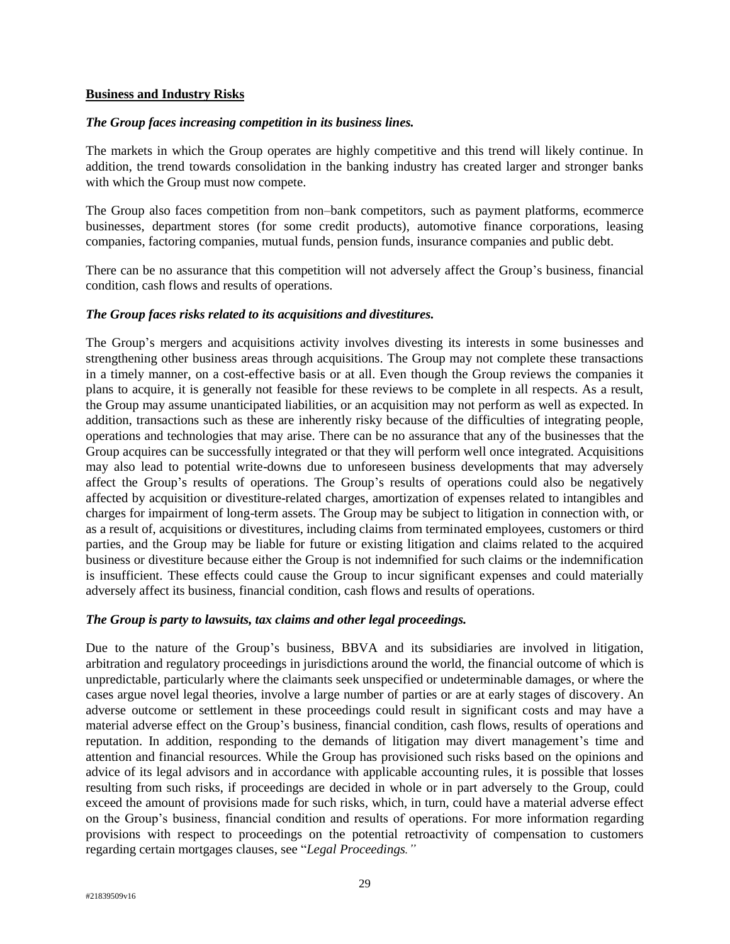#### **Business and Industry Risks**

#### *The Group faces increasing competition in its business lines.*

The markets in which the Group operates are highly competitive and this trend will likely continue. In addition, the trend towards consolidation in the banking industry has created larger and stronger banks with which the Group must now compete.

The Group also faces competition from non–bank competitors, such as payment platforms, ecommerce businesses, department stores (for some credit products), automotive finance corporations, leasing companies, factoring companies, mutual funds, pension funds, insurance companies and public debt.

There can be no assurance that this competition will not adversely affect the Group's business, financial condition, cash flows and results of operations.

#### *The Group faces risks related to its acquisitions and divestitures.*

The Group's mergers and acquisitions activity involves divesting its interests in some businesses and strengthening other business areas through acquisitions. The Group may not complete these transactions in a timely manner, on a cost-effective basis or at all. Even though the Group reviews the companies it plans to acquire, it is generally not feasible for these reviews to be complete in all respects. As a result, the Group may assume unanticipated liabilities, or an acquisition may not perform as well as expected. In addition, transactions such as these are inherently risky because of the difficulties of integrating people, operations and technologies that may arise. There can be no assurance that any of the businesses that the Group acquires can be successfully integrated or that they will perform well once integrated. Acquisitions may also lead to potential write-downs due to unforeseen business developments that may adversely affect the Group's results of operations. The Group's results of operations could also be negatively affected by acquisition or divestiture-related charges, amortization of expenses related to intangibles and charges for impairment of long-term assets. The Group may be subject to litigation in connection with, or as a result of, acquisitions or divestitures, including claims from terminated employees, customers or third parties, and the Group may be liable for future or existing litigation and claims related to the acquired business or divestiture because either the Group is not indemnified for such claims or the indemnification is insufficient. These effects could cause the Group to incur significant expenses and could materially adversely affect its business, financial condition, cash flows and results of operations.

### *The Group is party to lawsuits, tax claims and other legal proceedings.*

Due to the nature of the Group's business, BBVA and its subsidiaries are involved in litigation, arbitration and regulatory proceedings in jurisdictions around the world, the financial outcome of which is unpredictable, particularly where the claimants seek unspecified or undeterminable damages, or where the cases argue novel legal theories, involve a large number of parties or are at early stages of discovery. An adverse outcome or settlement in these proceedings could result in significant costs and may have a material adverse effect on the Group's business, financial condition, cash flows, results of operations and reputation. In addition, responding to the demands of litigation may divert management's time and attention and financial resources. While the Group has provisioned such risks based on the opinions and advice of its legal advisors and in accordance with applicable accounting rules, it is possible that losses resulting from such risks, if proceedings are decided in whole or in part adversely to the Group, could exceed the amount of provisions made for such risks, which, in turn, could have a material adverse effect on the Group's business, financial condition and results of operations. For more information regarding provisions with respect to proceedings on the potential retroactivity of compensation to customers regarding certain mortgages clauses, see "*Legal Proceedings."*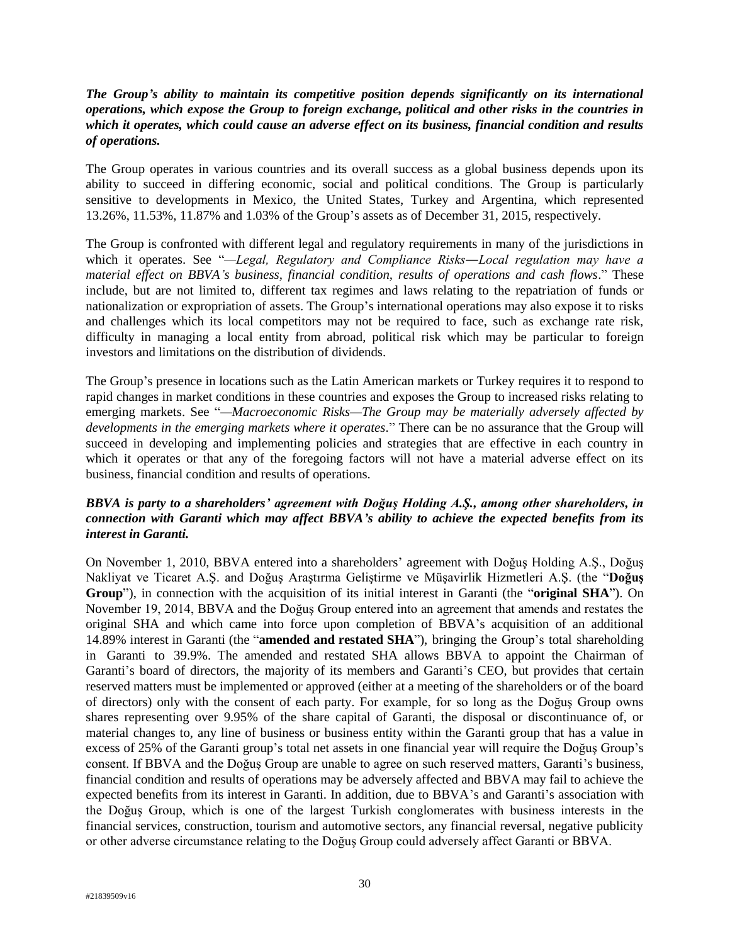## *The Group's ability to maintain its competitive position depends significantly on its international operations, which expose the Group to foreign exchange, political and other risks in the countries in which it operates, which could cause an adverse effect on its business, financial condition and results of operations.*

The Group operates in various countries and its overall success as a global business depends upon its ability to succeed in differing economic, social and political conditions. The Group is particularly sensitive to developments in Mexico, the United States, Turkey and Argentina, which represented 13.26%, 11.53%, 11.87% and 1.03% of the Group's assets as of December 31, 2015, respectively.

The Group is confronted with different legal and regulatory requirements in many of the jurisdictions in which it operates. See "*—Legal, Regulatory and Compliance Risks―Local regulation may have a material effect on BBVA's business, financial condition, results of operations and cash flows*." These include, but are not limited to, different tax regimes and laws relating to the repatriation of funds or nationalization or expropriation of assets. The Group's international operations may also expose it to risks and challenges which its local competitors may not be required to face, such as exchange rate risk, difficulty in managing a local entity from abroad, political risk which may be particular to foreign investors and limitations on the distribution of dividends.

The Group's presence in locations such as the Latin American markets or Turkey requires it to respond to rapid changes in market conditions in these countries and exposes the Group to increased risks relating to emerging markets. See "*—Macroeconomic Risks—The Group may be materially adversely affected by developments in the emerging markets where it operates.*" There can be no assurance that the Group will succeed in developing and implementing policies and strategies that are effective in each country in which it operates or that any of the foregoing factors will not have a material adverse effect on its business, financial condition and results of operations.

## *BBVA is party to a shareholders' agreement with Doğuş Holding A.Ş., among other shareholders, in connection with Garanti which may affect BBVA's ability to achieve the expected benefits from its interest in Garanti.*

On November 1, 2010, BBVA entered into a shareholders' agreement with Doğuş Holding A.Ş., Doğuş Nakliyat ve Ticaret A.Ş. and Doğuş Araştırma Geliştirme ve Müşavirlik Hizmetleri A.Ş. (the "**Doğuş Group**"), in connection with the acquisition of its initial interest in Garanti (the "**original SHA**"). On November 19, 2014, BBVA and the Doğuş Group entered into an agreement that amends and restates the original SHA and which came into force upon completion of BBVA's acquisition of an additional 14.89% interest in Garanti (the "**amended and restated SHA**"), bringing the Group's total shareholding in Garanti to 39.9%. The amended and restated SHA allows BBVA to appoint the Chairman of Garanti's board of directors, the majority of its members and Garanti's CEO, but provides that certain reserved matters must be implemented or approved (either at a meeting of the shareholders or of the board of directors) only with the consent of each party. For example, for so long as the Doğuş Group owns shares representing over 9.95% of the share capital of Garanti, the disposal or discontinuance of, or material changes to, any line of business or business entity within the Garanti group that has a value in excess of 25% of the Garanti group's total net assets in one financial year will require the Doğuş Group's consent. If BBVA and the Doğuş Group are unable to agree on such reserved matters, Garanti's business, financial condition and results of operations may be adversely affected and BBVA may fail to achieve the expected benefits from its interest in Garanti. In addition, due to BBVA's and Garanti's association with the Doğuş Group, which is one of the largest Turkish conglomerates with business interests in the financial services, construction, tourism and automotive sectors, any financial reversal, negative publicity or other adverse circumstance relating to the Doğuş Group could adversely affect Garanti or BBVA.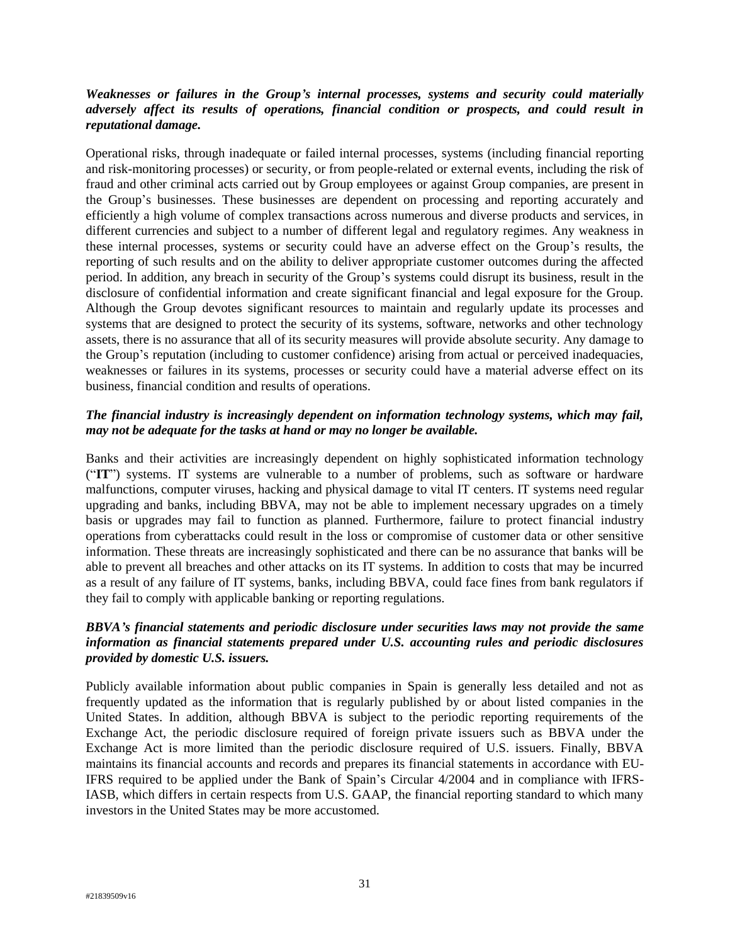## *Weaknesses or failures in the Group's internal processes, systems and security could materially adversely affect its results of operations, financial condition or prospects, and could result in reputational damage.*

Operational risks, through inadequate or failed internal processes, systems (including financial reporting and risk-monitoring processes) or security, or from people-related or external events, including the risk of fraud and other criminal acts carried out by Group employees or against Group companies, are present in the Group's businesses. These businesses are dependent on processing and reporting accurately and efficiently a high volume of complex transactions across numerous and diverse products and services, in different currencies and subject to a number of different legal and regulatory regimes. Any weakness in these internal processes, systems or security could have an adverse effect on the Group's results, the reporting of such results and on the ability to deliver appropriate customer outcomes during the affected period. In addition, any breach in security of the Group's systems could disrupt its business, result in the disclosure of confidential information and create significant financial and legal exposure for the Group. Although the Group devotes significant resources to maintain and regularly update its processes and systems that are designed to protect the security of its systems, software, networks and other technology assets, there is no assurance that all of its security measures will provide absolute security. Any damage to the Group's reputation (including to customer confidence) arising from actual or perceived inadequacies, weaknesses or failures in its systems, processes or security could have a material adverse effect on its business, financial condition and results of operations.

### *The financial industry is increasingly dependent on information technology systems, which may fail, may not be adequate for the tasks at hand or may no longer be available.*

Banks and their activities are increasingly dependent on highly sophisticated information technology ("**IT**") systems. IT systems are vulnerable to a number of problems, such as software or hardware malfunctions, computer viruses, hacking and physical damage to vital IT centers. IT systems need regular upgrading and banks, including BBVA, may not be able to implement necessary upgrades on a timely basis or upgrades may fail to function as planned. Furthermore, failure to protect financial industry operations from cyberattacks could result in the loss or compromise of customer data or other sensitive information. These threats are increasingly sophisticated and there can be no assurance that banks will be able to prevent all breaches and other attacks on its IT systems. In addition to costs that may be incurred as a result of any failure of IT systems, banks, including BBVA, could face fines from bank regulators if they fail to comply with applicable banking or reporting regulations.

## *BBVA's financial statements and periodic disclosure under securities laws may not provide the same information as financial statements prepared under U.S. accounting rules and periodic disclosures provided by domestic U.S. issuers.*

Publicly available information about public companies in Spain is generally less detailed and not as frequently updated as the information that is regularly published by or about listed companies in the United States. In addition, although BBVA is subject to the periodic reporting requirements of the Exchange Act, the periodic disclosure required of foreign private issuers such as BBVA under the Exchange Act is more limited than the periodic disclosure required of U.S. issuers. Finally, BBVA maintains its financial accounts and records and prepares its financial statements in accordance with EU-IFRS required to be applied under the Bank of Spain's Circular 4/2004 and in compliance with IFRS-IASB, which differs in certain respects from U.S. GAAP, the financial reporting standard to which many investors in the United States may be more accustomed.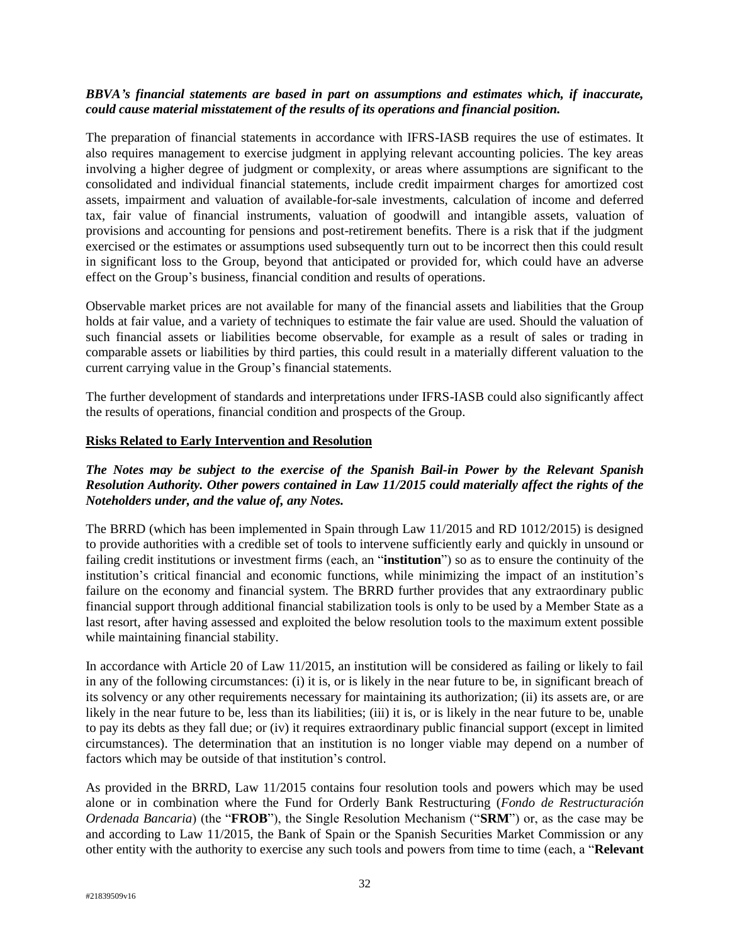### *BBVA's financial statements are based in part on assumptions and estimates which, if inaccurate, could cause material misstatement of the results of its operations and financial position.*

The preparation of financial statements in accordance with IFRS-IASB requires the use of estimates. It also requires management to exercise judgment in applying relevant accounting policies. The key areas involving a higher degree of judgment or complexity, or areas where assumptions are significant to the consolidated and individual financial statements, include credit impairment charges for amortized cost assets, impairment and valuation of available-for-sale investments, calculation of income and deferred tax, fair value of financial instruments, valuation of goodwill and intangible assets, valuation of provisions and accounting for pensions and post-retirement benefits. There is a risk that if the judgment exercised or the estimates or assumptions used subsequently turn out to be incorrect then this could result in significant loss to the Group, beyond that anticipated or provided for, which could have an adverse effect on the Group's business, financial condition and results of operations.

Observable market prices are not available for many of the financial assets and liabilities that the Group holds at fair value, and a variety of techniques to estimate the fair value are used. Should the valuation of such financial assets or liabilities become observable, for example as a result of sales or trading in comparable assets or liabilities by third parties, this could result in a materially different valuation to the current carrying value in the Group's financial statements.

The further development of standards and interpretations under IFRS-IASB could also significantly affect the results of operations, financial condition and prospects of the Group.

#### **Risks Related to Early Intervention and Resolution**

## *The Notes may be subject to the exercise of the Spanish Bail-in Power by the Relevant Spanish Resolution Authority. Other powers contained in Law 11/2015 could materially affect the rights of the Noteholders under, and the value of, any Notes.*

The BRRD (which has been implemented in Spain through Law 11/2015 and RD 1012/2015) is designed to provide authorities with a credible set of tools to intervene sufficiently early and quickly in unsound or failing credit institutions or investment firms (each, an "**institution**") so as to ensure the continuity of the institution's critical financial and economic functions, while minimizing the impact of an institution's failure on the economy and financial system. The BRRD further provides that any extraordinary public financial support through additional financial stabilization tools is only to be used by a Member State as a last resort, after having assessed and exploited the below resolution tools to the maximum extent possible while maintaining financial stability.

In accordance with Article 20 of Law 11/2015, an institution will be considered as failing or likely to fail in any of the following circumstances: (i) it is, or is likely in the near future to be, in significant breach of its solvency or any other requirements necessary for maintaining its authorization; (ii) its assets are, or are likely in the near future to be, less than its liabilities; (iii) it is, or is likely in the near future to be, unable to pay its debts as they fall due; or (iv) it requires extraordinary public financial support (except in limited circumstances). The determination that an institution is no longer viable may depend on a number of factors which may be outside of that institution's control.

As provided in the BRRD, Law 11/2015 contains four resolution tools and powers which may be used alone or in combination where the Fund for Orderly Bank Restructuring (*Fondo de Restructuración Ordenada Bancaria*) (the "**FROB**"), the Single Resolution Mechanism ("**SRM**") or, as the case may be and according to Law 11/2015, the Bank of Spain or the Spanish Securities Market Commission or any other entity with the authority to exercise any such tools and powers from time to time (each, a "**Relevant**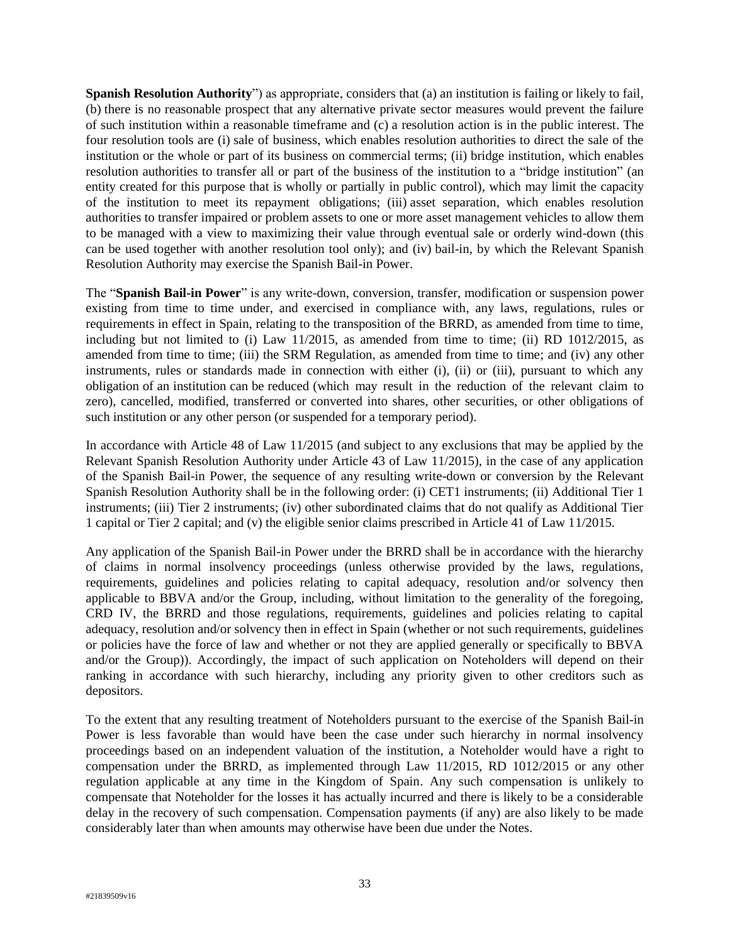**Spanish Resolution Authority**") as appropriate, considers that (a) an institution is failing or likely to fail, (b) there is no reasonable prospect that any alternative private sector measures would prevent the failure of such institution within a reasonable timeframe and (c) a resolution action is in the public interest. The four resolution tools are (i) sale of business, which enables resolution authorities to direct the sale of the institution or the whole or part of its business on commercial terms; (ii) bridge institution, which enables resolution authorities to transfer all or part of the business of the institution to a "bridge institution" (an entity created for this purpose that is wholly or partially in public control), which may limit the capacity of the institution to meet its repayment obligations; (iii) asset separation, which enables resolution authorities to transfer impaired or problem assets to one or more asset management vehicles to allow them to be managed with a view to maximizing their value through eventual sale or orderly wind-down (this can be used together with another resolution tool only); and (iv) bail-in, by which the Relevant Spanish Resolution Authority may exercise the Spanish Bail-in Power.

The "**Spanish Bail-in Power**" is any write-down, conversion, transfer, modification or suspension power existing from time to time under, and exercised in compliance with, any laws, regulations, rules or requirements in effect in Spain, relating to the transposition of the BRRD, as amended from time to time, including but not limited to (i) Law 11/2015, as amended from time to time; (ii) RD 1012/2015, as amended from time to time; (iii) the SRM Regulation, as amended from time to time; and (iv) any other instruments, rules or standards made in connection with either (i), (ii) or (iii), pursuant to which any obligation of an institution can be reduced (which may result in the reduction of the relevant claim to zero), cancelled, modified, transferred or converted into shares, other securities, or other obligations of such institution or any other person (or suspended for a temporary period).

In accordance with Article 48 of Law 11/2015 (and subject to any exclusions that may be applied by the Relevant Spanish Resolution Authority under Article 43 of Law 11/2015), in the case of any application of the Spanish Bail-in Power, the sequence of any resulting write-down or conversion by the Relevant Spanish Resolution Authority shall be in the following order: (i) CET1 instruments; (ii) Additional Tier 1 instruments; (iii) Tier 2 instruments; (iv) other subordinated claims that do not qualify as Additional Tier 1 capital or Tier 2 capital; and (v) the eligible senior claims prescribed in Article 41 of Law 11/2015.

Any application of the Spanish Bail-in Power under the BRRD shall be in accordance with the hierarchy of claims in normal insolvency proceedings (unless otherwise provided by the laws, regulations, requirements, guidelines and policies relating to capital adequacy, resolution and/or solvency then applicable to BBVA and/or the Group, including, without limitation to the generality of the foregoing, CRD IV, the BRRD and those regulations, requirements, guidelines and policies relating to capital adequacy, resolution and/or solvency then in effect in Spain (whether or not such requirements, guidelines or policies have the force of law and whether or not they are applied generally or specifically to BBVA and/or the Group)). Accordingly, the impact of such application on Noteholders will depend on their ranking in accordance with such hierarchy, including any priority given to other creditors such as depositors.

To the extent that any resulting treatment of Noteholders pursuant to the exercise of the Spanish Bail-in Power is less favorable than would have been the case under such hierarchy in normal insolvency proceedings based on an independent valuation of the institution, a Noteholder would have a right to compensation under the BRRD, as implemented through Law 11/2015, RD 1012/2015 or any other regulation applicable at any time in the Kingdom of Spain. Any such compensation is unlikely to compensate that Noteholder for the losses it has actually incurred and there is likely to be a considerable delay in the recovery of such compensation. Compensation payments (if any) are also likely to be made considerably later than when amounts may otherwise have been due under the Notes.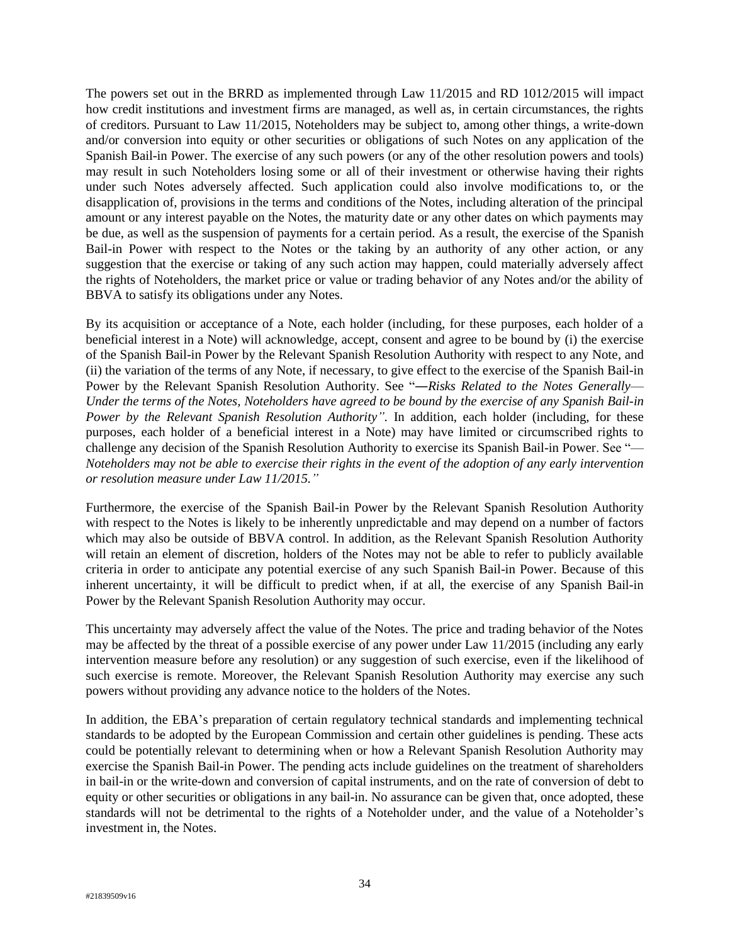The powers set out in the BRRD as implemented through Law 11/2015 and RD 1012/2015 will impact how credit institutions and investment firms are managed, as well as, in certain circumstances, the rights of creditors. Pursuant to Law 11/2015, Noteholders may be subject to, among other things, a write-down and/or conversion into equity or other securities or obligations of such Notes on any application of the Spanish Bail-in Power. The exercise of any such powers (or any of the other resolution powers and tools) may result in such Noteholders losing some or all of their investment or otherwise having their rights under such Notes adversely affected. Such application could also involve modifications to, or the disapplication of, provisions in the terms and conditions of the Notes, including alteration of the principal amount or any interest payable on the Notes, the maturity date or any other dates on which payments may be due, as well as the suspension of payments for a certain period. As a result, the exercise of the Spanish Bail-in Power with respect to the Notes or the taking by an authority of any other action, or any suggestion that the exercise or taking of any such action may happen, could materially adversely affect the rights of Noteholders, the market price or value or trading behavior of any Notes and/or the ability of BBVA to satisfy its obligations under any Notes.

By its acquisition or acceptance of a Note, each holder (including, for these purposes, each holder of a beneficial interest in a Note) will acknowledge, accept, consent and agree to be bound by (i) the exercise of the Spanish Bail-in Power by the Relevant Spanish Resolution Authority with respect to any Note, and (ii) the variation of the terms of any Note, if necessary, to give effect to the exercise of the Spanish Bail-in Power by the Relevant Spanish Resolution Authority. See "―*Risks Related to the Notes Generally*— *Under the terms of the Notes, Noteholders have agreed to be bound by the exercise of any Spanish Bail-in Power by the Relevant Spanish Resolution Authority".* In addition, each holder (including, for these purposes, each holder of a beneficial interest in a Note) may have limited or circumscribed rights to challenge any decision of the Spanish Resolution Authority to exercise its Spanish Bail-in Power. See "— *Noteholders may not be able to exercise their rights in the event of the adoption of any early intervention or resolution measure under Law 11/2015."*

Furthermore, the exercise of the Spanish Bail-in Power by the Relevant Spanish Resolution Authority with respect to the Notes is likely to be inherently unpredictable and may depend on a number of factors which may also be outside of BBVA control. In addition, as the Relevant Spanish Resolution Authority will retain an element of discretion, holders of the Notes may not be able to refer to publicly available criteria in order to anticipate any potential exercise of any such Spanish Bail-in Power. Because of this inherent uncertainty, it will be difficult to predict when, if at all, the exercise of any Spanish Bail-in Power by the Relevant Spanish Resolution Authority may occur.

This uncertainty may adversely affect the value of the Notes. The price and trading behavior of the Notes may be affected by the threat of a possible exercise of any power under Law 11/2015 (including any early intervention measure before any resolution) or any suggestion of such exercise, even if the likelihood of such exercise is remote. Moreover, the Relevant Spanish Resolution Authority may exercise any such powers without providing any advance notice to the holders of the Notes.

In addition, the EBA's preparation of certain regulatory technical standards and implementing technical standards to be adopted by the European Commission and certain other guidelines is pending. These acts could be potentially relevant to determining when or how a Relevant Spanish Resolution Authority may exercise the Spanish Bail-in Power. The pending acts include guidelines on the treatment of shareholders in bail-in or the write-down and conversion of capital instruments, and on the rate of conversion of debt to equity or other securities or obligations in any bail-in. No assurance can be given that, once adopted, these standards will not be detrimental to the rights of a Noteholder under, and the value of a Noteholder's investment in, the Notes.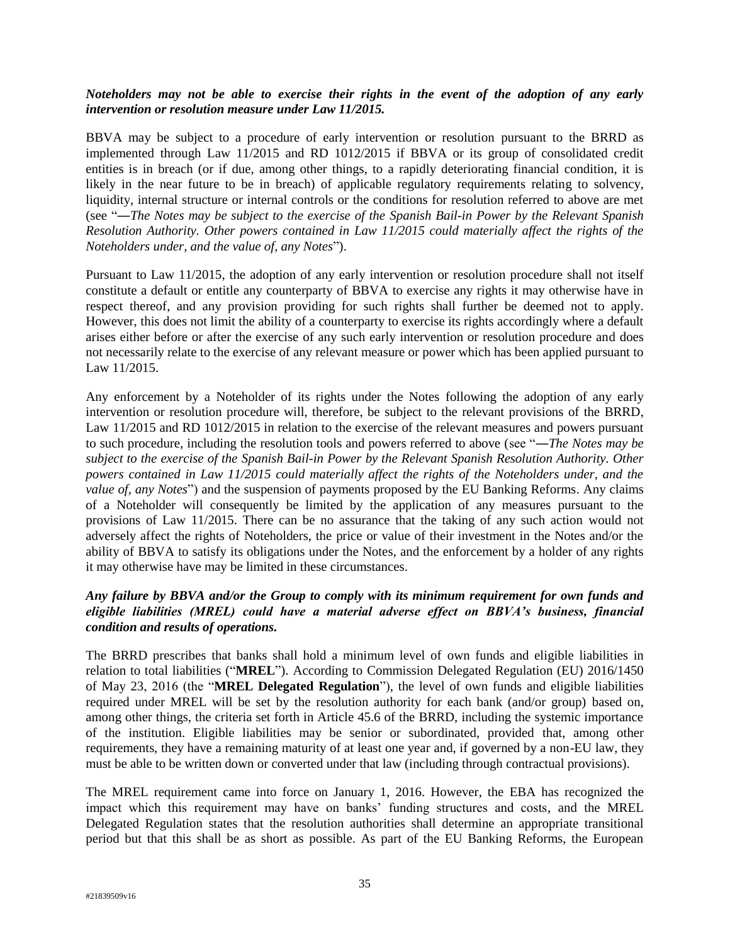### *Noteholders may not be able to exercise their rights in the event of the adoption of any early intervention or resolution measure under Law 11/2015.*

BBVA may be subject to a procedure of early intervention or resolution pursuant to the BRRD as implemented through Law 11/2015 and RD 1012/2015 if BBVA or its group of consolidated credit entities is in breach (or if due, among other things, to a rapidly deteriorating financial condition, it is likely in the near future to be in breach) of applicable regulatory requirements relating to solvency, liquidity, internal structure or internal controls or the conditions for resolution referred to above are met (see "―*The Notes may be subject to the exercise of the Spanish Bail-in Power by the Relevant Spanish Resolution Authority. Other powers contained in Law 11/2015 could materially affect the rights of the Noteholders under, and the value of, any Notes*").

Pursuant to Law 11/2015, the adoption of any early intervention or resolution procedure shall not itself constitute a default or entitle any counterparty of BBVA to exercise any rights it may otherwise have in respect thereof, and any provision providing for such rights shall further be deemed not to apply. However, this does not limit the ability of a counterparty to exercise its rights accordingly where a default arises either before or after the exercise of any such early intervention or resolution procedure and does not necessarily relate to the exercise of any relevant measure or power which has been applied pursuant to Law 11/2015.

Any enforcement by a Noteholder of its rights under the Notes following the adoption of any early intervention or resolution procedure will, therefore, be subject to the relevant provisions of the BRRD, Law 11/2015 and RD 1012/2015 in relation to the exercise of the relevant measures and powers pursuant to such procedure, including the resolution tools and powers referred to above (see "―*The Notes may be subject to the exercise of the Spanish Bail-in Power by the Relevant Spanish Resolution Authority. Other powers contained in Law 11/2015 could materially affect the rights of the Noteholders under, and the value of, any Notes*") and the suspension of payments proposed by the EU Banking Reforms. Any claims of a Noteholder will consequently be limited by the application of any measures pursuant to the provisions of Law 11/2015. There can be no assurance that the taking of any such action would not adversely affect the rights of Noteholders, the price or value of their investment in the Notes and/or the ability of BBVA to satisfy its obligations under the Notes, and the enforcement by a holder of any rights it may otherwise have may be limited in these circumstances.

## *Any failure by BBVA and/or the Group to comply with its minimum requirement for own funds and eligible liabilities (MREL) could have a material adverse effect on BBVA's business, financial condition and results of operations.*

The BRRD prescribes that banks shall hold a minimum level of own funds and eligible liabilities in relation to total liabilities ("**MREL**"). According to Commission Delegated Regulation (EU) 2016/1450 of May 23, 2016 (the "**MREL Delegated Regulation**"), the level of own funds and eligible liabilities required under MREL will be set by the resolution authority for each bank (and/or group) based on, among other things, the criteria set forth in Article 45.6 of the BRRD, including the systemic importance of the institution. Eligible liabilities may be senior or subordinated, provided that, among other requirements, they have a remaining maturity of at least one year and, if governed by a non-EU law, they must be able to be written down or converted under that law (including through contractual provisions).

The MREL requirement came into force on January 1, 2016. However, the EBA has recognized the impact which this requirement may have on banks' funding structures and costs, and the MREL Delegated Regulation states that the resolution authorities shall determine an appropriate transitional period but that this shall be as short as possible. As part of the EU Banking Reforms, the European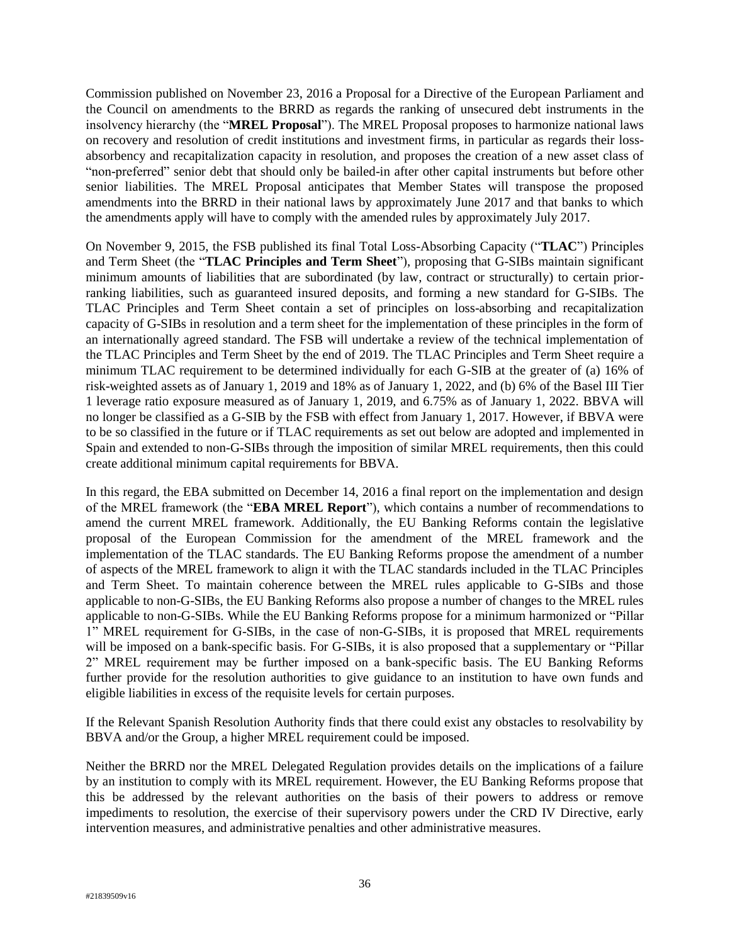Commission published on November 23, 2016 a Proposal for a Directive of the European Parliament and the Council on amendments to the BRRD as regards the ranking of unsecured debt instruments in the insolvency hierarchy (the "**MREL Proposal**"). The MREL Proposal proposes to harmonize national laws on recovery and resolution of credit institutions and investment firms, in particular as regards their lossabsorbency and recapitalization capacity in resolution, and proposes the creation of a new asset class of "non-preferred" senior debt that should only be bailed-in after other capital instruments but before other senior liabilities. The MREL Proposal anticipates that Member States will transpose the proposed amendments into the BRRD in their national laws by approximately June 2017 and that banks to which the amendments apply will have to comply with the amended rules by approximately July 2017.

On November 9, 2015, the FSB published its final Total Loss-Absorbing Capacity ("**TLAC**") Principles and Term Sheet (the "**TLAC Principles and Term Sheet**"), proposing that G-SIBs maintain significant minimum amounts of liabilities that are subordinated (by law, contract or structurally) to certain priorranking liabilities, such as guaranteed insured deposits, and forming a new standard for G-SIBs. The TLAC Principles and Term Sheet contain a set of principles on loss-absorbing and recapitalization capacity of G-SIBs in resolution and a term sheet for the implementation of these principles in the form of an internationally agreed standard. The FSB will undertake a review of the technical implementation of the TLAC Principles and Term Sheet by the end of 2019. The TLAC Principles and Term Sheet require a minimum TLAC requirement to be determined individually for each G-SIB at the greater of (a) 16% of risk-weighted assets as of January 1, 2019 and 18% as of January 1, 2022, and (b) 6% of the Basel III Tier 1 leverage ratio exposure measured as of January 1, 2019, and 6.75% as of January 1, 2022. BBVA will no longer be classified as a G-SIB by the FSB with effect from January 1, 2017. However, if BBVA were to be so classified in the future or if TLAC requirements as set out below are adopted and implemented in Spain and extended to non-G-SIBs through the imposition of similar MREL requirements, then this could create additional minimum capital requirements for BBVA.

In this regard, the EBA submitted on December 14, 2016 a final report on the implementation and design of the MREL framework (the "**EBA MREL Report**"), which contains a number of recommendations to amend the current MREL framework. Additionally, the EU Banking Reforms contain the legislative proposal of the European Commission for the amendment of the MREL framework and the implementation of the TLAC standards. The EU Banking Reforms propose the amendment of a number of aspects of the MREL framework to align it with the TLAC standards included in the TLAC Principles and Term Sheet. To maintain coherence between the MREL rules applicable to G-SIBs and those applicable to non-G-SIBs, the EU Banking Reforms also propose a number of changes to the MREL rules applicable to non-G-SIBs. While the EU Banking Reforms propose for a minimum harmonized or "Pillar 1" MREL requirement for G-SIBs, in the case of non-G-SIBs, it is proposed that MREL requirements will be imposed on a bank-specific basis. For G-SIBs, it is also proposed that a supplementary or "Pillar" 2" MREL requirement may be further imposed on a bank-specific basis. The EU Banking Reforms further provide for the resolution authorities to give guidance to an institution to have own funds and eligible liabilities in excess of the requisite levels for certain purposes.

If the Relevant Spanish Resolution Authority finds that there could exist any obstacles to resolvability by BBVA and/or the Group, a higher MREL requirement could be imposed.

Neither the BRRD nor the MREL Delegated Regulation provides details on the implications of a failure by an institution to comply with its MREL requirement. However, the EU Banking Reforms propose that this be addressed by the relevant authorities on the basis of their powers to address or remove impediments to resolution, the exercise of their supervisory powers under the CRD IV Directive, early intervention measures, and administrative penalties and other administrative measures.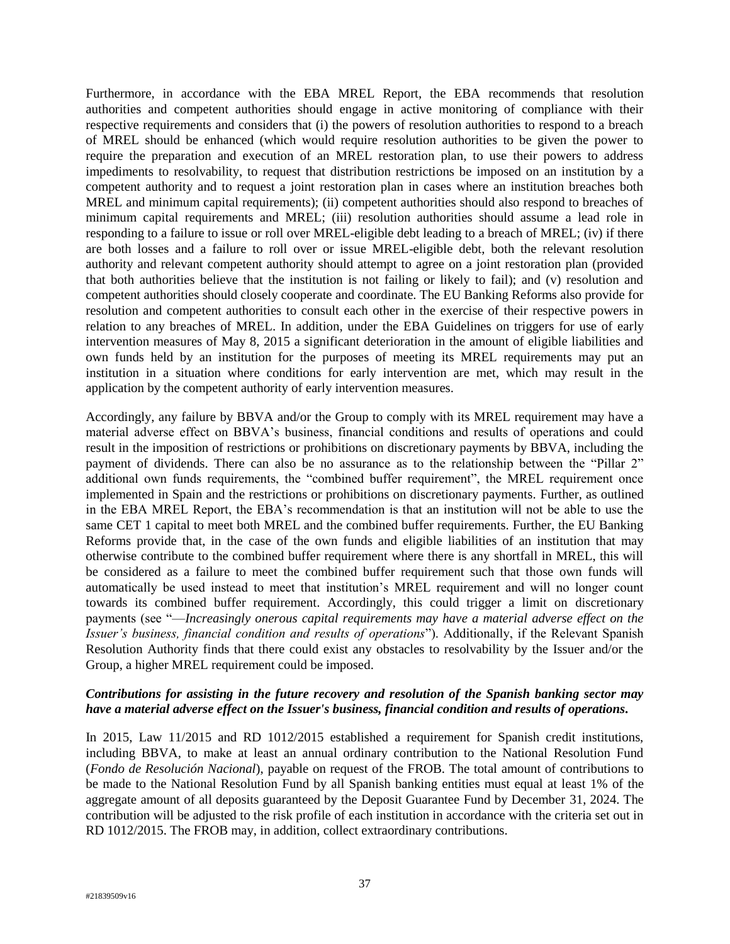Furthermore, in accordance with the EBA MREL Report, the EBA recommends that resolution authorities and competent authorities should engage in active monitoring of compliance with their respective requirements and considers that (i) the powers of resolution authorities to respond to a breach of MREL should be enhanced (which would require resolution authorities to be given the power to require the preparation and execution of an MREL restoration plan, to use their powers to address impediments to resolvability, to request that distribution restrictions be imposed on an institution by a competent authority and to request a joint restoration plan in cases where an institution breaches both MREL and minimum capital requirements); (ii) competent authorities should also respond to breaches of minimum capital requirements and MREL; (iii) resolution authorities should assume a lead role in responding to a failure to issue or roll over MREL-eligible debt leading to a breach of MREL; (iv) if there are both losses and a failure to roll over or issue MREL-eligible debt, both the relevant resolution authority and relevant competent authority should attempt to agree on a joint restoration plan (provided that both authorities believe that the institution is not failing or likely to fail); and (v) resolution and competent authorities should closely cooperate and coordinate. The EU Banking Reforms also provide for resolution and competent authorities to consult each other in the exercise of their respective powers in relation to any breaches of MREL. In addition, under the EBA Guidelines on triggers for use of early intervention measures of May 8, 2015 a significant deterioration in the amount of eligible liabilities and own funds held by an institution for the purposes of meeting its MREL requirements may put an institution in a situation where conditions for early intervention are met, which may result in the application by the competent authority of early intervention measures.

Accordingly, any failure by BBVA and/or the Group to comply with its MREL requirement may have a material adverse effect on BBVA's business, financial conditions and results of operations and could result in the imposition of restrictions or prohibitions on discretionary payments by BBVA, including the payment of dividends. There can also be no assurance as to the relationship between the "Pillar 2" additional own funds requirements, the "combined buffer requirement", the MREL requirement once implemented in Spain and the restrictions or prohibitions on discretionary payments. Further, as outlined in the EBA MREL Report, the EBA's recommendation is that an institution will not be able to use the same CET 1 capital to meet both MREL and the combined buffer requirements. Further, the EU Banking Reforms provide that, in the case of the own funds and eligible liabilities of an institution that may otherwise contribute to the combined buffer requirement where there is any shortfall in MREL, this will be considered as a failure to meet the combined buffer requirement such that those own funds will automatically be used instead to meet that institution's MREL requirement and will no longer count towards its combined buffer requirement. Accordingly, this could trigger a limit on discretionary payments (see "—*Increasingly onerous capital requirements may have a material adverse effect on the Issuer's business, financial condition and results of operations*"). Additionally, if the Relevant Spanish Resolution Authority finds that there could exist any obstacles to resolvability by the Issuer and/or the Group, a higher MREL requirement could be imposed.

# *Contributions for assisting in the future recovery and resolution of the Spanish banking sector may have a material adverse effect on the Issuer's business, financial condition and results of operations.*

In 2015, Law 11/2015 and RD 1012/2015 established a requirement for Spanish credit institutions, including BBVA, to make at least an annual ordinary contribution to the National Resolution Fund (*Fondo de Resolución Nacional*), payable on request of the FROB. The total amount of contributions to be made to the National Resolution Fund by all Spanish banking entities must equal at least 1% of the aggregate amount of all deposits guaranteed by the Deposit Guarantee Fund by December 31, 2024. The contribution will be adjusted to the risk profile of each institution in accordance with the criteria set out in RD 1012/2015. The FROB may, in addition, collect extraordinary contributions.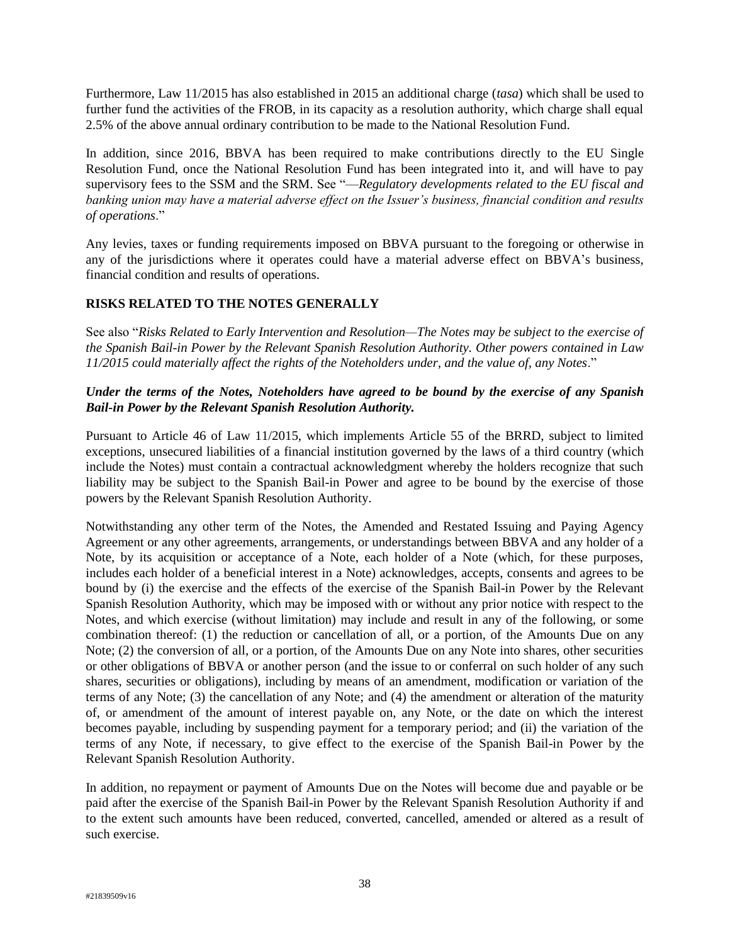Furthermore, Law 11/2015 has also established in 2015 an additional charge (*tasa*) which shall be used to further fund the activities of the FROB, in its capacity as a resolution authority, which charge shall equal 2.5% of the above annual ordinary contribution to be made to the National Resolution Fund.

In addition, since 2016, BBVA has been required to make contributions directly to the EU Single Resolution Fund, once the National Resolution Fund has been integrated into it, and will have to pay supervisory fees to the SSM and the SRM. See "—*Regulatory developments related to the EU fiscal and banking union may have a material adverse effect on the Issuer's business, financial condition and results of operations*."

Any levies, taxes or funding requirements imposed on BBVA pursuant to the foregoing or otherwise in any of the jurisdictions where it operates could have a material adverse effect on BBVA's business, financial condition and results of operations.

# **RISKS RELATED TO THE NOTES GENERALLY**

See also "*Risks Related to Early Intervention and Resolution—The Notes may be subject to the exercise of the Spanish Bail-in Power by the Relevant Spanish Resolution Authority. Other powers contained in Law 11/2015 could materially affect the rights of the Noteholders under, and the value of, any Notes*."

# *Under the terms of the Notes, Noteholders have agreed to be bound by the exercise of any Spanish Bail-in Power by the Relevant Spanish Resolution Authority.*

Pursuant to Article 46 of Law 11/2015, which implements Article 55 of the BRRD, subject to limited exceptions, unsecured liabilities of a financial institution governed by the laws of a third country (which include the Notes) must contain a contractual acknowledgment whereby the holders recognize that such liability may be subject to the Spanish Bail-in Power and agree to be bound by the exercise of those powers by the Relevant Spanish Resolution Authority.

Notwithstanding any other term of the Notes, the Amended and Restated Issuing and Paying Agency Agreement or any other agreements, arrangements, or understandings between BBVA and any holder of a Note, by its acquisition or acceptance of a Note, each holder of a Note (which, for these purposes, includes each holder of a beneficial interest in a Note) acknowledges, accepts, consents and agrees to be bound by (i) the exercise and the effects of the exercise of the Spanish Bail-in Power by the Relevant Spanish Resolution Authority, which may be imposed with or without any prior notice with respect to the Notes, and which exercise (without limitation) may include and result in any of the following, or some combination thereof: (1) the reduction or cancellation of all, or a portion, of the Amounts Due on any Note; (2) the conversion of all, or a portion, of the Amounts Due on any Note into shares, other securities or other obligations of BBVA or another person (and the issue to or conferral on such holder of any such shares, securities or obligations), including by means of an amendment, modification or variation of the terms of any Note; (3) the cancellation of any Note; and (4) the amendment or alteration of the maturity of, or amendment of the amount of interest payable on, any Note, or the date on which the interest becomes payable, including by suspending payment for a temporary period; and (ii) the variation of the terms of any Note, if necessary, to give effect to the exercise of the Spanish Bail-in Power by the Relevant Spanish Resolution Authority.

In addition, no repayment or payment of Amounts Due on the Notes will become due and payable or be paid after the exercise of the Spanish Bail-in Power by the Relevant Spanish Resolution Authority if and to the extent such amounts have been reduced, converted, cancelled, amended or altered as a result of such exercise.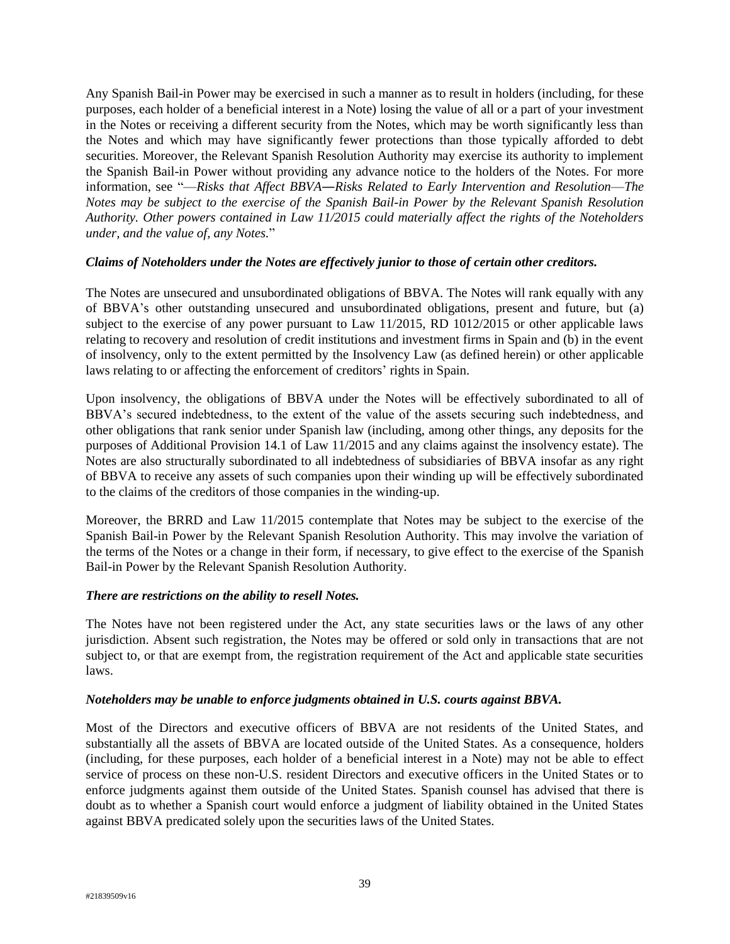Any Spanish Bail-in Power may be exercised in such a manner as to result in holders (including, for these purposes, each holder of a beneficial interest in a Note) losing the value of all or a part of your investment in the Notes or receiving a different security from the Notes, which may be worth significantly less than the Notes and which may have significantly fewer protections than those typically afforded to debt securities. Moreover, the Relevant Spanish Resolution Authority may exercise its authority to implement the Spanish Bail-in Power without providing any advance notice to the holders of the Notes. For more information, see "—*Risks that Affect BBVA*―*Risks Related to Early Intervention and Resolution*—*The Notes may be subject to the exercise of the Spanish Bail-in Power by the Relevant Spanish Resolution Authority. Other powers contained in Law 11/2015 could materially affect the rights of the Noteholders under, and the value of, any Notes.*"

### *Claims of Noteholders under the Notes are effectively junior to those of certain other creditors.*

The Notes are unsecured and unsubordinated obligations of BBVA. The Notes will rank equally with any of BBVA's other outstanding unsecured and unsubordinated obligations, present and future, but (a) subject to the exercise of any power pursuant to Law 11/2015, RD 1012/2015 or other applicable laws relating to recovery and resolution of credit institutions and investment firms in Spain and (b) in the event of insolvency, only to the extent permitted by the Insolvency Law (as defined herein) or other applicable laws relating to or affecting the enforcement of creditors' rights in Spain.

Upon insolvency, the obligations of BBVA under the Notes will be effectively subordinated to all of BBVA's secured indebtedness, to the extent of the value of the assets securing such indebtedness, and other obligations that rank senior under Spanish law (including, among other things, any deposits for the purposes of Additional Provision 14.1 of Law 11/2015 and any claims against the insolvency estate). The Notes are also structurally subordinated to all indebtedness of subsidiaries of BBVA insofar as any right of BBVA to receive any assets of such companies upon their winding up will be effectively subordinated to the claims of the creditors of those companies in the winding-up.

Moreover, the BRRD and Law 11/2015 contemplate that Notes may be subject to the exercise of the Spanish Bail-in Power by the Relevant Spanish Resolution Authority. This may involve the variation of the terms of the Notes or a change in their form, if necessary, to give effect to the exercise of the Spanish Bail-in Power by the Relevant Spanish Resolution Authority.

#### *There are restrictions on the ability to resell Notes.*

The Notes have not been registered under the Act, any state securities laws or the laws of any other jurisdiction. Absent such registration, the Notes may be offered or sold only in transactions that are not subject to, or that are exempt from, the registration requirement of the Act and applicable state securities laws.

#### *Noteholders may be unable to enforce judgments obtained in U.S. courts against BBVA.*

Most of the Directors and executive officers of BBVA are not residents of the United States, and substantially all the assets of BBVA are located outside of the United States. As a consequence, holders (including, for these purposes, each holder of a beneficial interest in a Note) may not be able to effect service of process on these non-U.S. resident Directors and executive officers in the United States or to enforce judgments against them outside of the United States. Spanish counsel has advised that there is doubt as to whether a Spanish court would enforce a judgment of liability obtained in the United States against BBVA predicated solely upon the securities laws of the United States.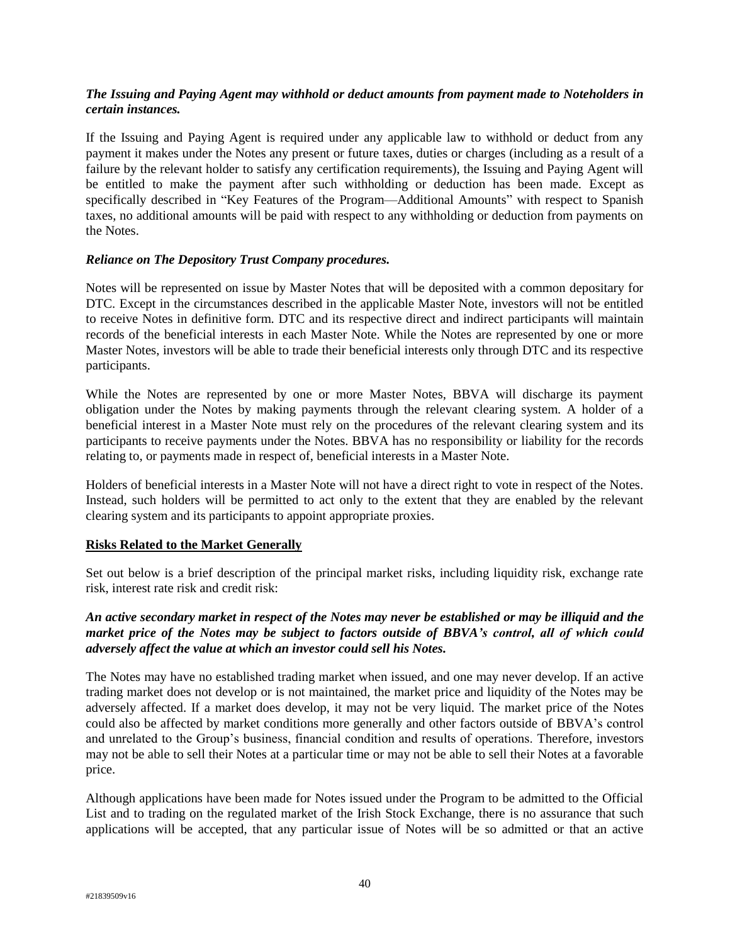# *The Issuing and Paying Agent may withhold or deduct amounts from payment made to Noteholders in certain instances.*

If the Issuing and Paying Agent is required under any applicable law to withhold or deduct from any payment it makes under the Notes any present or future taxes, duties or charges (including as a result of a failure by the relevant holder to satisfy any certification requirements), the Issuing and Paying Agent will be entitled to make the payment after such withholding or deduction has been made. Except as specifically described in "Key Features of the Program—Additional Amounts" with respect to Spanish taxes, no additional amounts will be paid with respect to any withholding or deduction from payments on the Notes.

#### *Reliance on The Depository Trust Company procedures.*

Notes will be represented on issue by Master Notes that will be deposited with a common depositary for DTC. Except in the circumstances described in the applicable Master Note, investors will not be entitled to receive Notes in definitive form. DTC and its respective direct and indirect participants will maintain records of the beneficial interests in each Master Note. While the Notes are represented by one or more Master Notes, investors will be able to trade their beneficial interests only through DTC and its respective participants.

While the Notes are represented by one or more Master Notes, BBVA will discharge its payment obligation under the Notes by making payments through the relevant clearing system. A holder of a beneficial interest in a Master Note must rely on the procedures of the relevant clearing system and its participants to receive payments under the Notes. BBVA has no responsibility or liability for the records relating to, or payments made in respect of, beneficial interests in a Master Note.

Holders of beneficial interests in a Master Note will not have a direct right to vote in respect of the Notes. Instead, such holders will be permitted to act only to the extent that they are enabled by the relevant clearing system and its participants to appoint appropriate proxies.

### **Risks Related to the Market Generally**

Set out below is a brief description of the principal market risks, including liquidity risk, exchange rate risk, interest rate risk and credit risk:

# *An active secondary market in respect of the Notes may never be established or may be illiquid and the market price of the Notes may be subject to factors outside of BBVA's control, all of which could adversely affect the value at which an investor could sell his Notes.*

The Notes may have no established trading market when issued, and one may never develop. If an active trading market does not develop or is not maintained, the market price and liquidity of the Notes may be adversely affected. If a market does develop, it may not be very liquid. The market price of the Notes could also be affected by market conditions more generally and other factors outside of BBVA's control and unrelated to the Group's business, financial condition and results of operations. Therefore, investors may not be able to sell their Notes at a particular time or may not be able to sell their Notes at a favorable price.

Although applications have been made for Notes issued under the Program to be admitted to the Official List and to trading on the regulated market of the Irish Stock Exchange, there is no assurance that such applications will be accepted, that any particular issue of Notes will be so admitted or that an active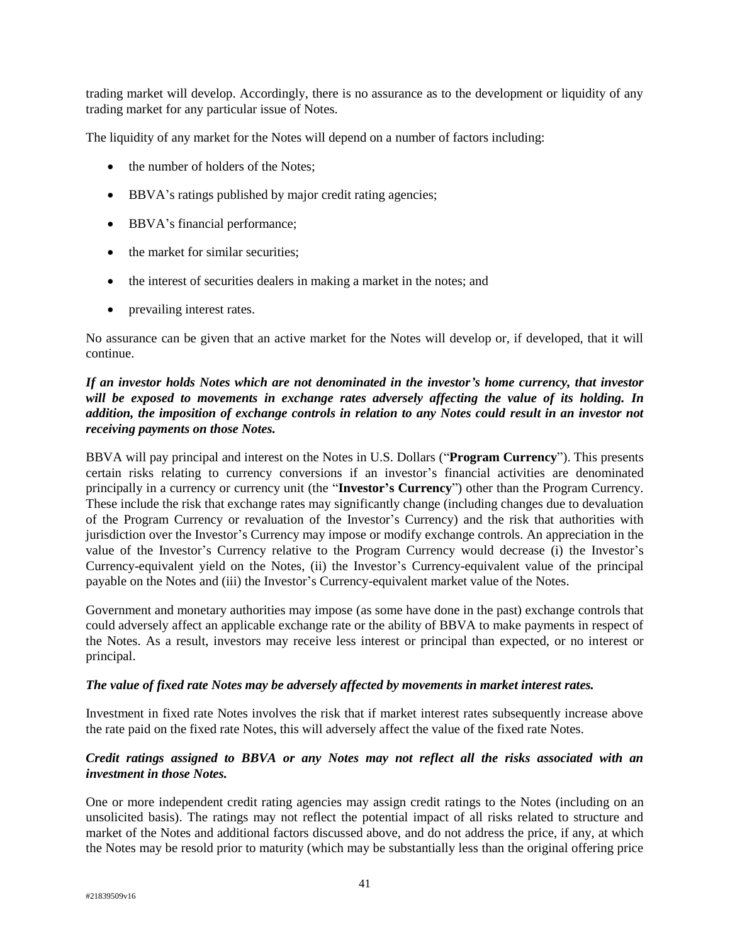trading market will develop. Accordingly, there is no assurance as to the development or liquidity of any trading market for any particular issue of Notes.

The liquidity of any market for the Notes will depend on a number of factors including:

- the number of holders of the Notes:
- BBVA's ratings published by major credit rating agencies;
- BBVA's financial performance;
- the market for similar securities:
- the interest of securities dealers in making a market in the notes; and
- prevailing interest rates.

No assurance can be given that an active market for the Notes will develop or, if developed, that it will continue.

# *If an investor holds Notes which are not denominated in the investor's home currency, that investor will be exposed to movements in exchange rates adversely affecting the value of its holding. In addition, the imposition of exchange controls in relation to any Notes could result in an investor not receiving payments on those Notes.*

BBVA will pay principal and interest on the Notes in U.S. Dollars ("**Program Currency**"). This presents certain risks relating to currency conversions if an investor's financial activities are denominated principally in a currency or currency unit (the "**Investor's Currency**") other than the Program Currency. These include the risk that exchange rates may significantly change (including changes due to devaluation of the Program Currency or revaluation of the Investor's Currency) and the risk that authorities with jurisdiction over the Investor's Currency may impose or modify exchange controls. An appreciation in the value of the Investor's Currency relative to the Program Currency would decrease (i) the Investor's Currency-equivalent yield on the Notes, (ii) the Investor's Currency-equivalent value of the principal payable on the Notes and (iii) the Investor's Currency-equivalent market value of the Notes.

Government and monetary authorities may impose (as some have done in the past) exchange controls that could adversely affect an applicable exchange rate or the ability of BBVA to make payments in respect of the Notes. As a result, investors may receive less interest or principal than expected, or no interest or principal.

### *The value of fixed rate Notes may be adversely affected by movements in market interest rates.*

Investment in fixed rate Notes involves the risk that if market interest rates subsequently increase above the rate paid on the fixed rate Notes, this will adversely affect the value of the fixed rate Notes.

# *Credit ratings assigned to BBVA or any Notes may not reflect all the risks associated with an investment in those Notes.*

One or more independent credit rating agencies may assign credit ratings to the Notes (including on an unsolicited basis). The ratings may not reflect the potential impact of all risks related to structure and market of the Notes and additional factors discussed above, and do not address the price, if any, at which the Notes may be resold prior to maturity (which may be substantially less than the original offering price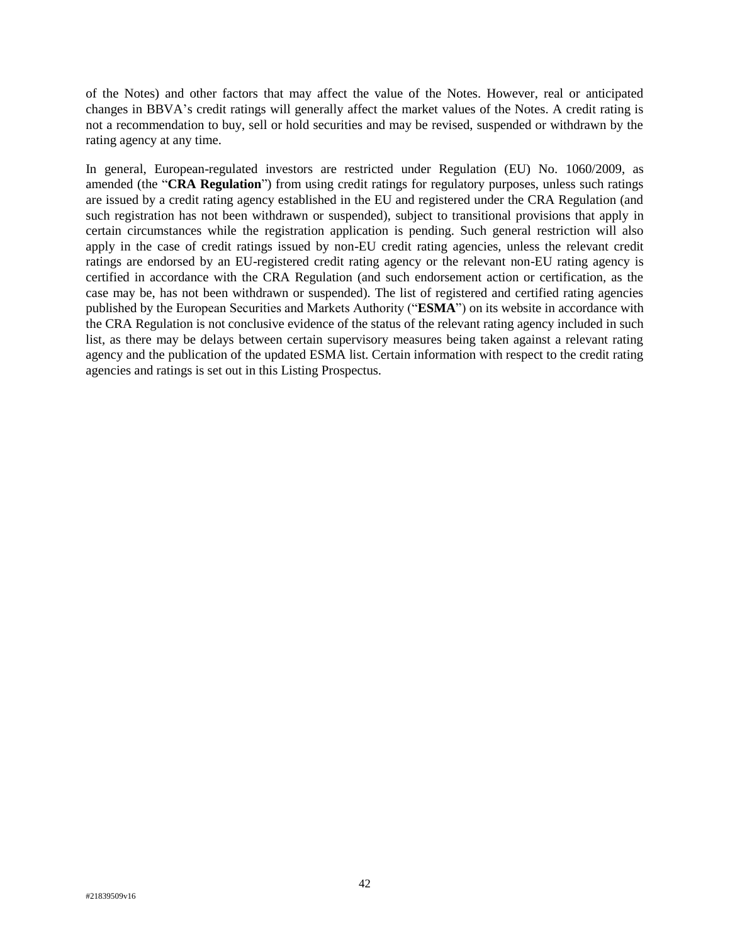of the Notes) and other factors that may affect the value of the Notes. However, real or anticipated changes in BBVA's credit ratings will generally affect the market values of the Notes. A credit rating is not a recommendation to buy, sell or hold securities and may be revised, suspended or withdrawn by the rating agency at any time.

In general, European-regulated investors are restricted under Regulation (EU) No. 1060/2009, as amended (the "**CRA Regulation**") from using credit ratings for regulatory purposes, unless such ratings are issued by a credit rating agency established in the EU and registered under the CRA Regulation (and such registration has not been withdrawn or suspended), subject to transitional provisions that apply in certain circumstances while the registration application is pending. Such general restriction will also apply in the case of credit ratings issued by non-EU credit rating agencies, unless the relevant credit ratings are endorsed by an EU-registered credit rating agency or the relevant non-EU rating agency is certified in accordance with the CRA Regulation (and such endorsement action or certification, as the case may be, has not been withdrawn or suspended). The list of registered and certified rating agencies published by the European Securities and Markets Authority ("**ESMA**") on its website in accordance with the CRA Regulation is not conclusive evidence of the status of the relevant rating agency included in such list, as there may be delays between certain supervisory measures being taken against a relevant rating agency and the publication of the updated ESMA list. Certain information with respect to the credit rating agencies and ratings is set out in this Listing Prospectus.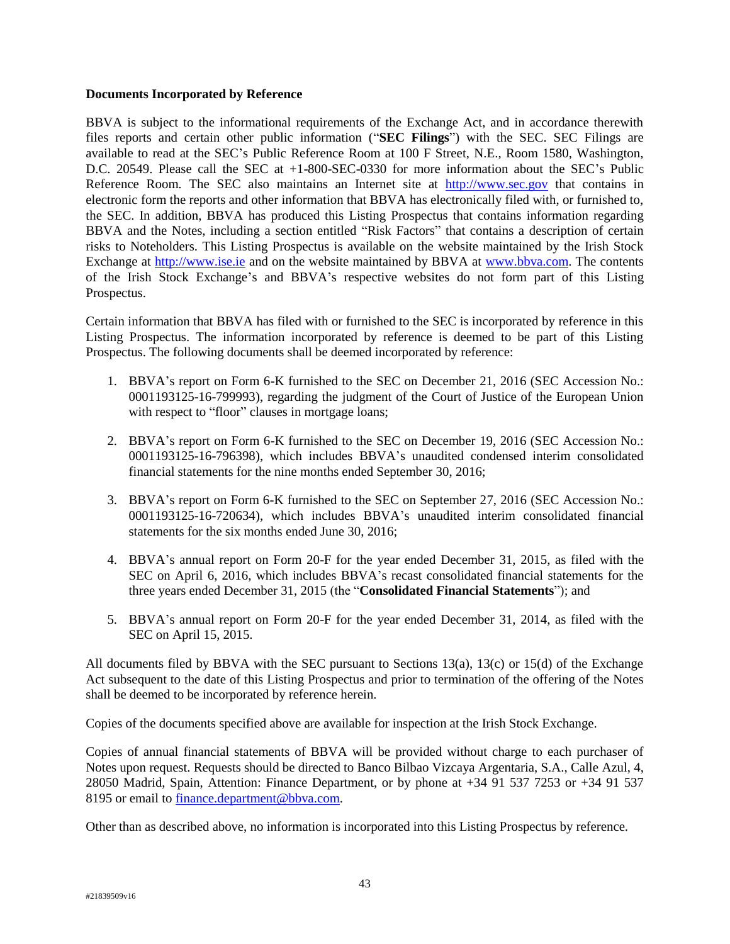#### **Documents Incorporated by Reference**

BBVA is subject to the informational requirements of the Exchange Act, and in accordance therewith files reports and certain other public information ("**SEC Filings**") with the SEC. SEC Filings are available to read at the SEC's Public Reference Room at 100 F Street, N.E., Room 1580, Washington, D.C. 20549. Please call the SEC at +1-800-SEC-0330 for more information about the SEC's Public Reference Room. The SEC also maintains an Internet site at [http://www.sec.gov](http://www.sec.gov/) that contains in electronic form the reports and other information that BBVA has electronically filed with, or furnished to, the SEC. In addition, BBVA has produced this Listing Prospectus that contains information regarding BBVA and the Notes, including a section entitled "Risk Factors" that contains a description of certain risks to Noteholders. This Listing Prospectus is available on the website maintained by the Irish Stock Exchange at [http://www.ise.ie](http://www.ise.ie/) and on the website maintained by BBVA at [www.bbva.com.](http://www.bbva.com/) The contents of the Irish Stock Exchange's and BBVA's respective websites do not form part of this Listing Prospectus.

Certain information that BBVA has filed with or furnished to the SEC is incorporated by reference in this Listing Prospectus. The information incorporated by reference is deemed to be part of this Listing Prospectus. The following documents shall be deemed incorporated by reference:

- 1. BBVA's report on Form 6-K furnished to the SEC on December 21, 2016 (SEC Accession No.: 0001193125-16-799993), regarding the judgment of the Court of Justice of the European Union with respect to "floor" clauses in mortgage loans;
- 2. BBVA's report on Form 6-K furnished to the SEC on December 19, 2016 (SEC Accession No.: 0001193125-16-796398), which includes BBVA's unaudited condensed interim consolidated financial statements for the nine months ended September 30, 2016;
- 3. BBVA's report on Form 6-K furnished to the SEC on September 27, 2016 (SEC Accession No.: 0001193125-16-720634), which includes BBVA's unaudited interim consolidated financial statements for the six months ended June 30, 2016;
- 4. BBVA's annual report on Form 20-F for the year ended December 31, 2015, as filed with the SEC on April 6, 2016, which includes BBVA's recast consolidated financial statements for the three years ended December 31, 2015 (the "**Consolidated Financial Statements**"); and
- 5. BBVA's annual report on Form 20-F for the year ended December 31, 2014, as filed with the SEC on April 15, 2015.

All documents filed by BBVA with the SEC pursuant to Sections 13(a), 13(c) or 15(d) of the Exchange Act subsequent to the date of this Listing Prospectus and prior to termination of the offering of the Notes shall be deemed to be incorporated by reference herein.

Copies of the documents specified above are available for inspection at the Irish Stock Exchange.

Copies of annual financial statements of BBVA will be provided without charge to each purchaser of Notes upon request. Requests should be directed to Banco Bilbao Vizcaya Argentaria, S.A., Calle Azul, 4, 28050 Madrid, Spain, Attention: Finance Department, or by phone at +34 91 537 7253 or +34 91 537 8195 or email to [finance.department@bbva.com.](mailto:finance.department@bbva.com)

Other than as described above, no information is incorporated into this Listing Prospectus by reference.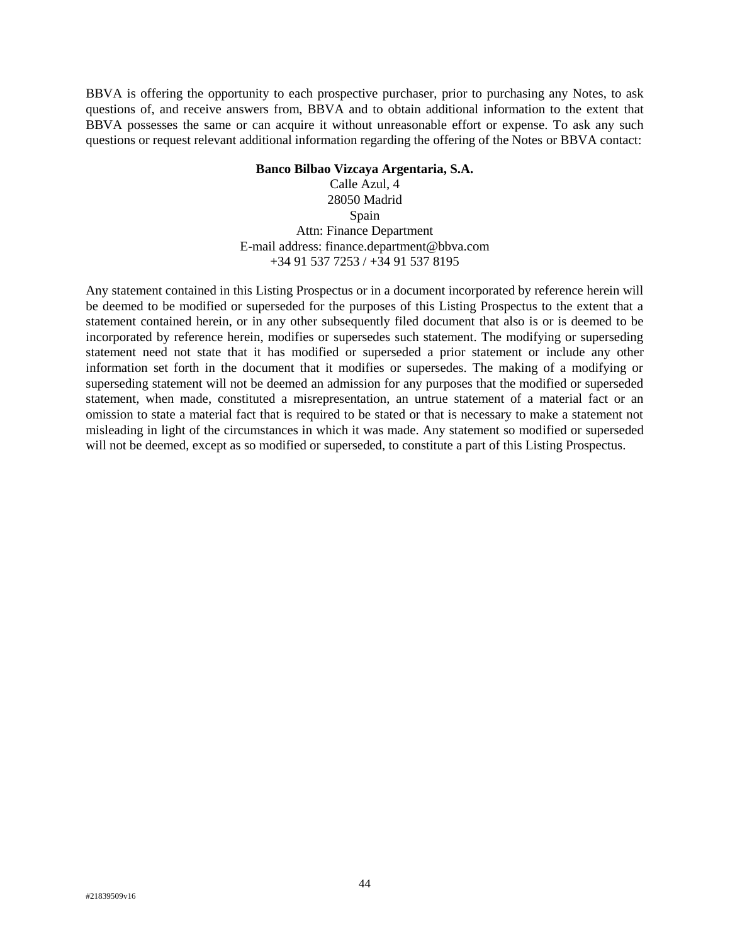BBVA is offering the opportunity to each prospective purchaser, prior to purchasing any Notes, to ask questions of, and receive answers from, BBVA and to obtain additional information to the extent that BBVA possesses the same or can acquire it without unreasonable effort or expense. To ask any such questions or request relevant additional information regarding the offering of the Notes or BBVA contact:

#### **Banco Bilbao Vizcaya Argentaria, S.A.**

Calle Azul, 4 28050 Madrid Spain Attn: Finance Department E-mail address: finance.department@bbva.com +34 91 537 7253 / +34 91 537 8195

Any statement contained in this Listing Prospectus or in a document incorporated by reference herein will be deemed to be modified or superseded for the purposes of this Listing Prospectus to the extent that a statement contained herein, or in any other subsequently filed document that also is or is deemed to be incorporated by reference herein, modifies or supersedes such statement. The modifying or superseding statement need not state that it has modified or superseded a prior statement or include any other information set forth in the document that it modifies or supersedes. The making of a modifying or superseding statement will not be deemed an admission for any purposes that the modified or superseded statement, when made, constituted a misrepresentation, an untrue statement of a material fact or an omission to state a material fact that is required to be stated or that is necessary to make a statement not misleading in light of the circumstances in which it was made. Any statement so modified or superseded will not be deemed, except as so modified or superseded, to constitute a part of this Listing Prospectus.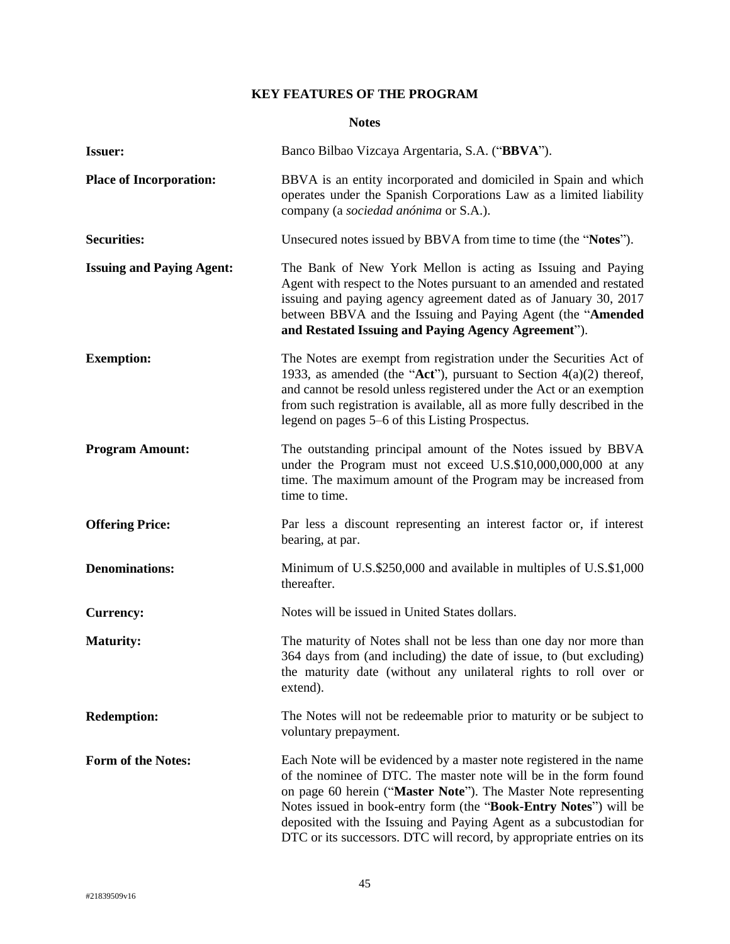# **KEY FEATURES OF THE PROGRAM**

### **Notes**

| <b>Issuer:</b>                   | Banco Bilbao Vizcaya Argentaria, S.A. ("BBVA").                                                                                                                                                                                                                                                                                                                                                                              |
|----------------------------------|------------------------------------------------------------------------------------------------------------------------------------------------------------------------------------------------------------------------------------------------------------------------------------------------------------------------------------------------------------------------------------------------------------------------------|
| <b>Place of Incorporation:</b>   | BBVA is an entity incorporated and domiciled in Spain and which<br>operates under the Spanish Corporations Law as a limited liability<br>company (a sociedad anónima or S.A.).                                                                                                                                                                                                                                               |
| <b>Securities:</b>               | Unsecured notes issued by BBVA from time to time (the "Notes").                                                                                                                                                                                                                                                                                                                                                              |
| <b>Issuing and Paying Agent:</b> | The Bank of New York Mellon is acting as Issuing and Paying<br>Agent with respect to the Notes pursuant to an amended and restated<br>issuing and paying agency agreement dated as of January 30, 2017<br>between BBVA and the Issuing and Paying Agent (the "Amended<br>and Restated Issuing and Paying Agency Agreement").                                                                                                 |
| <b>Exemption:</b>                | The Notes are exempt from registration under the Securities Act of<br>1933, as amended (the "Act"), pursuant to Section $4(a)(2)$ thereof,<br>and cannot be resold unless registered under the Act or an exemption<br>from such registration is available, all as more fully described in the<br>legend on pages 5–6 of this Listing Prospectus.                                                                             |
| <b>Program Amount:</b>           | The outstanding principal amount of the Notes issued by BBVA<br>under the Program must not exceed U.S.\$10,000,000,000 at any<br>time. The maximum amount of the Program may be increased from<br>time to time.                                                                                                                                                                                                              |
| <b>Offering Price:</b>           | Par less a discount representing an interest factor or, if interest<br>bearing, at par.                                                                                                                                                                                                                                                                                                                                      |
| <b>Denominations:</b>            | Minimum of U.S.\$250,000 and available in multiples of U.S.\$1,000<br>thereafter.                                                                                                                                                                                                                                                                                                                                            |
| <b>Currency:</b>                 | Notes will be issued in United States dollars.                                                                                                                                                                                                                                                                                                                                                                               |
| <b>Maturity:</b>                 | The maturity of Notes shall not be less than one day nor more than<br>364 days from (and including) the date of issue, to (but excluding)<br>the maturity date (without any unilateral rights to roll over or<br>extend).                                                                                                                                                                                                    |
| <b>Redemption:</b>               | The Notes will not be redeemable prior to maturity or be subject to<br>voluntary prepayment.                                                                                                                                                                                                                                                                                                                                 |
| Form of the Notes:               | Each Note will be evidenced by a master note registered in the name<br>of the nominee of DTC. The master note will be in the form found<br>on page 60 herein ("Master Note"). The Master Note representing<br>Notes issued in book-entry form (the "Book-Entry Notes") will be<br>deposited with the Issuing and Paying Agent as a subcustodian for<br>DTC or its successors. DTC will record, by appropriate entries on its |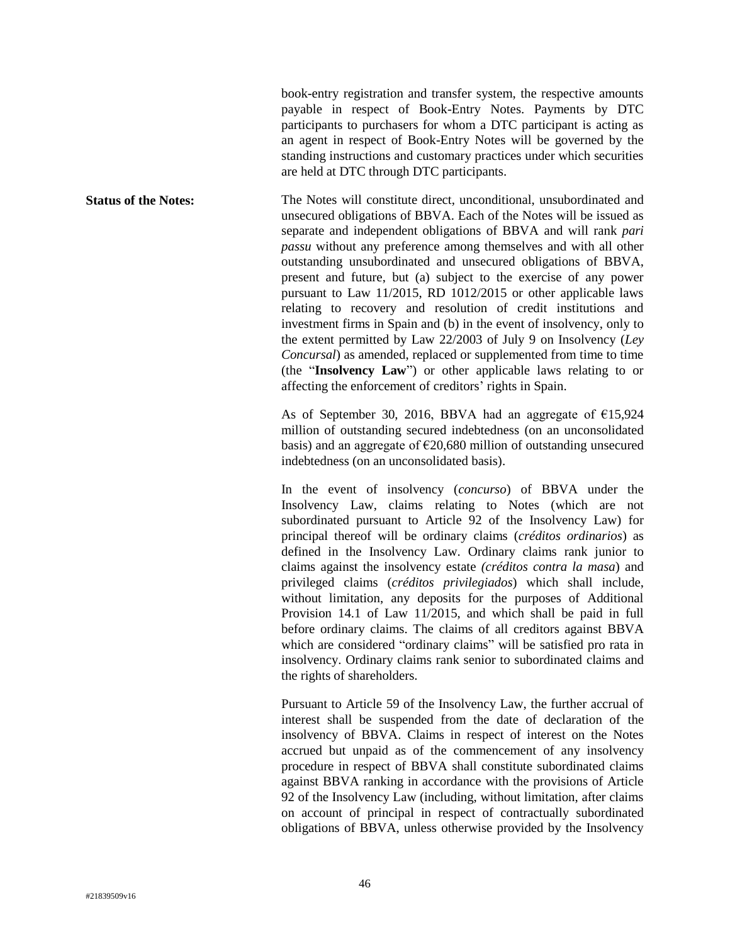book-entry registration and transfer system, the respective amounts payable in respect of Book-Entry Notes. Payments by DTC participants to purchasers for whom a DTC participant is acting as an agent in respect of Book-Entry Notes will be governed by the standing instructions and customary practices under which securities are held at DTC through DTC participants.

**Status of the Notes:** The Notes will constitute direct, unconditional, unsubordinated and unsecured obligations of BBVA. Each of the Notes will be issued as separate and independent obligations of BBVA and will rank *pari passu* without any preference among themselves and with all other outstanding unsubordinated and unsecured obligations of BBVA, present and future, but (a) subject to the exercise of any power pursuant to Law 11/2015, RD 1012/2015 or other applicable laws relating to recovery and resolution of credit institutions and investment firms in Spain and (b) in the event of insolvency, only to the extent permitted by Law 22/2003 of July 9 on Insolvency (*Ley Concursal*) as amended, replaced or supplemented from time to time (the "**Insolvency Law**") or other applicable laws relating to or affecting the enforcement of creditors' rights in Spain.

> As of September 30, 2016, BBVA had an aggregate of €15,924 million of outstanding secured indebtedness (on an unconsolidated basis) and an aggregate of  $\epsilon$ 20,680 million of outstanding unsecured indebtedness (on an unconsolidated basis).

> In the event of insolvency (*concurso*) of BBVA under the Insolvency Law, claims relating to Notes (which are not subordinated pursuant to Article 92 of the Insolvency Law) for principal thereof will be ordinary claims (*créditos ordinarios*) as defined in the Insolvency Law. Ordinary claims rank junior to claims against the insolvency estate *(créditos contra la masa*) and privileged claims (*créditos privilegiados*) which shall include, without limitation, any deposits for the purposes of Additional Provision 14.1 of Law 11/2015, and which shall be paid in full before ordinary claims. The claims of all creditors against BBVA which are considered "ordinary claims" will be satisfied pro rata in insolvency. Ordinary claims rank senior to subordinated claims and the rights of shareholders.

> Pursuant to Article 59 of the Insolvency Law, the further accrual of interest shall be suspended from the date of declaration of the insolvency of BBVA. Claims in respect of interest on the Notes accrued but unpaid as of the commencement of any insolvency procedure in respect of BBVA shall constitute subordinated claims against BBVA ranking in accordance with the provisions of Article 92 of the Insolvency Law (including, without limitation, after claims on account of principal in respect of contractually subordinated obligations of BBVA, unless otherwise provided by the Insolvency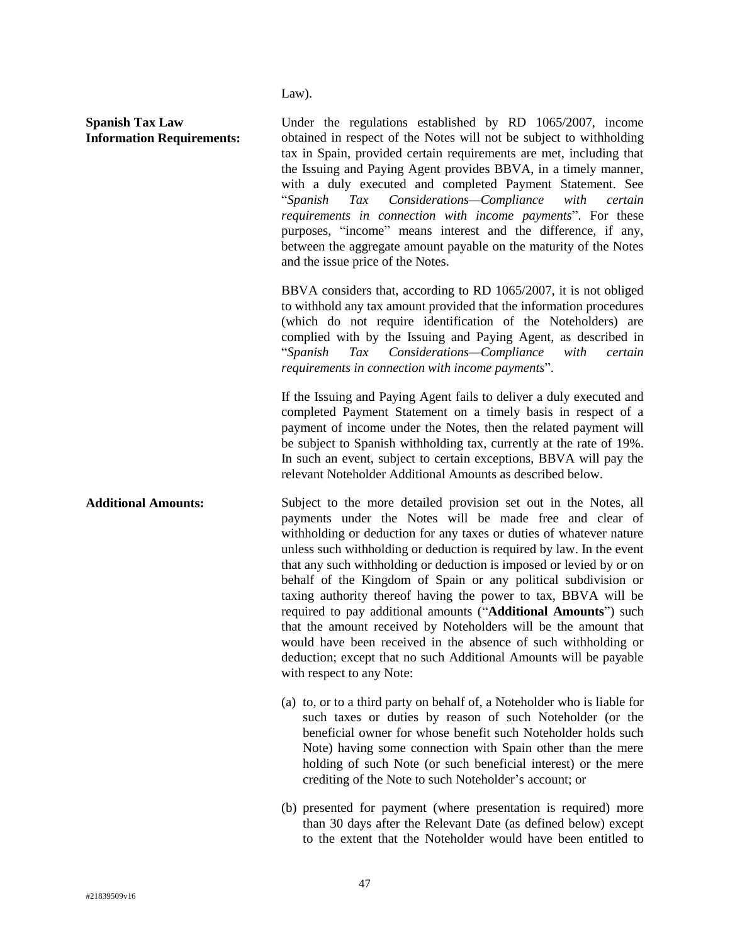# Law).

| <b>Spanish Tax Law</b><br><b>Information Requirements:</b> | Under the regulations established by RD 1065/2007, income<br>obtained in respect of the Notes will not be subject to withholding<br>tax in Spain, provided certain requirements are met, including that<br>the Issuing and Paying Agent provides BBVA, in a timely manner,<br>with a duly executed and completed Payment Statement. See<br>Considerations-Compliance<br>"Spanish<br>with<br>Tax<br>certain<br>requirements in connection with income payments". For these<br>purposes, "income" means interest and the difference, if any,<br>between the aggregate amount payable on the maturity of the Notes<br>and the issue price of the Notes.                                                                                                                                             |
|------------------------------------------------------------|--------------------------------------------------------------------------------------------------------------------------------------------------------------------------------------------------------------------------------------------------------------------------------------------------------------------------------------------------------------------------------------------------------------------------------------------------------------------------------------------------------------------------------------------------------------------------------------------------------------------------------------------------------------------------------------------------------------------------------------------------------------------------------------------------|
|                                                            | BBVA considers that, according to RD 1065/2007, it is not obliged<br>to withhold any tax amount provided that the information procedures<br>(which do not require identification of the Noteholders) are<br>complied with by the Issuing and Paying Agent, as described in<br>Considerations-Compliance<br>"Spanish<br>Tax<br>with<br>certain<br>requirements in connection with income payments".                                                                                                                                                                                                                                                                                                                                                                                               |
|                                                            | If the Issuing and Paying Agent fails to deliver a duly executed and<br>completed Payment Statement on a timely basis in respect of a<br>payment of income under the Notes, then the related payment will<br>be subject to Spanish withholding tax, currently at the rate of 19%.<br>In such an event, subject to certain exceptions, BBVA will pay the<br>relevant Noteholder Additional Amounts as described below.                                                                                                                                                                                                                                                                                                                                                                            |
| <b>Additional Amounts:</b>                                 | Subject to the more detailed provision set out in the Notes, all<br>payments under the Notes will be made free and clear of<br>withholding or deduction for any taxes or duties of whatever nature<br>unless such withholding or deduction is required by law. In the event<br>that any such withholding or deduction is imposed or levied by or on<br>behalf of the Kingdom of Spain or any political subdivision or<br>taxing authority thereof having the power to tax, BBVA will be<br>required to pay additional amounts ("Additional Amounts") such<br>that the amount received by Noteholders will be the amount that<br>would have been received in the absence of such withholding or<br>deduction; except that no such Additional Amounts will be payable<br>with respect to any Note: |
|                                                            | (a) to, or to a third party on behalf of, a Noteholder who is liable for<br>such taxes or duties by reason of such Noteholder (or the<br>beneficial owner for whose benefit such Noteholder holds such<br>Note) having some connection with Spain other than the mere<br>holding of such Note (or such beneficial interest) or the mere<br>crediting of the Note to such Noteholder's account; or                                                                                                                                                                                                                                                                                                                                                                                                |
|                                                            | (b) presented for payment (where presentation is required) more<br>than 30 days after the Relevant Date (as defined below) except                                                                                                                                                                                                                                                                                                                                                                                                                                                                                                                                                                                                                                                                |

to the extent that the Noteholder would have been entitled to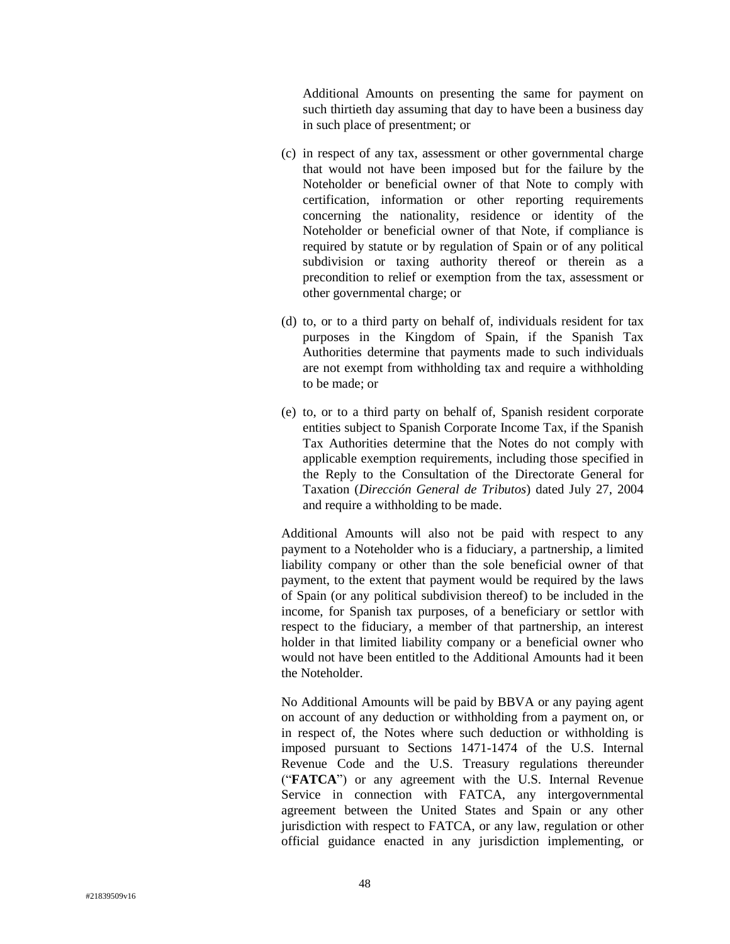Additional Amounts on presenting the same for payment on such thirtieth day assuming that day to have been a business day in such place of presentment; or

- (c) in respect of any tax, assessment or other governmental charge that would not have been imposed but for the failure by the Noteholder or beneficial owner of that Note to comply with certification, information or other reporting requirements concerning the nationality, residence or identity of the Noteholder or beneficial owner of that Note, if compliance is required by statute or by regulation of Spain or of any political subdivision or taxing authority thereof or therein as a precondition to relief or exemption from the tax, assessment or other governmental charge; or
- (d) to, or to a third party on behalf of, individuals resident for tax purposes in the Kingdom of Spain, if the Spanish Tax Authorities determine that payments made to such individuals are not exempt from withholding tax and require a withholding to be made; or
- (e) to, or to a third party on behalf of, Spanish resident corporate entities subject to Spanish Corporate Income Tax, if the Spanish Tax Authorities determine that the Notes do not comply with applicable exemption requirements, including those specified in the Reply to the Consultation of the Directorate General for Taxation (*Dirección General de Tributos*) dated July 27, 2004 and require a withholding to be made.

Additional Amounts will also not be paid with respect to any payment to a Noteholder who is a fiduciary, a partnership, a limited liability company or other than the sole beneficial owner of that payment, to the extent that payment would be required by the laws of Spain (or any political subdivision thereof) to be included in the income, for Spanish tax purposes, of a beneficiary or settlor with respect to the fiduciary, a member of that partnership, an interest holder in that limited liability company or a beneficial owner who would not have been entitled to the Additional Amounts had it been the Noteholder.

No Additional Amounts will be paid by BBVA or any paying agent on account of any deduction or withholding from a payment on, or in respect of, the Notes where such deduction or withholding is imposed pursuant to Sections 1471-1474 of the U.S. Internal Revenue Code and the U.S. Treasury regulations thereunder ("**FATCA**") or any agreement with the U.S. Internal Revenue Service in connection with FATCA, any intergovernmental agreement between the United States and Spain or any other jurisdiction with respect to FATCA, or any law, regulation or other official guidance enacted in any jurisdiction implementing, or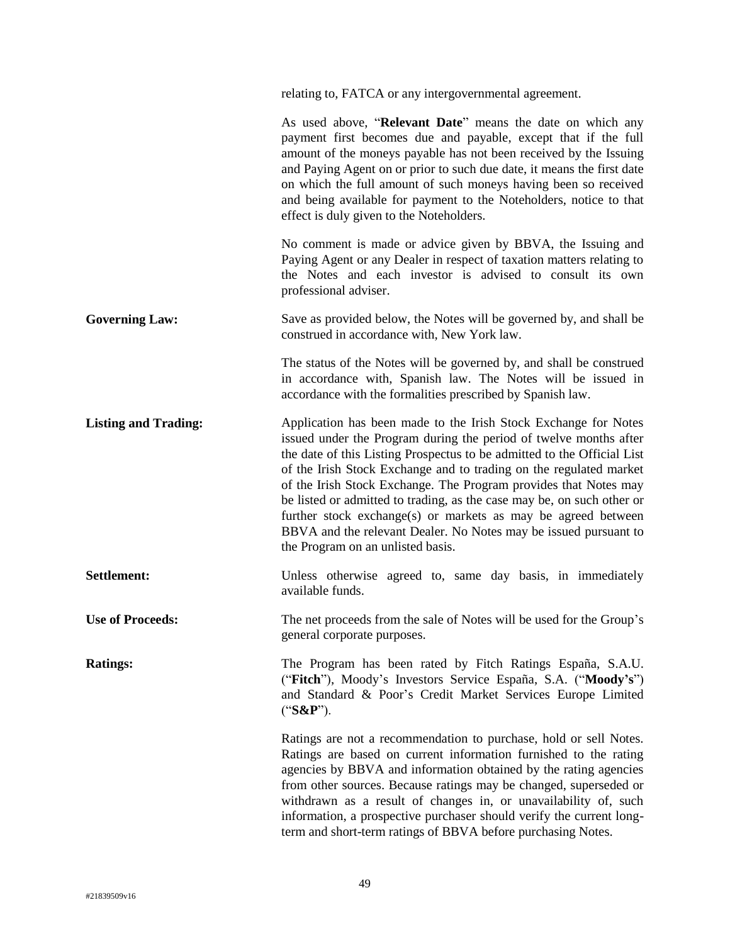relating to, FATCA or any intergovernmental agreement. As used above, "**Relevant Date**" means the date on which any payment first becomes due and payable, except that if the full amount of the moneys payable has not been received by the Issuing and Paying Agent on or prior to such due date, it means the first date on which the full amount of such moneys having been so received and being available for payment to the Noteholders, notice to that effect is duly given to the Noteholders. No comment is made or advice given by BBVA, the Issuing and Paying Agent or any Dealer in respect of taxation matters relating to the Notes and each investor is advised to consult its own professional adviser. **Governing Law:** Save as provided below, the Notes will be governed by, and shall be construed in accordance with, New York law. The status of the Notes will be governed by, and shall be construed in accordance with, Spanish law. The Notes will be issued in accordance with the formalities prescribed by Spanish law. **Listing and Trading:** Application has been made to the Irish Stock Exchange for Notes issued under the Program during the period of twelve months after the date of this Listing Prospectus to be admitted to the Official List of the Irish Stock Exchange and to trading on the regulated market of the Irish Stock Exchange. The Program provides that Notes may be listed or admitted to trading, as the case may be, on such other or further stock exchange(s) or markets as may be agreed between BBVA and the relevant Dealer. No Notes may be issued pursuant to the Program on an unlisted basis. **Settlement:** Unless otherwise agreed to, same day basis, in immediately available funds. **Use of Proceeds:** The net proceeds from the sale of Notes will be used for the Group's general corporate purposes. **Ratings:** The Program has been rated by Fitch Ratings España, S.A.U. ("**Fitch**"), Moody's Investors Service España, S.A. ("**Moody's**") and Standard & Poor's Credit Market Services Europe Limited ("**S&P**"). Ratings are not a recommendation to purchase, hold or sell Notes. Ratings are based on current information furnished to the rating agencies by BBVA and information obtained by the rating agencies from other sources. Because ratings may be changed, superseded or withdrawn as a result of changes in, or unavailability of, such information, a prospective purchaser should verify the current long-

term and short-term ratings of BBVA before purchasing Notes.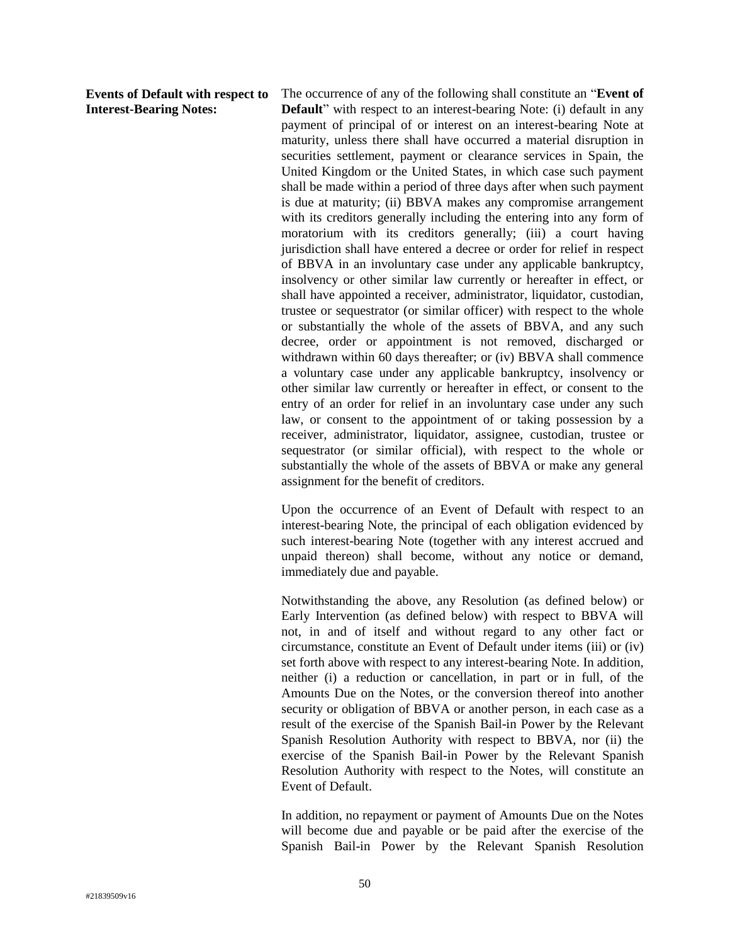**Events of Default with respect to Interest-Bearing Notes:**

The occurrence of any of the following shall constitute an "**Event of Default**" with respect to an interest-bearing Note: (i) default in any payment of principal of or interest on an interest-bearing Note at maturity, unless there shall have occurred a material disruption in securities settlement, payment or clearance services in Spain, the United Kingdom or the United States, in which case such payment shall be made within a period of three days after when such payment is due at maturity; (ii) BBVA makes any compromise arrangement with its creditors generally including the entering into any form of moratorium with its creditors generally; (iii) a court having jurisdiction shall have entered a decree or order for relief in respect of BBVA in an involuntary case under any applicable bankruptcy, insolvency or other similar law currently or hereafter in effect, or shall have appointed a receiver, administrator, liquidator, custodian, trustee or sequestrator (or similar officer) with respect to the whole or substantially the whole of the assets of BBVA, and any such decree, order or appointment is not removed, discharged or withdrawn within 60 days thereafter; or (iv) BBVA shall commence a voluntary case under any applicable bankruptcy, insolvency or other similar law currently or hereafter in effect, or consent to the entry of an order for relief in an involuntary case under any such law, or consent to the appointment of or taking possession by a receiver, administrator, liquidator, assignee, custodian, trustee or sequestrator (or similar official), with respect to the whole or substantially the whole of the assets of BBVA or make any general assignment for the benefit of creditors.

Upon the occurrence of an Event of Default with respect to an interest-bearing Note, the principal of each obligation evidenced by such interest-bearing Note (together with any interest accrued and unpaid thereon) shall become, without any notice or demand, immediately due and payable.

Notwithstanding the above, any Resolution (as defined below) or Early Intervention (as defined below) with respect to BBVA will not, in and of itself and without regard to any other fact or circumstance, constitute an Event of Default under items (iii) or (iv) set forth above with respect to any interest-bearing Note. In addition, neither (i) a reduction or cancellation, in part or in full, of the Amounts Due on the Notes, or the conversion thereof into another security or obligation of BBVA or another person, in each case as a result of the exercise of the Spanish Bail-in Power by the Relevant Spanish Resolution Authority with respect to BBVA, nor (ii) the exercise of the Spanish Bail-in Power by the Relevant Spanish Resolution Authority with respect to the Notes, will constitute an Event of Default.

In addition, no repayment or payment of Amounts Due on the Notes will become due and payable or be paid after the exercise of the Spanish Bail-in Power by the Relevant Spanish Resolution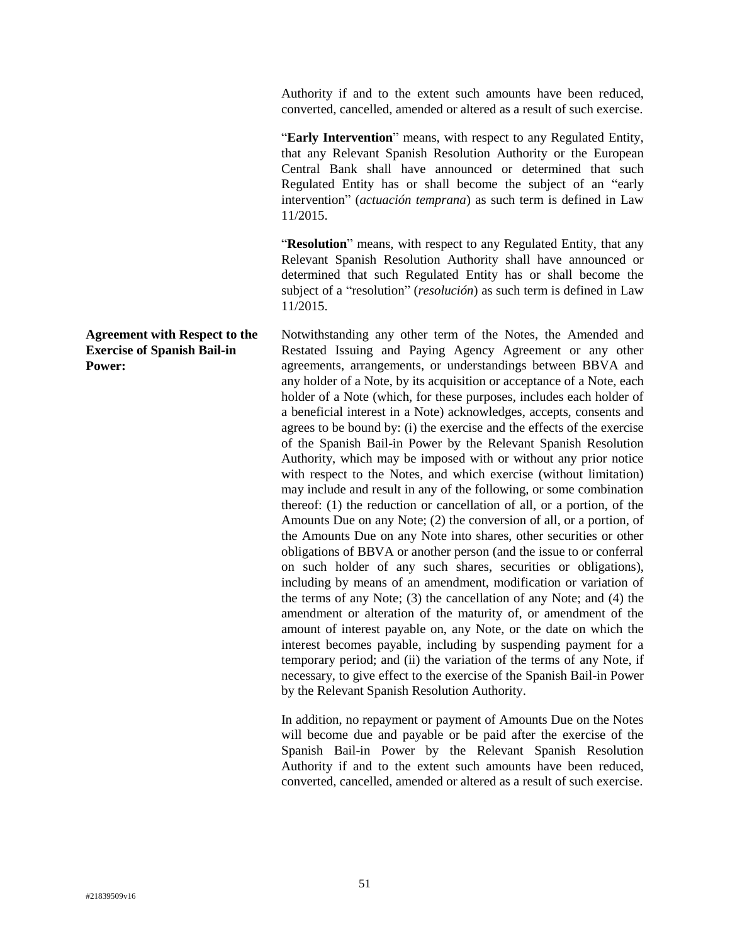Authority if and to the extent such amounts have been reduced, converted, cancelled, amended or altered as a result of such exercise.

"**Early Intervention**" means, with respect to any Regulated Entity, that any Relevant Spanish Resolution Authority or the European Central Bank shall have announced or determined that such Regulated Entity has or shall become the subject of an "early intervention" (*actuación temprana*) as such term is defined in Law 11/2015.

"**Resolution**" means, with respect to any Regulated Entity, that any Relevant Spanish Resolution Authority shall have announced or determined that such Regulated Entity has or shall become the subject of a "resolution" (*resolución*) as such term is defined in Law 11/2015.

Notwithstanding any other term of the Notes, the Amended and Restated Issuing and Paying Agency Agreement or any other agreements, arrangements, or understandings between BBVA and any holder of a Note, by its acquisition or acceptance of a Note, each holder of a Note (which, for these purposes, includes each holder of a beneficial interest in a Note) acknowledges, accepts, consents and agrees to be bound by: (i) the exercise and the effects of the exercise of the Spanish Bail-in Power by the Relevant Spanish Resolution Authority, which may be imposed with or without any prior notice with respect to the Notes, and which exercise (without limitation) may include and result in any of the following, or some combination thereof: (1) the reduction or cancellation of all, or a portion, of the Amounts Due on any Note; (2) the conversion of all, or a portion, of the Amounts Due on any Note into shares, other securities or other obligations of BBVA or another person (and the issue to or conferral on such holder of any such shares, securities or obligations), including by means of an amendment, modification or variation of the terms of any Note; (3) the cancellation of any Note; and (4) the amendment or alteration of the maturity of, or amendment of the amount of interest payable on, any Note, or the date on which the interest becomes payable, including by suspending payment for a temporary period; and (ii) the variation of the terms of any Note, if necessary, to give effect to the exercise of the Spanish Bail-in Power by the Relevant Spanish Resolution Authority.

In addition, no repayment or payment of Amounts Due on the Notes will become due and payable or be paid after the exercise of the Spanish Bail-in Power by the Relevant Spanish Resolution Authority if and to the extent such amounts have been reduced, converted, cancelled, amended or altered as a result of such exercise.

**Agreement with Respect to the Exercise of Spanish Bail-in Power:**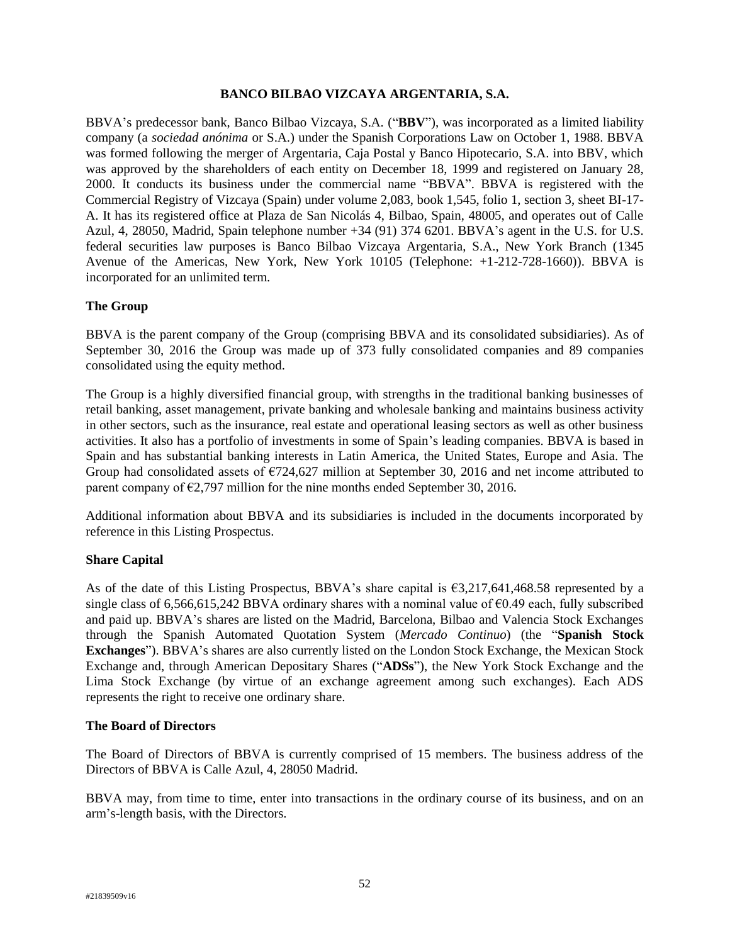#### **BANCO BILBAO VIZCAYA ARGENTARIA, S.A.**

BBVA's predecessor bank, Banco Bilbao Vizcaya, S.A. ("**BBV**"), was incorporated as a limited liability company (a *sociedad anónima* or S.A.) under the Spanish Corporations Law on October 1, 1988. BBVA was formed following the merger of Argentaria, Caja Postal y Banco Hipotecario, S.A. into BBV, which was approved by the shareholders of each entity on December 18, 1999 and registered on January 28, 2000. It conducts its business under the commercial name "BBVA". BBVA is registered with the Commercial Registry of Vizcaya (Spain) under volume 2,083, book 1,545, folio 1, section 3, sheet BI-17- A. It has its registered office at Plaza de San Nicolás 4, Bilbao, Spain, 48005, and operates out of Calle Azul, 4, 28050, Madrid, Spain telephone number +34 (91) 374 6201. BBVA's agent in the U.S. for U.S. federal securities law purposes is Banco Bilbao Vizcaya Argentaria, S.A., New York Branch (1345 Avenue of the Americas, New York, New York 10105 (Telephone: +1-212-728-1660)). BBVA is incorporated for an unlimited term.

### **The Group**

BBVA is the parent company of the Group (comprising BBVA and its consolidated subsidiaries). As of September 30, 2016 the Group was made up of 373 fully consolidated companies and 89 companies consolidated using the equity method.

The Group is a highly diversified financial group, with strengths in the traditional banking businesses of retail banking, asset management, private banking and wholesale banking and maintains business activity in other sectors, such as the insurance, real estate and operational leasing sectors as well as other business activities. It also has a portfolio of investments in some of Spain's leading companies. BBVA is based in Spain and has substantial banking interests in Latin America, the United States, Europe and Asia. The Group had consolidated assets of  $\epsilon$ 724,627 million at September 30, 2016 and net income attributed to parent company of  $\epsilon$ 2,797 million for the nine months ended September 30, 2016.

Additional information about BBVA and its subsidiaries is included in the documents incorporated by reference in this Listing Prospectus.

### **Share Capital**

As of the date of this Listing Prospectus, BBVA's share capital is  $63,217,641,468.58$  represented by a single class of 6,566,615,242 BBVA ordinary shares with a nominal value of €0.49 each, fully subscribed and paid up. BBVA's shares are listed on the Madrid, Barcelona, Bilbao and Valencia Stock Exchanges through the Spanish Automated Quotation System (*Mercado Continuo*) (the "**Spanish Stock Exchanges**"). BBVA's shares are also currently listed on the London Stock Exchange, the Mexican Stock Exchange and, through American Depositary Shares ("**ADSs**"), the New York Stock Exchange and the Lima Stock Exchange (by virtue of an exchange agreement among such exchanges). Each ADS represents the right to receive one ordinary share.

### **The Board of Directors**

The Board of Directors of BBVA is currently comprised of 15 members. The business address of the Directors of BBVA is Calle Azul, 4, 28050 Madrid.

BBVA may, from time to time, enter into transactions in the ordinary course of its business, and on an arm's-length basis, with the Directors.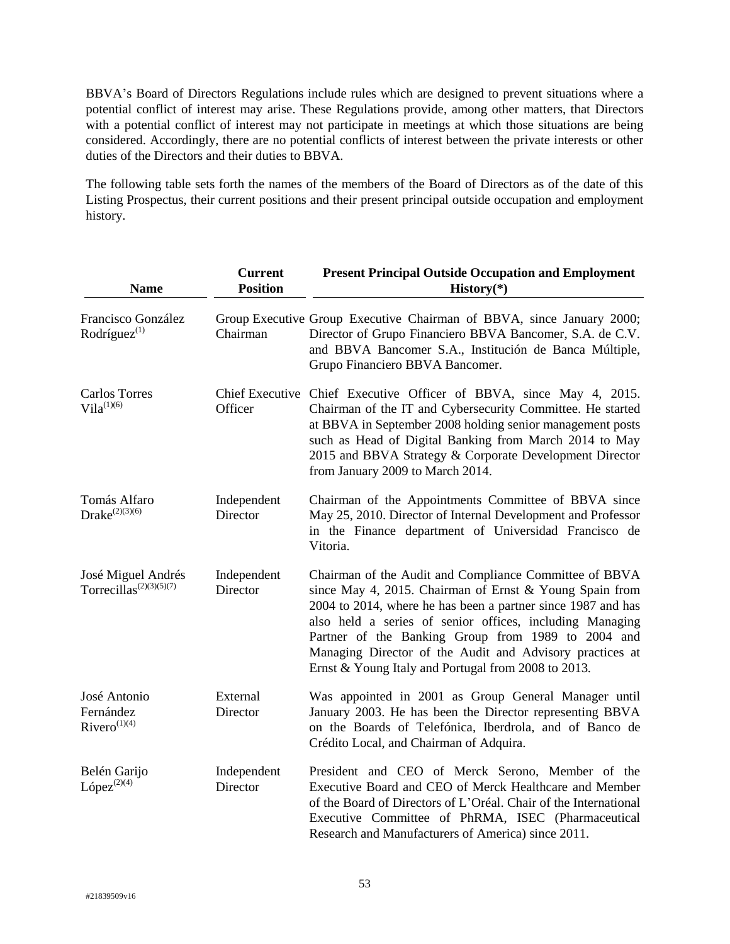BBVA's Board of Directors Regulations include rules which are designed to prevent situations where a potential conflict of interest may arise. These Regulations provide, among other matters, that Directors with a potential conflict of interest may not participate in meetings at which those situations are being considered. Accordingly, there are no potential conflicts of interest between the private interests or other duties of the Directors and their duties to BBVA.

The following table sets forth the names of the members of the Board of Directors as of the date of this Listing Prospectus, their current positions and their present principal outside occupation and employment history.

| <b>Name</b>                                                            | <b>Current</b><br><b>Position</b> | <b>Present Principal Outside Occupation and Employment</b><br>$History(*)$                                                                                                                                                                                                                                                                                                                                             |
|------------------------------------------------------------------------|-----------------------------------|------------------------------------------------------------------------------------------------------------------------------------------------------------------------------------------------------------------------------------------------------------------------------------------------------------------------------------------------------------------------------------------------------------------------|
| Francisco González<br>Rodríguez $^{(1)}$                               | Chairman                          | Group Executive Group Executive Chairman of BBVA, since January 2000;<br>Director of Grupo Financiero BBVA Bancomer, S.A. de C.V.<br>and BBVA Bancomer S.A., Institución de Banca Múltiple,<br>Grupo Financiero BBVA Bancomer.                                                                                                                                                                                         |
| <b>Carlos Torres</b><br>$Vila^{(1)(6)}$                                | Officer                           | Chief Executive Chief Executive Officer of BBVA, since May 4, 2015.<br>Chairman of the IT and Cybersecurity Committee. He started<br>at BBVA in September 2008 holding senior management posts<br>such as Head of Digital Banking from March 2014 to May<br>2015 and BBVA Strategy & Corporate Development Director<br>from January 2009 to March 2014.                                                                |
| Tomás Alfaro<br>$Drake^{(2)(3)(6)}$                                    | Independent<br>Director           | Chairman of the Appointments Committee of BBVA since<br>May 25, 2010. Director of Internal Development and Professor<br>in the Finance department of Universidad Francisco de<br>Vitoria.                                                                                                                                                                                                                              |
| José Miguel Andrés<br>Torrecillas <sup><math>(2)(3)(5)(7)</math></sup> | Independent<br>Director           | Chairman of the Audit and Compliance Committee of BBVA<br>since May 4, 2015. Chairman of Ernst & Young Spain from<br>2004 to 2014, where he has been a partner since 1987 and has<br>also held a series of senior offices, including Managing<br>Partner of the Banking Group from 1989 to 2004 and<br>Managing Director of the Audit and Advisory practices at<br>Ernst & Young Italy and Portugal from 2008 to 2013. |
| José Antonio<br>Fernández<br>Rivero <sup>(1)(4)</sup>                  | External<br>Director              | Was appointed in 2001 as Group General Manager until<br>January 2003. He has been the Director representing BBVA<br>on the Boards of Telefónica, Iberdrola, and of Banco de<br>Crédito Local, and Chairman of Adquira.                                                                                                                                                                                                 |
| Belén Garijo<br>López <sup>(2)(4)</sup>                                | Independent<br>Director           | President and CEO of Merck Serono, Member of the<br>Executive Board and CEO of Merck Healthcare and Member<br>of the Board of Directors of L'Oréal. Chair of the International<br>Executive Committee of PhRMA, ISEC (Pharmaceutical<br>Research and Manufacturers of America) since 2011.                                                                                                                             |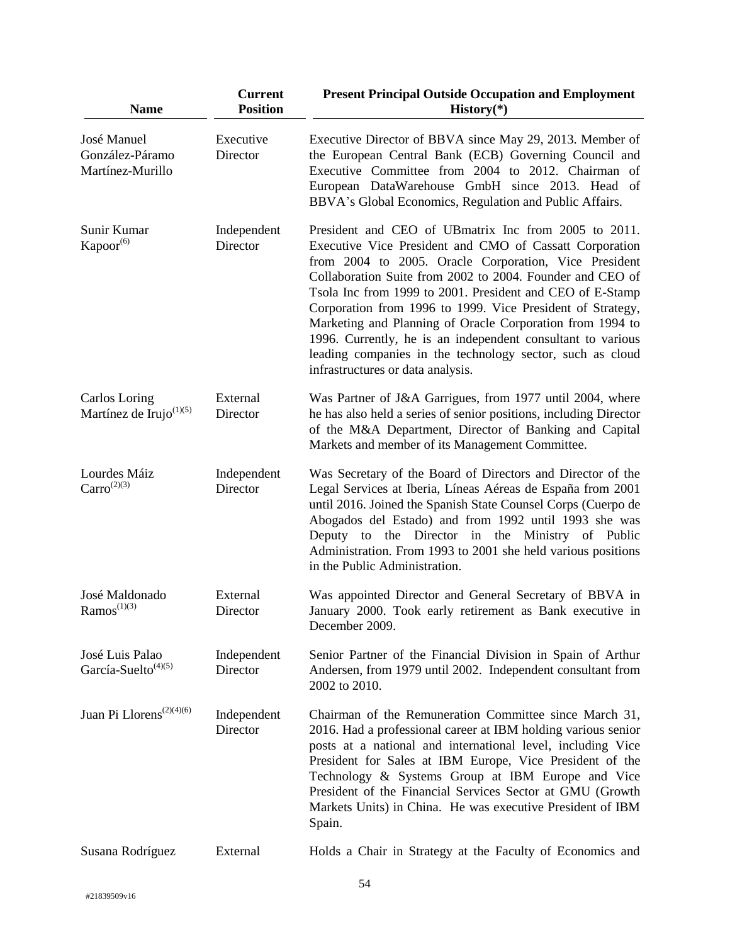| <b>Name</b>                                          | <b>Current</b><br><b>Position</b> | <b>Present Principal Outside Occupation and Employment</b><br>$History(*)$                                                                                                                                                                                                                                                                                                                                                                                                                                                                                                                     |
|------------------------------------------------------|-----------------------------------|------------------------------------------------------------------------------------------------------------------------------------------------------------------------------------------------------------------------------------------------------------------------------------------------------------------------------------------------------------------------------------------------------------------------------------------------------------------------------------------------------------------------------------------------------------------------------------------------|
| José Manuel<br>González-Páramo<br>Martínez-Murillo   | Executive<br>Director             | Executive Director of BBVA since May 29, 2013. Member of<br>the European Central Bank (ECB) Governing Council and<br>Executive Committee from 2004 to 2012. Chairman of<br>European DataWarehouse GmbH since 2013. Head of<br>BBVA's Global Economics, Regulation and Public Affairs.                                                                                                                                                                                                                                                                                                          |
| Sunir Kumar<br>Kapoor <sup>(6)</sup>                 | Independent<br>Director           | President and CEO of UBmatrix Inc from 2005 to 2011.<br>Executive Vice President and CMO of Cassatt Corporation<br>from 2004 to 2005. Oracle Corporation, Vice President<br>Collaboration Suite from 2002 to 2004. Founder and CEO of<br>Tsola Inc from 1999 to 2001. President and CEO of E-Stamp<br>Corporation from 1996 to 1999. Vice President of Strategy,<br>Marketing and Planning of Oracle Corporation from 1994 to<br>1996. Currently, he is an independent consultant to various<br>leading companies in the technology sector, such as cloud<br>infrastructures or data analysis. |
| Carlos Loring<br>Martínez de Irujo <sup>(1)(5)</sup> | External<br>Director              | Was Partner of J&A Garrigues, from 1977 until 2004, where<br>he has also held a series of senior positions, including Director<br>of the M&A Department, Director of Banking and Capital<br>Markets and member of its Management Committee.                                                                                                                                                                                                                                                                                                                                                    |
| Lourdes Máiz<br>$Carro^{(2)(3)}$                     | Independent<br>Director           | Was Secretary of the Board of Directors and Director of the<br>Legal Services at Iberia, Líneas Aéreas de España from 2001<br>until 2016. Joined the Spanish State Counsel Corps (Cuerpo de<br>Abogados del Estado) and from 1992 until 1993 she was<br>Deputy to the Director in the Ministry of Public<br>Administration. From 1993 to 2001 she held various positions<br>in the Public Administration.                                                                                                                                                                                      |
| José Maldonado<br>$Ramos^{(1)(3)}$                   | External<br>Director              | Was appointed Director and General Secretary of BBVA in<br>January 2000. Took early retirement as Bank executive in<br>December 2009.                                                                                                                                                                                                                                                                                                                                                                                                                                                          |
| José Luis Palao<br>García-Suelto <sup>(4)(5)</sup>   | Independent<br>Director           | Senior Partner of the Financial Division in Spain of Arthur<br>Andersen, from 1979 until 2002. Independent consultant from<br>2002 to 2010.                                                                                                                                                                                                                                                                                                                                                                                                                                                    |
| Juan Pi Llorens <sup>(2)(4)(6)</sup>                 | Independent<br>Director           | Chairman of the Remuneration Committee since March 31,<br>2016. Had a professional career at IBM holding various senior<br>posts at a national and international level, including Vice<br>President for Sales at IBM Europe, Vice President of the<br>Technology & Systems Group at IBM Europe and Vice<br>President of the Financial Services Sector at GMU (Growth<br>Markets Units) in China. He was executive President of IBM<br>Spain.                                                                                                                                                   |
| Susana Rodríguez                                     | External                          | Holds a Chair in Strategy at the Faculty of Economics and                                                                                                                                                                                                                                                                                                                                                                                                                                                                                                                                      |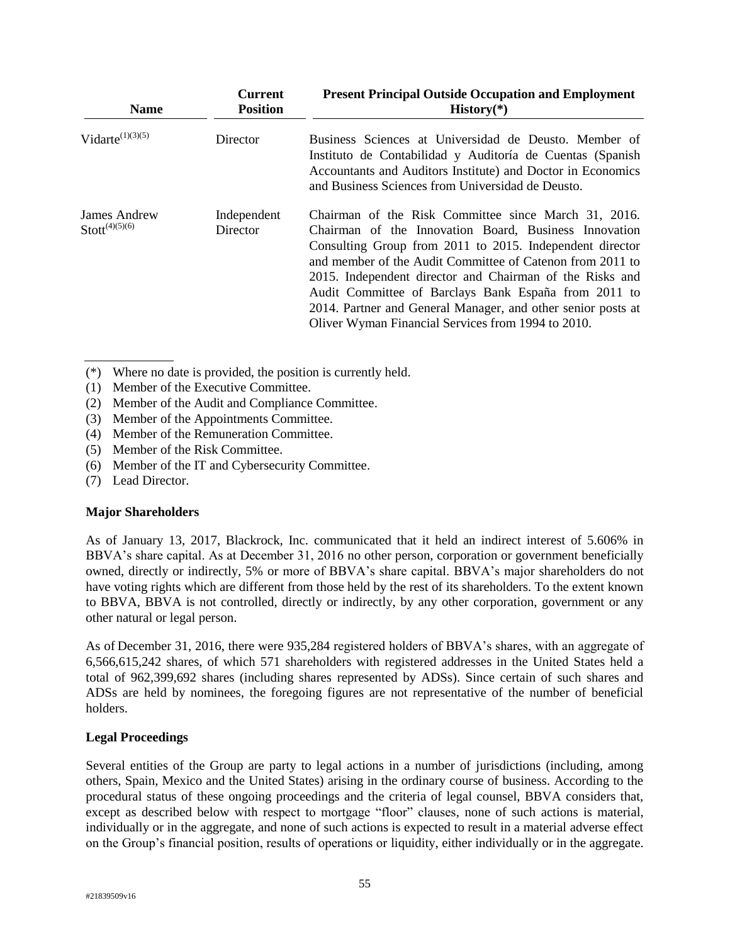| <b>Name</b>                         | <b>Current</b><br><b>Position</b> | <b>Present Principal Outside Occupation and Employment</b><br>$History(*)$                                                                                                                                                                                                                                                                                                                                                                                                       |
|-------------------------------------|-----------------------------------|----------------------------------------------------------------------------------------------------------------------------------------------------------------------------------------------------------------------------------------------------------------------------------------------------------------------------------------------------------------------------------------------------------------------------------------------------------------------------------|
| Vidarte $^{(1)(3)(5)}$              | Director                          | Business Sciences at Universidad de Deusto. Member of<br>Instituto de Contabilidad y Auditoría de Cuentas (Spanish<br>Accountants and Auditors Institute) and Doctor in Economics<br>and Business Sciences from Universidad de Deusto.                                                                                                                                                                                                                                           |
| James Andrew<br>$Stott^{(4)(5)(6)}$ | Independent<br>Director           | Chairman of the Risk Committee since March 31, 2016.<br>Chairman of the Innovation Board, Business Innovation<br>Consulting Group from 2011 to 2015. Independent director<br>and member of the Audit Committee of Catenon from 2011 to<br>2015. Independent director and Chairman of the Risks and<br>Audit Committee of Barclays Bank España from 2011 to<br>2014. Partner and General Manager, and other senior posts at<br>Oliver Wyman Financial Services from 1994 to 2010. |

(\*) Where no date is provided, the position is currently held.

- (1) Member of the Executive Committee.
- (2) Member of the Audit and Compliance Committee.
- (3) Member of the Appointments Committee.
- (4) Member of the Remuneration Committee.
- (5) Member of the Risk Committee.
- (6) Member of the IT and Cybersecurity Committee.
- (7) Lead Director.

#### **Major Shareholders**

As of January 13, 2017, Blackrock, Inc. communicated that it held an indirect interest of 5.606% in BBVA's share capital. As at December 31, 2016 no other person, corporation or government beneficially owned, directly or indirectly, 5% or more of BBVA's share capital. BBVA's major shareholders do not have voting rights which are different from those held by the rest of its shareholders. To the extent known to BBVA, BBVA is not controlled, directly or indirectly, by any other corporation, government or any other natural or legal person.

As of December 31, 2016, there were 935,284 registered holders of BBVA's shares, with an aggregate of 6,566,615,242 shares, of which 571 shareholders with registered addresses in the United States held a total of 962,399,692 shares (including shares represented by ADSs). Since certain of such shares and ADSs are held by nominees, the foregoing figures are not representative of the number of beneficial holders.

### **Legal Proceedings**

Several entities of the Group are party to legal actions in a number of jurisdictions (including, among others, Spain, Mexico and the United States) arising in the ordinary course of business. According to the procedural status of these ongoing proceedings and the criteria of legal counsel, BBVA considers that, except as described below with respect to mortgage "floor" clauses, none of such actions is material, individually or in the aggregate, and none of such actions is expected to result in a material adverse effect on the Group's financial position, results of operations or liquidity, either individually or in the aggregate.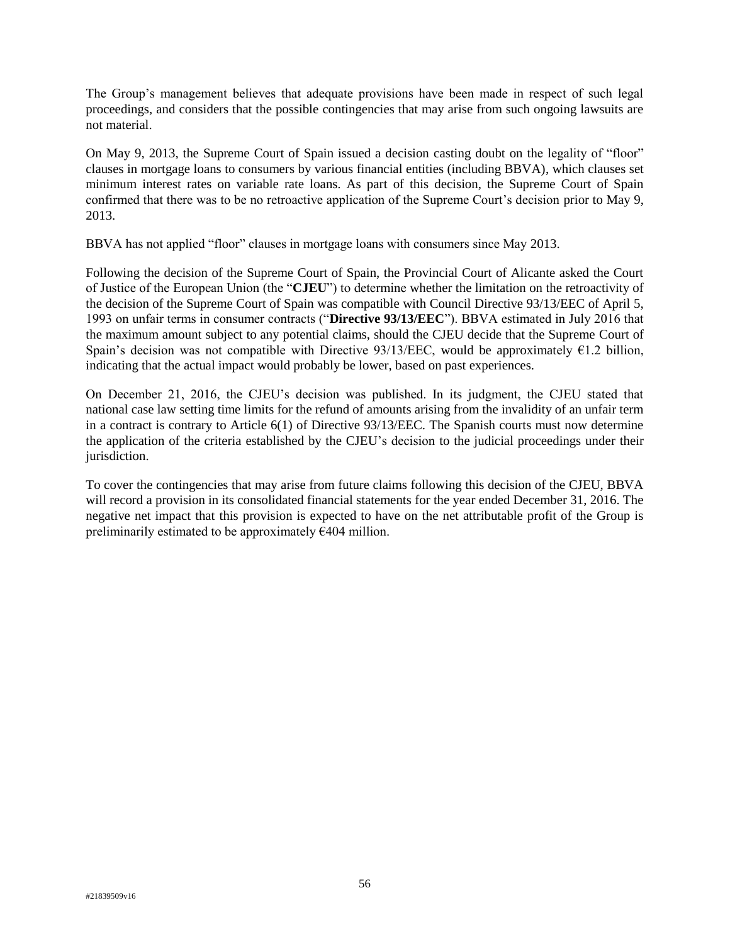The Group's management believes that adequate provisions have been made in respect of such legal proceedings, and considers that the possible contingencies that may arise from such ongoing lawsuits are not material.

On May 9, 2013, the Supreme Court of Spain issued a decision casting doubt on the legality of "floor" clauses in mortgage loans to consumers by various financial entities (including BBVA), which clauses set minimum interest rates on variable rate loans. As part of this decision, the Supreme Court of Spain confirmed that there was to be no retroactive application of the Supreme Court's decision prior to May 9, 2013.

BBVA has not applied "floor" clauses in mortgage loans with consumers since May 2013.

Following the decision of the Supreme Court of Spain, the Provincial Court of Alicante asked the Court of Justice of the European Union (the "**CJEU**") to determine whether the limitation on the retroactivity of the decision of the Supreme Court of Spain was compatible with Council Directive 93/13/EEC of April 5, 1993 on unfair terms in consumer contracts ("**Directive 93/13/EEC**"). BBVA estimated in July 2016 that the maximum amount subject to any potential claims, should the CJEU decide that the Supreme Court of Spain's decision was not compatible with Directive 93/13/EEC, would be approximately  $61.2$  billion, indicating that the actual impact would probably be lower, based on past experiences.

On December 21, 2016, the CJEU's decision was published. In its judgment, the CJEU stated that national case law setting time limits for the refund of amounts arising from the invalidity of an unfair term in a contract is contrary to Article 6(1) of Directive 93/13/EEC. The Spanish courts must now determine the application of the criteria established by the CJEU's decision to the judicial proceedings under their jurisdiction.

To cover the contingencies that may arise from future claims following this decision of the CJEU, BBVA will record a provision in its consolidated financial statements for the year ended December 31, 2016. The negative net impact that this provision is expected to have on the net attributable profit of the Group is preliminarily estimated to be approximately  $\epsilon$ 404 million.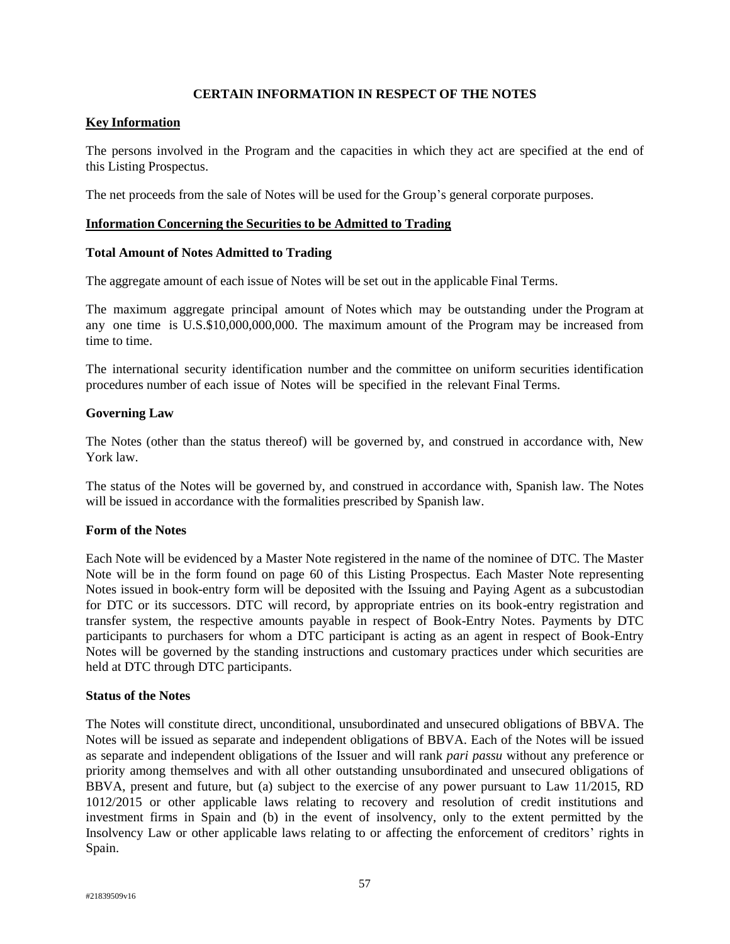### **CERTAIN INFORMATION IN RESPECT OF THE NOTES**

#### **Key Information**

The persons involved in the Program and the capacities in which they act are specified at the end of this Listing Prospectus.

The net proceeds from the sale of Notes will be used for the Group's general corporate purposes.

#### **Information Concerning the Securities to be Admitted to Trading**

#### **Total Amount of Notes Admitted to Trading**

The aggregate amount of each issue of Notes will be set out in the applicable Final Terms.

The maximum aggregate principal amount of Notes which may be outstanding under the Program at any one time is U.S.\$10,000,000,000. The maximum amount of the Program may be increased from time to time.

The international security identification number and the committee on uniform securities identification procedures number of each issue of Notes will be specified in the relevant Final Terms.

#### **Governing Law**

The Notes (other than the status thereof) will be governed by, and construed in accordance with, New York law.

The status of the Notes will be governed by, and construed in accordance with, Spanish law. The Notes will be issued in accordance with the formalities prescribed by Spanish law.

#### **Form of the Notes**

Each Note will be evidenced by a Master Note registered in the name of the nominee of DTC. The Master Note will be in the form found on page 60 of this Listing Prospectus. Each Master Note representing Notes issued in book-entry form will be deposited with the Issuing and Paying Agent as a subcustodian for DTC or its successors. DTC will record, by appropriate entries on its book-entry registration and transfer system, the respective amounts payable in respect of Book-Entry Notes. Payments by DTC participants to purchasers for whom a DTC participant is acting as an agent in respect of Book-Entry Notes will be governed by the standing instructions and customary practices under which securities are held at DTC through DTC participants.

#### **Status of the Notes**

The Notes will constitute direct, unconditional, unsubordinated and unsecured obligations of BBVA. The Notes will be issued as separate and independent obligations of BBVA. Each of the Notes will be issued as separate and independent obligations of the Issuer and will rank *pari passu* without any preference or priority among themselves and with all other outstanding unsubordinated and unsecured obligations of BBVA, present and future, but (a) subject to the exercise of any power pursuant to Law 11/2015, RD 1012/2015 or other applicable laws relating to recovery and resolution of credit institutions and investment firms in Spain and (b) in the event of insolvency, only to the extent permitted by the Insolvency Law or other applicable laws relating to or affecting the enforcement of creditors' rights in Spain.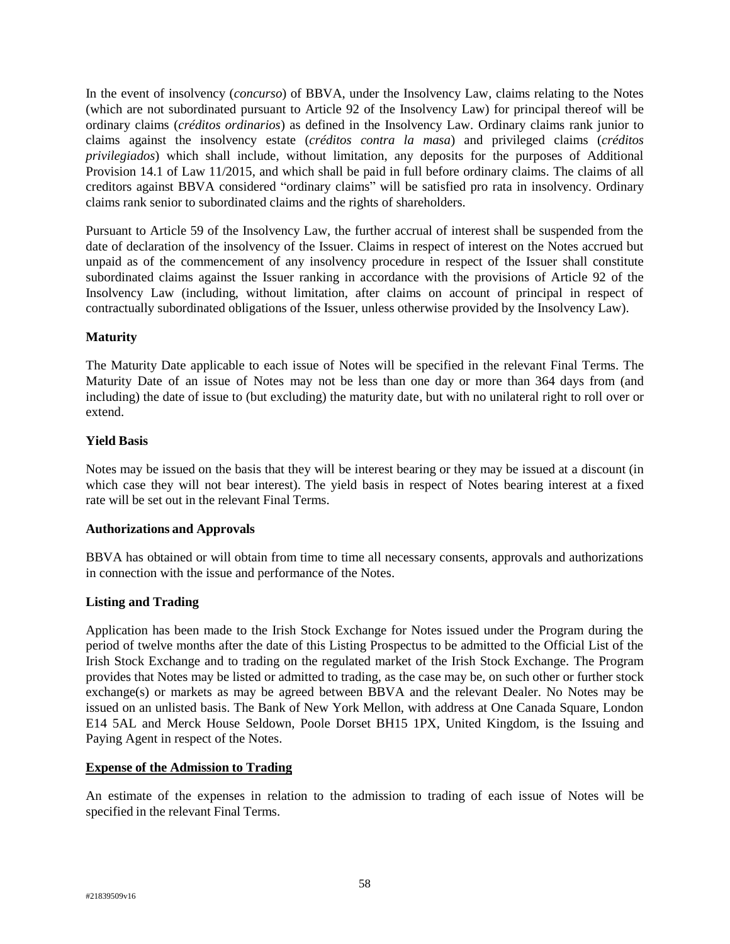In the event of insolvency (*concurso*) of BBVA, under the Insolvency Law, claims relating to the Notes (which are not subordinated pursuant to Article 92 of the Insolvency Law) for principal thereof will be ordinary claims (*créditos ordinarios*) as defined in the Insolvency Law. Ordinary claims rank junior to claims against the insolvency estate (*créditos contra la masa*) and privileged claims (*créditos privilegiados*) which shall include, without limitation, any deposits for the purposes of Additional Provision 14.1 of Law 11/2015, and which shall be paid in full before ordinary claims. The claims of all creditors against BBVA considered "ordinary claims" will be satisfied pro rata in insolvency. Ordinary claims rank senior to subordinated claims and the rights of shareholders.

Pursuant to Article 59 of the Insolvency Law, the further accrual of interest shall be suspended from the date of declaration of the insolvency of the Issuer. Claims in respect of interest on the Notes accrued but unpaid as of the commencement of any insolvency procedure in respect of the Issuer shall constitute subordinated claims against the Issuer ranking in accordance with the provisions of Article 92 of the Insolvency Law (including, without limitation, after claims on account of principal in respect of contractually subordinated obligations of the Issuer, unless otherwise provided by the Insolvency Law).

# **Maturity**

The Maturity Date applicable to each issue of Notes will be specified in the relevant Final Terms. The Maturity Date of an issue of Notes may not be less than one day or more than 364 days from (and including) the date of issue to (but excluding) the maturity date, but with no unilateral right to roll over or extend.

### **Yield Basis**

Notes may be issued on the basis that they will be interest bearing or they may be issued at a discount (in which case they will not bear interest). The yield basis in respect of Notes bearing interest at a fixed rate will be set out in the relevant Final Terms.

### **Authorizations and Approvals**

BBVA has obtained or will obtain from time to time all necessary consents, approvals and authorizations in connection with the issue and performance of the Notes.

# **Listing and Trading**

Application has been made to the Irish Stock Exchange for Notes issued under the Program during the period of twelve months after the date of this Listing Prospectus to be admitted to the Official List of the Irish Stock Exchange and to trading on the regulated market of the Irish Stock Exchange. The Program provides that Notes may be listed or admitted to trading, as the case may be, on such other or further stock exchange(s) or markets as may be agreed between BBVA and the relevant Dealer. No Notes may be issued on an unlisted basis. The Bank of New York Mellon, with address at One Canada Square, London E14 5AL and Merck House Seldown, Poole Dorset BH15 1PX, United Kingdom, is the Issuing and Paying Agent in respect of the Notes.

# **Expense of the Admission to Trading**

An estimate of the expenses in relation to the admission to trading of each issue of Notes will be specified in the relevant Final Terms.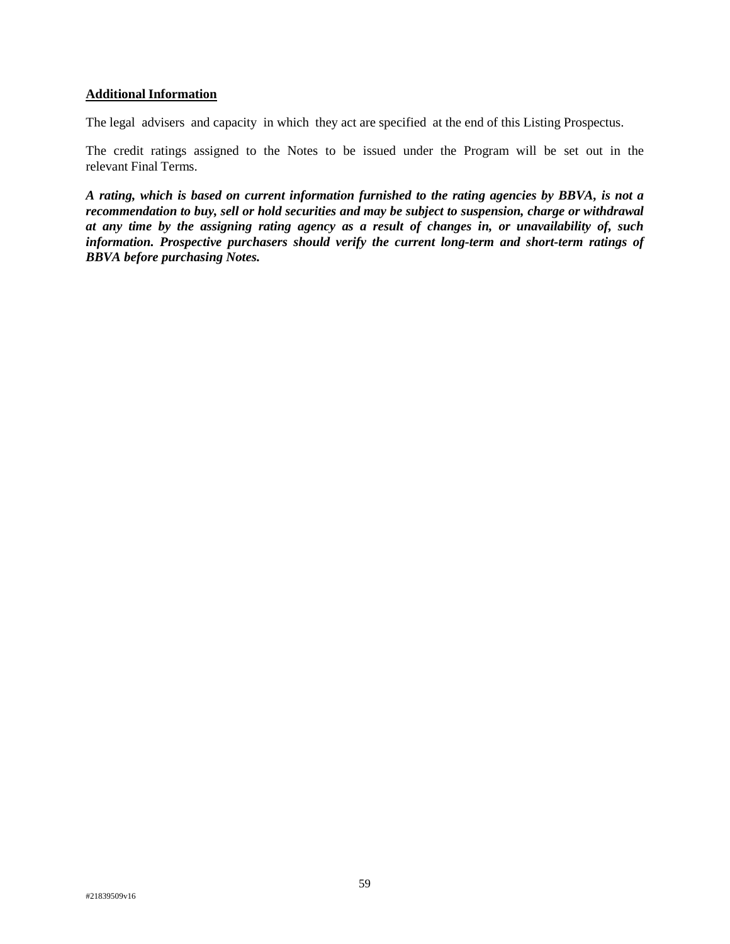#### **Additional Information**

The legal advisers and capacity in which they act are specified at the end of this Listing Prospectus.

The credit ratings assigned to the Notes to be issued under the Program will be set out in the relevant Final Terms.

*A rating, which is based on current information furnished to the rating agencies by BBVA, is not a recommendation to buy, sell or hold securities and may be subject to suspension, charge or withdrawal at any time by the assigning rating agency as a result of changes in, or unavailability of, such information. Prospective purchasers should verify the current long-term and short-term ratings of BBVA before purchasing Notes.*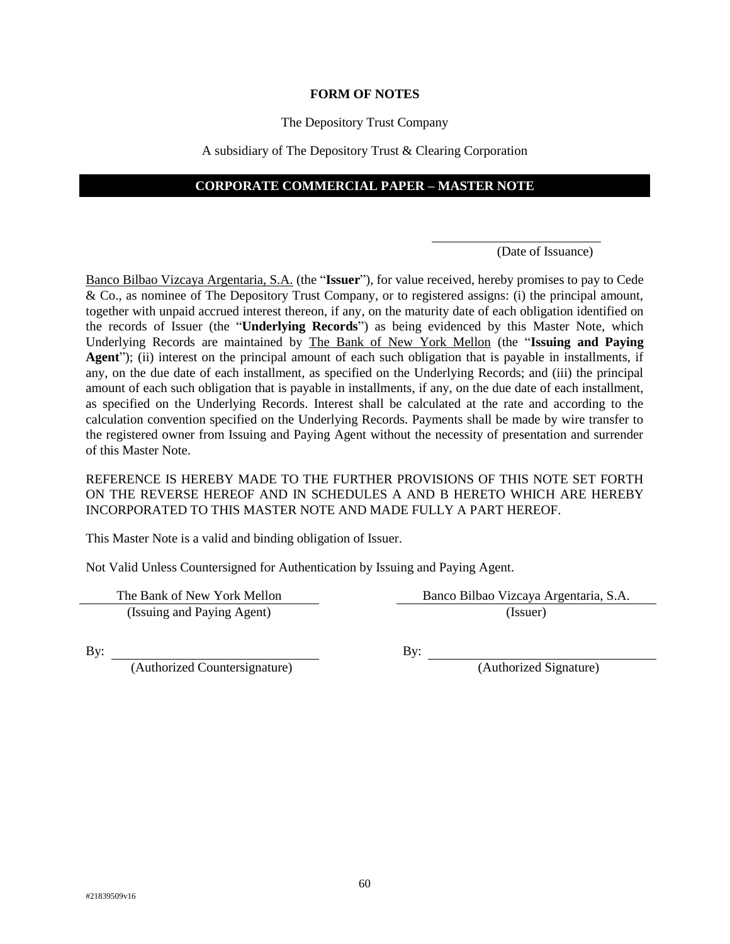#### **FORM OF NOTES**

#### The Depository Trust Company

#### A subsidiary of The Depository Trust & Clearing Corporation

#### **CORPORATE COMMERCIAL PAPER – MASTER NOTE**

#### (Date of Issuance)

Banco Bilbao Vizcaya Argentaria, S.A. (the "**Issuer**"), for value received, hereby promises to pay to Cede & Co., as nominee of The Depository Trust Company, or to registered assigns: (i) the principal amount, together with unpaid accrued interest thereon, if any, on the maturity date of each obligation identified on the records of Issuer (the "**Underlying Records**") as being evidenced by this Master Note, which Underlying Records are maintained by The Bank of New York Mellon (the "**Issuing and Paying Agent**"); (ii) interest on the principal amount of each such obligation that is payable in installments, if any, on the due date of each installment, as specified on the Underlying Records; and (iii) the principal amount of each such obligation that is payable in installments, if any, on the due date of each installment, as specified on the Underlying Records. Interest shall be calculated at the rate and according to the calculation convention specified on the Underlying Records. Payments shall be made by wire transfer to the registered owner from Issuing and Paying Agent without the necessity of presentation and surrender of this Master Note.

### REFERENCE IS HEREBY MADE TO THE FURTHER PROVISIONS OF THIS NOTE SET FORTH ON THE REVERSE HEREOF AND IN SCHEDULES A AND B HERETO WHICH ARE HEREBY INCORPORATED TO THIS MASTER NOTE AND MADE FULLY A PART HEREOF.

This Master Note is a valid and binding obligation of Issuer.

Not Valid Unless Countersigned for Authentication by Issuing and Paying Agent.

(Issuing and Paying Agent) (Issuer)

The Bank of New York Mellon Banco Bilbao Vizcaya Argentaria, S.A.

(Authorized Countersignature) (Authorized Signature)

By: By: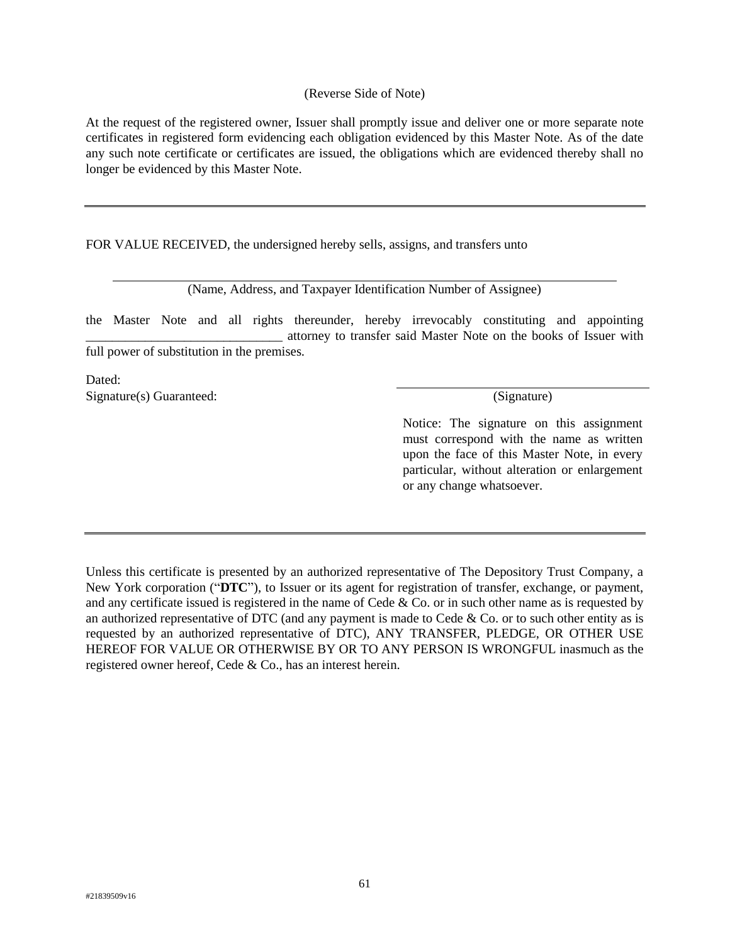#### (Reverse Side of Note)

At the request of the registered owner, Issuer shall promptly issue and deliver one or more separate note certificates in registered form evidencing each obligation evidenced by this Master Note. As of the date any such note certificate or certificates are issued, the obligations which are evidenced thereby shall no longer be evidenced by this Master Note.

FOR VALUE RECEIVED, the undersigned hereby sells, assigns, and transfers unto

(Name, Address, and Taxpayer Identification Number of Assignee)

the Master Note and all rights thereunder, hereby irrevocably constituting and appointing attorney to transfer said Master Note on the books of Issuer with full power of substitution in the premises.

Dated: Signature(s) Guaranteed: (Signature) (Signature)

Notice: The signature on this assignment must correspond with the name as written upon the face of this Master Note, in every particular, without alteration or enlargement or any change whatsoever.

Unless this certificate is presented by an authorized representative of The Depository Trust Company, a New York corporation ("**DTC**"), to Issuer or its agent for registration of transfer, exchange, or payment, and any certificate issued is registered in the name of Cede & Co. or in such other name as is requested by an authorized representative of DTC (and any payment is made to Cede  $\&$  Co. or to such other entity as is requested by an authorized representative of DTC), ANY TRANSFER, PLEDGE, OR OTHER USE HEREOF FOR VALUE OR OTHERWISE BY OR TO ANY PERSON IS WRONGFUL inasmuch as the registered owner hereof, Cede & Co., has an interest herein.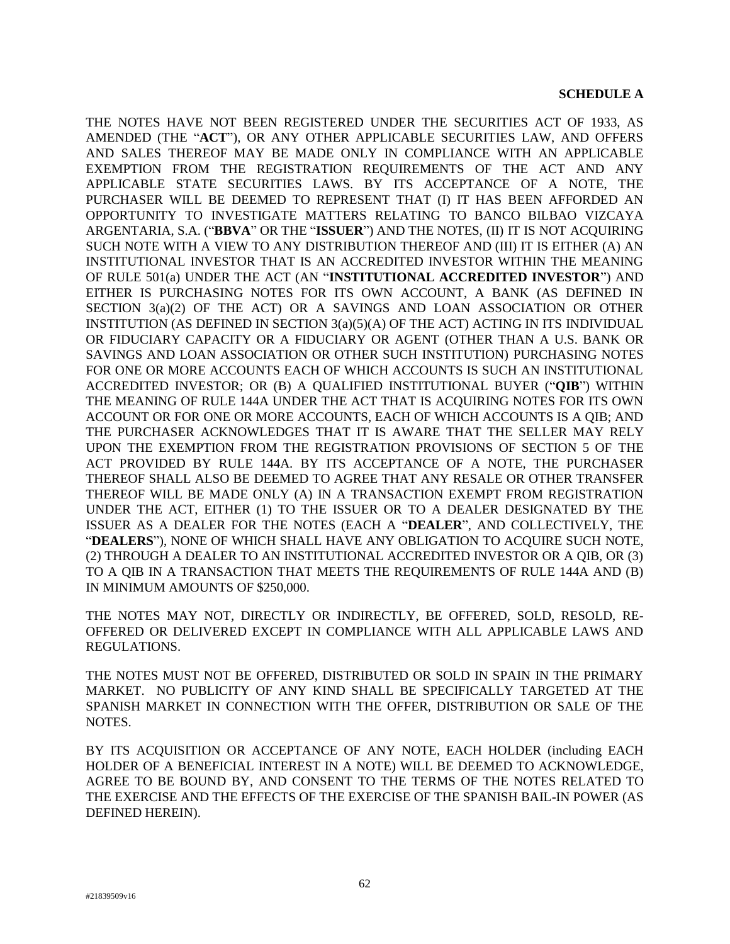THE NOTES HAVE NOT BEEN REGISTERED UNDER THE SECURITIES ACT OF 1933, AS AMENDED (THE "**ACT**"), OR ANY OTHER APPLICABLE SECURITIES LAW, AND OFFERS AND SALES THEREOF MAY BE MADE ONLY IN COMPLIANCE WITH AN APPLICABLE EXEMPTION FROM THE REGISTRATION REQUIREMENTS OF THE ACT AND ANY APPLICABLE STATE SECURITIES LAWS. BY ITS ACCEPTANCE OF A NOTE, THE PURCHASER WILL BE DEEMED TO REPRESENT THAT (I) IT HAS BEEN AFFORDED AN OPPORTUNITY TO INVESTIGATE MATTERS RELATING TO BANCO BILBAO VIZCAYA ARGENTARIA, S.A. ("**BBVA**" OR THE "**ISSUER**") AND THE NOTES, (II) IT IS NOT ACQUIRING SUCH NOTE WITH A VIEW TO ANY DISTRIBUTION THEREOF AND (III) IT IS EITHER (A) AN INSTITUTIONAL INVESTOR THAT IS AN ACCREDITED INVESTOR WITHIN THE MEANING OF RULE 501(a) UNDER THE ACT (AN "**INSTITUTIONAL ACCREDITED INVESTOR**") AND EITHER IS PURCHASING NOTES FOR ITS OWN ACCOUNT, A BANK (AS DEFINED IN SECTION 3(a)(2) OF THE ACT) OR A SAVINGS AND LOAN ASSOCIATION OR OTHER INSTITUTION (AS DEFINED IN SECTION 3(a)(5)(A) OF THE ACT) ACTING IN ITS INDIVIDUAL OR FIDUCIARY CAPACITY OR A FIDUCIARY OR AGENT (OTHER THAN A U.S. BANK OR SAVINGS AND LOAN ASSOCIATION OR OTHER SUCH INSTITUTION) PURCHASING NOTES FOR ONE OR MORE ACCOUNTS EACH OF WHICH ACCOUNTS IS SUCH AN INSTITUTIONAL ACCREDITED INVESTOR; OR (B) A QUALIFIED INSTITUTIONAL BUYER ("**QIB**") WITHIN THE MEANING OF RULE 144A UNDER THE ACT THAT IS ACQUIRING NOTES FOR ITS OWN ACCOUNT OR FOR ONE OR MORE ACCOUNTS, EACH OF WHICH ACCOUNTS IS A QIB; AND THE PURCHASER ACKNOWLEDGES THAT IT IS AWARE THAT THE SELLER MAY RELY UPON THE EXEMPTION FROM THE REGISTRATION PROVISIONS OF SECTION 5 OF THE ACT PROVIDED BY RULE 144A. BY ITS ACCEPTANCE OF A NOTE, THE PURCHASER THEREOF SHALL ALSO BE DEEMED TO AGREE THAT ANY RESALE OR OTHER TRANSFER THEREOF WILL BE MADE ONLY (A) IN A TRANSACTION EXEMPT FROM REGISTRATION UNDER THE ACT, EITHER (1) TO THE ISSUER OR TO A DEALER DESIGNATED BY THE ISSUER AS A DEALER FOR THE NOTES (EACH A "**DEALER**", AND COLLECTIVELY, THE "**DEALERS**"), NONE OF WHICH SHALL HAVE ANY OBLIGATION TO ACQUIRE SUCH NOTE, (2) THROUGH A DEALER TO AN INSTITUTIONAL ACCREDITED INVESTOR OR A QIB, OR (3) TO A QIB IN A TRANSACTION THAT MEETS THE REQUIREMENTS OF RULE 144A AND (B) IN MINIMUM AMOUNTS OF \$250,000.

THE NOTES MAY NOT, DIRECTLY OR INDIRECTLY, BE OFFERED, SOLD, RESOLD, RE-OFFERED OR DELIVERED EXCEPT IN COMPLIANCE WITH ALL APPLICABLE LAWS AND REGULATIONS.

THE NOTES MUST NOT BE OFFERED, DISTRIBUTED OR SOLD IN SPAIN IN THE PRIMARY MARKET. NO PUBLICITY OF ANY KIND SHALL BE SPECIFICALLY TARGETED AT THE SPANISH MARKET IN CONNECTION WITH THE OFFER, DISTRIBUTION OR SALE OF THE NOTES.

BY ITS ACQUISITION OR ACCEPTANCE OF ANY NOTE, EACH HOLDER (including EACH HOLDER OF A BENEFICIAL INTEREST IN A NOTE) WILL BE DEEMED TO ACKNOWLEDGE, AGREE TO BE BOUND BY, AND CONSENT TO THE TERMS OF THE NOTES RELATED TO THE EXERCISE AND THE EFFECTS OF THE EXERCISE OF THE SPANISH BAIL-IN POWER (AS DEFINED HEREIN).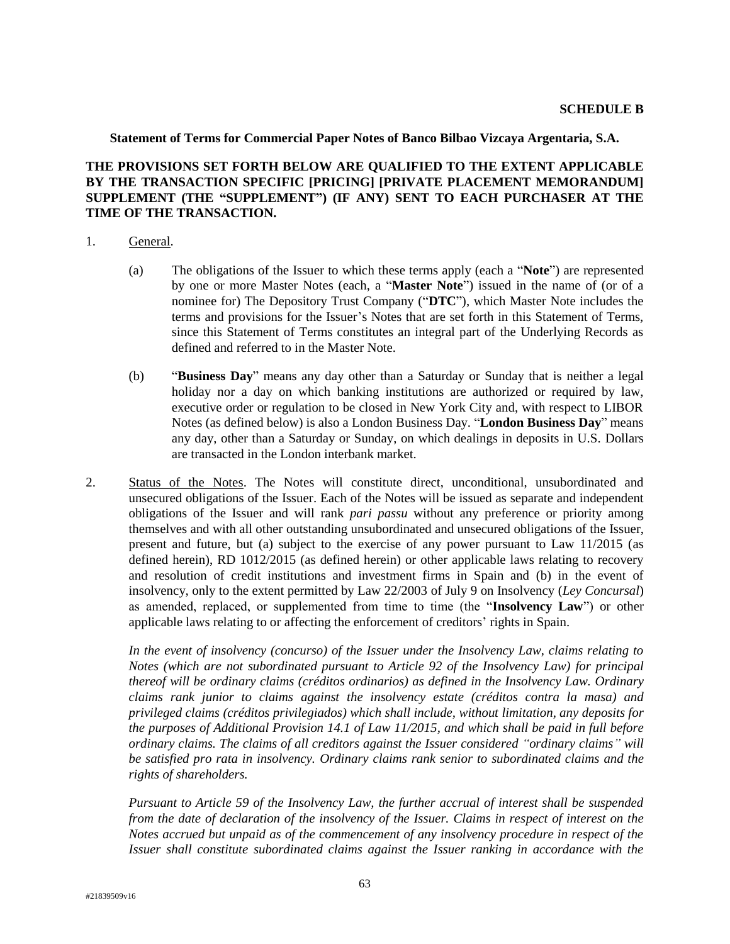**Statement of Terms for Commercial Paper Notes of Banco Bilbao Vizcaya Argentaria, S.A.** 

# **THE PROVISIONS SET FORTH BELOW ARE QUALIFIED TO THE EXTENT APPLICABLE BY THE TRANSACTION SPECIFIC [PRICING] [PRIVATE PLACEMENT MEMORANDUM] SUPPLEMENT (THE "SUPPLEMENT") (IF ANY) SENT TO EACH PURCHASER AT THE TIME OF THE TRANSACTION.**

- 1. General.
	- (a) The obligations of the Issuer to which these terms apply (each a "**Note**") are represented by one or more Master Notes (each, a "**Master Note**") issued in the name of (or of a nominee for) The Depository Trust Company ("**DTC**"), which Master Note includes the terms and provisions for the Issuer's Notes that are set forth in this Statement of Terms, since this Statement of Terms constitutes an integral part of the Underlying Records as defined and referred to in the Master Note.
	- (b) "**Business Day**" means any day other than a Saturday or Sunday that is neither a legal holiday nor a day on which banking institutions are authorized or required by law, executive order or regulation to be closed in New York City and, with respect to LIBOR Notes (as defined below) is also a London Business Day. "**London Business Day**" means any day, other than a Saturday or Sunday, on which dealings in deposits in U.S. Dollars are transacted in the London interbank market.
- 2. Status of the Notes. The Notes will constitute direct, unconditional, unsubordinated and unsecured obligations of the Issuer. Each of the Notes will be issued as separate and independent obligations of the Issuer and will rank *pari passu* without any preference or priority among themselves and with all other outstanding unsubordinated and unsecured obligations of the Issuer, present and future, but (a) subject to the exercise of any power pursuant to Law 11/2015 (as defined herein), RD 1012/2015 (as defined herein) or other applicable laws relating to recovery and resolution of credit institutions and investment firms in Spain and (b) in the event of insolvency, only to the extent permitted by Law 22/2003 of July 9 on Insolvency (*Ley Concursal*) as amended, replaced, or supplemented from time to time (the "**Insolvency Law**") or other applicable laws relating to or affecting the enforcement of creditors' rights in Spain.

*In the event of insolvency (concurso) of the Issuer under the Insolvency Law, claims relating to Notes (which are not subordinated pursuant to Article 92 of the Insolvency Law) for principal thereof will be ordinary claims (créditos ordinarios) as defined in the Insolvency Law. Ordinary claims rank junior to claims against the insolvency estate (créditos contra la masa) and privileged claims (créditos privilegiados) which shall include, without limitation, any deposits for the purposes of Additional Provision 14.1 of Law 11/2015, and which shall be paid in full before ordinary claims. The claims of all creditors against the Issuer considered "ordinary claims" will be satisfied pro rata in insolvency. Ordinary claims rank senior to subordinated claims and the rights of shareholders.*

*Pursuant to Article 59 of the Insolvency Law, the further accrual of interest shall be suspended from the date of declaration of the insolvency of the Issuer. Claims in respect of interest on the Notes accrued but unpaid as of the commencement of any insolvency procedure in respect of the Issuer shall constitute subordinated claims against the Issuer ranking in accordance with the*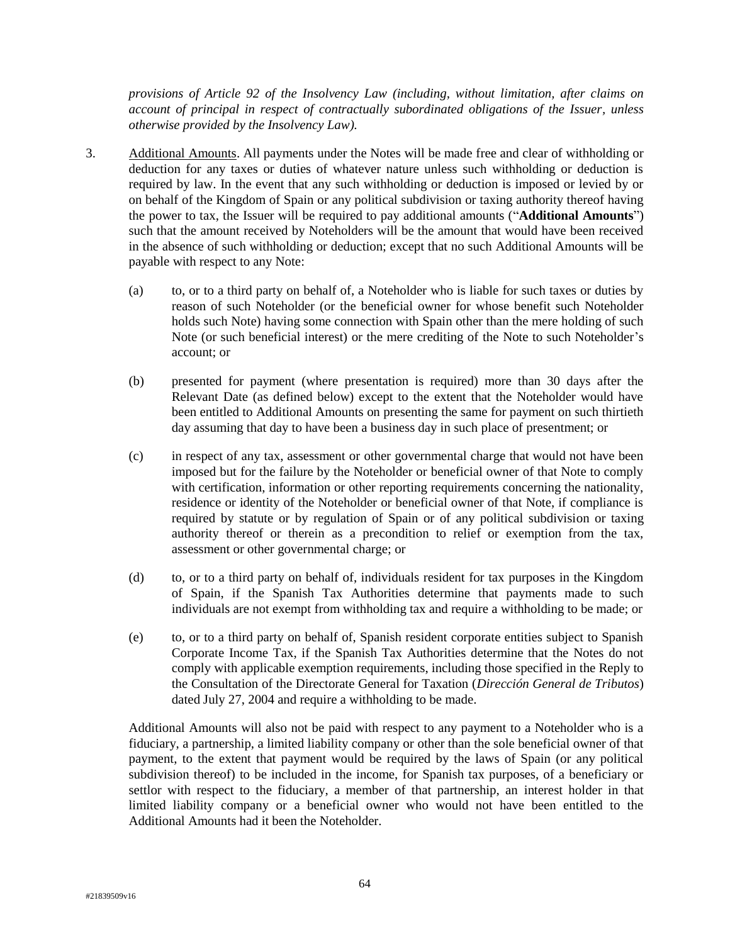*provisions of Article 92 of the Insolvency Law (including, without limitation, after claims on account of principal in respect of contractually subordinated obligations of the Issuer, unless otherwise provided by the Insolvency Law).*

- 3. Additional Amounts. All payments under the Notes will be made free and clear of withholding or deduction for any taxes or duties of whatever nature unless such withholding or deduction is required by law. In the event that any such withholding or deduction is imposed or levied by or on behalf of the Kingdom of Spain or any political subdivision or taxing authority thereof having the power to tax, the Issuer will be required to pay additional amounts ("**Additional Amounts**") such that the amount received by Noteholders will be the amount that would have been received in the absence of such withholding or deduction; except that no such Additional Amounts will be payable with respect to any Note:
	- (a) to, or to a third party on behalf of, a Noteholder who is liable for such taxes or duties by reason of such Noteholder (or the beneficial owner for whose benefit such Noteholder holds such Note) having some connection with Spain other than the mere holding of such Note (or such beneficial interest) or the mere crediting of the Note to such Noteholder's account; or
	- (b) presented for payment (where presentation is required) more than 30 days after the Relevant Date (as defined below) except to the extent that the Noteholder would have been entitled to Additional Amounts on presenting the same for payment on such thirtieth day assuming that day to have been a business day in such place of presentment; or
	- (c) in respect of any tax, assessment or other governmental charge that would not have been imposed but for the failure by the Noteholder or beneficial owner of that Note to comply with certification, information or other reporting requirements concerning the nationality, residence or identity of the Noteholder or beneficial owner of that Note, if compliance is required by statute or by regulation of Spain or of any political subdivision or taxing authority thereof or therein as a precondition to relief or exemption from the tax, assessment or other governmental charge; or
	- (d) to, or to a third party on behalf of, individuals resident for tax purposes in the Kingdom of Spain, if the Spanish Tax Authorities determine that payments made to such individuals are not exempt from withholding tax and require a withholding to be made; or
	- (e) to, or to a third party on behalf of, Spanish resident corporate entities subject to Spanish Corporate Income Tax, if the Spanish Tax Authorities determine that the Notes do not comply with applicable exemption requirements, including those specified in the Reply to the Consultation of the Directorate General for Taxation (*Dirección General de Tributos*) dated July 27, 2004 and require a withholding to be made.

Additional Amounts will also not be paid with respect to any payment to a Noteholder who is a fiduciary, a partnership, a limited liability company or other than the sole beneficial owner of that payment, to the extent that payment would be required by the laws of Spain (or any political subdivision thereof) to be included in the income, for Spanish tax purposes, of a beneficiary or settlor with respect to the fiduciary, a member of that partnership, an interest holder in that limited liability company or a beneficial owner who would not have been entitled to the Additional Amounts had it been the Noteholder.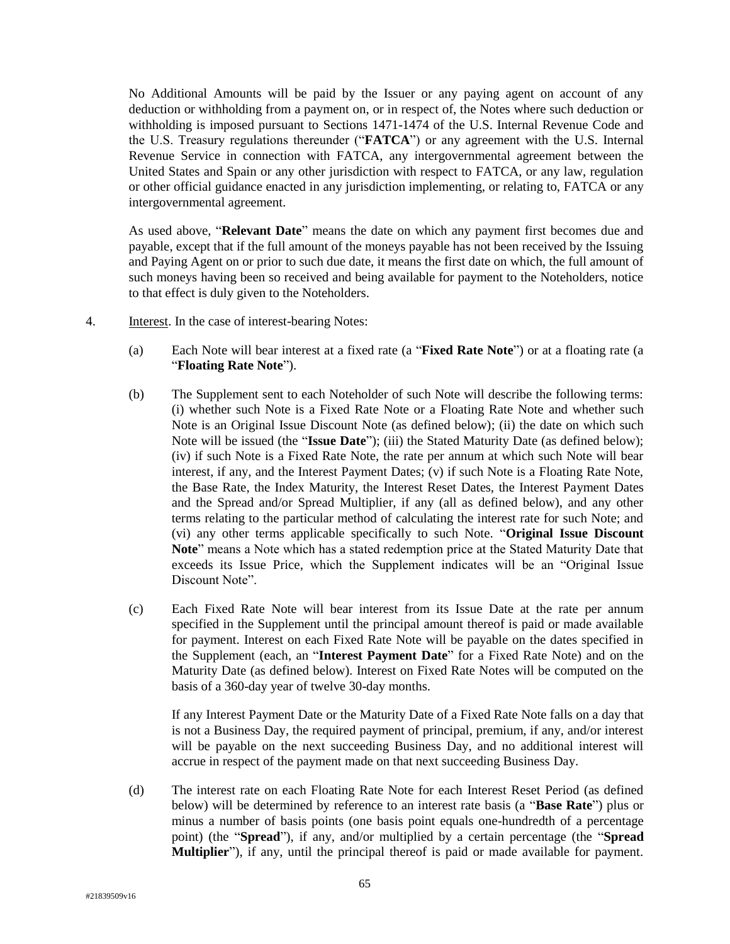No Additional Amounts will be paid by the Issuer or any paying agent on account of any deduction or withholding from a payment on, or in respect of, the Notes where such deduction or withholding is imposed pursuant to Sections 1471-1474 of the U.S. Internal Revenue Code and the U.S. Treasury regulations thereunder ("**FATCA**") or any agreement with the U.S. Internal Revenue Service in connection with FATCA, any intergovernmental agreement between the United States and Spain or any other jurisdiction with respect to FATCA, or any law, regulation or other official guidance enacted in any jurisdiction implementing, or relating to, FATCA or any intergovernmental agreement.

As used above, "**Relevant Date**" means the date on which any payment first becomes due and payable, except that if the full amount of the moneys payable has not been received by the Issuing and Paying Agent on or prior to such due date, it means the first date on which, the full amount of such moneys having been so received and being available for payment to the Noteholders, notice to that effect is duly given to the Noteholders.

- 4. Interest. In the case of interest-bearing Notes:
	- (a) Each Note will bear interest at a fixed rate (a "**Fixed Rate Note**") or at a floating rate (a "**Floating Rate Note**").
	- (b) The Supplement sent to each Noteholder of such Note will describe the following terms: (i) whether such Note is a Fixed Rate Note or a Floating Rate Note and whether such Note is an Original Issue Discount Note (as defined below); (ii) the date on which such Note will be issued (the "**Issue Date**"); (iii) the Stated Maturity Date (as defined below); (iv) if such Note is a Fixed Rate Note, the rate per annum at which such Note will bear interest, if any, and the Interest Payment Dates; (v) if such Note is a Floating Rate Note, the Base Rate, the Index Maturity, the Interest Reset Dates, the Interest Payment Dates and the Spread and/or Spread Multiplier, if any (all as defined below), and any other terms relating to the particular method of calculating the interest rate for such Note; and (vi) any other terms applicable specifically to such Note. "**Original Issue Discount Note**" means a Note which has a stated redemption price at the Stated Maturity Date that exceeds its Issue Price, which the Supplement indicates will be an "Original Issue Discount Note".
	- (c) Each Fixed Rate Note will bear interest from its Issue Date at the rate per annum specified in the Supplement until the principal amount thereof is paid or made available for payment. Interest on each Fixed Rate Note will be payable on the dates specified in the Supplement (each, an "**Interest Payment Date**" for a Fixed Rate Note) and on the Maturity Date (as defined below). Interest on Fixed Rate Notes will be computed on the basis of a 360-day year of twelve 30-day months.

If any Interest Payment Date or the Maturity Date of a Fixed Rate Note falls on a day that is not a Business Day, the required payment of principal, premium, if any, and/or interest will be payable on the next succeeding Business Day, and no additional interest will accrue in respect of the payment made on that next succeeding Business Day.

(d) The interest rate on each Floating Rate Note for each Interest Reset Period (as defined below) will be determined by reference to an interest rate basis (a "**Base Rate**") plus or minus a number of basis points (one basis point equals one-hundredth of a percentage point) (the "**Spread**"), if any, and/or multiplied by a certain percentage (the "**Spread Multiplier**"), if any, until the principal thereof is paid or made available for payment.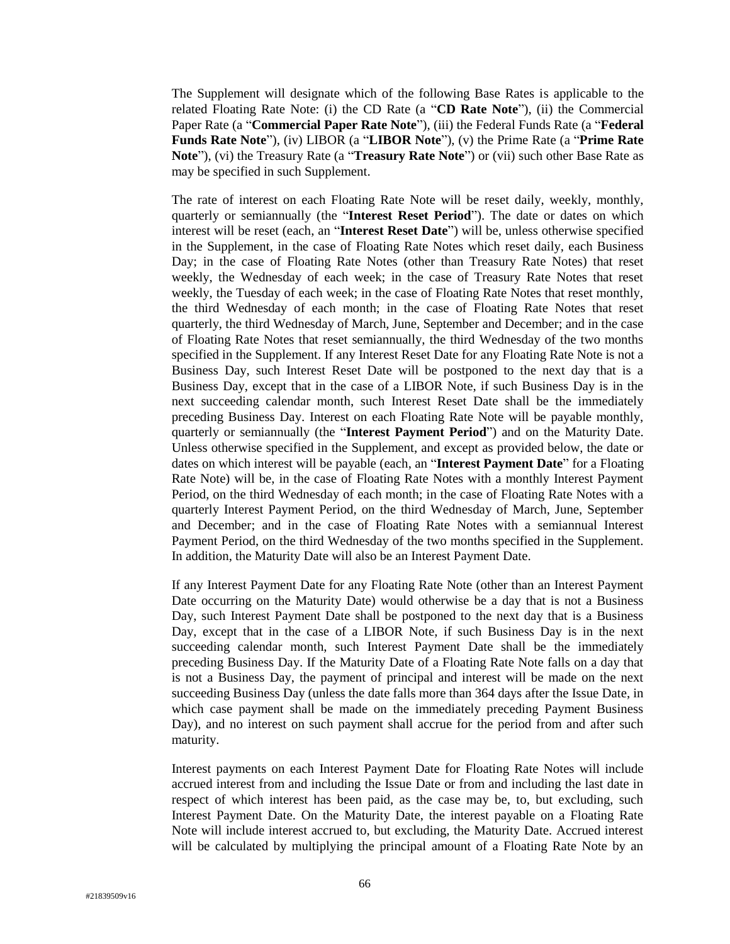The Supplement will designate which of the following Base Rates is applicable to the related Floating Rate Note: (i) the CD Rate (a "**CD Rate Note**"), (ii) the Commercial Paper Rate (a "**Commercial Paper Rate Note**"), (iii) the Federal Funds Rate (a "**Federal Funds Rate Note**"), (iv) LIBOR (a "**LIBOR Note**"), (v) the Prime Rate (a "**Prime Rate Note**"), (vi) the Treasury Rate (a "**Treasury Rate Note**") or (vii) such other Base Rate as may be specified in such Supplement.

The rate of interest on each Floating Rate Note will be reset daily, weekly, monthly, quarterly or semiannually (the "**Interest Reset Period**"). The date or dates on which interest will be reset (each, an "**Interest Reset Date**") will be, unless otherwise specified in the Supplement, in the case of Floating Rate Notes which reset daily, each Business Day; in the case of Floating Rate Notes (other than Treasury Rate Notes) that reset weekly, the Wednesday of each week; in the case of Treasury Rate Notes that reset weekly, the Tuesday of each week; in the case of Floating Rate Notes that reset monthly, the third Wednesday of each month; in the case of Floating Rate Notes that reset quarterly, the third Wednesday of March, June, September and December; and in the case of Floating Rate Notes that reset semiannually, the third Wednesday of the two months specified in the Supplement. If any Interest Reset Date for any Floating Rate Note is not a Business Day, such Interest Reset Date will be postponed to the next day that is a Business Day, except that in the case of a LIBOR Note, if such Business Day is in the next succeeding calendar month, such Interest Reset Date shall be the immediately preceding Business Day. Interest on each Floating Rate Note will be payable monthly, quarterly or semiannually (the "**Interest Payment Period**") and on the Maturity Date. Unless otherwise specified in the Supplement, and except as provided below, the date or dates on which interest will be payable (each, an "**Interest Payment Date**" for a Floating Rate Note) will be, in the case of Floating Rate Notes with a monthly Interest Payment Period, on the third Wednesday of each month; in the case of Floating Rate Notes with a quarterly Interest Payment Period, on the third Wednesday of March, June, September and December; and in the case of Floating Rate Notes with a semiannual Interest Payment Period, on the third Wednesday of the two months specified in the Supplement. In addition, the Maturity Date will also be an Interest Payment Date.

If any Interest Payment Date for any Floating Rate Note (other than an Interest Payment Date occurring on the Maturity Date) would otherwise be a day that is not a Business Day, such Interest Payment Date shall be postponed to the next day that is a Business Day, except that in the case of a LIBOR Note, if such Business Day is in the next succeeding calendar month, such Interest Payment Date shall be the immediately preceding Business Day. If the Maturity Date of a Floating Rate Note falls on a day that is not a Business Day, the payment of principal and interest will be made on the next succeeding Business Day (unless the date falls more than 364 days after the Issue Date, in which case payment shall be made on the immediately preceding Payment Business Day), and no interest on such payment shall accrue for the period from and after such maturity.

Interest payments on each Interest Payment Date for Floating Rate Notes will include accrued interest from and including the Issue Date or from and including the last date in respect of which interest has been paid, as the case may be, to, but excluding, such Interest Payment Date. On the Maturity Date, the interest payable on a Floating Rate Note will include interest accrued to, but excluding, the Maturity Date. Accrued interest will be calculated by multiplying the principal amount of a Floating Rate Note by an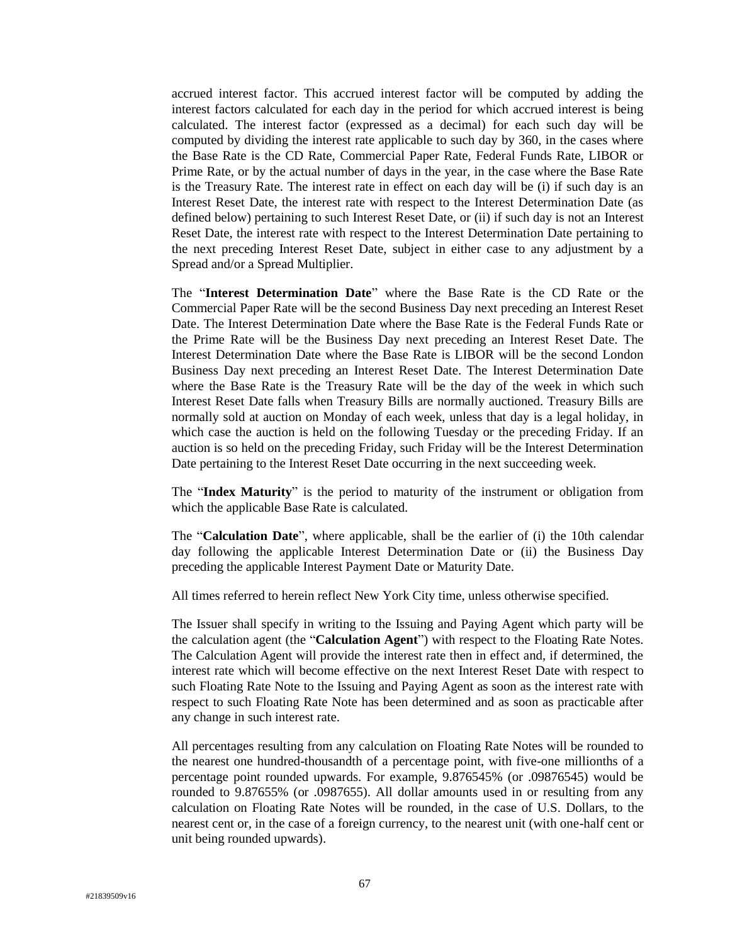accrued interest factor. This accrued interest factor will be computed by adding the interest factors calculated for each day in the period for which accrued interest is being calculated. The interest factor (expressed as a decimal) for each such day will be computed by dividing the interest rate applicable to such day by 360, in the cases where the Base Rate is the CD Rate, Commercial Paper Rate, Federal Funds Rate, LIBOR or Prime Rate, or by the actual number of days in the year, in the case where the Base Rate is the Treasury Rate. The interest rate in effect on each day will be (i) if such day is an Interest Reset Date, the interest rate with respect to the Interest Determination Date (as defined below) pertaining to such Interest Reset Date, or (ii) if such day is not an Interest Reset Date, the interest rate with respect to the Interest Determination Date pertaining to the next preceding Interest Reset Date, subject in either case to any adjustment by a Spread and/or a Spread Multiplier.

The "**Interest Determination Date**" where the Base Rate is the CD Rate or the Commercial Paper Rate will be the second Business Day next preceding an Interest Reset Date. The Interest Determination Date where the Base Rate is the Federal Funds Rate or the Prime Rate will be the Business Day next preceding an Interest Reset Date. The Interest Determination Date where the Base Rate is LIBOR will be the second London Business Day next preceding an Interest Reset Date. The Interest Determination Date where the Base Rate is the Treasury Rate will be the day of the week in which such Interest Reset Date falls when Treasury Bills are normally auctioned. Treasury Bills are normally sold at auction on Monday of each week, unless that day is a legal holiday, in which case the auction is held on the following Tuesday or the preceding Friday. If an auction is so held on the preceding Friday, such Friday will be the Interest Determination Date pertaining to the Interest Reset Date occurring in the next succeeding week.

The "**Index Maturity**" is the period to maturity of the instrument or obligation from which the applicable Base Rate is calculated.

The "**Calculation Date**", where applicable, shall be the earlier of (i) the 10th calendar day following the applicable Interest Determination Date or (ii) the Business Day preceding the applicable Interest Payment Date or Maturity Date.

All times referred to herein reflect New York City time, unless otherwise specified.

The Issuer shall specify in writing to the Issuing and Paying Agent which party will be the calculation agent (the "**Calculation Agent**") with respect to the Floating Rate Notes. The Calculation Agent will provide the interest rate then in effect and, if determined, the interest rate which will become effective on the next Interest Reset Date with respect to such Floating Rate Note to the Issuing and Paying Agent as soon as the interest rate with respect to such Floating Rate Note has been determined and as soon as practicable after any change in such interest rate.

All percentages resulting from any calculation on Floating Rate Notes will be rounded to the nearest one hundred-thousandth of a percentage point, with five-one millionths of a percentage point rounded upwards. For example, 9.876545% (or .09876545) would be rounded to 9.87655% (or .0987655). All dollar amounts used in or resulting from any calculation on Floating Rate Notes will be rounded, in the case of U.S. Dollars, to the nearest cent or, in the case of a foreign currency, to the nearest unit (with one-half cent or unit being rounded upwards).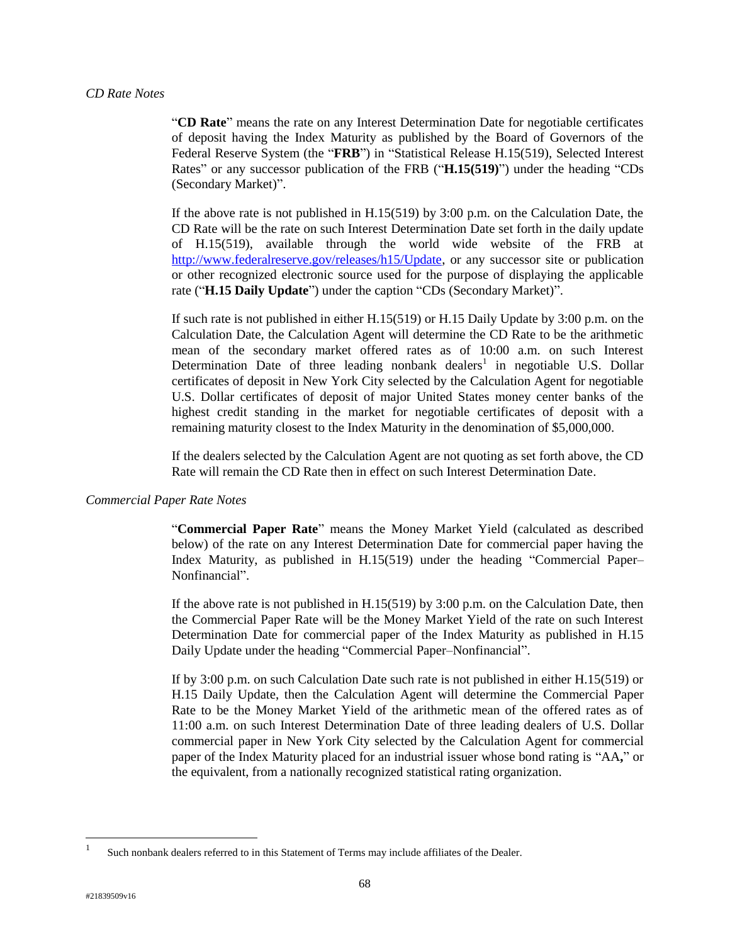#### *CD Rate Notes*

"**CD Rate**" means the rate on any Interest Determination Date for negotiable certificates of deposit having the Index Maturity as published by the Board of Governors of the Federal Reserve System (the "**FRB**") in "Statistical Release H.15(519), Selected Interest Rates" or any successor publication of the FRB ("**H.15(519)**") under the heading "CDs (Secondary Market)".

If the above rate is not published in  $H.15(519)$  by 3:00 p.m. on the Calculation Date, the CD Rate will be the rate on such Interest Determination Date set forth in the daily update of H.15(519), available through the world wide website of the FRB at [http://www.federalreserve.gov/releases/h15/Update,](http://www.federalreserve.gov/releases/h15/Update) or any successor site or publication or other recognized electronic source used for the purpose of displaying the applicable rate ("**H.15 Daily Update**") under the caption "CDs (Secondary Market)".

If such rate is not published in either H.15(519) or H.15 Daily Update by 3:00 p.m. on the Calculation Date, the Calculation Agent will determine the CD Rate to be the arithmetic mean of the secondary market offered rates as of 10:00 a.m. on such Interest Determination Date of three leading nonbank dealers<sup>1</sup> in negotiable U.S. Dollar certificates of deposit in New York City selected by the Calculation Agent for negotiable U.S. Dollar certificates of deposit of major United States money center banks of the highest credit standing in the market for negotiable certificates of deposit with a remaining maturity closest to the Index Maturity in the denomination of \$5,000,000.

If the dealers selected by the Calculation Agent are not quoting as set forth above, the CD Rate will remain the CD Rate then in effect on such Interest Determination Date.

### *Commercial Paper Rate Notes*

"**Commercial Paper Rate**" means the Money Market Yield (calculated as described below) of the rate on any Interest Determination Date for commercial paper having the Index Maturity, as published in H.15(519) under the heading "Commercial Paper– Nonfinancial".

If the above rate is not published in  $H.15(519)$  by  $3:00$  p.m. on the Calculation Date, then the Commercial Paper Rate will be the Money Market Yield of the rate on such Interest Determination Date for commercial paper of the Index Maturity as published in H.15 Daily Update under the heading "Commercial Paper–Nonfinancial".

If by 3:00 p.m. on such Calculation Date such rate is not published in either H.15(519) or H.15 Daily Update, then the Calculation Agent will determine the Commercial Paper Rate to be the Money Market Yield of the arithmetic mean of the offered rates as of 11:00 a.m. on such Interest Determination Date of three leading dealers of U.S. Dollar commercial paper in New York City selected by the Calculation Agent for commercial paper of the Index Maturity placed for an industrial issuer whose bond rating is "AA**,**" or the equivalent, from a nationally recognized statistical rating organization.

 $\frac{1}{1}$ Such nonbank dealers referred to in this Statement of Terms may include affiliates of the Dealer.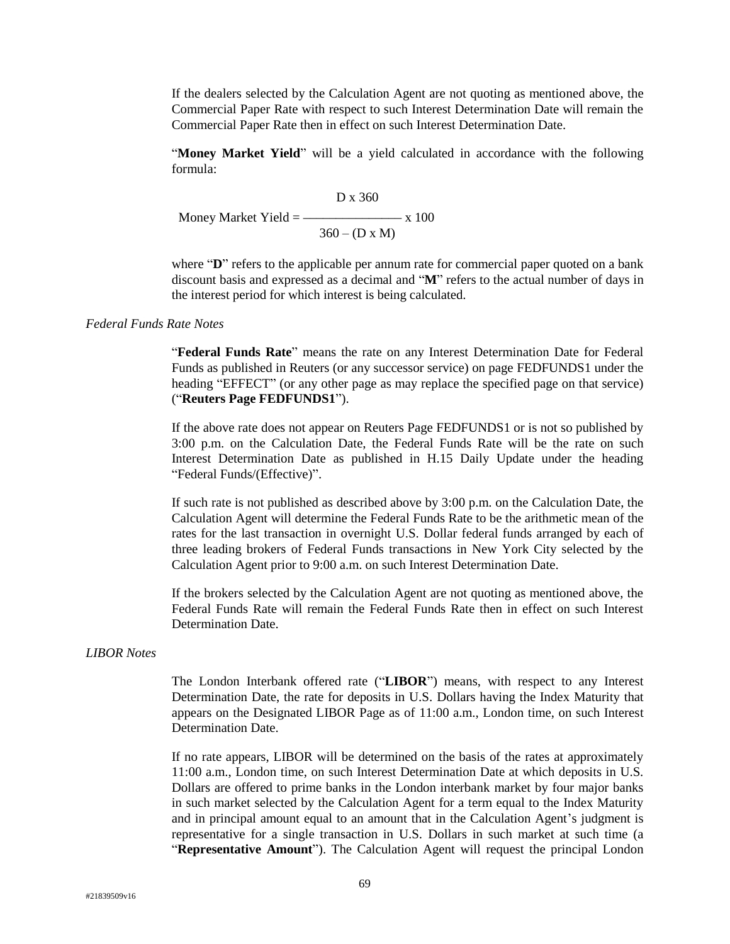If the dealers selected by the Calculation Agent are not quoting as mentioned above, the Commercial Paper Rate with respect to such Interest Determination Date will remain the Commercial Paper Rate then in effect on such Interest Determination Date.

"**Money Market Yield**" will be a yield calculated in accordance with the following formula:

$$
D x 360
$$
   
Money Market Yield = 
$$
\frac{D x 360}{360 - (D x M)} x 100
$$

where "D" refers to the applicable per annum rate for commercial paper quoted on a bank discount basis and expressed as a decimal and "**M**" refers to the actual number of days in the interest period for which interest is being calculated.

#### *Federal Funds Rate Notes*

"**Federal Funds Rate**" means the rate on any Interest Determination Date for Federal Funds as published in Reuters (or any successor service) on page FEDFUNDS1 under the heading "EFFECT" (or any other page as may replace the specified page on that service) ("**Reuters Page FEDFUNDS1**").

If the above rate does not appear on Reuters Page FEDFUNDS1 or is not so published by 3:00 p.m. on the Calculation Date, the Federal Funds Rate will be the rate on such Interest Determination Date as published in H.15 Daily Update under the heading "Federal Funds/(Effective)".

If such rate is not published as described above by 3:00 p.m. on the Calculation Date, the Calculation Agent will determine the Federal Funds Rate to be the arithmetic mean of the rates for the last transaction in overnight U.S. Dollar federal funds arranged by each of three leading brokers of Federal Funds transactions in New York City selected by the Calculation Agent prior to 9:00 a.m. on such Interest Determination Date.

If the brokers selected by the Calculation Agent are not quoting as mentioned above, the Federal Funds Rate will remain the Federal Funds Rate then in effect on such Interest Determination Date.

#### *LIBOR Notes*

The London Interbank offered rate ("**LIBOR**") means, with respect to any Interest Determination Date, the rate for deposits in U.S. Dollars having the Index Maturity that appears on the Designated LIBOR Page as of 11:00 a.m., London time, on such Interest Determination Date.

If no rate appears, LIBOR will be determined on the basis of the rates at approximately 11:00 a.m., London time, on such Interest Determination Date at which deposits in U.S. Dollars are offered to prime banks in the London interbank market by four major banks in such market selected by the Calculation Agent for a term equal to the Index Maturity and in principal amount equal to an amount that in the Calculation Agent's judgment is representative for a single transaction in U.S. Dollars in such market at such time (a "**Representative Amount**"). The Calculation Agent will request the principal London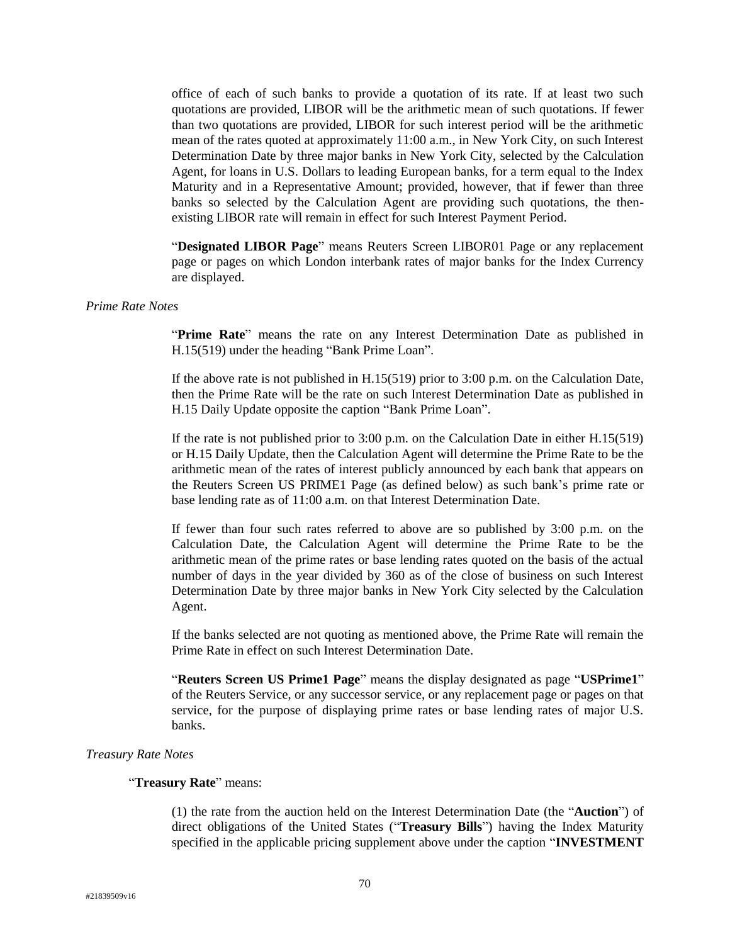office of each of such banks to provide a quotation of its rate. If at least two such quotations are provided, LIBOR will be the arithmetic mean of such quotations. If fewer than two quotations are provided, LIBOR for such interest period will be the arithmetic mean of the rates quoted at approximately 11:00 a.m., in New York City, on such Interest Determination Date by three major banks in New York City, selected by the Calculation Agent, for loans in U.S. Dollars to leading European banks, for a term equal to the Index Maturity and in a Representative Amount; provided, however, that if fewer than three banks so selected by the Calculation Agent are providing such quotations, the thenexisting LIBOR rate will remain in effect for such Interest Payment Period.

"**Designated LIBOR Page**" means Reuters Screen LIBOR01 Page or any replacement page or pages on which London interbank rates of major banks for the Index Currency are displayed.

#### *Prime Rate Notes*

"**Prime Rate**" means the rate on any Interest Determination Date as published in H.15(519) under the heading "Bank Prime Loan".

If the above rate is not published in H.15(519) prior to 3:00 p.m. on the Calculation Date, then the Prime Rate will be the rate on such Interest Determination Date as published in H.15 Daily Update opposite the caption "Bank Prime Loan".

If the rate is not published prior to 3:00 p.m. on the Calculation Date in either H.15(519) or H.15 Daily Update, then the Calculation Agent will determine the Prime Rate to be the arithmetic mean of the rates of interest publicly announced by each bank that appears on the Reuters Screen US PRIME1 Page (as defined below) as such bank's prime rate or base lending rate as of 11:00 a.m. on that Interest Determination Date.

If fewer than four such rates referred to above are so published by 3:00 p.m. on the Calculation Date, the Calculation Agent will determine the Prime Rate to be the arithmetic mean of the prime rates or base lending rates quoted on the basis of the actual number of days in the year divided by 360 as of the close of business on such Interest Determination Date by three major banks in New York City selected by the Calculation Agent.

If the banks selected are not quoting as mentioned above, the Prime Rate will remain the Prime Rate in effect on such Interest Determination Date.

"**Reuters Screen US Prime1 Page**" means the display designated as page "**USPrime1**" of the Reuters Service, or any successor service, or any replacement page or pages on that service, for the purpose of displaying prime rates or base lending rates of major U.S. banks.

#### *Treasury Rate Notes*

#### "**Treasury Rate**" means:

(1) the rate from the auction held on the Interest Determination Date (the "**Auction**") of direct obligations of the United States ("**Treasury Bills**") having the Index Maturity specified in the applicable pricing supplement above under the caption "**INVESTMENT**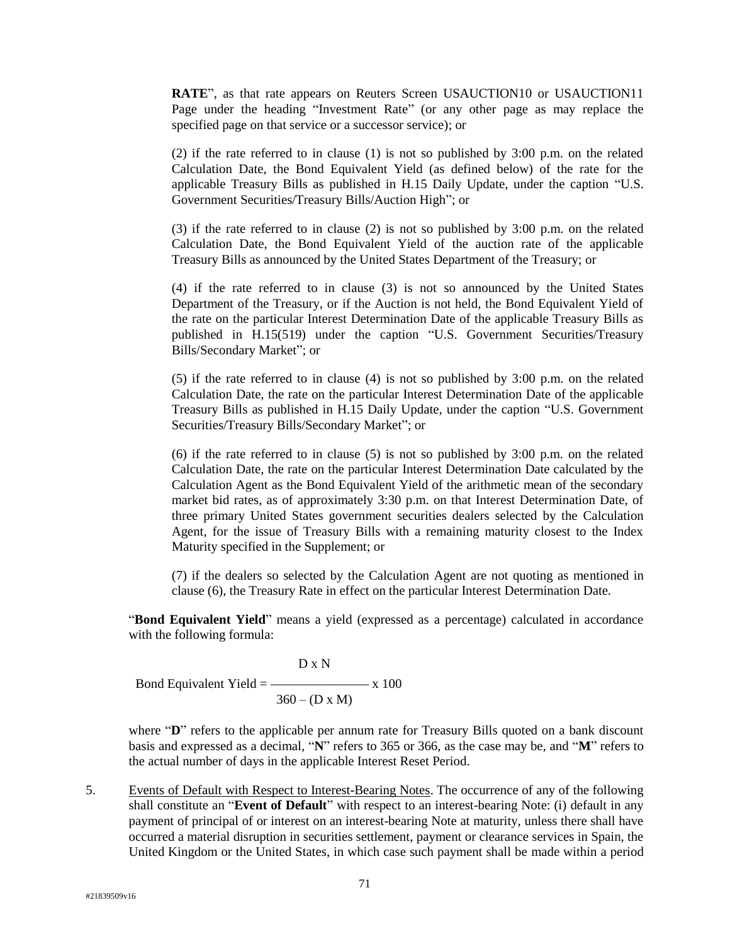**RATE**", as that rate appears on Reuters Screen USAUCTION10 or USAUCTION11 Page under the heading "Investment Rate" (or any other page as may replace the specified page on that service or a successor service); or

(2) if the rate referred to in clause (1) is not so published by 3:00 p.m. on the related Calculation Date, the Bond Equivalent Yield (as defined below) of the rate for the applicable Treasury Bills as published in H.15 Daily Update, under the caption "U.S. Government Securities/Treasury Bills/Auction High"; or

(3) if the rate referred to in clause (2) is not so published by 3:00 p.m. on the related Calculation Date, the Bond Equivalent Yield of the auction rate of the applicable Treasury Bills as announced by the United States Department of the Treasury; or

(4) if the rate referred to in clause (3) is not so announced by the United States Department of the Treasury, or if the Auction is not held, the Bond Equivalent Yield of the rate on the particular Interest Determination Date of the applicable Treasury Bills as published in H.15(519) under the caption "U.S. Government Securities/Treasury Bills/Secondary Market"; or

(5) if the rate referred to in clause (4) is not so published by 3:00 p.m. on the related Calculation Date, the rate on the particular Interest Determination Date of the applicable Treasury Bills as published in H.15 Daily Update, under the caption "U.S. Government Securities/Treasury Bills/Secondary Market"; or

(6) if the rate referred to in clause  $(5)$  is not so published by 3:00 p.m. on the related Calculation Date, the rate on the particular Interest Determination Date calculated by the Calculation Agent as the Bond Equivalent Yield of the arithmetic mean of the secondary market bid rates, as of approximately 3:30 p.m. on that Interest Determination Date, of three primary United States government securities dealers selected by the Calculation Agent, for the issue of Treasury Bills with a remaining maturity closest to the Index Maturity specified in the Supplement; or

(7) if the dealers so selected by the Calculation Agent are not quoting as mentioned in clause (6), the Treasury Rate in effect on the particular Interest Determination Date.

"**Bond Equivalent Yield**" means a yield (expressed as a percentage) calculated in accordance with the following formula:

D x N Bond Equivalent Yield = \_\_\_\_\_\_\_\_\_\_\_\_\_\_\_ x 100  $360 - (D \times M)$ 

where "D" refers to the applicable per annum rate for Treasury Bills quoted on a bank discount basis and expressed as a decimal, "**N**" refers to 365 or 366, as the case may be, and "**M**" refers to the actual number of days in the applicable Interest Reset Period.

5. Events of Default with Respect to Interest-Bearing Notes. The occurrence of any of the following shall constitute an "**Event of Default**" with respect to an interest-bearing Note: (i) default in any payment of principal of or interest on an interest-bearing Note at maturity, unless there shall have occurred a material disruption in securities settlement, payment or clearance services in Spain, the United Kingdom or the United States, in which case such payment shall be made within a period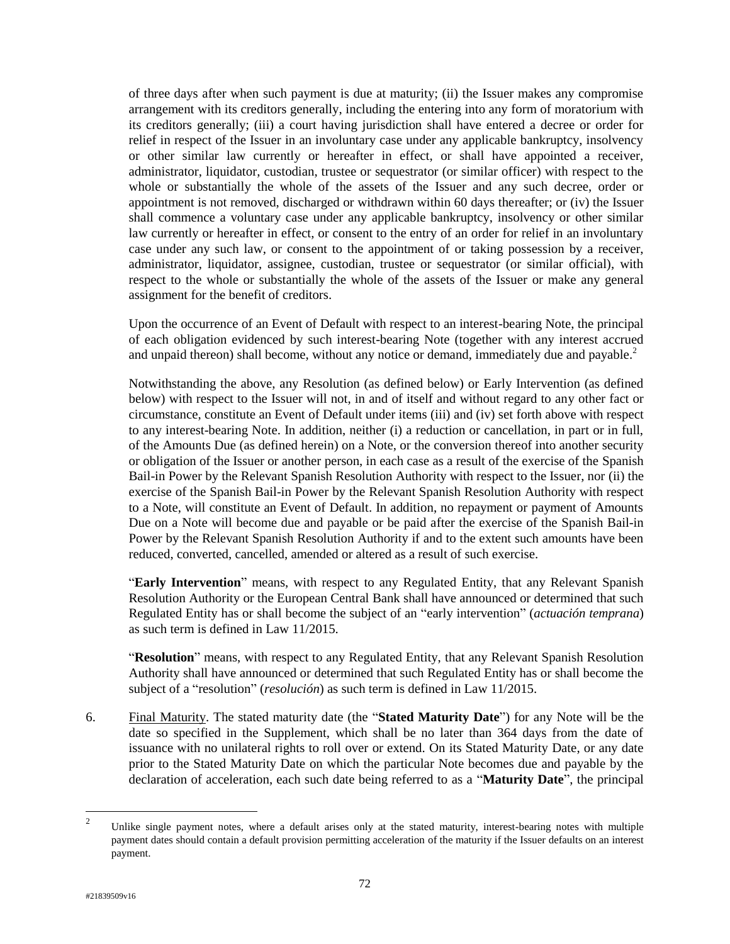of three days after when such payment is due at maturity; (ii) the Issuer makes any compromise arrangement with its creditors generally, including the entering into any form of moratorium with its creditors generally; (iii) a court having jurisdiction shall have entered a decree or order for relief in respect of the Issuer in an involuntary case under any applicable bankruptcy, insolvency or other similar law currently or hereafter in effect, or shall have appointed a receiver, administrator, liquidator, custodian, trustee or sequestrator (or similar officer) with respect to the whole or substantially the whole of the assets of the Issuer and any such decree, order or appointment is not removed, discharged or withdrawn within 60 days thereafter; or (iv) the Issuer shall commence a voluntary case under any applicable bankruptcy, insolvency or other similar law currently or hereafter in effect, or consent to the entry of an order for relief in an involuntary case under any such law, or consent to the appointment of or taking possession by a receiver, administrator, liquidator, assignee, custodian, trustee or sequestrator (or similar official), with respect to the whole or substantially the whole of the assets of the Issuer or make any general assignment for the benefit of creditors.

Upon the occurrence of an Event of Default with respect to an interest-bearing Note, the principal of each obligation evidenced by such interest-bearing Note (together with any interest accrued and unpaid thereon) shall become, without any notice or demand, immediately due and payable.<sup>2</sup>

Notwithstanding the above, any Resolution (as defined below) or Early Intervention (as defined below) with respect to the Issuer will not, in and of itself and without regard to any other fact or circumstance, constitute an Event of Default under items (iii) and (iv) set forth above with respect to any interest-bearing Note. In addition, neither (i) a reduction or cancellation, in part or in full, of the Amounts Due (as defined herein) on a Note, or the conversion thereof into another security or obligation of the Issuer or another person, in each case as a result of the exercise of the Spanish Bail-in Power by the Relevant Spanish Resolution Authority with respect to the Issuer, nor (ii) the exercise of the Spanish Bail-in Power by the Relevant Spanish Resolution Authority with respect to a Note, will constitute an Event of Default. In addition, no repayment or payment of Amounts Due on a Note will become due and payable or be paid after the exercise of the Spanish Bail-in Power by the Relevant Spanish Resolution Authority if and to the extent such amounts have been reduced, converted, cancelled, amended or altered as a result of such exercise.

"**Early Intervention**" means, with respect to any Regulated Entity, that any Relevant Spanish Resolution Authority or the European Central Bank shall have announced or determined that such Regulated Entity has or shall become the subject of an "early intervention" (*actuación temprana*) as such term is defined in Law 11/2015.

"**Resolution**" means, with respect to any Regulated Entity, that any Relevant Spanish Resolution Authority shall have announced or determined that such Regulated Entity has or shall become the subject of a "resolution" (*resolución*) as such term is defined in Law 11/2015.

6. Final Maturity. The stated maturity date (the "**Stated Maturity Date**") for any Note will be the date so specified in the Supplement, which shall be no later than 364 days from the date of issuance with no unilateral rights to roll over or extend. On its Stated Maturity Date, or any date prior to the Stated Maturity Date on which the particular Note becomes due and payable by the declaration of acceleration, each such date being referred to as a "**Maturity Date**", the principal

 $\frac{1}{2}$ Unlike single payment notes, where a default arises only at the stated maturity, interest-bearing notes with multiple payment dates should contain a default provision permitting acceleration of the maturity if the Issuer defaults on an interest payment.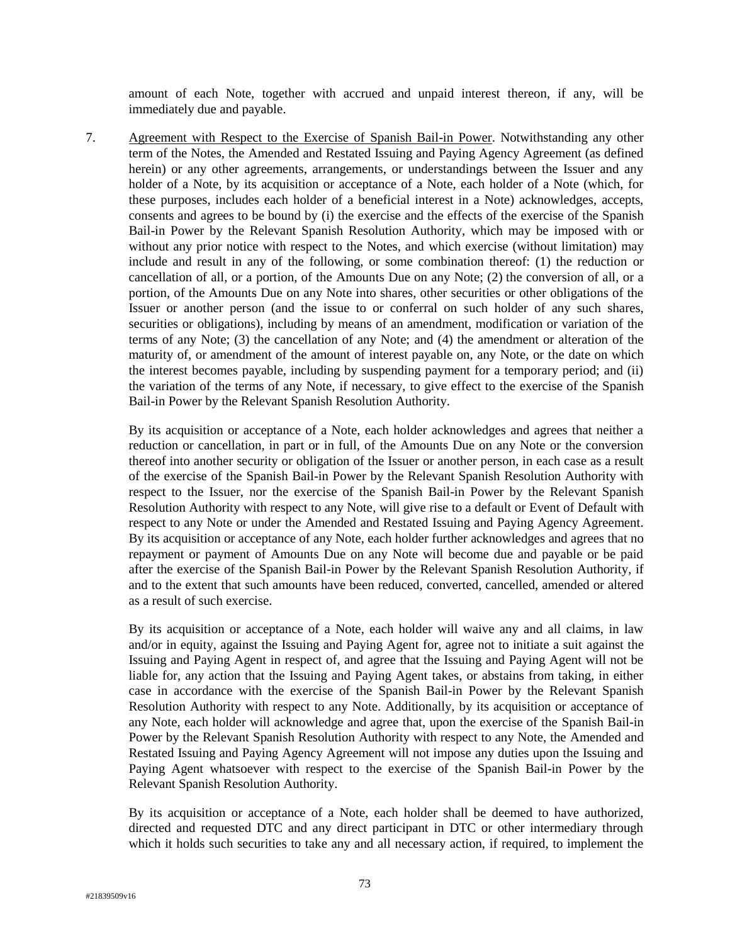amount of each Note, together with accrued and unpaid interest thereon, if any, will be immediately due and payable.

7. Agreement with Respect to the Exercise of Spanish Bail-in Power. Notwithstanding any other term of the Notes, the Amended and Restated Issuing and Paying Agency Agreement (as defined herein) or any other agreements, arrangements, or understandings between the Issuer and any holder of a Note, by its acquisition or acceptance of a Note, each holder of a Note (which, for these purposes, includes each holder of a beneficial interest in a Note) acknowledges, accepts, consents and agrees to be bound by (i) the exercise and the effects of the exercise of the Spanish Bail-in Power by the Relevant Spanish Resolution Authority, which may be imposed with or without any prior notice with respect to the Notes, and which exercise (without limitation) may include and result in any of the following, or some combination thereof: (1) the reduction or cancellation of all, or a portion, of the Amounts Due on any Note; (2) the conversion of all, or a portion, of the Amounts Due on any Note into shares, other securities or other obligations of the Issuer or another person (and the issue to or conferral on such holder of any such shares, securities or obligations), including by means of an amendment, modification or variation of the terms of any Note; (3) the cancellation of any Note; and (4) the amendment or alteration of the maturity of, or amendment of the amount of interest payable on, any Note, or the date on which the interest becomes payable, including by suspending payment for a temporary period; and (ii) the variation of the terms of any Note, if necessary, to give effect to the exercise of the Spanish Bail-in Power by the Relevant Spanish Resolution Authority.

By its acquisition or acceptance of a Note, each holder acknowledges and agrees that neither a reduction or cancellation, in part or in full, of the Amounts Due on any Note or the conversion thereof into another security or obligation of the Issuer or another person, in each case as a result of the exercise of the Spanish Bail-in Power by the Relevant Spanish Resolution Authority with respect to the Issuer, nor the exercise of the Spanish Bail-in Power by the Relevant Spanish Resolution Authority with respect to any Note, will give rise to a default or Event of Default with respect to any Note or under the Amended and Restated Issuing and Paying Agency Agreement. By its acquisition or acceptance of any Note, each holder further acknowledges and agrees that no repayment or payment of Amounts Due on any Note will become due and payable or be paid after the exercise of the Spanish Bail-in Power by the Relevant Spanish Resolution Authority, if and to the extent that such amounts have been reduced, converted, cancelled, amended or altered as a result of such exercise.

By its acquisition or acceptance of a Note, each holder will waive any and all claims, in law and/or in equity, against the Issuing and Paying Agent for, agree not to initiate a suit against the Issuing and Paying Agent in respect of, and agree that the Issuing and Paying Agent will not be liable for, any action that the Issuing and Paying Agent takes, or abstains from taking, in either case in accordance with the exercise of the Spanish Bail-in Power by the Relevant Spanish Resolution Authority with respect to any Note. Additionally, by its acquisition or acceptance of any Note, each holder will acknowledge and agree that, upon the exercise of the Spanish Bail-in Power by the Relevant Spanish Resolution Authority with respect to any Note, the Amended and Restated Issuing and Paying Agency Agreement will not impose any duties upon the Issuing and Paying Agent whatsoever with respect to the exercise of the Spanish Bail-in Power by the Relevant Spanish Resolution Authority.

By its acquisition or acceptance of a Note, each holder shall be deemed to have authorized, directed and requested DTC and any direct participant in DTC or other intermediary through which it holds such securities to take any and all necessary action, if required, to implement the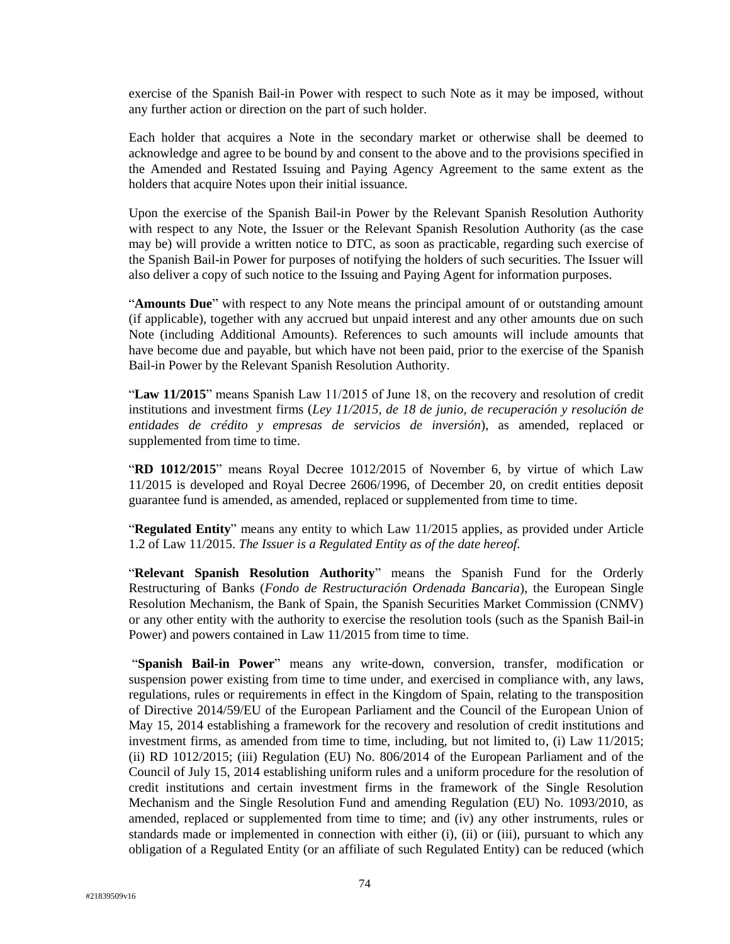exercise of the Spanish Bail-in Power with respect to such Note as it may be imposed, without any further action or direction on the part of such holder.

Each holder that acquires a Note in the secondary market or otherwise shall be deemed to acknowledge and agree to be bound by and consent to the above and to the provisions specified in the Amended and Restated Issuing and Paying Agency Agreement to the same extent as the holders that acquire Notes upon their initial issuance.

Upon the exercise of the Spanish Bail-in Power by the Relevant Spanish Resolution Authority with respect to any Note, the Issuer or the Relevant Spanish Resolution Authority (as the case may be) will provide a written notice to DTC, as soon as practicable, regarding such exercise of the Spanish Bail-in Power for purposes of notifying the holders of such securities. The Issuer will also deliver a copy of such notice to the Issuing and Paying Agent for information purposes.

"**Amounts Due**" with respect to any Note means the principal amount of or outstanding amount (if applicable), together with any accrued but unpaid interest and any other amounts due on such Note (including Additional Amounts). References to such amounts will include amounts that have become due and payable, but which have not been paid, prior to the exercise of the Spanish Bail-in Power by the Relevant Spanish Resolution Authority.

"**Law 11/2015**" means Spanish Law 11/2015 of June 18, on the recovery and resolution of credit institutions and investment firms (*Ley 11/2015, de 18 de junio, de recuperación y resolución de entidades de crédito y empresas de servicios de inversión*), as amended, replaced or supplemented from time to time.

"**RD 1012/2015**" means Royal Decree 1012/2015 of November 6, by virtue of which Law 11/2015 is developed and Royal Decree 2606/1996, of December 20, on credit entities deposit guarantee fund is amended, as amended, replaced or supplemented from time to time.

"**Regulated Entity**" means any entity to which Law 11/2015 applies, as provided under Article 1.2 of Law 11/2015. *The Issuer is a Regulated Entity as of the date hereof.*

"**Relevant Spanish Resolution Authority**" means the Spanish Fund for the Orderly Restructuring of Banks (*Fondo de Restructuración Ordenada Bancaria*), the European Single Resolution Mechanism, the Bank of Spain, the Spanish Securities Market Commission (CNMV) or any other entity with the authority to exercise the resolution tools (such as the Spanish Bail-in Power) and powers contained in Law 11/2015 from time to time.

"**Spanish Bail-in Power**" means any write-down, conversion, transfer, modification or suspension power existing from time to time under, and exercised in compliance with, any laws, regulations, rules or requirements in effect in the Kingdom of Spain, relating to the transposition of Directive 2014/59/EU of the European Parliament and the Council of the European Union of May 15, 2014 establishing a framework for the recovery and resolution of credit institutions and investment firms, as amended from time to time, including, but not limited to, (i) Law 11/2015; (ii) RD 1012/2015; (iii) Regulation (EU) No. 806/2014 of the European Parliament and of the Council of July 15, 2014 establishing uniform rules and a uniform procedure for the resolution of credit institutions and certain investment firms in the framework of the Single Resolution Mechanism and the Single Resolution Fund and amending Regulation (EU) No. 1093/2010, as amended, replaced or supplemented from time to time; and (iv) any other instruments, rules or standards made or implemented in connection with either (i), (ii) or (iii), pursuant to which any obligation of a Regulated Entity (or an affiliate of such Regulated Entity) can be reduced (which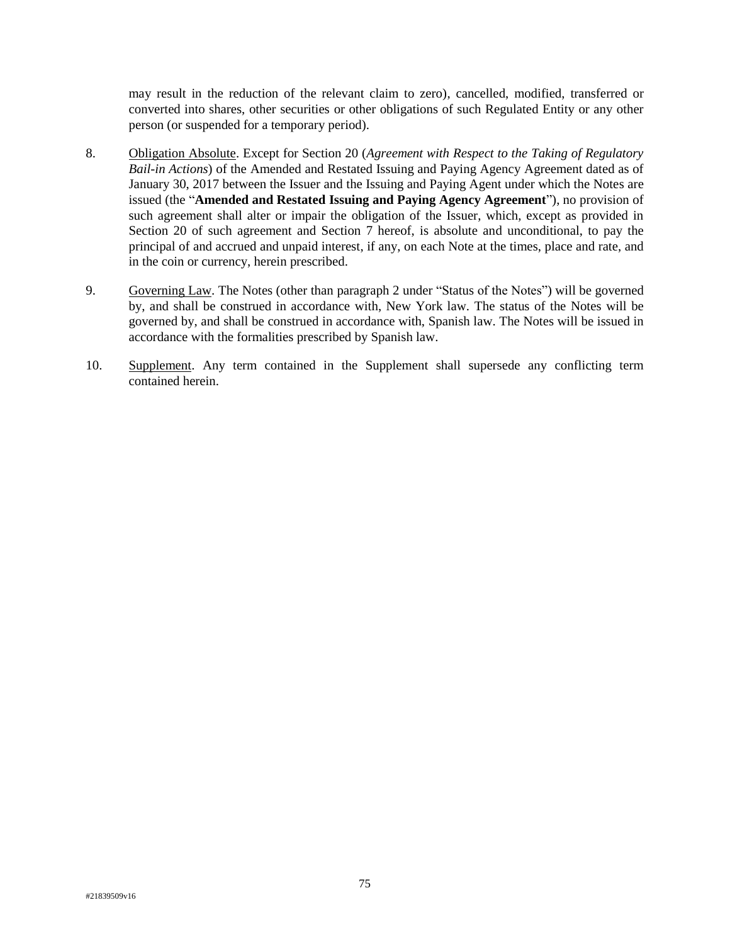may result in the reduction of the relevant claim to zero), cancelled, modified, transferred or converted into shares, other securities or other obligations of such Regulated Entity or any other person (or suspended for a temporary period).

- 8. Obligation Absolute. Except for Section 20 (*Agreement with Respect to the Taking of Regulatory Bail-in Actions*) of the Amended and Restated Issuing and Paying Agency Agreement dated as of January 30, 2017 between the Issuer and the Issuing and Paying Agent under which the Notes are issued (the "**Amended and Restated Issuing and Paying Agency Agreement**"), no provision of such agreement shall alter or impair the obligation of the Issuer, which, except as provided in Section 20 of such agreement and Section 7 hereof, is absolute and unconditional, to pay the principal of and accrued and unpaid interest, if any, on each Note at the times, place and rate, and in the coin or currency, herein prescribed.
- 9. Governing Law. The Notes (other than paragraph 2 under "Status of the Notes") will be governed by, and shall be construed in accordance with, New York law. The status of the Notes will be governed by, and shall be construed in accordance with, Spanish law. The Notes will be issued in accordance with the formalities prescribed by Spanish law.
- 10. Supplement. Any term contained in the Supplement shall supersede any conflicting term contained herein.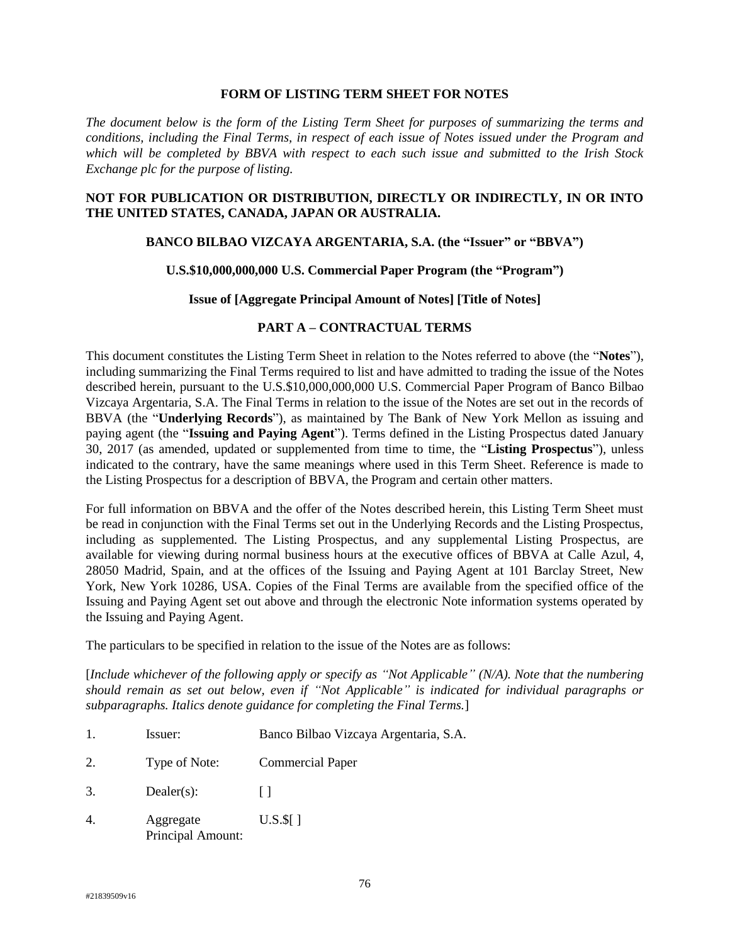#### **FORM OF LISTING TERM SHEET FOR NOTES**

*The document below is the form of the Listing Term Sheet for purposes of summarizing the terms and conditions, including the Final Terms, in respect of each issue of Notes issued under the Program and which will be completed by BBVA with respect to each such issue and submitted to the Irish Stock Exchange plc for the purpose of listing.*

## **NOT FOR PUBLICATION OR DISTRIBUTION, DIRECTLY OR INDIRECTLY, IN OR INTO THE UNITED STATES, CANADA, JAPAN OR AUSTRALIA.**

#### **BANCO BILBAO VIZCAYA ARGENTARIA, S.A. (the "Issuer" or "BBVA")**

#### **U.S.\$10,000,000,000 U.S. Commercial Paper Program (the "Program")**

#### **Issue of [Aggregate Principal Amount of Notes] [Title of Notes]**

## **PART A – CONTRACTUAL TERMS**

This document constitutes the Listing Term Sheet in relation to the Notes referred to above (the "**Notes**"), including summarizing the Final Terms required to list and have admitted to trading the issue of the Notes described herein, pursuant to the U.S.\$10,000,000,000 U.S. Commercial Paper Program of Banco Bilbao Vizcaya Argentaria, S.A. The Final Terms in relation to the issue of the Notes are set out in the records of BBVA (the "**Underlying Records**"), as maintained by The Bank of New York Mellon as issuing and paying agent (the "**Issuing and Paying Agent**"). Terms defined in the Listing Prospectus dated January 30, 2017 (as amended, updated or supplemented from time to time, the "**Listing Prospectus**"), unless indicated to the contrary, have the same meanings where used in this Term Sheet. Reference is made to the Listing Prospectus for a description of BBVA, the Program and certain other matters.

For full information on BBVA and the offer of the Notes described herein, this Listing Term Sheet must be read in conjunction with the Final Terms set out in the Underlying Records and the Listing Prospectus, including as supplemented. The Listing Prospectus, and any supplemental Listing Prospectus, are available for viewing during normal business hours at the executive offices of BBVA at Calle Azul, 4, 28050 Madrid, Spain, and at the offices of the Issuing and Paying Agent at 101 Barclay Street, New York, New York 10286, USA. Copies of the Final Terms are available from the specified office of the Issuing and Paying Agent set out above and through the electronic Note information systems operated by the Issuing and Paying Agent.

The particulars to be specified in relation to the issue of the Notes are as follows:

[*Include whichever of the following apply or specify as "Not Applicable" (N/A). Note that the numbering should remain as set out below, even if "Not Applicable" is indicated for individual paragraphs or subparagraphs. Italics denote guidance for completing the Final Terms.*]

- 1. Issuer: Banco Bilbao Vizcaya Argentaria, S.A.
- 2. Type of Note: Commercial Paper
- 3. Dealer(s): [ ]
- 4. Aggregate Principal Amount: U.S.\$[ ]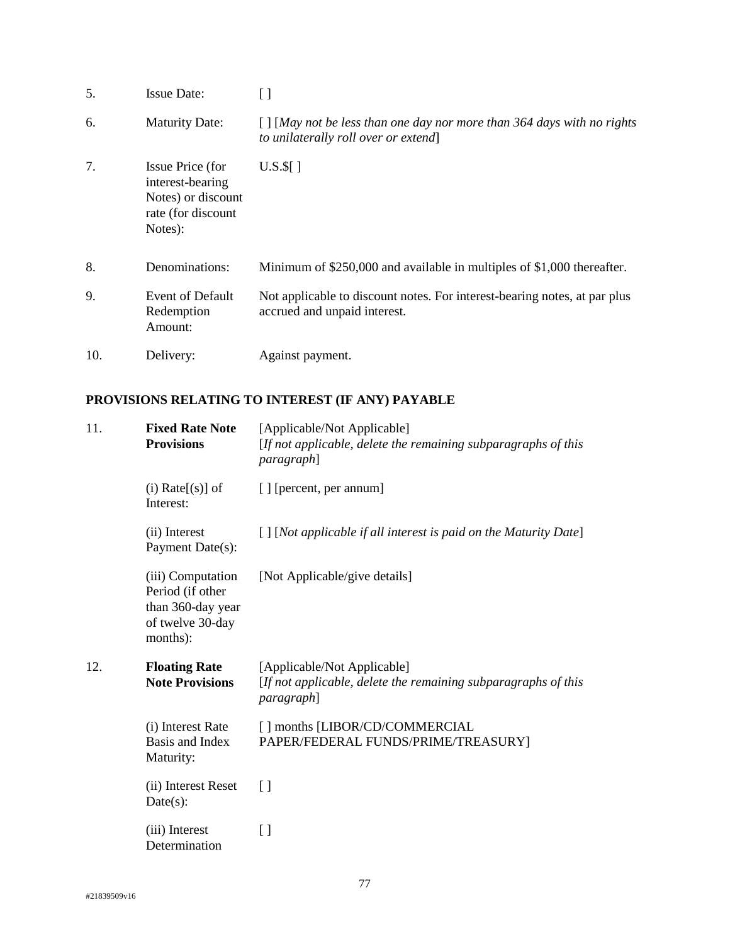| 5.  | <b>Issue Date:</b>                                                                          |                                                                                                                                  |
|-----|---------------------------------------------------------------------------------------------|----------------------------------------------------------------------------------------------------------------------------------|
| 6.  | <b>Maturity Date:</b>                                                                       | $\lceil \cdot \rceil$ [May not be less than one day nor more than 364 days with no rights<br>to unilaterally roll over or extend |
| 7.  | Issue Price (for<br>interest-bearing<br>Notes) or discount<br>rate (for discount<br>Notes): | $U.S.\$ [ ]                                                                                                                      |
| 8.  | Denominations:                                                                              | Minimum of \$250,000 and available in multiples of \$1,000 thereafter.                                                           |
| 9.  | <b>Event of Default</b><br>Redemption<br>Amount:                                            | Not applicable to discount notes. For interest-bearing notes, at par plus<br>accrued and unpaid interest.                        |
| 10. | Delivery:                                                                                   | Against payment.                                                                                                                 |

# **PROVISIONS RELATING TO INTEREST (IF ANY) PAYABLE**

| 11. | <b>Fixed Rate Note</b><br><b>Provisions</b>                                                | [Applicable/Not Applicable]<br>[If not applicable, delete the remaining subparagraphs of this<br>paragraph]         |
|-----|--------------------------------------------------------------------------------------------|---------------------------------------------------------------------------------------------------------------------|
|     | $(i)$ Rate $[(s)]$ of<br>Interest:                                                         | [ ] [percent, per annum]                                                                                            |
|     | (ii) Interest<br>Payment Date(s):                                                          | $\lceil \cdot \rceil$ [Not applicable if all interest is paid on the Maturity Date]                                 |
|     | (iii) Computation<br>Period (if other<br>than 360-day year<br>of twelve 30-day<br>months): | [Not Applicable/give details]                                                                                       |
| 12. | <b>Floating Rate</b><br><b>Note Provisions</b>                                             | [Applicable/Not Applicable]<br>[If not applicable, delete the remaining subparagraphs of this<br><i>paragraph</i> ] |
|     | (i) Interest Rate<br>Basis and Index<br>Maturity:                                          | [] months [LIBOR/CD/COMMERCIAL<br>PAPER/FEDERAL FUNDS/PRIME/TREASURY]                                               |
|     | (ii) Interest Reset<br>Date(s):                                                            | $\left[ \ \right]$                                                                                                  |
|     | (iii) Interest<br>Determination                                                            | Γl                                                                                                                  |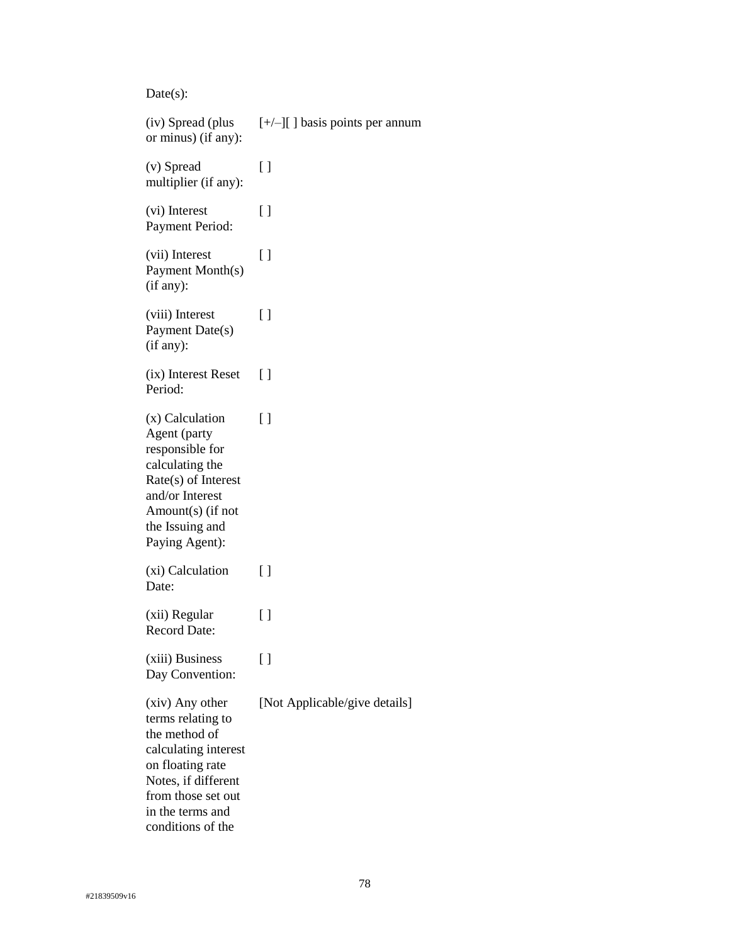# Date(s):

| (iv) Spread (plus<br>or minus) (if any):                                                                                                                                                | $[+/]-]$ ] basis points per annum |
|-----------------------------------------------------------------------------------------------------------------------------------------------------------------------------------------|-----------------------------------|
| (v) Spread<br>multiplier (if any):                                                                                                                                                      | []                                |
| (vi) Interest<br>Payment Period:                                                                                                                                                        | []                                |
| (vii) Interest<br>Payment Month(s)<br>(if any):                                                                                                                                         | [ ]                               |
| (viii) Interest<br>Payment Date(s)<br>(if any):                                                                                                                                         | []                                |
| (ix) Interest Reset<br>Period:                                                                                                                                                          | []                                |
| (x) Calculation<br>Agent (party<br>responsible for<br>calculating the<br>Rate(s) of Interest<br>and/or Interest<br>Amount(s) (if not<br>the Issuing and<br>Paying Agent):               | []                                |
| (xi) Calculation<br>Date:                                                                                                                                                               | []                                |
| (xii) Regular<br><b>Record Date:</b>                                                                                                                                                    | []                                |
| (xiii) Business<br>Day Convention:                                                                                                                                                      | [ ]                               |
| (xiv) Any other<br>terms relating to<br>the method of<br>calculating interest<br>on floating rate<br>Notes, if different<br>from those set out<br>in the terms and<br>conditions of the | [Not Applicable/give details]     |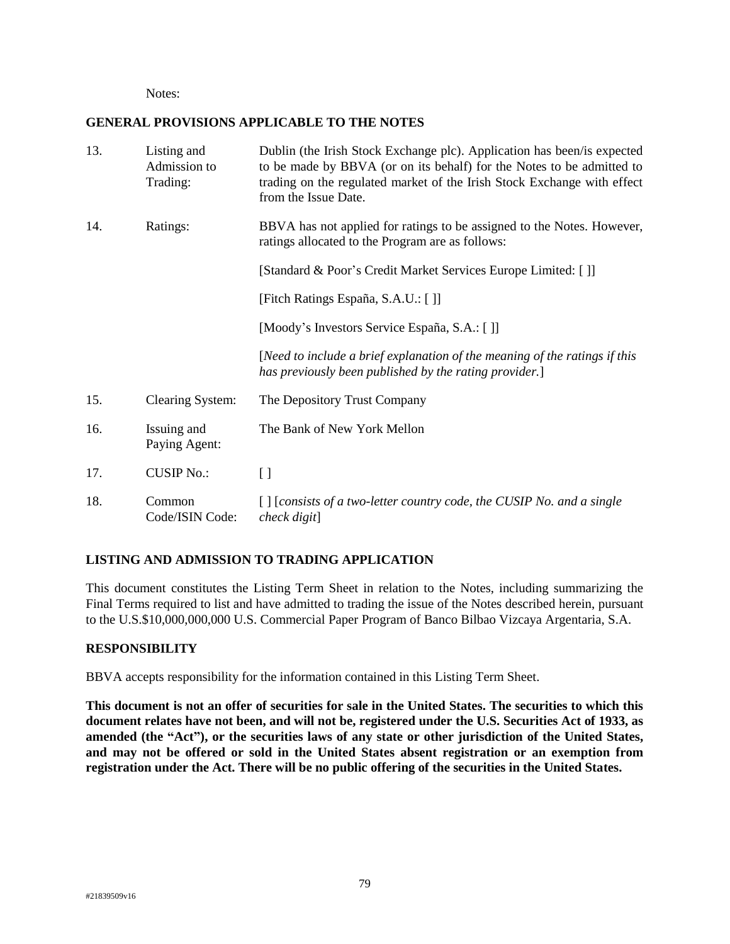Notes:

#### **GENERAL PROVISIONS APPLICABLE TO THE NOTES**

| 13. | Listing and<br>Admission to<br>Trading: | Dublin (the Irish Stock Exchange plc). Application has been/is expected<br>to be made by BBVA (or on its behalf) for the Notes to be admitted to<br>trading on the regulated market of the Irish Stock Exchange with effect<br>from the Issue Date. |
|-----|-----------------------------------------|-----------------------------------------------------------------------------------------------------------------------------------------------------------------------------------------------------------------------------------------------------|
| 14. | Ratings:                                | BBVA has not applied for ratings to be assigned to the Notes. However,<br>ratings allocated to the Program are as follows:                                                                                                                          |
|     |                                         | [Standard & Poor's Credit Market Services Europe Limited: []]                                                                                                                                                                                       |
|     |                                         | [Fitch Ratings España, S.A.U.: []]                                                                                                                                                                                                                  |
|     |                                         | [Moody's Investors Service España, S.A.: []]                                                                                                                                                                                                        |
|     |                                         | [Need to include a brief explanation of the meaning of the ratings if this<br>has previously been published by the rating provider.]                                                                                                                |
| 15. | <b>Clearing System:</b>                 | The Depository Trust Company                                                                                                                                                                                                                        |
| 16. | Issuing and<br>Paying Agent:            | The Bank of New York Mellon                                                                                                                                                                                                                         |
| 17. | <b>CUSIP No.:</b>                       | $\left[ \ \right]$                                                                                                                                                                                                                                  |
| 18. | Common<br>Code/ISIN Code:               | [] [consists of a two-letter country code, the CUSIP No. and a single<br>check digit]                                                                                                                                                               |

# **LISTING AND ADMISSION TO TRADING APPLICATION**

This document constitutes the Listing Term Sheet in relation to the Notes, including summarizing the Final Terms required to list and have admitted to trading the issue of the Notes described herein, pursuant to the U.S.\$10,000,000,000 U.S. Commercial Paper Program of Banco Bilbao Vizcaya Argentaria, S.A.

## **RESPONSIBILITY**

BBVA accepts responsibility for the information contained in this Listing Term Sheet.

**This document is not an offer of securities for sale in the United States. The securities to which this document relates have not been, and will not be, registered under the U.S. Securities Act of 1933, as amended (the "Act"), or the securities laws of any state or other jurisdiction of the United States, and may not be offered or sold in the United States absent registration or an exemption from registration under the Act. There will be no public offering of the securities in the United States.**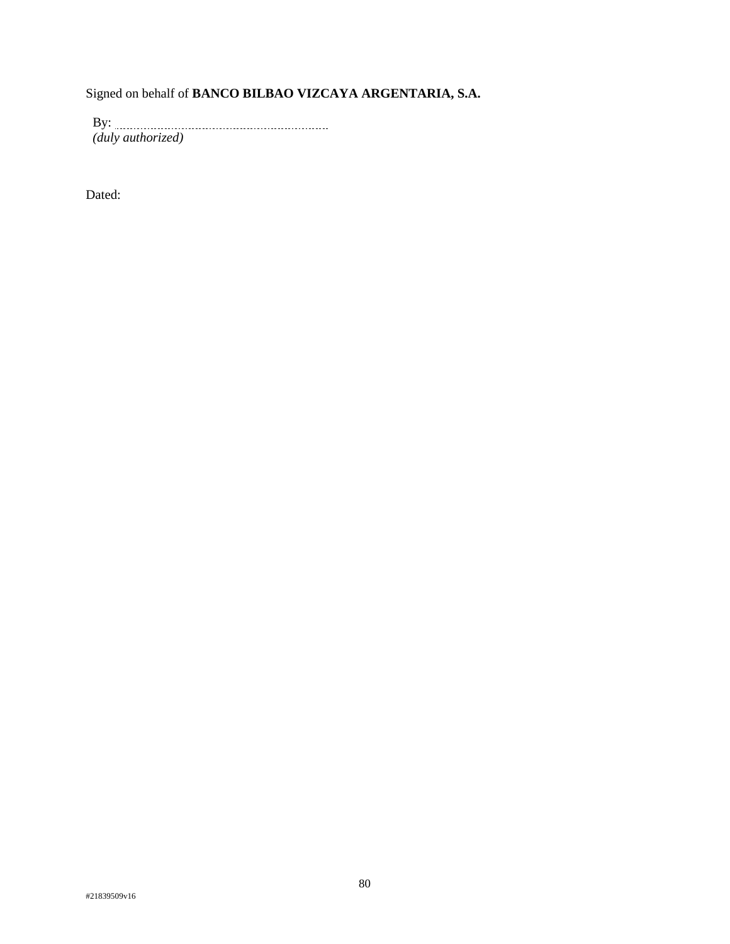Signed on behalf of **BANCO BILBAO VIZCAYA ARGENTARIA, S.A.** 

By: *(duly authorized)*

Dated: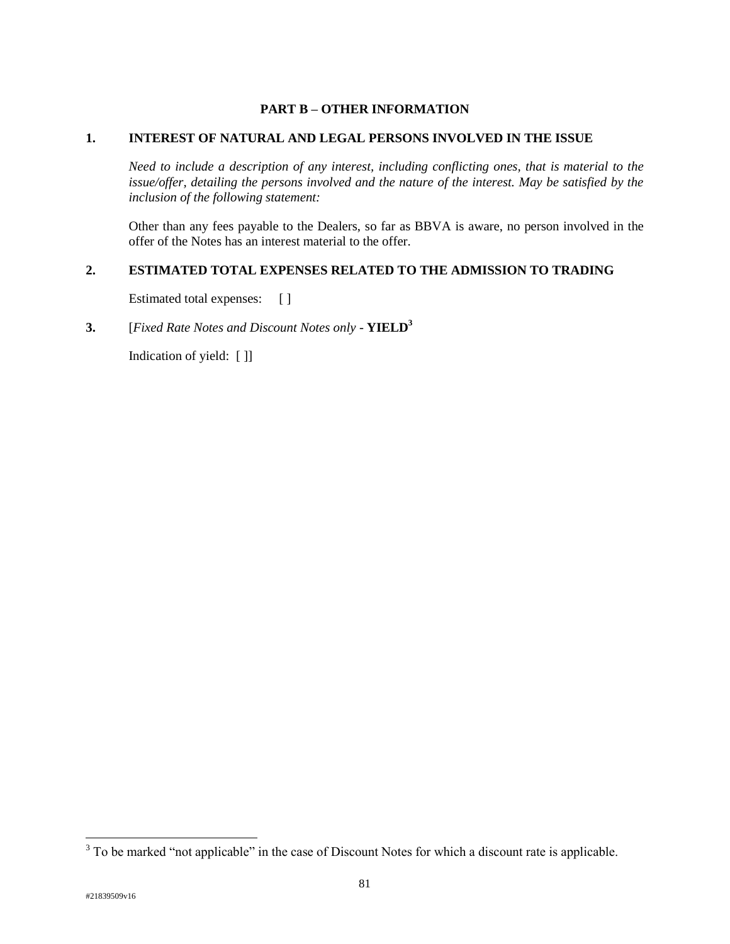## **PART B – OTHER INFORMATION**

## **1. INTEREST OF NATURAL AND LEGAL PERSONS INVOLVED IN THE ISSUE**

*Need to include a description of any interest, including conflicting ones, that is material to the*  issue/offer, detailing the persons involved and the nature of the interest. May be satisfied by the *inclusion of the following statement:*

Other than any fees payable to the Dealers, so far as BBVA is aware, no person involved in the offer of the Notes has an interest material to the offer.

## **2. ESTIMATED TOTAL EXPENSES RELATED TO THE ADMISSION TO TRADING**

Estimated total expenses: []

## **3.** [*Fixed Rate Notes and Discount Notes only* - **YIELD<sup>3</sup>**

Indication of yield: [ ]]

 $\overline{a}$ 

 $3$  To be marked "not applicable" in the case of Discount Notes for which a discount rate is applicable.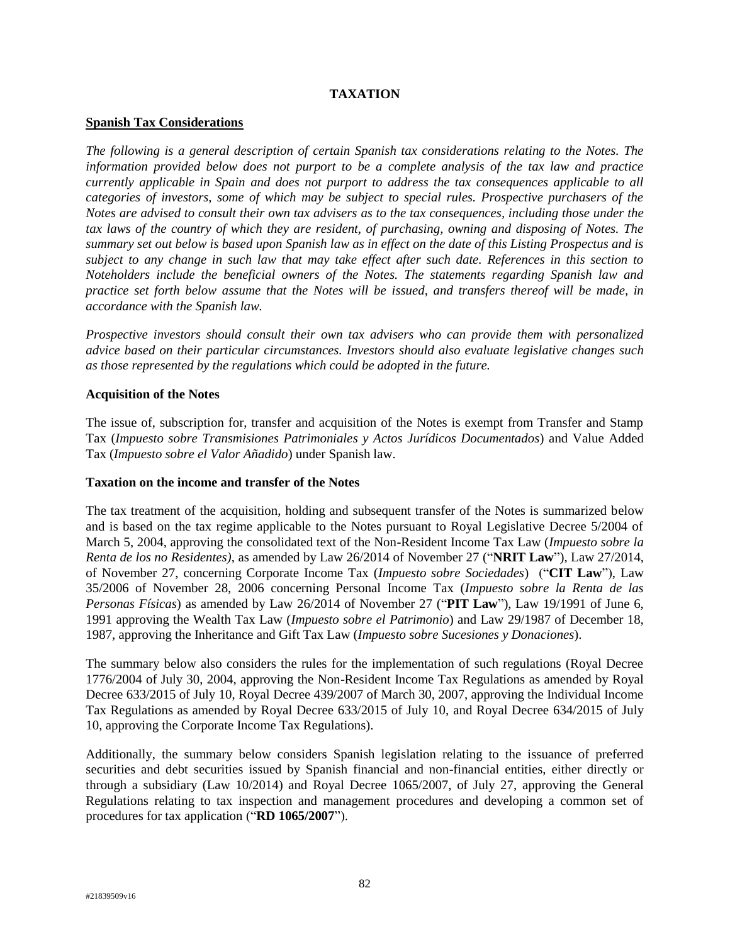## **TAXATION**

#### **Spanish Tax Considerations**

*The following is a general description of certain Spanish tax considerations relating to the Notes. The information provided below does not purport to be a complete analysis of the tax law and practice currently applicable in Spain and does not purport to address the tax consequences applicable to all categories of investors, some of which may be subject to special rules. Prospective purchasers of the Notes are advised to consult their own tax advisers as to the tax consequences, including those under the tax laws of the country of which they are resident, of purchasing, owning and disposing of Notes. The summary set out below is based upon Spanish law as in effect on the date of this Listing Prospectus and is subject to any change in such law that may take effect after such date. References in this section to Noteholders include the beneficial owners of the Notes. The statements regarding Spanish law and practice set forth below assume that the Notes will be issued, and transfers thereof will be made, in accordance with the Spanish law.*

*Prospective investors should consult their own tax advisers who can provide them with personalized advice based on their particular circumstances. Investors should also evaluate legislative changes such as those represented by the regulations which could be adopted in the future.*

#### **Acquisition of the Notes**

The issue of, subscription for, transfer and acquisition of the Notes is exempt from Transfer and Stamp Tax (*Impuesto sobre Transmisiones Patrimoniales y Actos Jurídicos Documentados*) and Value Added Tax (*Impuesto sobre el Valor Añadido*) under Spanish law.

## **Taxation on the income and transfer of the Notes**

The tax treatment of the acquisition, holding and subsequent transfer of the Notes is summarized below and is based on the tax regime applicable to the Notes pursuant to Royal Legislative Decree 5/2004 of March 5, 2004, approving the consolidated text of the Non-Resident Income Tax Law (*Impuesto sobre la Renta de los no Residentes)*, as amended by Law 26/2014 of November 27 ("**NRIT Law**"), Law 27/2014, of November 27, concerning Corporate Income Tax (*Impuesto sobre Sociedades*) ("**CIT Law**"), Law 35/2006 of November 28, 2006 concerning Personal Income Tax (*Impuesto sobre la Renta de las Personas Físicas*) as amended by Law 26/2014 of November 27 ("**PIT Law**"), Law 19/1991 of June 6, 1991 approving the Wealth Tax Law (*Impuesto sobre el Patrimonio*) and Law 29/1987 of December 18, 1987, approving the Inheritance and Gift Tax Law (*Impuesto sobre Sucesiones y Donaciones*).

The summary below also considers the rules for the implementation of such regulations (Royal Decree 1776/2004 of July 30, 2004, approving the Non-Resident Income Tax Regulations as amended by Royal Decree 633/2015 of July 10, Royal Decree 439/2007 of March 30, 2007, approving the Individual Income Tax Regulations as amended by Royal Decree 633/2015 of July 10, and Royal Decree 634/2015 of July 10, approving the Corporate Income Tax Regulations).

Additionally, the summary below considers Spanish legislation relating to the issuance of preferred securities and debt securities issued by Spanish financial and non-financial entities, either directly or through a subsidiary (Law 10/2014) and Royal Decree 1065/2007, of July 27, approving the General Regulations relating to tax inspection and management procedures and developing a common set of procedures for tax application ("**RD 1065/2007**").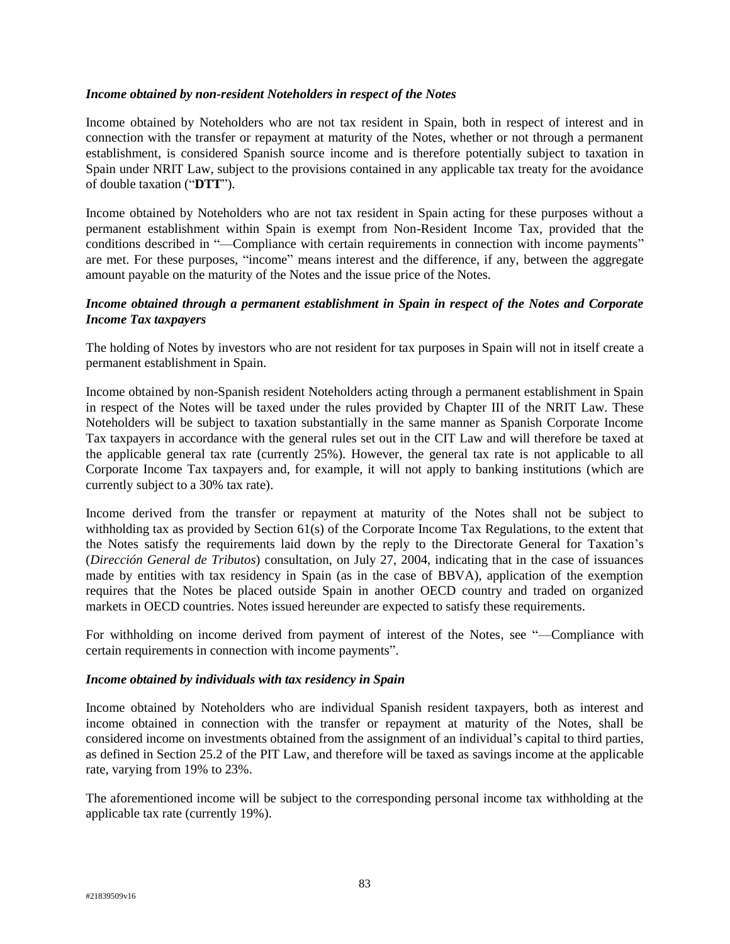#### *Income obtained by non-resident Noteholders in respect of the Notes*

Income obtained by Noteholders who are not tax resident in Spain, both in respect of interest and in connection with the transfer or repayment at maturity of the Notes, whether or not through a permanent establishment, is considered Spanish source income and is therefore potentially subject to taxation in Spain under NRIT Law, subject to the provisions contained in any applicable tax treaty for the avoidance of double taxation ("**DTT**").

Income obtained by Noteholders who are not tax resident in Spain acting for these purposes without a permanent establishment within Spain is exempt from Non-Resident Income Tax, provided that the conditions described in "—Compliance with certain requirements in connection with income payments" are met. For these purposes, "income" means interest and the difference, if any, between the aggregate amount payable on the maturity of the Notes and the issue price of the Notes.

## *Income obtained through a permanent establishment in Spain in respect of the Notes and Corporate Income Tax taxpayers*

The holding of Notes by investors who are not resident for tax purposes in Spain will not in itself create a permanent establishment in Spain.

Income obtained by non-Spanish resident Noteholders acting through a permanent establishment in Spain in respect of the Notes will be taxed under the rules provided by Chapter III of the NRIT Law. These Noteholders will be subject to taxation substantially in the same manner as Spanish Corporate Income Tax taxpayers in accordance with the general rules set out in the CIT Law and will therefore be taxed at the applicable general tax rate (currently 25%). However, the general tax rate is not applicable to all Corporate Income Tax taxpayers and, for example, it will not apply to banking institutions (which are currently subject to a 30% tax rate).

Income derived from the transfer or repayment at maturity of the Notes shall not be subject to withholding tax as provided by Section 61(s) of the Corporate Income Tax Regulations, to the extent that the Notes satisfy the requirements laid down by the reply to the Directorate General for Taxation's (*Dirección General de Tributos*) consultation, on July 27, 2004, indicating that in the case of issuances made by entities with tax residency in Spain (as in the case of BBVA), application of the exemption requires that the Notes be placed outside Spain in another OECD country and traded on organized markets in OECD countries. Notes issued hereunder are expected to satisfy these requirements.

For withholding on income derived from payment of interest of the Notes, see "—Compliance with certain requirements in connection with income payments".

## *Income obtained by individuals with tax residency in Spain*

Income obtained by Noteholders who are individual Spanish resident taxpayers, both as interest and income obtained in connection with the transfer or repayment at maturity of the Notes, shall be considered income on investments obtained from the assignment of an individual's capital to third parties, as defined in Section 25.2 of the PIT Law, and therefore will be taxed as savings income at the applicable rate, varying from 19% to 23%.

The aforementioned income will be subject to the corresponding personal income tax withholding at the applicable tax rate (currently 19%).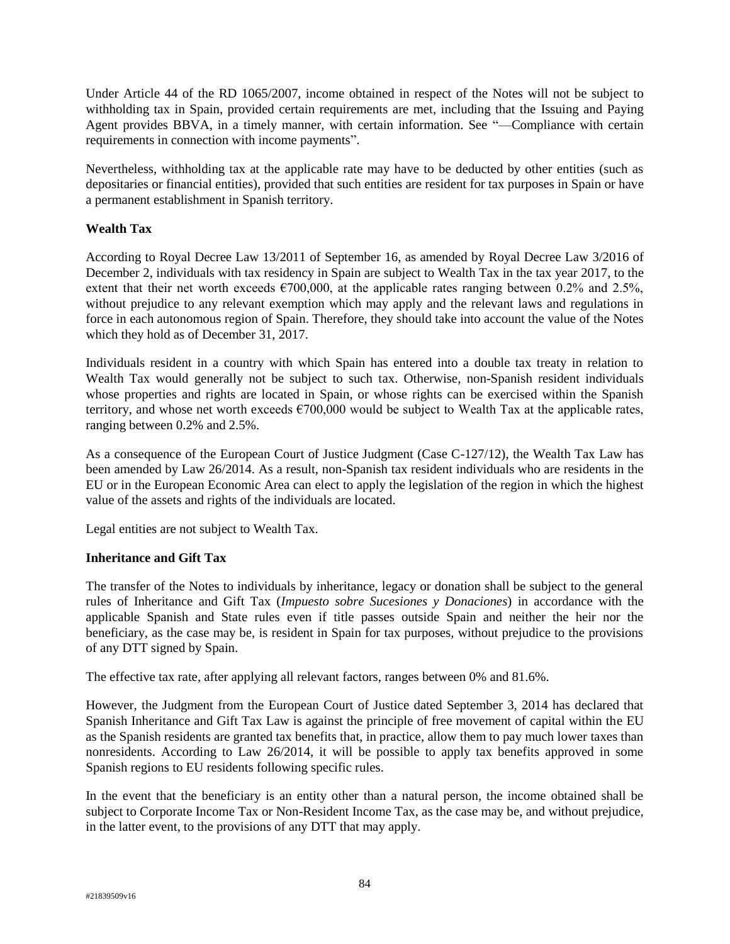Under Article 44 of the RD 1065/2007, income obtained in respect of the Notes will not be subject to withholding tax in Spain, provided certain requirements are met, including that the Issuing and Paying Agent provides BBVA, in a timely manner, with certain information. See "—Compliance with certain requirements in connection with income payments".

Nevertheless, withholding tax at the applicable rate may have to be deducted by other entities (such as depositaries or financial entities), provided that such entities are resident for tax purposes in Spain or have a permanent establishment in Spanish territory.

# **Wealth Tax**

According to Royal Decree Law 13/2011 of September 16, as amended by Royal Decree Law 3/2016 of December 2, individuals with tax residency in Spain are subject to Wealth Tax in the tax year 2017, to the extent that their net worth exceeds  $\epsilon$ 700,000, at the applicable rates ranging between 0.2% and 2.5%, without prejudice to any relevant exemption which may apply and the relevant laws and regulations in force in each autonomous region of Spain. Therefore, they should take into account the value of the Notes which they hold as of December 31, 2017.

Individuals resident in a country with which Spain has entered into a double tax treaty in relation to Wealth Tax would generally not be subject to such tax. Otherwise, non-Spanish resident individuals whose properties and rights are located in Spain, or whose rights can be exercised within the Spanish territory, and whose net worth exceeds €700,000 would be subject to Wealth Tax at the applicable rates, ranging between 0.2% and 2.5%.

As a consequence of the European Court of Justice Judgment (Case C-127/12), the Wealth Tax Law has been amended by Law 26/2014. As a result, non-Spanish tax resident individuals who are residents in the EU or in the European Economic Area can elect to apply the legislation of the region in which the highest value of the assets and rights of the individuals are located.

Legal entities are not subject to Wealth Tax.

## **Inheritance and Gift Tax**

The transfer of the Notes to individuals by inheritance, legacy or donation shall be subject to the general rules of Inheritance and Gift Tax (*Impuesto sobre Sucesiones y Donaciones*) in accordance with the applicable Spanish and State rules even if title passes outside Spain and neither the heir nor the beneficiary, as the case may be, is resident in Spain for tax purposes, without prejudice to the provisions of any DTT signed by Spain.

The effective tax rate, after applying all relevant factors, ranges between 0% and 81.6%.

However, the Judgment from the European Court of Justice dated September 3, 2014 has declared that Spanish Inheritance and Gift Tax Law is against the principle of free movement of capital within the EU as the Spanish residents are granted tax benefits that, in practice, allow them to pay much lower taxes than nonresidents. According to Law 26/2014, it will be possible to apply tax benefits approved in some Spanish regions to EU residents following specific rules.

In the event that the beneficiary is an entity other than a natural person, the income obtained shall be subject to Corporate Income Tax or Non-Resident Income Tax, as the case may be, and without prejudice, in the latter event, to the provisions of any DTT that may apply.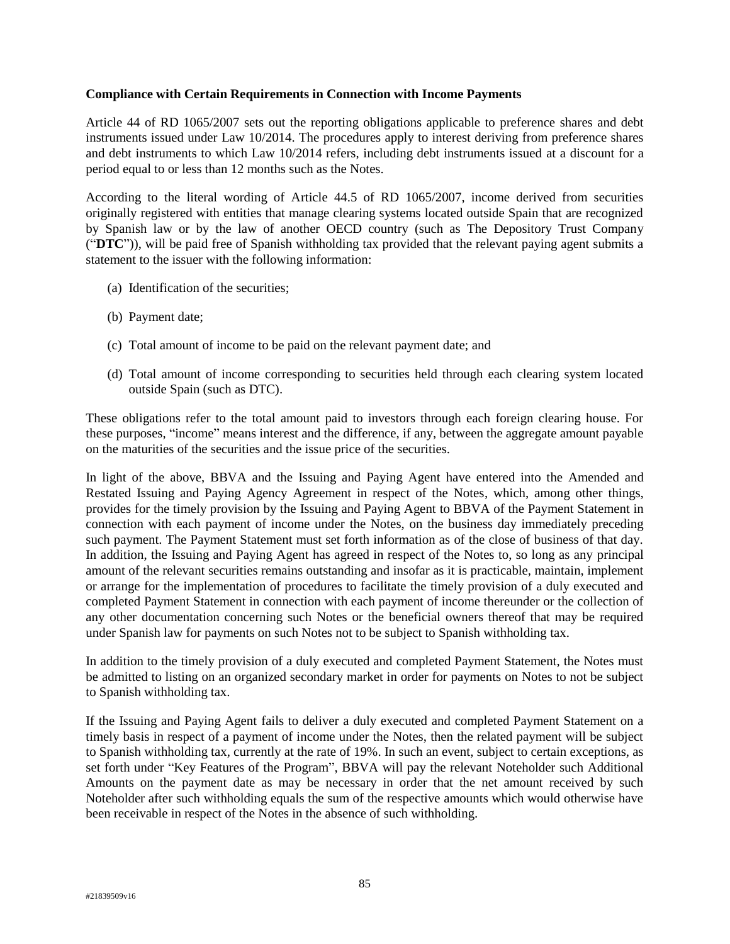#### **Compliance with Certain Requirements in Connection with Income Payments**

Article 44 of RD 1065/2007 sets out the reporting obligations applicable to preference shares and debt instruments issued under Law 10/2014. The procedures apply to interest deriving from preference shares and debt instruments to which Law 10/2014 refers, including debt instruments issued at a discount for a period equal to or less than 12 months such as the Notes.

According to the literal wording of Article 44.5 of RD 1065/2007, income derived from securities originally registered with entities that manage clearing systems located outside Spain that are recognized by Spanish law or by the law of another OECD country (such as The Depository Trust Company ("**DTC**")), will be paid free of Spanish withholding tax provided that the relevant paying agent submits a statement to the issuer with the following information:

- (a) Identification of the securities;
- (b) Payment date;
- (c) Total amount of income to be paid on the relevant payment date; and
- (d) Total amount of income corresponding to securities held through each clearing system located outside Spain (such as DTC).

These obligations refer to the total amount paid to investors through each foreign clearing house. For these purposes, "income" means interest and the difference, if any, between the aggregate amount payable on the maturities of the securities and the issue price of the securities.

In light of the above, BBVA and the Issuing and Paying Agent have entered into the Amended and Restated Issuing and Paying Agency Agreement in respect of the Notes, which, among other things, provides for the timely provision by the Issuing and Paying Agent to BBVA of the Payment Statement in connection with each payment of income under the Notes, on the business day immediately preceding such payment. The Payment Statement must set forth information as of the close of business of that day. In addition, the Issuing and Paying Agent has agreed in respect of the Notes to, so long as any principal amount of the relevant securities remains outstanding and insofar as it is practicable, maintain, implement or arrange for the implementation of procedures to facilitate the timely provision of a duly executed and completed Payment Statement in connection with each payment of income thereunder or the collection of any other documentation concerning such Notes or the beneficial owners thereof that may be required under Spanish law for payments on such Notes not to be subject to Spanish withholding tax.

In addition to the timely provision of a duly executed and completed Payment Statement, the Notes must be admitted to listing on an organized secondary market in order for payments on Notes to not be subject to Spanish withholding tax.

If the Issuing and Paying Agent fails to deliver a duly executed and completed Payment Statement on a timely basis in respect of a payment of income under the Notes, then the related payment will be subject to Spanish withholding tax, currently at the rate of 19%. In such an event, subject to certain exceptions, as set forth under "Key Features of the Program", BBVA will pay the relevant Noteholder such Additional Amounts on the payment date as may be necessary in order that the net amount received by such Noteholder after such withholding equals the sum of the respective amounts which would otherwise have been receivable in respect of the Notes in the absence of such withholding.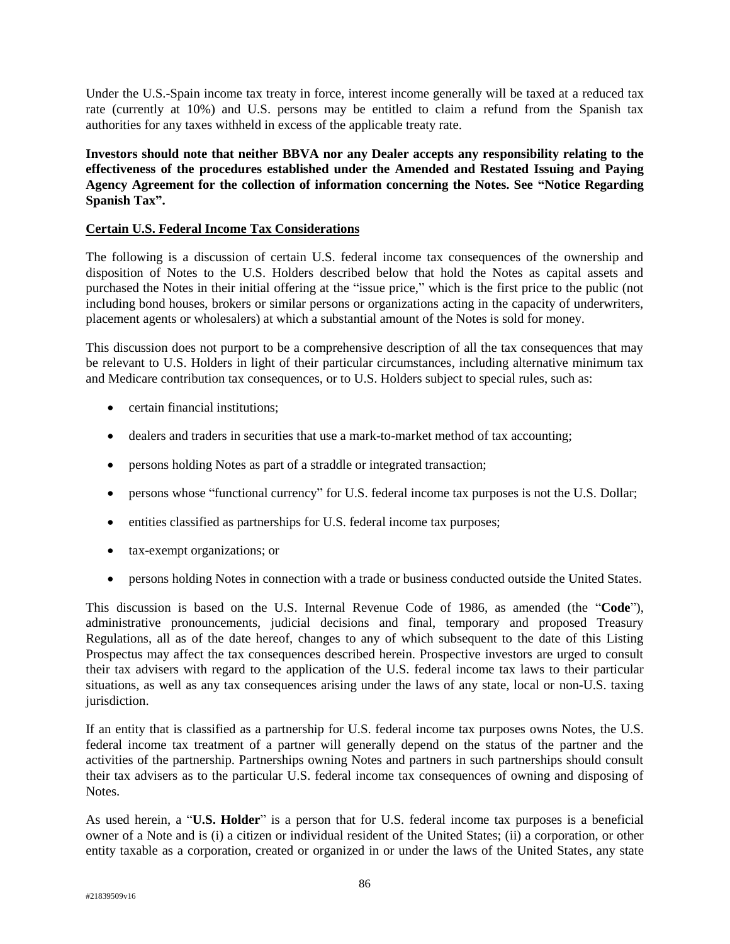Under the U.S.-Spain income tax treaty in force, interest income generally will be taxed at a reduced tax rate (currently at 10%) and U.S. persons may be entitled to claim a refund from the Spanish tax authorities for any taxes withheld in excess of the applicable treaty rate.

**Investors should note that neither BBVA nor any Dealer accepts any responsibility relating to the effectiveness of the procedures established under the Amended and Restated Issuing and Paying Agency Agreement for the collection of information concerning the Notes. See "Notice Regarding Spanish Tax".**

## **Certain U.S. Federal Income Tax Considerations**

The following is a discussion of certain U.S. federal income tax consequences of the ownership and disposition of Notes to the U.S. Holders described below that hold the Notes as capital assets and purchased the Notes in their initial offering at the "issue price," which is the first price to the public (not including bond houses, brokers or similar persons or organizations acting in the capacity of underwriters, placement agents or wholesalers) at which a substantial amount of the Notes is sold for money.

This discussion does not purport to be a comprehensive description of all the tax consequences that may be relevant to U.S. Holders in light of their particular circumstances, including alternative minimum tax and Medicare contribution tax consequences, or to U.S. Holders subject to special rules, such as:

- certain financial institutions;
- dealers and traders in securities that use a mark-to-market method of tax accounting;
- persons holding Notes as part of a straddle or integrated transaction;
- persons whose "functional currency" for U.S. federal income tax purposes is not the U.S. Dollar;
- entities classified as partnerships for U.S. federal income tax purposes;
- tax-exempt organizations; or
- persons holding Notes in connection with a trade or business conducted outside the United States.

This discussion is based on the U.S. Internal Revenue Code of 1986, as amended (the "**Code**"), administrative pronouncements, judicial decisions and final, temporary and proposed Treasury Regulations, all as of the date hereof, changes to any of which subsequent to the date of this Listing Prospectus may affect the tax consequences described herein. Prospective investors are urged to consult their tax advisers with regard to the application of the U.S. federal income tax laws to their particular situations, as well as any tax consequences arising under the laws of any state, local or non-U.S. taxing jurisdiction.

If an entity that is classified as a partnership for U.S. federal income tax purposes owns Notes, the U.S. federal income tax treatment of a partner will generally depend on the status of the partner and the activities of the partnership. Partnerships owning Notes and partners in such partnerships should consult their tax advisers as to the particular U.S. federal income tax consequences of owning and disposing of Notes.

As used herein, a "**U.S. Holder**" is a person that for U.S. federal income tax purposes is a beneficial owner of a Note and is (i) a citizen or individual resident of the United States; (ii) a corporation, or other entity taxable as a corporation, created or organized in or under the laws of the United States, any state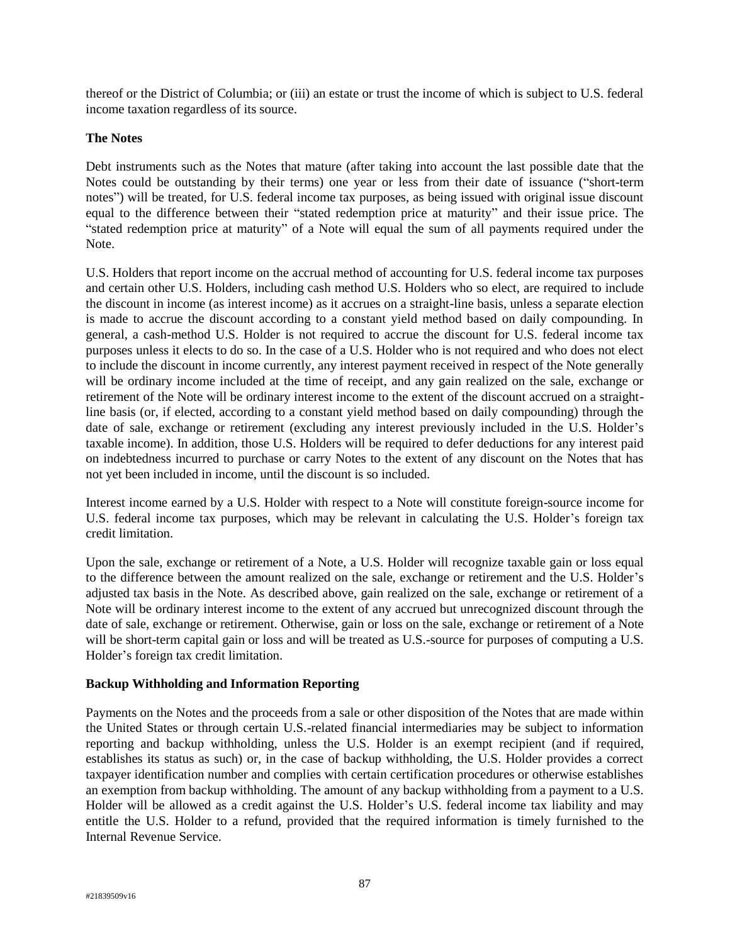thereof or the District of Columbia; or (iii) an estate or trust the income of which is subject to U.S. federal income taxation regardless of its source.

## **The Notes**

Debt instruments such as the Notes that mature (after taking into account the last possible date that the Notes could be outstanding by their terms) one year or less from their date of issuance ("short-term notes") will be treated, for U.S. federal income tax purposes, as being issued with original issue discount equal to the difference between their "stated redemption price at maturity" and their issue price. The "stated redemption price at maturity" of a Note will equal the sum of all payments required under the Note.

U.S. Holders that report income on the accrual method of accounting for U.S. federal income tax purposes and certain other U.S. Holders, including cash method U.S. Holders who so elect, are required to include the discount in income (as interest income) as it accrues on a straight-line basis, unless a separate election is made to accrue the discount according to a constant yield method based on daily compounding. In general, a cash-method U.S. Holder is not required to accrue the discount for U.S. federal income tax purposes unless it elects to do so. In the case of a U.S. Holder who is not required and who does not elect to include the discount in income currently, any interest payment received in respect of the Note generally will be ordinary income included at the time of receipt, and any gain realized on the sale, exchange or retirement of the Note will be ordinary interest income to the extent of the discount accrued on a straightline basis (or, if elected, according to a constant yield method based on daily compounding) through the date of sale, exchange or retirement (excluding any interest previously included in the U.S. Holder's taxable income). In addition, those U.S. Holders will be required to defer deductions for any interest paid on indebtedness incurred to purchase or carry Notes to the extent of any discount on the Notes that has not yet been included in income, until the discount is so included.

Interest income earned by a U.S. Holder with respect to a Note will constitute foreign-source income for U.S. federal income tax purposes, which may be relevant in calculating the U.S. Holder's foreign tax credit limitation.

Upon the sale, exchange or retirement of a Note, a U.S. Holder will recognize taxable gain or loss equal to the difference between the amount realized on the sale, exchange or retirement and the U.S. Holder's adjusted tax basis in the Note. As described above, gain realized on the sale, exchange or retirement of a Note will be ordinary interest income to the extent of any accrued but unrecognized discount through the date of sale, exchange or retirement. Otherwise, gain or loss on the sale, exchange or retirement of a Note will be short-term capital gain or loss and will be treated as U.S.-source for purposes of computing a U.S. Holder's foreign tax credit limitation.

## **Backup Withholding and Information Reporting**

Payments on the Notes and the proceeds from a sale or other disposition of the Notes that are made within the United States or through certain U.S.-related financial intermediaries may be subject to information reporting and backup withholding, unless the U.S. Holder is an exempt recipient (and if required, establishes its status as such) or, in the case of backup withholding, the U.S. Holder provides a correct taxpayer identification number and complies with certain certification procedures or otherwise establishes an exemption from backup withholding. The amount of any backup withholding from a payment to a U.S. Holder will be allowed as a credit against the U.S. Holder's U.S. federal income tax liability and may entitle the U.S. Holder to a refund, provided that the required information is timely furnished to the Internal Revenue Service.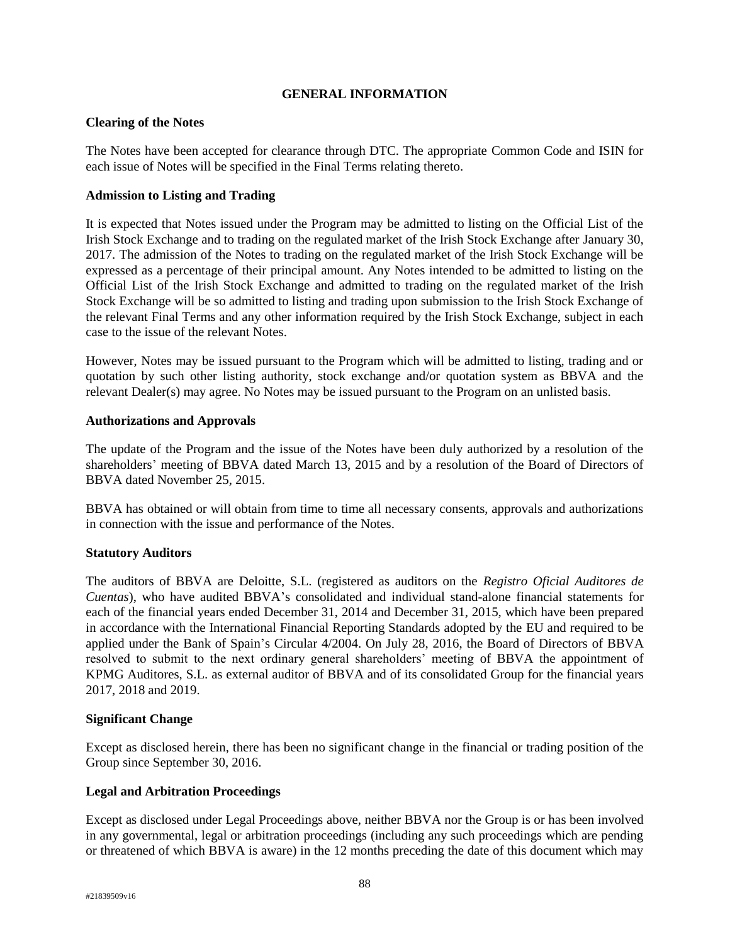#### **GENERAL INFORMATION**

#### **Clearing of the Notes**

The Notes have been accepted for clearance through DTC. The appropriate Common Code and ISIN for each issue of Notes will be specified in the Final Terms relating thereto.

#### **Admission to Listing and Trading**

It is expected that Notes issued under the Program may be admitted to listing on the Official List of the Irish Stock Exchange and to trading on the regulated market of the Irish Stock Exchange after January 30, 2017. The admission of the Notes to trading on the regulated market of the Irish Stock Exchange will be expressed as a percentage of their principal amount. Any Notes intended to be admitted to listing on the Official List of the Irish Stock Exchange and admitted to trading on the regulated market of the Irish Stock Exchange will be so admitted to listing and trading upon submission to the Irish Stock Exchange of the relevant Final Terms and any other information required by the Irish Stock Exchange, subject in each case to the issue of the relevant Notes.

However, Notes may be issued pursuant to the Program which will be admitted to listing, trading and or quotation by such other listing authority, stock exchange and/or quotation system as BBVA and the relevant Dealer(s) may agree. No Notes may be issued pursuant to the Program on an unlisted basis.

#### **Authorizations and Approvals**

The update of the Program and the issue of the Notes have been duly authorized by a resolution of the shareholders' meeting of BBVA dated March 13, 2015 and by a resolution of the Board of Directors of BBVA dated November 25, 2015.

BBVA has obtained or will obtain from time to time all necessary consents, approvals and authorizations in connection with the issue and performance of the Notes.

## **Statutory Auditors**

The auditors of BBVA are Deloitte, S.L. (registered as auditors on the *Registro Oficial Auditores de Cuentas*), who have audited BBVA's consolidated and individual stand-alone financial statements for each of the financial years ended December 31, 2014 and December 31, 2015, which have been prepared in accordance with the International Financial Reporting Standards adopted by the EU and required to be applied under the Bank of Spain's Circular 4/2004. On July 28, 2016, the Board of Directors of BBVA resolved to submit to the next ordinary general shareholders' meeting of BBVA the appointment of KPMG Auditores, S.L. as external auditor of BBVA and of its consolidated Group for the financial years 2017, 2018 and 2019.

## **Significant Change**

Except as disclosed herein, there has been no significant change in the financial or trading position of the Group since September 30, 2016.

## **Legal and Arbitration Proceedings**

Except as disclosed under Legal Proceedings above, neither BBVA nor the Group is or has been involved in any governmental, legal or arbitration proceedings (including any such proceedings which are pending or threatened of which BBVA is aware) in the 12 months preceding the date of this document which may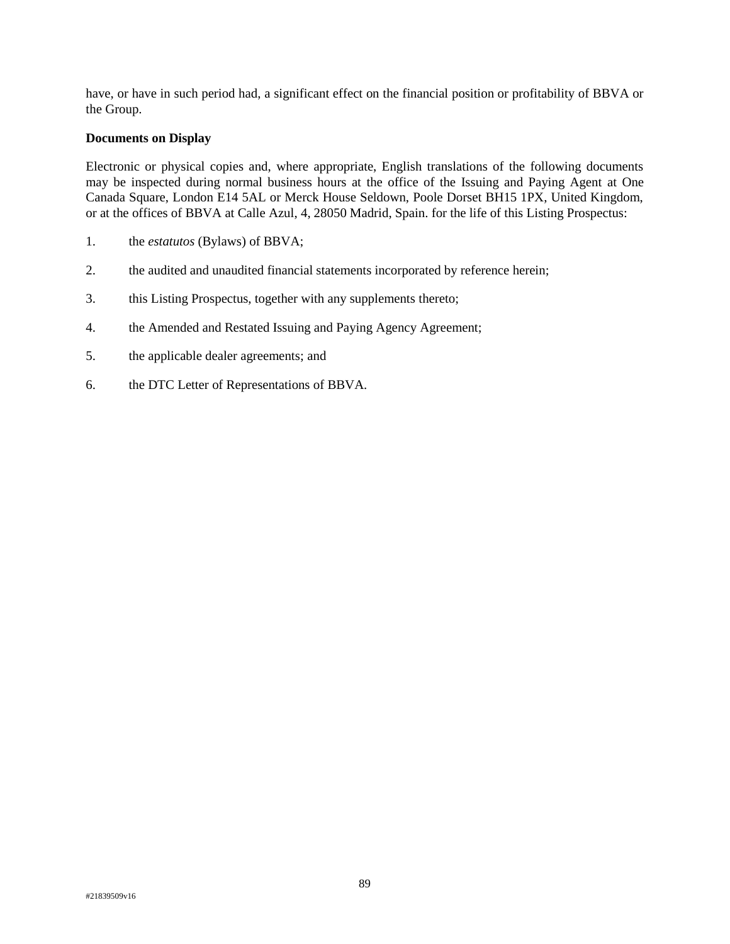have, or have in such period had, a significant effect on the financial position or profitability of BBVA or the Group.

#### **Documents on Display**

Electronic or physical copies and, where appropriate, English translations of the following documents may be inspected during normal business hours at the office of the Issuing and Paying Agent at One Canada Square, London E14 5AL or Merck House Seldown, Poole Dorset BH15 1PX, United Kingdom, or at the offices of BBVA at Calle Azul, 4, 28050 Madrid, Spain. for the life of this Listing Prospectus:

- 1. the *estatutos* (Bylaws) of BBVA;
- 2. the audited and unaudited financial statements incorporated by reference herein;
- 3. this Listing Prospectus, together with any supplements thereto;
- 4. the Amended and Restated Issuing and Paying Agency Agreement;
- 5. the applicable dealer agreements; and
- 6. the DTC Letter of Representations of BBVA.